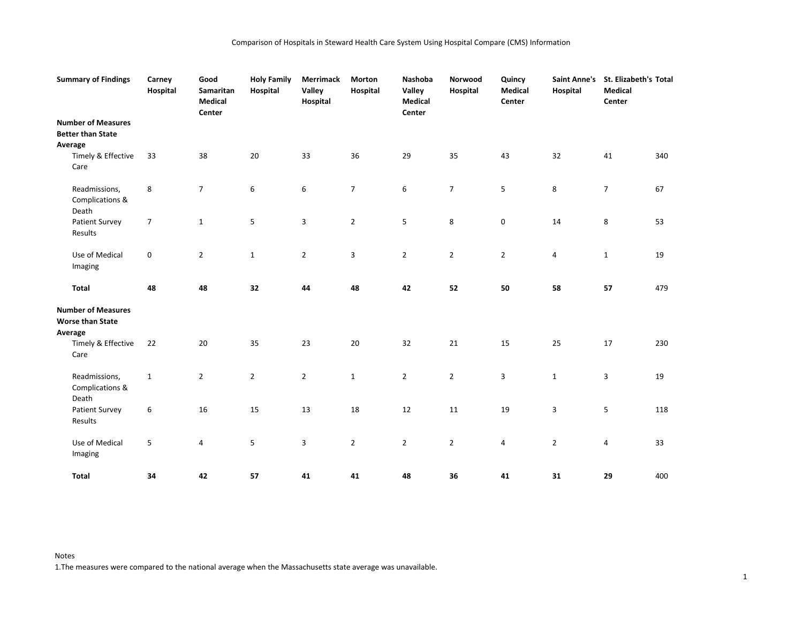| <b>Summary of Findings</b>                                      | Carney<br>Hospital | Good<br>Samaritan<br><b>Medical</b><br>Center | <b>Holy Family</b><br>Hospital | <b>Merrimack</b><br>Valley<br>Hospital | Morton<br>Hospital | Nashoba<br>Valley<br>Medical<br>Center | Norwood<br>Hospital | Quincy<br><b>Medical</b><br>Center | <b>Saint Anne's</b><br>Hospital | St. Elizabeth's Total<br><b>Medical</b><br>Center |     |
|-----------------------------------------------------------------|--------------------|-----------------------------------------------|--------------------------------|----------------------------------------|--------------------|----------------------------------------|---------------------|------------------------------------|---------------------------------|---------------------------------------------------|-----|
| <b>Number of Measures</b>                                       |                    |                                               |                                |                                        |                    |                                        |                     |                                    |                                 |                                                   |     |
| <b>Better than State</b>                                        |                    |                                               |                                |                                        |                    |                                        |                     |                                    |                                 |                                                   |     |
| Average                                                         |                    |                                               |                                |                                        |                    |                                        |                     |                                    |                                 |                                                   |     |
| Timely & Effective<br>Care                                      | 33                 | 38                                            | $20\,$                         | 33                                     | 36                 | 29                                     | 35                  | 43                                 | 32                              | 41                                                | 340 |
| Readmissions,<br>Complications &<br>Death                       | 8                  | $\overline{7}$                                | 6                              | 6                                      | $\overline{7}$     | 6                                      | $\overline{7}$      | 5                                  | 8                               | $\overline{7}$                                    | 67  |
| Patient Survey<br>Results                                       | $\overline{7}$     | $\mathbf{1}$                                  | 5                              | 3                                      | $\overline{2}$     | 5                                      | 8                   | 0                                  | 14                              | 8                                                 | 53  |
| Use of Medical<br>Imaging                                       | $\mathbf 0$        | $\overline{2}$                                | $\mathbf{1}$                   | $\overline{2}$                         | 3                  | $\overline{2}$                         | $\overline{2}$      | $\overline{2}$                     | 4                               | $\mathbf{1}$                                      | 19  |
| Total                                                           | 48                 | 48                                            | 32                             | 44                                     | 48                 | 42                                     | 52                  | 50                                 | 58                              | 57                                                | 479 |
| <b>Number of Measures</b><br><b>Worse than State</b><br>Average |                    |                                               |                                |                                        |                    |                                        |                     |                                    |                                 |                                                   |     |
| Timely & Effective<br>Care                                      | 22                 | 20                                            | 35                             | 23                                     | 20                 | 32                                     | 21                  | 15                                 | 25                              | 17                                                | 230 |
| Readmissions,<br>Complications &<br>Death                       | $\mathbf 1$        | $\overline{2}$                                | $\overline{2}$                 | $\overline{2}$                         | $\mathbf{1}$       | $\mathbf{2}$                           | $\overline{2}$      | 3                                  | $\mathbf{1}$                    | 3                                                 | 19  |
| <b>Patient Survey</b><br>Results                                | 6                  | 16                                            | 15                             | 13                                     | 18                 | 12                                     | $11\,$              | 19                                 | 3                               | 5                                                 | 118 |
| Use of Medical<br>Imaging                                       | 5                  | 4                                             | 5                              | 3                                      | $\overline{2}$     | $\overline{2}$                         | $\overline{2}$      | 4                                  | $\overline{2}$                  | 4                                                 | 33  |
| Total                                                           | 34                 | 42                                            | 57                             | 41                                     | 41                 | 48                                     | 36                  | 41                                 | 31                              | 29                                                | 400 |

Notes 1.The measures were compared to the national average when the Massachusetts state average was unavailable.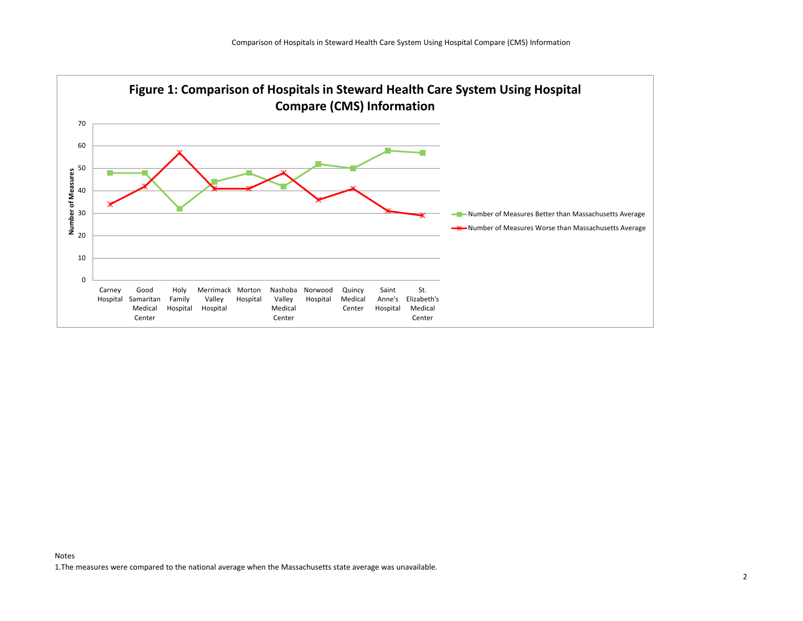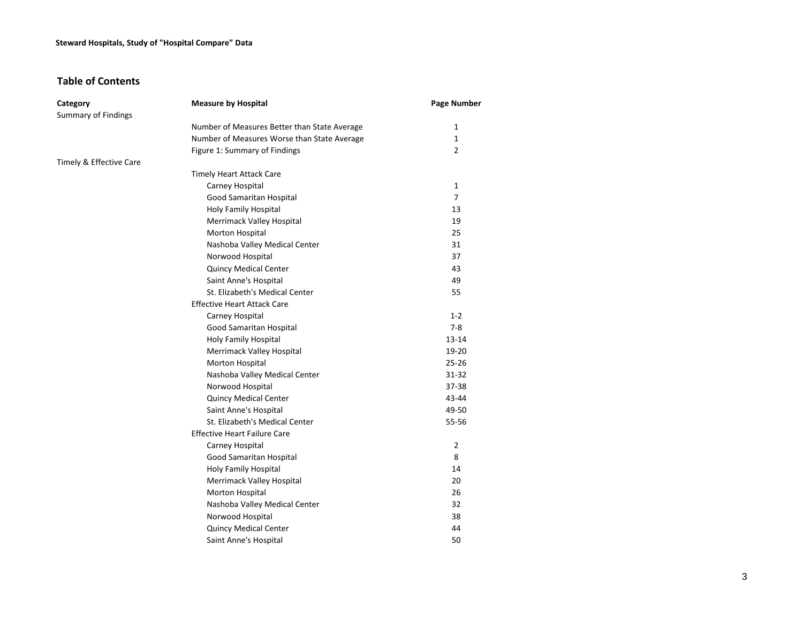## **Steward Hospitals, Study of "Hospital Compare" Data**

# **Table of Contents**

| Category                   | <b>Measure by Hospital</b>                   | <b>Page Number</b> |
|----------------------------|----------------------------------------------|--------------------|
| <b>Summary of Findings</b> |                                              |                    |
|                            | Number of Measures Better than State Average | 1                  |
|                            | Number of Measures Worse than State Average  | $\mathbf{1}$       |
|                            | Figure 1: Summary of Findings                | $\overline{2}$     |
| Timely & Effective Care    |                                              |                    |
|                            | <b>Timely Heart Attack Care</b>              |                    |
|                            | Carney Hospital                              | 1                  |
|                            | Good Samaritan Hospital                      | $\overline{7}$     |
|                            | Holy Family Hospital                         | 13                 |
|                            | Merrimack Valley Hospital                    | 19                 |
|                            | Morton Hospital                              | 25                 |
|                            | Nashoba Valley Medical Center                | 31                 |
|                            | Norwood Hospital                             | 37                 |
|                            | <b>Quincy Medical Center</b>                 | 43                 |
|                            | Saint Anne's Hospital                        | 49                 |
|                            | St. Elizabeth's Medical Center               | 55                 |
|                            | <b>Effective Heart Attack Care</b>           |                    |
|                            | Carney Hospital                              | $1 - 2$            |
|                            | Good Samaritan Hospital                      | $7 - 8$            |
|                            | Holy Family Hospital                         | 13-14              |
|                            | Merrimack Valley Hospital                    | 19-20              |
|                            | Morton Hospital                              | $25 - 26$          |
|                            | Nashoba Valley Medical Center                | 31-32              |
|                            | Norwood Hospital                             | $37 - 38$          |
|                            | <b>Quincy Medical Center</b>                 | 43-44              |
|                            | Saint Anne's Hospital                        | 49-50              |
|                            | St. Elizabeth's Medical Center               | 55-56              |
|                            | <b>Effective Heart Failure Care</b>          |                    |
|                            | Carney Hospital                              | $\overline{2}$     |
|                            | Good Samaritan Hospital                      | 8                  |
|                            | Holy Family Hospital                         | 14                 |
|                            | Merrimack Valley Hospital                    | 20                 |
|                            | Morton Hospital                              | 26                 |
|                            | Nashoba Valley Medical Center                | 32                 |
|                            | Norwood Hospital                             | 38                 |
|                            | <b>Quincy Medical Center</b>                 | 44                 |
|                            | Saint Anne's Hospital                        | 50                 |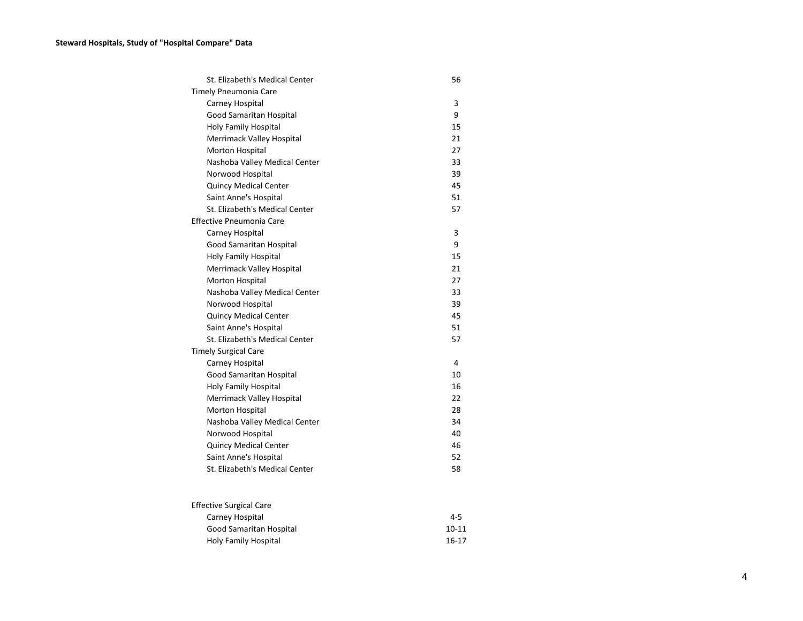| St. Elizabeth's Medical Center | 56 |
|--------------------------------|----|
| Timely Pneumonia Care          |    |
| Carney Hospital                | 3  |
| <b>Good Samaritan Hospital</b> | 9  |
| <b>Holy Family Hospital</b>    | 15 |
| Merrimack Valley Hospital      | 21 |
| Morton Hospital                | 27 |
| Nashoba Valley Medical Center  | 33 |
| Norwood Hospital               | 39 |
| <b>Quincy Medical Center</b>   | 45 |
| Saint Anne's Hospital          | 51 |
| St. Elizabeth's Medical Center | 57 |
| Effective Pneumonia Care       |    |
| Carney Hospital                | 3  |
| <b>Good Samaritan Hospital</b> | 9  |
| <b>Holy Family Hospital</b>    | 15 |
| Merrimack Valley Hospital      | 21 |
| Morton Hospital                | 27 |
| Nashoba Valley Medical Center  | 33 |
| Norwood Hospital               | 39 |
| <b>Quincy Medical Center</b>   | 45 |
| Saint Anne's Hospital          | 51 |
| St. Elizabeth's Medical Center | 57 |
| <b>Timely Surgical Care</b>    |    |
| Carney Hospital                | 4  |
| <b>Good Samaritan Hospital</b> | 10 |
| <b>Holy Family Hospital</b>    | 16 |
| Merrimack Valley Hospital      | 22 |
| Morton Hospital                | 28 |
| Nashoba Valley Medical Center  | 34 |
| Norwood Hospital               | 40 |
| <b>Quincy Medical Center</b>   | 46 |
| Saint Anne's Hospital          | 52 |
| St. Elizabeth's Medical Center | 58 |
|                                |    |
|                                |    |

| <b>Effective Surgical Care</b> |           |
|--------------------------------|-----------|
| Carney Hospital                | 4-5       |
| Good Samaritan Hospital        | $10 - 11$ |
| Holy Family Hospital           | 16-17     |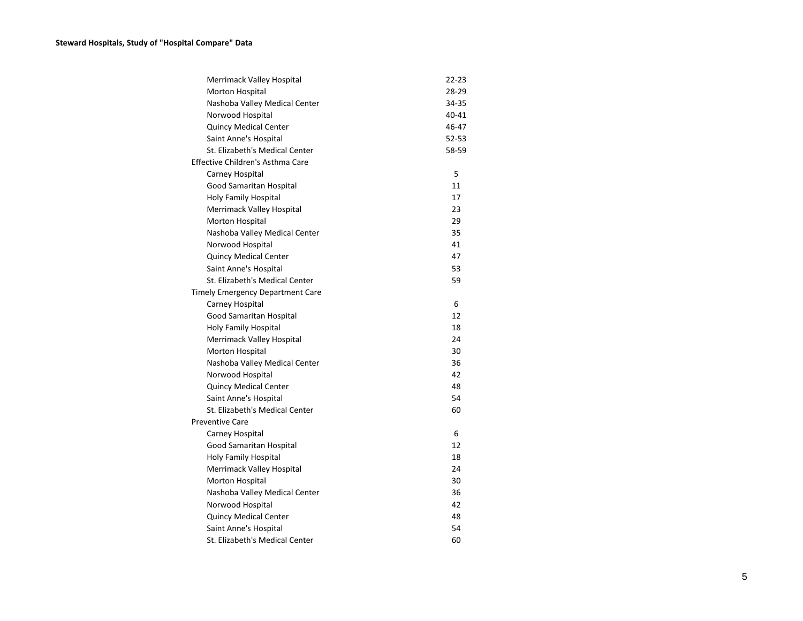| Merrimack Valley Hospital               | 22-23 |
|-----------------------------------------|-------|
| <b>Morton Hospital</b>                  | 28-29 |
| Nashoba Valley Medical Center           | 34-35 |
| Norwood Hospital                        | 40-41 |
| Quincy Medical Center                   | 46-47 |
| Saint Anne's Hospital                   | 52-53 |
| St. Elizabeth's Medical Center          | 58-59 |
| Effective Children's Asthma Care        |       |
| Carney Hospital                         | 5     |
| Good Samaritan Hospital                 | 11    |
| <b>Holy Family Hospital</b>             | 17    |
| Merrimack Valley Hospital               | 23    |
| Morton Hospital                         | 29    |
| Nashoba Valley Medical Center           | 35    |
| Norwood Hospital                        | 41    |
| <b>Quincy Medical Center</b>            | 47    |
| Saint Anne's Hospital                   | 53    |
| St. Elizabeth's Medical Center          | 59    |
| <b>Timely Emergency Department Care</b> |       |
| Carney Hospital                         | 6     |
| Good Samaritan Hospital                 | 12    |
| Holy Family Hospital                    | 18    |
| Merrimack Valley Hospital               | 24    |
| Morton Hospital                         | 30    |
| Nashoba Valley Medical Center           | 36    |
| Norwood Hospital                        | 42    |
| <b>Quincy Medical Center</b>            | 48    |
| Saint Anne's Hospital                   | 54    |
| St. Elizabeth's Medical Center          | 60    |
| <b>Preventive Care</b>                  |       |
| Carney Hospital                         | 6     |
| Good Samaritan Hospital                 | 12    |
| Holy Family Hospital                    | 18    |
| Merrimack Valley Hospital               | 24    |
| <b>Morton Hospital</b>                  | 30    |
| Nashoba Valley Medical Center           | 36    |
| Norwood Hospital                        | 42    |
| Quincy Medical Center                   | 48    |
| Saint Anne's Hospital                   | 54    |
| St. Elizabeth's Medical Center          | 60    |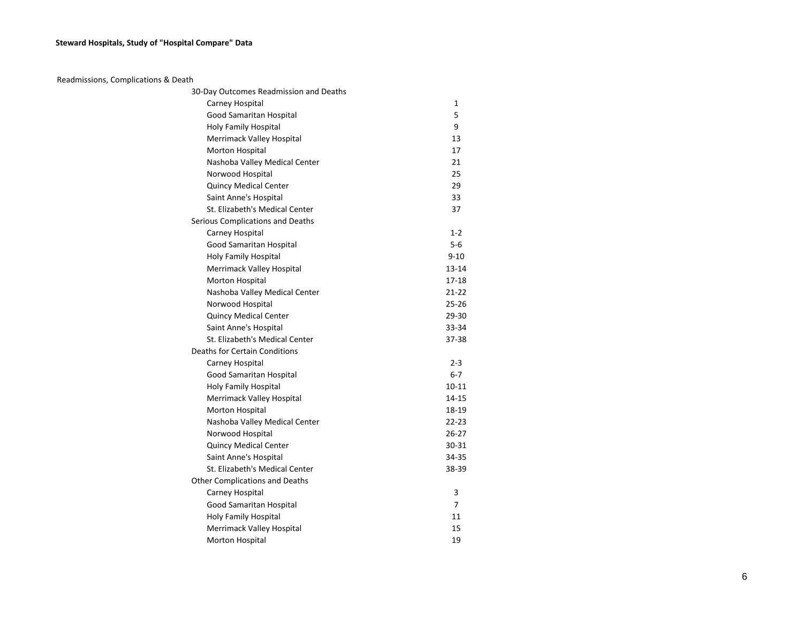## **Steward Hospitals, Study of "Hospital Compare" Data**

| Readmissions, Complications & Death    |                |
|----------------------------------------|----------------|
| 30-Day Outcomes Readmission and Deaths |                |
| Carney Hospital                        | $\mathbf{1}$   |
| Good Samaritan Hospital                | 5              |
| Holy Family Hospital                   | 9              |
| Merrimack Valley Hospital              | 13             |
| Morton Hospital                        | 17             |
| Nashoba Valley Medical Center          | 21             |
| Norwood Hospital                       | 25             |
| <b>Quincy Medical Center</b>           | 29             |
| Saint Anne's Hospital                  | 33             |
| St. Elizabeth's Medical Center         | 37             |
| Serious Complications and Deaths       |                |
| Carney Hospital                        | $1 - 2$        |
| Good Samaritan Hospital                | $5-6$          |
| Holy Family Hospital                   | $9 - 10$       |
| Merrimack Valley Hospital              | $13 - 14$      |
| Morton Hospital                        | $17 - 18$      |
| Nashoba Valley Medical Center          | $21 - 22$      |
| Norwood Hospital                       | $25 - 26$      |
| <b>Quincy Medical Center</b>           | $29 - 30$      |
| Saint Anne's Hospital                  | 33-34          |
| St. Elizabeth's Medical Center         | 37-38          |
| Deaths for Certain Conditions          |                |
| Carney Hospital                        | $2 - 3$        |
| Good Samaritan Hospital                | $6 - 7$        |
| Holy Family Hospital                   | $10 - 11$      |
| Merrimack Valley Hospital              | 14-15          |
| Morton Hospital                        | 18-19          |
| Nashoba Valley Medical Center          | $22 - 23$      |
| Norwood Hospital                       | $26 - 27$      |
| <b>Quincy Medical Center</b>           | $30 - 31$      |
| Saint Anne's Hospital                  | 34-35          |
| St. Elizabeth's Medical Center         | 38-39          |
| <b>Other Complications and Deaths</b>  |                |
| Carney Hospital                        | 3              |
| Good Samaritan Hospital                | $\overline{7}$ |
| Holy Family Hospital                   | 11             |
| Merrimack Valley Hospital              | 15             |
| <b>Morton Hospital</b>                 | 19             |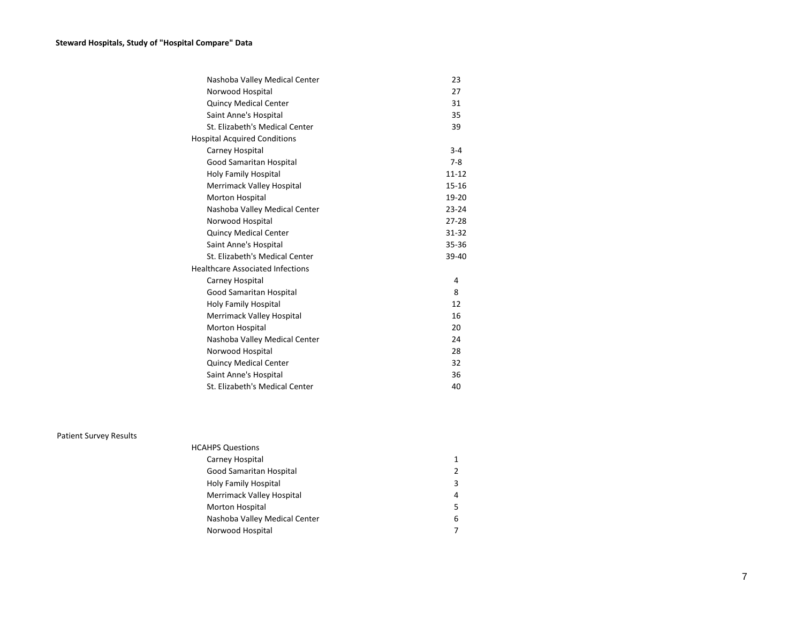| Nashoba Valley Medical Center           | 23        |
|-----------------------------------------|-----------|
| Norwood Hospital                        | 27        |
| <b>Quincy Medical Center</b>            | 31        |
| Saint Anne's Hospital                   | 35        |
| St. Elizabeth's Medical Center          | 39        |
| <b>Hospital Acquired Conditions</b>     |           |
| Carney Hospital                         | $3 - 4$   |
| Good Samaritan Hospital                 | $7 - 8$   |
| <b>Holy Family Hospital</b>             | $11 - 12$ |
| Merrimack Valley Hospital               | $15 - 16$ |
| <b>Morton Hospital</b>                  | 19-20     |
| Nashoba Valley Medical Center           | $23 - 24$ |
| Norwood Hospital                        | $27 - 28$ |
| <b>Quincy Medical Center</b>            | $31 - 32$ |
| Saint Anne's Hospital                   | 35-36     |
| St. Elizabeth's Medical Center          | 39-40     |
| <b>Healthcare Associated Infections</b> |           |
| Carney Hospital                         | 4         |
| <b>Good Samaritan Hospital</b>          | 8         |
| <b>Holy Family Hospital</b>             | 12        |
| Merrimack Valley Hospital               | 16        |
| Morton Hospital                         | 20        |
| Nashoba Valley Medical Center           | 24        |
| Norwood Hospital                        | 28        |
| <b>Quincy Medical Center</b>            | 32        |
| Saint Anne's Hospital                   | 36        |
| St. Elizabeth's Medical Center          | 40        |

Patient Survey Results

| <b>HCAHPS Questions</b>       |   |
|-------------------------------|---|
| Carney Hospital               | 1 |
| Good Samaritan Hospital       | 2 |
| Holy Family Hospital          | 3 |
| Merrimack Valley Hospital     | 4 |
| <b>Morton Hospital</b>        | 5 |
| Nashoba Valley Medical Center | 6 |
| Norwood Hospital              |   |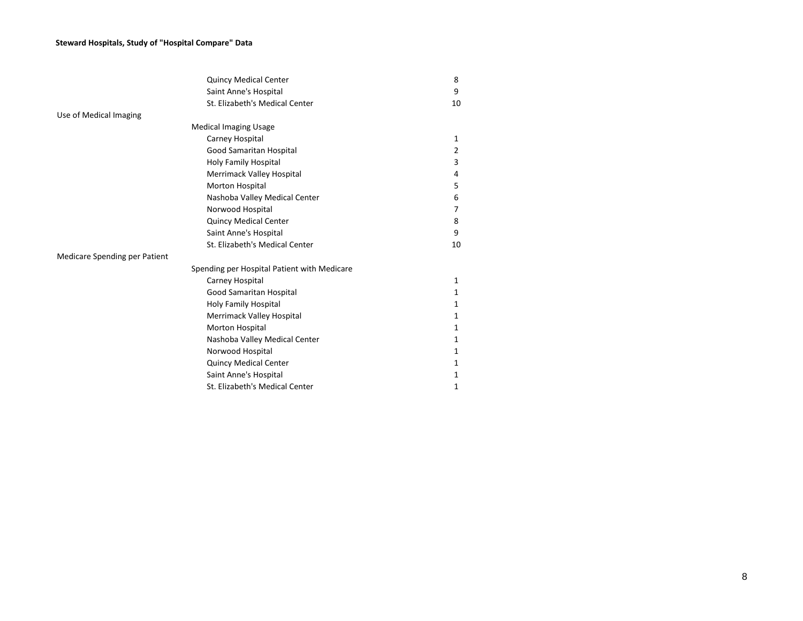## **Steward Hospitals, Study of "Hospital Compare" Data**

|                               | <b>Quincy Medical Center</b>                | 8            |
|-------------------------------|---------------------------------------------|--------------|
|                               | Saint Anne's Hospital                       | 9            |
|                               | St. Elizabeth's Medical Center              | 10           |
| Use of Medical Imaging        |                                             |              |
|                               | <b>Medical Imaging Usage</b>                |              |
|                               | Carney Hospital                             | $\mathbf{1}$ |
|                               | Good Samaritan Hospital                     | 2            |
|                               | Holy Family Hospital                        | 3            |
|                               | Merrimack Valley Hospital                   | 4            |
|                               | Morton Hospital                             | 5            |
|                               | Nashoba Valley Medical Center               | 6            |
|                               | Norwood Hospital                            | 7            |
|                               | <b>Quincy Medical Center</b>                | 8            |
|                               | Saint Anne's Hospital                       | 9            |
|                               | St. Elizabeth's Medical Center              | 10           |
| Medicare Spending per Patient |                                             |              |
|                               | Spending per Hospital Patient with Medicare |              |
|                               | Carney Hospital                             | $\mathbf{1}$ |
|                               | Good Samaritan Hospital                     | $\mathbf{1}$ |
|                               | <b>Holy Family Hospital</b>                 | 1            |
|                               | Merrimack Valley Hospital                   | $\mathbf{1}$ |
|                               | Morton Hospital                             | 1            |
|                               | Nashoba Valley Medical Center               | 1            |
|                               | Norwood Hospital                            | $\mathbf{1}$ |
|                               | <b>Quincy Medical Center</b>                | 1            |
|                               | Saint Anne's Hospital                       | 1            |
|                               | St. Elizabeth's Medical Center              | 1            |
|                               |                                             |              |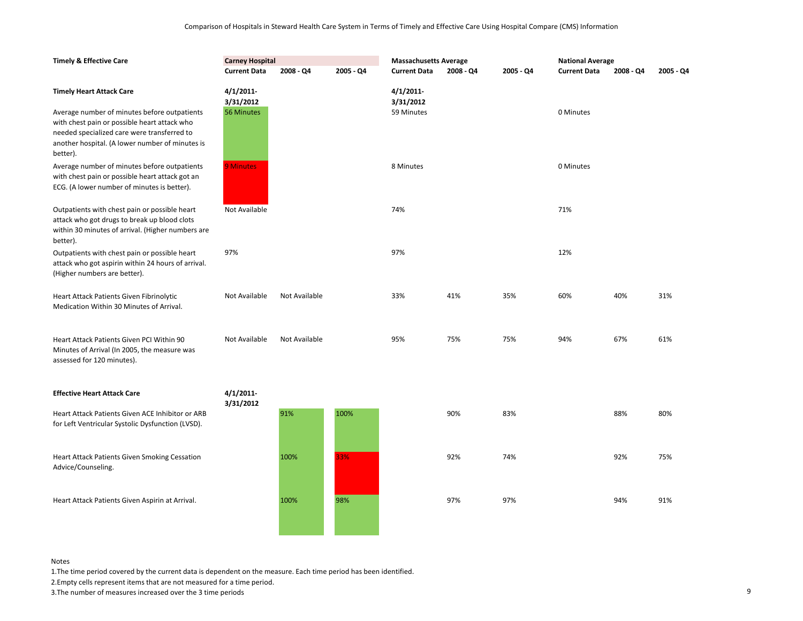| <b>Timely &amp; Effective Care</b>                                                                                                                                                                                                            | <b>Carney Hospital</b>              |               |           | <b>Massachusetts Average</b>            |           |           | <b>National Average</b> |           |           |
|-----------------------------------------------------------------------------------------------------------------------------------------------------------------------------------------------------------------------------------------------|-------------------------------------|---------------|-----------|-----------------------------------------|-----------|-----------|-------------------------|-----------|-----------|
|                                                                                                                                                                                                                                               | <b>Current Data</b>                 | 2008 - Q4     | 2005 - Q4 | <b>Current Data</b>                     | 2008 - Q4 | 2005 - Q4 | <b>Current Data</b>     | 2008 - Q4 | 2005 - Q4 |
| <b>Timely Heart Attack Care</b><br>Average number of minutes before outpatients<br>with chest pain or possible heart attack who<br>needed specialized care were transferred to<br>another hospital. (A lower number of minutes is<br>better). | 4/1/2011<br>3/31/2012<br>56 Minutes |               |           | $4/1/2011$ -<br>3/31/2012<br>59 Minutes |           |           | 0 Minutes               |           |           |
| Average number of minutes before outpatients<br>with chest pain or possible heart attack got an<br>ECG. (A lower number of minutes is better).                                                                                                | 9 Minutes                           |               |           | 8 Minutes                               |           |           | 0 Minutes               |           |           |
| Outpatients with chest pain or possible heart<br>attack who got drugs to break up blood clots<br>within 30 minutes of arrival. (Higher numbers are<br>better).                                                                                | Not Available                       |               |           | 74%                                     |           |           | 71%                     |           |           |
| Outpatients with chest pain or possible heart<br>attack who got aspirin within 24 hours of arrival.<br>(Higher numbers are better).                                                                                                           | 97%                                 |               |           | 97%                                     |           |           | 12%                     |           |           |
| Heart Attack Patients Given Fibrinolytic<br>Medication Within 30 Minutes of Arrival.                                                                                                                                                          | Not Available                       | Not Available |           | 33%                                     | 41%       | 35%       | 60%                     | 40%       | 31%       |
| Heart Attack Patients Given PCI Within 90<br>Minutes of Arrival (In 2005, the measure was<br>assessed for 120 minutes).                                                                                                                       | Not Available                       | Not Available |           | 95%                                     | 75%       | 75%       | 94%                     | 67%       | 61%       |
| <b>Effective Heart Attack Care</b>                                                                                                                                                                                                            | 4/1/2011                            |               |           |                                         |           |           |                         |           |           |
| Heart Attack Patients Given ACE Inhibitor or ARB<br>for Left Ventricular Systolic Dysfunction (LVSD).                                                                                                                                         | 3/31/2012                           | 91%           | 100%      |                                         | 90%       | 83%       |                         | 88%       | 80%       |
| <b>Heart Attack Patients Given Smoking Cessation</b><br>Advice/Counseling.                                                                                                                                                                    |                                     | 100%          | 33%       |                                         | 92%       | 74%       |                         | 92%       | 75%       |
| Heart Attack Patients Given Aspirin at Arrival.                                                                                                                                                                                               |                                     | 100%          | 98%       |                                         | 97%       | 97%       |                         | 94%       | 91%       |

1.The time period covered by the current data is dependent on the measure. Each time period has been identified.

2.Empty cells represent items that are not measured for a time period.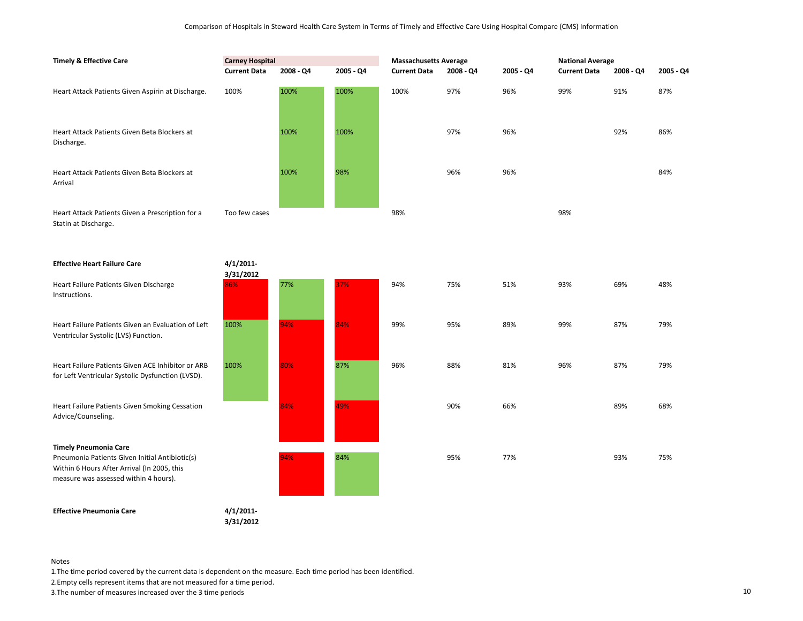| <b>Timely &amp; Effective Care</b>                                                                                                                                     | <b>Carney Hospital</b><br><b>Current Data</b> | 2008 - Q4 | 2005 - Q4 | <b>Massachusetts Average</b><br><b>Current Data</b> | 2008 - Q4 | 2005 - Q4 | <b>National Average</b><br><b>Current Data</b> | 2008 - Q4 | 2005 - Q4 |
|------------------------------------------------------------------------------------------------------------------------------------------------------------------------|-----------------------------------------------|-----------|-----------|-----------------------------------------------------|-----------|-----------|------------------------------------------------|-----------|-----------|
| Heart Attack Patients Given Aspirin at Discharge.                                                                                                                      | 100%                                          | 100%      | 100%      | 100%                                                | 97%       | 96%       | 99%                                            | 91%       | 87%       |
| Heart Attack Patients Given Beta Blockers at<br>Discharge.                                                                                                             |                                               | 100%      | 100%      |                                                     | 97%       | 96%       |                                                | 92%       | 86%       |
| Heart Attack Patients Given Beta Blockers at<br>Arrival                                                                                                                |                                               | 100%      | 98%       |                                                     | 96%       | 96%       |                                                |           | 84%       |
| Heart Attack Patients Given a Prescription for a<br>Statin at Discharge.                                                                                               | Too few cases                                 |           |           | 98%                                                 |           |           | 98%                                            |           |           |
| <b>Effective Heart Failure Care</b>                                                                                                                                    | $4/1/2011$ -<br>3/31/2012                     |           |           |                                                     |           |           |                                                |           |           |
| Heart Failure Patients Given Discharge<br>Instructions.                                                                                                                | 86%                                           | 77%       | 37%       | 94%                                                 | 75%       | 51%       | 93%                                            | 69%       | 48%       |
| Heart Failure Patients Given an Evaluation of Left<br>Ventricular Systolic (LVS) Function.                                                                             | 100%                                          | 94%       | 84%       | 99%                                                 | 95%       | 89%       | 99%                                            | 87%       | 79%       |
| Heart Failure Patients Given ACE Inhibitor or ARB<br>for Left Ventricular Systolic Dysfunction (LVSD).                                                                 | 100%                                          | 80%       | 87%       | 96%                                                 | 88%       | 81%       | 96%                                            | 87%       | 79%       |
| Heart Failure Patients Given Smoking Cessation<br>Advice/Counseling.                                                                                                   |                                               | 84%       | 49%       |                                                     | 90%       | 66%       |                                                | 89%       | 68%       |
| <b>Timely Pneumonia Care</b><br>Pneumonia Patients Given Initial Antibiotic(s)<br>Within 6 Hours After Arrival (In 2005, this<br>measure was assessed within 4 hours). |                                               | 94%       | 84%       |                                                     | 95%       | 77%       |                                                | 93%       | 75%       |
| <b>Effective Pneumonia Care</b>                                                                                                                                        | 4/1/2011                                      |           |           |                                                     |           |           |                                                |           |           |

**3/31/2012**

Notes

1.The time period covered by the current data is dependent on the measure. Each time period has been identified.

2.Empty cells represent items that are not measured for a time period.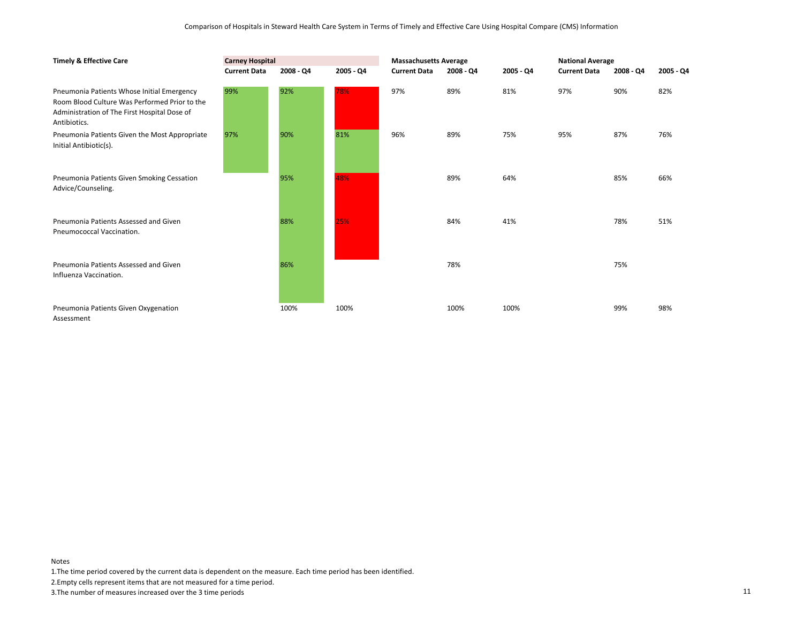| <b>Timely &amp; Effective Care</b>                                                                                                                          | <b>Carney Hospital</b> |           |           |                     | <b>Massachusetts Average</b> |           |                     | <b>National Average</b> |           |  |
|-------------------------------------------------------------------------------------------------------------------------------------------------------------|------------------------|-----------|-----------|---------------------|------------------------------|-----------|---------------------|-------------------------|-----------|--|
|                                                                                                                                                             | <b>Current Data</b>    | 2008 - Q4 | 2005 - Q4 | <b>Current Data</b> | 2008 - Q4                    | 2005 - Q4 | <b>Current Data</b> | 2008 - Q4               | 2005 - Q4 |  |
| Pneumonia Patients Whose Initial Emergency<br>Room Blood Culture Was Performed Prior to the<br>Administration of The First Hospital Dose of<br>Antibiotics. | 99%                    | 92%       | 78%       | 97%                 | 89%                          | 81%       | 97%                 | 90%                     | 82%       |  |
| Pneumonia Patients Given the Most Appropriate<br>Initial Antibiotic(s).                                                                                     | 97%                    | 90%       | 81%       | 96%                 | 89%                          | 75%       | 95%                 | 87%                     | 76%       |  |
| Pneumonia Patients Given Smoking Cessation<br>Advice/Counseling.                                                                                            |                        | 95%       | 48%       |                     | 89%                          | 64%       |                     | 85%                     | 66%       |  |
| Pneumonia Patients Assessed and Given<br>Pneumococcal Vaccination.                                                                                          |                        | 88%       | 25%       |                     | 84%                          | 41%       |                     | 78%                     | 51%       |  |
| Pneumonia Patients Assessed and Given<br>Influenza Vaccination.                                                                                             |                        | 86%       |           |                     | 78%                          |           |                     | 75%                     |           |  |
| Pneumonia Patients Given Oxygenation<br>Assessment                                                                                                          |                        | 100%      | 100%      |                     | 100%                         | 100%      |                     | 99%                     | 98%       |  |

1.The time period covered by the current data is dependent on the measure. Each time period has been identified.

2.Empty cells represent items that are not measured for a time period.

3.The number of measures increased over the 3 time periods 11

Notes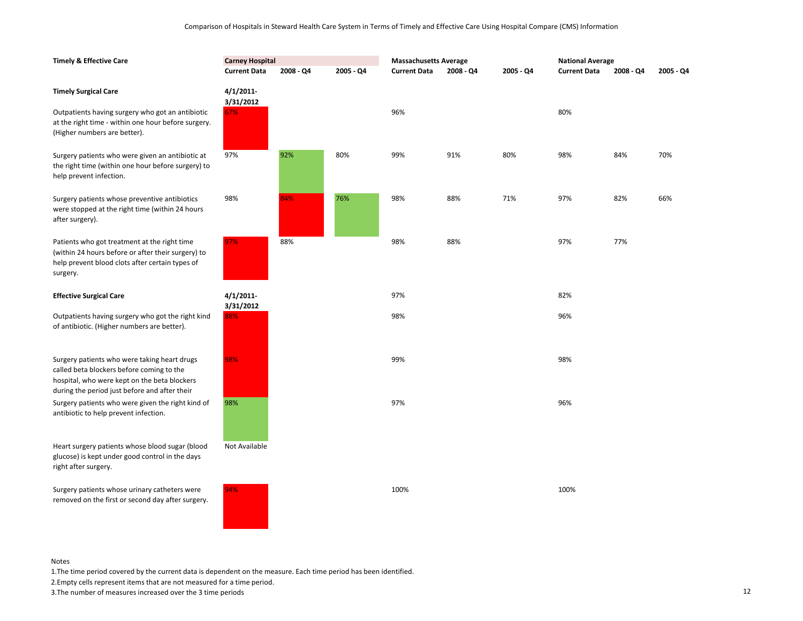| <b>Timely &amp; Effective Care</b>                                                                                                                                                         | <b>Carney Hospital</b>       |           |           | <b>Massachusetts Average</b> |           | <b>National Average</b> |                     |           |           |
|--------------------------------------------------------------------------------------------------------------------------------------------------------------------------------------------|------------------------------|-----------|-----------|------------------------------|-----------|-------------------------|---------------------|-----------|-----------|
|                                                                                                                                                                                            | <b>Current Data</b>          | 2008 - Q4 | 2005 - Q4 | <b>Current Data</b>          | 2008 - Q4 | 2005 - Q4               | <b>Current Data</b> | 2008 - Q4 | 2005 - Q4 |
| <b>Timely Surgical Care</b><br>Outpatients having surgery who got an antibiotic                                                                                                            | 4/1/2011<br>3/31/2012<br>67% |           |           | 96%                          |           |                         | 80%                 |           |           |
| at the right time - within one hour before surgery.<br>(Higher numbers are better).                                                                                                        |                              |           |           |                              |           |                         |                     |           |           |
| Surgery patients who were given an antibiotic at<br>the right time (within one hour before surgery) to<br>help prevent infection.                                                          | 97%                          | 92%       | 80%       | 99%                          | 91%       | 80%                     | 98%                 | 84%       | 70%       |
| Surgery patients whose preventive antibiotics<br>were stopped at the right time (within 24 hours<br>after surgery).                                                                        | 98%                          | 84%       | 76%       | 98%                          | 88%       | 71%                     | 97%                 | 82%       | 66%       |
| Patients who got treatment at the right time<br>(within 24 hours before or after their surgery) to<br>help prevent blood clots after certain types of<br>surgery.                          | 97%                          | 88%       |           | 98%                          | 88%       |                         | 97%                 | 77%       |           |
| <b>Effective Surgical Care</b>                                                                                                                                                             | 4/1/2011<br>3/31/2012        |           |           | 97%                          |           |                         | 82%                 |           |           |
| Outpatients having surgery who got the right kind<br>of antibiotic. (Higher numbers are better).                                                                                           | 88%                          |           |           | 98%                          |           |                         | 96%                 |           |           |
| Surgery patients who were taking heart drugs<br>called beta blockers before coming to the<br>hospital, who were kept on the beta blockers<br>during the period just before and after their | 98%                          |           |           | 99%                          |           |                         | 98%                 |           |           |
| Surgery patients who were given the right kind of<br>antibiotic to help prevent infection.                                                                                                 | 98%                          |           |           | 97%                          |           |                         | 96%                 |           |           |
| Heart surgery patients whose blood sugar (blood<br>glucose) is kept under good control in the days<br>right after surgery.                                                                 | Not Available                |           |           |                              |           |                         |                     |           |           |
| Surgery patients whose urinary catheters were<br>removed on the first or second day after surgery.                                                                                         | 94%                          |           |           | 100%                         |           |                         | 100%                |           |           |

1.The time period covered by the current data is dependent on the measure. Each time period has been identified.

2.Empty cells represent items that are not measured for a time period.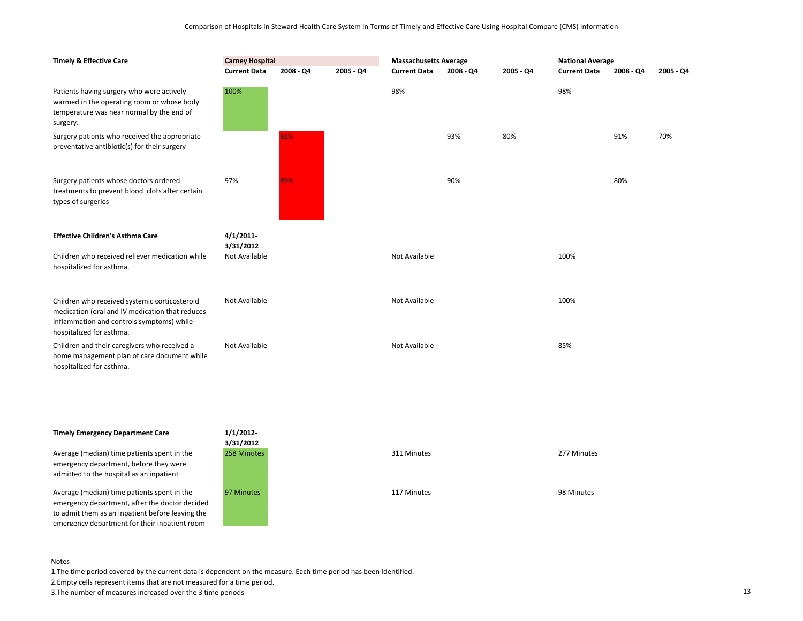| <b>Timely &amp; Effective Care</b>                                                                                                                                        | <b>Carney Hospital</b><br><b>Current Data</b> | 2008 - Q4<br>2005 - Q4 |  |               | <b>Massachusetts Average</b><br><b>Current Data</b><br>2008 - Q4<br>2005 - Q4 |     |      | <b>National Average</b><br><b>Current Data</b><br>$2005 - Q4$<br>$2008 - Q4$ |     |  |
|---------------------------------------------------------------------------------------------------------------------------------------------------------------------------|-----------------------------------------------|------------------------|--|---------------|-------------------------------------------------------------------------------|-----|------|------------------------------------------------------------------------------|-----|--|
| Patients having surgery who were actively<br>warmed in the operating room or whose body<br>temperature was near normal by the end of<br>surgery.                          | 100%                                          |                        |  | 98%           |                                                                               |     | 98%  |                                                                              |     |  |
| Surgery patients who received the appropriate<br>preventative antibiotic(s) for their surgery                                                                             |                                               | 92%                    |  |               | 93%                                                                           | 80% |      | 91%                                                                          | 70% |  |
| Surgery patients whose doctors ordered<br>treatments to prevent blood clots after certain<br>types of surgeries                                                           | 97%                                           | 89%                    |  |               | 90%                                                                           |     |      | 80%                                                                          |     |  |
| <b>Effective Children's Asthma Care</b>                                                                                                                                   | 4/1/2011<br>3/31/2012                         |                        |  |               |                                                                               |     |      |                                                                              |     |  |
| Children who received reliever medication while<br>hospitalized for asthma.                                                                                               | Not Available                                 |                        |  | Not Available |                                                                               |     | 100% |                                                                              |     |  |
| Children who received systemic corticosteroid<br>medication (oral and IV medication that reduces<br>inflammation and controls symptoms) while<br>hospitalized for asthma. | Not Available                                 |                        |  | Not Available |                                                                               |     | 100% |                                                                              |     |  |
| Children and their caregivers who received a<br>home management plan of care document while<br>hospitalized for asthma.                                                   | Not Available                                 |                        |  | Not Available |                                                                               |     | 85%  |                                                                              |     |  |

## **Timely Emergency Department Care 1/1/2012-**

Average (median) time patients spent in the emergency department, before they were admitted to the hospital as an inpatient

Average (median) time patients spent in the emergency department, after the doctor decided to admit them as an inpatient before leaving the emergency department for their inpatient room



#### Notes

1.The time period covered by the current data is dependent on the measure. Each time period has been identified.

2.Empty cells represent items that are not measured for a time period.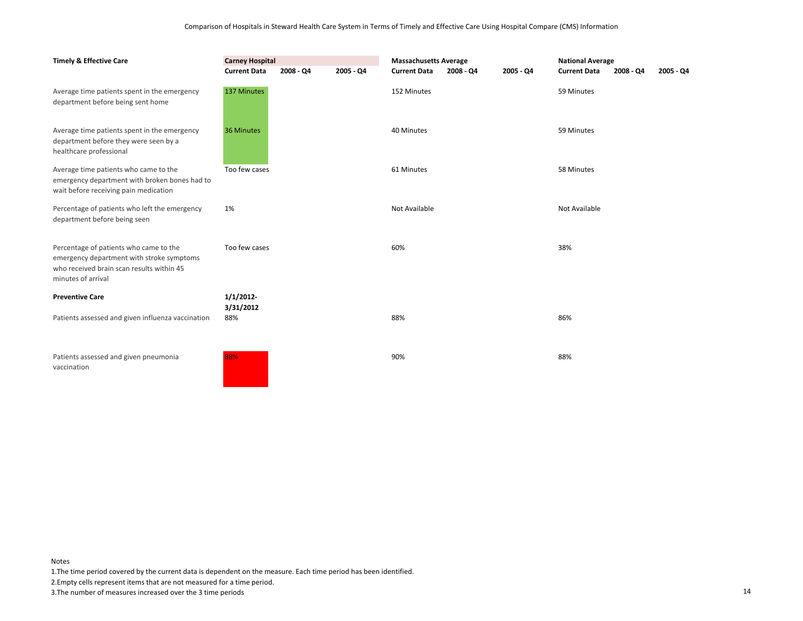| <b>Timely &amp; Effective Care</b>                                                                                                                     | <b>Carney Hospital</b> |             |           | <b>Massachusetts Average</b> |             |             | <b>National Average</b> |             |             |
|--------------------------------------------------------------------------------------------------------------------------------------------------------|------------------------|-------------|-----------|------------------------------|-------------|-------------|-------------------------|-------------|-------------|
|                                                                                                                                                        | <b>Current Data</b>    | $2008 - Q4$ | 2005 - Q4 | <b>Current Data</b>          | $2008 - Q4$ | $2005 - Q4$ | <b>Current Data</b>     | $2008 - QA$ | $2005 - Q4$ |
| Average time patients spent in the emergency<br>department before being sent home                                                                      | 137 Minutes            |             |           | 152 Minutes                  |             |             | 59 Minutes              |             |             |
| Average time patients spent in the emergency<br>department before they were seen by a<br>healthcare professional                                       | 36 Minutes             |             |           | 40 Minutes                   |             |             | 59 Minutes              |             |             |
| Average time patients who came to the<br>emergency department with broken bones had to<br>wait before receiving pain medication                        | Too few cases          |             |           | 61 Minutes                   |             |             | 58 Minutes              |             |             |
| Percentage of patients who left the emergency<br>department before being seen                                                                          | 1%                     |             |           | Not Available                |             |             | Not Available           |             |             |
| Percentage of patients who came to the<br>emergency department with stroke symptoms<br>who received brain scan results within 45<br>minutes of arrival | Too few cases          |             |           | 60%                          |             |             | 38%                     |             |             |
| <b>Preventive Care</b>                                                                                                                                 | 1/1/2012               |             |           |                              |             |             |                         |             |             |
| Patients assessed and given influenza vaccination                                                                                                      | 3/31/2012<br>88%       |             |           | 88%                          |             |             | 86%                     |             |             |
| Patients assessed and given pneumonia<br>vaccination                                                                                                   | 88%                    |             |           | 90%                          |             |             | 88%                     |             |             |

1.The time period covered by the current data is dependent on the measure. Each time period has been identified.

2.Empty cells represent items that are not measured for a time period.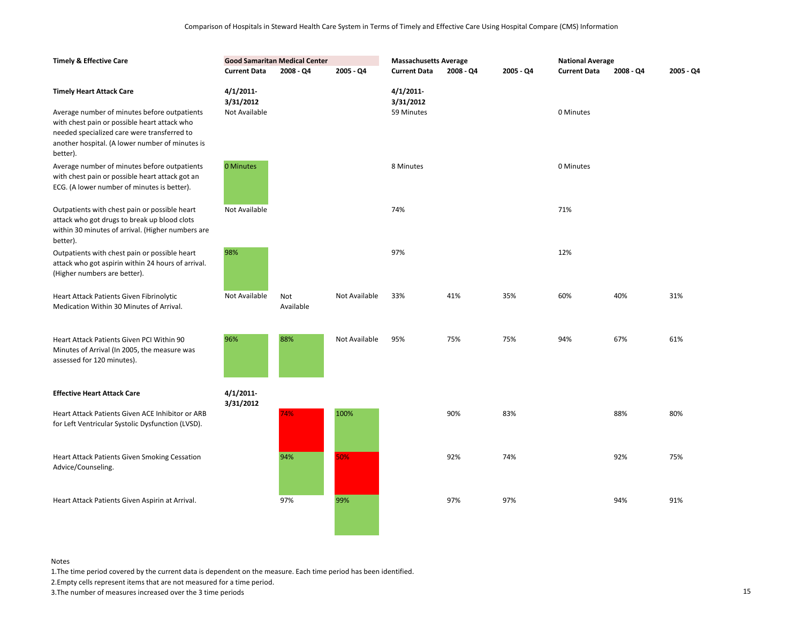| <b>Timely &amp; Effective Care</b>                                                                                                                             | <b>Current Data</b>                    | <b>Good Samaritan Medical Center</b><br>$2008 - Q4$ | 2005 - Q4     | <b>Massachusetts Average</b><br><b>Current Data</b> | 2008 - Q4 | 2005 - Q4 | <b>National Average</b><br><b>Current Data</b> | 2008 - Q4 | 2005 - Q4 |
|----------------------------------------------------------------------------------------------------------------------------------------------------------------|----------------------------------------|-----------------------------------------------------|---------------|-----------------------------------------------------|-----------|-----------|------------------------------------------------|-----------|-----------|
| <b>Timely Heart Attack Care</b><br>Average number of minutes before outpatients                                                                                | 4/1/2011<br>3/31/2012<br>Not Available |                                                     |               | 4/1/2011<br>3/31/2012<br>59 Minutes                 |           |           | 0 Minutes                                      |           |           |
| with chest pain or possible heart attack who<br>needed specialized care were transferred to<br>another hospital. (A lower number of minutes is<br>better).     |                                        |                                                     |               |                                                     |           |           |                                                |           |           |
| Average number of minutes before outpatients<br>with chest pain or possible heart attack got an<br>ECG. (A lower number of minutes is better).                 | 0 Minutes                              |                                                     |               | 8 Minutes                                           |           |           | 0 Minutes                                      |           |           |
| Outpatients with chest pain or possible heart<br>attack who got drugs to break up blood clots<br>within 30 minutes of arrival. (Higher numbers are<br>better). | Not Available                          |                                                     |               | 74%                                                 |           |           | 71%                                            |           |           |
| Outpatients with chest pain or possible heart<br>attack who got aspirin within 24 hours of arrival.<br>(Higher numbers are better).                            | 98%                                    |                                                     |               | 97%                                                 |           |           | 12%                                            |           |           |
| Heart Attack Patients Given Fibrinolytic<br>Medication Within 30 Minutes of Arrival.                                                                           | Not Available                          | Not<br>Available                                    | Not Available | 33%                                                 | 41%       | 35%       | 60%                                            | 40%       | 31%       |
| Heart Attack Patients Given PCI Within 90<br>Minutes of Arrival (In 2005, the measure was<br>assessed for 120 minutes).                                        | 96%                                    | 88%                                                 | Not Available | 95%                                                 | 75%       | 75%       | 94%                                            | 67%       | 61%       |
| <b>Effective Heart Attack Care</b>                                                                                                                             | 4/1/2011<br>3/31/2012                  |                                                     |               |                                                     |           |           |                                                |           |           |
| Heart Attack Patients Given ACE Inhibitor or ARB<br>for Left Ventricular Systolic Dysfunction (LVSD).                                                          |                                        | 74%                                                 | 100%          |                                                     | 90%       | 83%       |                                                | 88%       | 80%       |
| Heart Attack Patients Given Smoking Cessation<br>Advice/Counseling.                                                                                            |                                        | 94%                                                 | 50%           |                                                     | 92%       | 74%       |                                                | 92%       | 75%       |
| Heart Attack Patients Given Aspirin at Arrival.                                                                                                                |                                        | 97%                                                 | 99%           |                                                     | 97%       | 97%       |                                                | 94%       | 91%       |

1.The time period covered by the current data is dependent on the measure. Each time period has been identified.

2.Empty cells represent items that are not measured for a time period.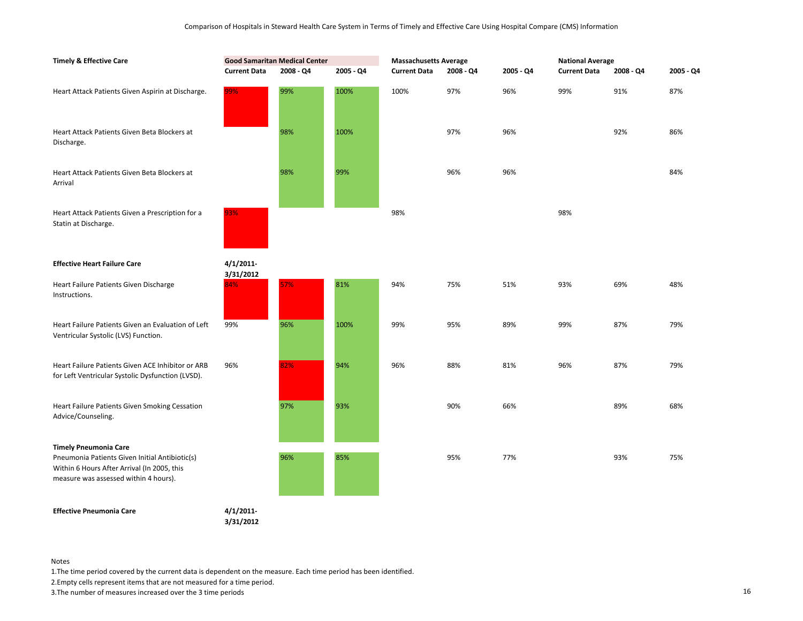| <b>Timely &amp; Effective Care</b>                                                                                                     | <b>Good Samaritan Medical Center</b> |           |           | <b>Massachusetts Average</b> |           |           | <b>National Average</b> |           |           |  |
|----------------------------------------------------------------------------------------------------------------------------------------|--------------------------------------|-----------|-----------|------------------------------|-----------|-----------|-------------------------|-----------|-----------|--|
|                                                                                                                                        | <b>Current Data</b>                  | 2008 - Q4 | 2005 - Q4 | <b>Current Data</b>          | 2008 - Q4 | 2005 - Q4 | <b>Current Data</b>     | 2008 - Q4 | 2005 - Q4 |  |
| Heart Attack Patients Given Aspirin at Discharge.                                                                                      | 99%                                  | 99%       | 100%      | 100%                         | 97%       | 96%       | 99%                     | 91%       | 87%       |  |
| Heart Attack Patients Given Beta Blockers at<br>Discharge.                                                                             |                                      | 98%       | 100%      |                              | 97%       | 96%       |                         | 92%       | 86%       |  |
| Heart Attack Patients Given Beta Blockers at<br>Arrival                                                                                |                                      | 98%       | 99%       |                              | 96%       | 96%       |                         |           | 84%       |  |
| Heart Attack Patients Given a Prescription for a<br>Statin at Discharge.                                                               | 93%                                  |           |           | 98%                          |           |           | 98%                     |           |           |  |
| <b>Effective Heart Failure Care</b>                                                                                                    | $4/1/2011$ -<br>3/31/2012            |           |           |                              |           |           |                         |           |           |  |
| Heart Failure Patients Given Discharge<br>Instructions.                                                                                | 84%                                  | 57%       | 81%       | 94%                          | 75%       | 51%       | 93%                     | 69%       | 48%       |  |
| Heart Failure Patients Given an Evaluation of Left<br>Ventricular Systolic (LVS) Function.                                             | 99%                                  | 96%       | 100%      | 99%                          | 95%       | 89%       | 99%                     | 87%       | 79%       |  |
| Heart Failure Patients Given ACE Inhibitor or ARB<br>for Left Ventricular Systolic Dysfunction (LVSD).                                 | 96%                                  | 82%       | 94%       | 96%                          | 88%       | 81%       | 96%                     | 87%       | 79%       |  |
| Heart Failure Patients Given Smoking Cessation<br>Advice/Counseling.                                                                   |                                      | 97%       | 93%       |                              | 90%       | 66%       |                         | 89%       | 68%       |  |
| <b>Timely Pneumonia Care</b>                                                                                                           |                                      |           |           |                              |           |           |                         |           |           |  |
| Pneumonia Patients Given Initial Antibiotic(s)<br>Within 6 Hours After Arrival (In 2005, this<br>measure was assessed within 4 hours). |                                      | 96%       | 85%       |                              | 95%       | 77%       |                         | 93%       | 75%       |  |
| <b>Effective Pneumonia Care</b>                                                                                                        | $4/1/2011$ -                         |           |           |                              |           |           |                         |           |           |  |

**3/31/2012**

Notes

1.The time period covered by the current data is dependent on the measure. Each time period has been identified.

2.Empty cells represent items that are not measured for a time period.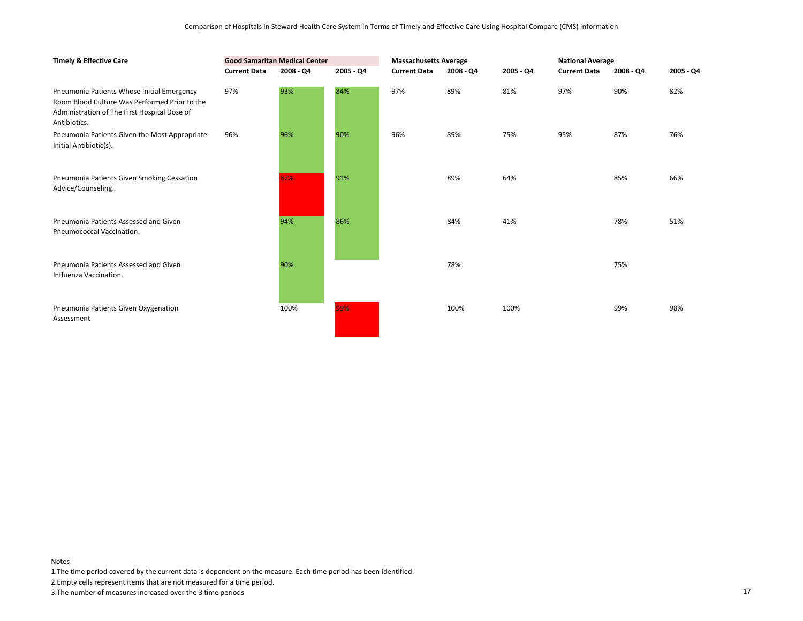| <b>Timely &amp; Effective Care</b>                                                                                                                          |                     | <b>Good Samaritan Medical Center</b> |             | <b>Massachusetts Average</b> |           |           | <b>National Average</b> |           |           |
|-------------------------------------------------------------------------------------------------------------------------------------------------------------|---------------------|--------------------------------------|-------------|------------------------------|-----------|-----------|-------------------------|-----------|-----------|
|                                                                                                                                                             | <b>Current Data</b> | 2008 - Q4                            | $2005 - Q4$ | <b>Current Data</b>          | 2008 - Q4 | 2005 - Q4 | <b>Current Data</b>     | 2008 - Q4 | 2005 - Q4 |
| Pneumonia Patients Whose Initial Emergency<br>Room Blood Culture Was Performed Prior to the<br>Administration of The First Hospital Dose of<br>Antibiotics. | 97%                 | 93%                                  | 84%         | 97%                          | 89%       | 81%       | 97%                     | 90%       | 82%       |
| Pneumonia Patients Given the Most Appropriate<br>Initial Antibiotic(s).                                                                                     | 96%                 | 96%                                  | 90%         | 96%                          | 89%       | 75%       | 95%                     | 87%       | 76%       |
| Pneumonia Patients Given Smoking Cessation<br>Advice/Counseling.                                                                                            |                     | 87%                                  | 91%         |                              | 89%       | 64%       |                         | 85%       | 66%       |
| Pneumonia Patients Assessed and Given<br>Pneumococcal Vaccination.                                                                                          |                     | 94%                                  | 86%         |                              | 84%       | 41%       |                         | 78%       | 51%       |
| Pneumonia Patients Assessed and Given<br>Influenza Vaccination.                                                                                             |                     | 90%                                  |             |                              | 78%       |           |                         | 75%       |           |
| Pneumonia Patients Given Oxygenation<br>Assessment                                                                                                          |                     | 100%                                 | 99%         |                              | 100%      | 100%      |                         | 99%       | 98%       |

1.The time period covered by the current data is dependent on the measure. Each time period has been identified.

2.Empty cells represent items that are not measured for a time period.

3.The number of measures increased over the 3 time periods 17

Notes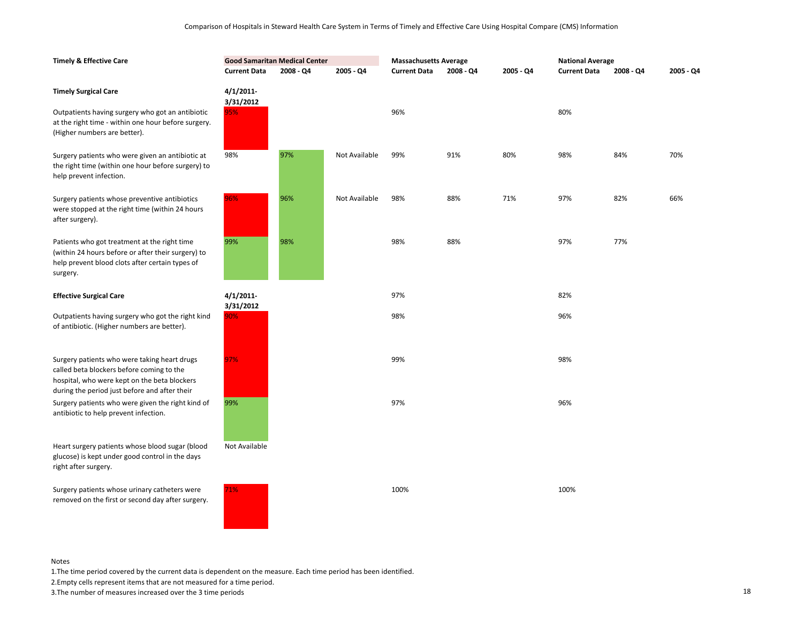| <b>Timely &amp; Effective Care</b>                                                                                                                                                         | <b>Good Samaritan Medical Center</b> |           |               | <b>Massachusetts Average</b> |           |           | <b>National Average</b> |             |           |
|--------------------------------------------------------------------------------------------------------------------------------------------------------------------------------------------|--------------------------------------|-----------|---------------|------------------------------|-----------|-----------|-------------------------|-------------|-----------|
|                                                                                                                                                                                            | <b>Current Data</b>                  | 2008 - Q4 | 2005 - Q4     | <b>Current Data</b>          | 2008 - Q4 | 2005 - Q4 | <b>Current Data</b>     | $2008 - Q4$ | 2005 - Q4 |
| <b>Timely Surgical Care</b><br>Outpatients having surgery who got an antibiotic                                                                                                            | $4/1/2011$ -<br>3/31/2012<br>95%     |           |               | 96%                          |           |           | 80%                     |             |           |
| at the right time - within one hour before surgery.<br>(Higher numbers are better).                                                                                                        |                                      |           |               |                              |           |           |                         |             |           |
| Surgery patients who were given an antibiotic at<br>the right time (within one hour before surgery) to<br>help prevent infection.                                                          | 98%                                  | 97%       | Not Available | 99%                          | 91%       | 80%       | 98%                     | 84%         | 70%       |
| Surgery patients whose preventive antibiotics<br>were stopped at the right time (within 24 hours<br>after surgery).                                                                        | 96%                                  | 96%       | Not Available | 98%                          | 88%       | 71%       | 97%                     | 82%         | 66%       |
| Patients who got treatment at the right time<br>(within 24 hours before or after their surgery) to<br>help prevent blood clots after certain types of<br>surgery.                          | 99%                                  | 98%       |               | 98%                          | 88%       |           | 97%                     | 77%         |           |
| <b>Effective Surgical Care</b>                                                                                                                                                             | $4/1/2011$ -                         |           |               | 97%                          |           |           | 82%                     |             |           |
| Outpatients having surgery who got the right kind<br>of antibiotic. (Higher numbers are better).                                                                                           | 3/31/2012<br>90%                     |           |               | 98%                          |           |           | 96%                     |             |           |
| Surgery patients who were taking heart drugs<br>called beta blockers before coming to the<br>hospital, who were kept on the beta blockers<br>during the period just before and after their | 97%                                  |           |               | 99%                          |           |           | 98%                     |             |           |
| Surgery patients who were given the right kind of<br>antibiotic to help prevent infection.                                                                                                 | 99%                                  |           |               | 97%                          |           |           | 96%                     |             |           |
| Heart surgery patients whose blood sugar (blood<br>glucose) is kept under good control in the days<br>right after surgery.                                                                 | Not Available                        |           |               |                              |           |           |                         |             |           |
| Surgery patients whose urinary catheters were<br>removed on the first or second day after surgery.                                                                                         | 71%                                  |           |               | 100%                         |           |           | 100%                    |             |           |

1.The time period covered by the current data is dependent on the measure. Each time period has been identified.

2.Empty cells represent items that are not measured for a time period.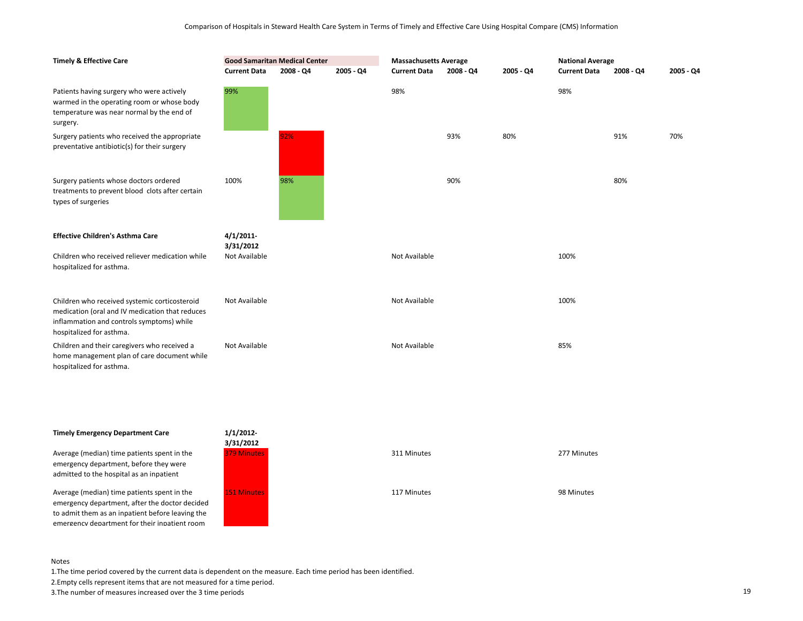| <b>Timely &amp; Effective Care</b>                                                                                                                                        | <b>Good Samaritan Medical Center</b><br><b>Current Data</b><br>$2008 - Q4$<br>2005 - Q4 |     |  | <b>Massachusetts Average</b> |           |           | <b>National Average</b> |           |           |
|---------------------------------------------------------------------------------------------------------------------------------------------------------------------------|-----------------------------------------------------------------------------------------|-----|--|------------------------------|-----------|-----------|-------------------------|-----------|-----------|
|                                                                                                                                                                           |                                                                                         |     |  | <b>Current Data</b>          | 2008 - Q4 | 2005 - Q4 | <b>Current Data</b>     | 2008 - Q4 | 2005 - Q4 |
| Patients having surgery who were actively<br>warmed in the operating room or whose body<br>temperature was near normal by the end of<br>surgery.                          | 99%                                                                                     |     |  | 98%                          |           |           | 98%                     |           |           |
| Surgery patients who received the appropriate<br>preventative antibiotic(s) for their surgery                                                                             |                                                                                         | 92% |  |                              | 93%       | 80%       |                         | 91%       | 70%       |
| Surgery patients whose doctors ordered<br>treatments to prevent blood clots after certain<br>types of surgeries                                                           | 100%                                                                                    | 98% |  |                              | 90%       |           |                         | 80%       |           |
| <b>Effective Children's Asthma Care</b>                                                                                                                                   | 4/1/2011<br>3/31/2012                                                                   |     |  |                              |           |           |                         |           |           |
| Children who received reliever medication while<br>hospitalized for asthma.                                                                                               | Not Available                                                                           |     |  | Not Available                |           |           | 100%                    |           |           |
| Children who received systemic corticosteroid<br>medication (oral and IV medication that reduces<br>inflammation and controls symptoms) while<br>hospitalized for asthma. | Not Available                                                                           |     |  | Not Available                |           |           | 100%                    |           |           |
| Children and their caregivers who received a<br>home management plan of care document while<br>hospitalized for asthma.                                                   | Not Available                                                                           |     |  | Not Available                |           |           | 85%                     |           |           |

## **Timely Emergency Department Care**

Average (median) time patients spent in the emergency department, before they were admitted to the hospital as an inpatient

Average (median) time patients spent in the emergency department, after the doctor decided to admit them as an inpatient before leaving the emergency department for their inpatient room



#### Notes

1.The time period covered by the current data is dependent on the measure. Each time period has been identified.

2.Empty cells represent items that are not measured for a time period.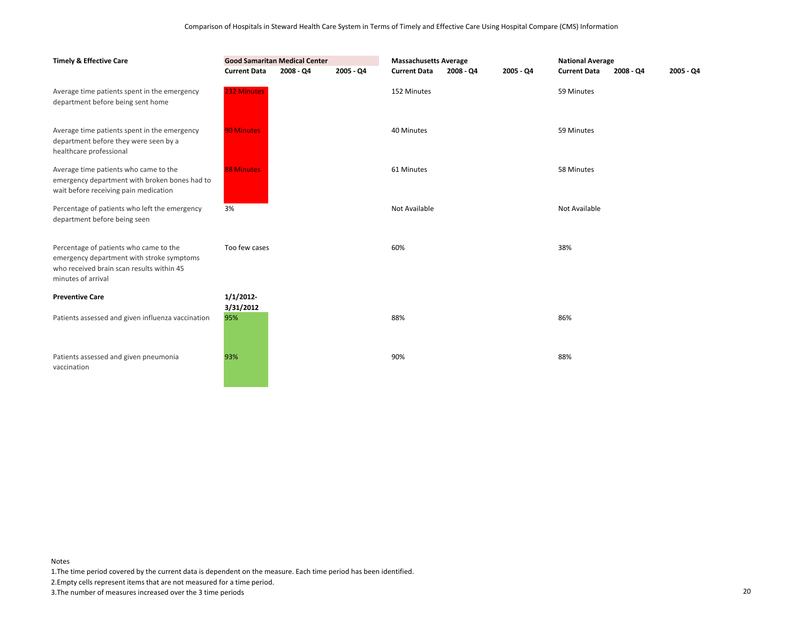| <b>Timely &amp; Effective Care</b>                                                                                                                     | <b>Good Samaritan Medical Center</b> |           |           | <b>Massachusetts Average</b> |           |           | <b>National Average</b> |           |             |
|--------------------------------------------------------------------------------------------------------------------------------------------------------|--------------------------------------|-----------|-----------|------------------------------|-----------|-----------|-------------------------|-----------|-------------|
|                                                                                                                                                        | <b>Current Data</b>                  | 2008 - Q4 | 2005 - Q4 | <b>Current Data</b>          | 2008 - Q4 | 2005 - Q4 | <b>Current Data</b>     | 2008 - Q4 | $2005 - Q4$ |
| Average time patients spent in the emergency<br>department before being sent home                                                                      | 232 Minutes                          |           |           | 152 Minutes                  |           |           | 59 Minutes              |           |             |
| Average time patients spent in the emergency<br>department before they were seen by a<br>healthcare professional                                       | <b>90 Minutes</b>                    |           |           | 40 Minutes                   |           |           | 59 Minutes              |           |             |
| Average time patients who came to the<br>emergency department with broken bones had to<br>wait before receiving pain medication                        | <b>88 Minutes</b>                    |           |           | 61 Minutes                   |           |           | 58 Minutes              |           |             |
| Percentage of patients who left the emergency<br>department before being seen                                                                          | 3%                                   |           |           | Not Available                |           |           | Not Available           |           |             |
| Percentage of patients who came to the<br>emergency department with stroke symptoms<br>who received brain scan results within 45<br>minutes of arrival | Too few cases                        |           |           | 60%                          |           |           | 38%                     |           |             |
| <b>Preventive Care</b>                                                                                                                                 | 1/1/2012                             |           |           |                              |           |           |                         |           |             |
| Patients assessed and given influenza vaccination                                                                                                      | 3/31/2012<br>95%                     |           |           | 88%                          |           |           | 86%                     |           |             |
| Patients assessed and given pneumonia<br>vaccination                                                                                                   | 93%                                  |           |           | 90%                          |           |           | 88%                     |           |             |

1.The time period covered by the current data is dependent on the measure. Each time period has been identified.

2.Empty cells represent items that are not measured for a time period.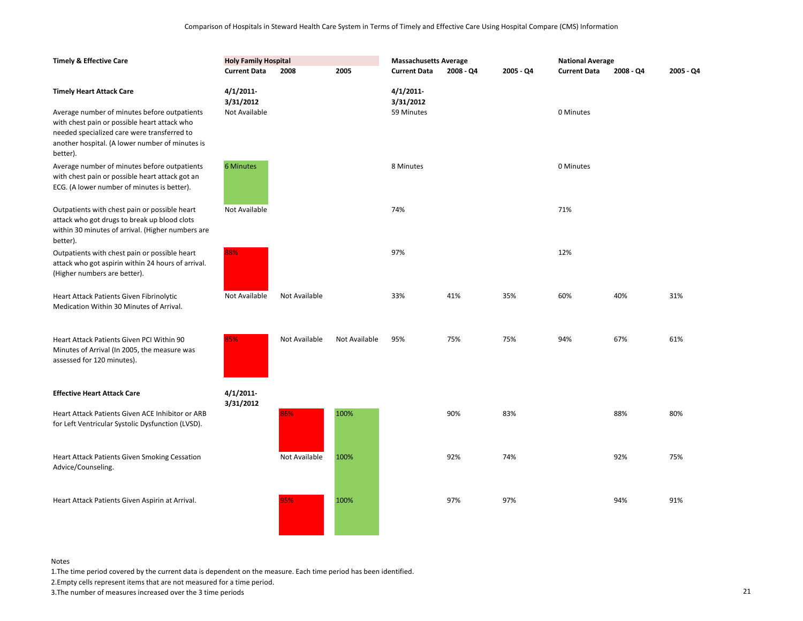| <b>Timely &amp; Effective Care</b>                                                                                                                             | <b>Holy Family Hospital</b>            |               |               | <b>Massachusetts Average</b>        |             |           | <b>National Average</b> |           |           |
|----------------------------------------------------------------------------------------------------------------------------------------------------------------|----------------------------------------|---------------|---------------|-------------------------------------|-------------|-----------|-------------------------|-----------|-----------|
|                                                                                                                                                                | <b>Current Data</b>                    | 2008          | 2005          | <b>Current Data</b>                 | $2008 - Q4$ | 2005 - Q4 | <b>Current Data</b>     | 2008 - Q4 | 2005 - Q4 |
| <b>Timely Heart Attack Care</b><br>Average number of minutes before outpatients                                                                                | 4/1/2011<br>3/31/2012<br>Not Available |               |               | 4/1/2011<br>3/31/2012<br>59 Minutes |             |           | 0 Minutes               |           |           |
| with chest pain or possible heart attack who<br>needed specialized care were transferred to<br>another hospital. (A lower number of minutes is<br>better).     |                                        |               |               |                                     |             |           |                         |           |           |
| Average number of minutes before outpatients<br>with chest pain or possible heart attack got an<br>ECG. (A lower number of minutes is better).                 | 6 Minutes                              |               |               | 8 Minutes                           |             |           | 0 Minutes               |           |           |
| Outpatients with chest pain or possible heart<br>attack who got drugs to break up blood clots<br>within 30 minutes of arrival. (Higher numbers are<br>better). | Not Available                          |               |               | 74%                                 |             |           | 71%                     |           |           |
| Outpatients with chest pain or possible heart<br>attack who got aspirin within 24 hours of arrival.<br>(Higher numbers are better).                            | 88%                                    |               |               | 97%                                 |             |           | 12%                     |           |           |
| Heart Attack Patients Given Fibrinolytic<br>Medication Within 30 Minutes of Arrival.                                                                           | Not Available                          | Not Available |               | 33%                                 | 41%         | 35%       | 60%                     | 40%       | 31%       |
| Heart Attack Patients Given PCI Within 90<br>Minutes of Arrival (In 2005, the measure was<br>assessed for 120 minutes).                                        | 85%                                    | Not Available | Not Available | 95%                                 | 75%         | 75%       | 94%                     | 67%       | 61%       |
| <b>Effective Heart Attack Care</b>                                                                                                                             | $4/1/2011$ -<br>3/31/2012              |               |               |                                     |             |           |                         |           |           |
| Heart Attack Patients Given ACE Inhibitor or ARB<br>for Left Ventricular Systolic Dysfunction (LVSD).                                                          |                                        | 86%           | 100%          |                                     | 90%         | 83%       |                         | 88%       | 80%       |
| Heart Attack Patients Given Smoking Cessation<br>Advice/Counseling.                                                                                            |                                        | Not Available | 100%          |                                     | 92%         | 74%       |                         | 92%       | 75%       |
| Heart Attack Patients Given Aspirin at Arrival.                                                                                                                |                                        | 95%           | 100%          |                                     | 97%         | 97%       |                         | 94%       | 91%       |

1.The time period covered by the current data is dependent on the measure. Each time period has been identified.

2.Empty cells represent items that are not measured for a time period.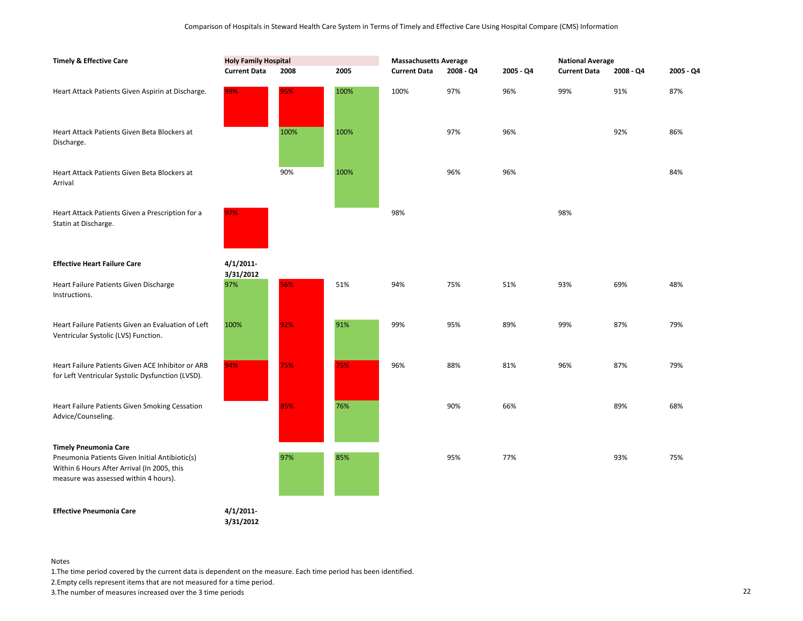| <b>Timely &amp; Effective Care</b>                                                                                                                                     | <b>Holy Family Hospital</b> |      |      | <b>Massachusetts Average</b> |           |           | <b>National Average</b> |           |           |
|------------------------------------------------------------------------------------------------------------------------------------------------------------------------|-----------------------------|------|------|------------------------------|-----------|-----------|-------------------------|-----------|-----------|
|                                                                                                                                                                        | <b>Current Data</b>         | 2008 | 2005 | <b>Current Data</b>          | 2008 - Q4 | 2005 - Q4 | <b>Current Data</b>     | 2008 - Q4 | 2005 - Q4 |
| Heart Attack Patients Given Aspirin at Discharge.                                                                                                                      | 99%                         | 95%  | 100% | 100%                         | 97%       | 96%       | 99%                     | 91%       | 87%       |
| Heart Attack Patients Given Beta Blockers at<br>Discharge.                                                                                                             |                             | 100% | 100% |                              | 97%       | 96%       |                         | 92%       | 86%       |
| Heart Attack Patients Given Beta Blockers at<br>Arrival                                                                                                                |                             | 90%  | 100% |                              | 96%       | 96%       |                         |           | 84%       |
| Heart Attack Patients Given a Prescription for a<br>Statin at Discharge.                                                                                               | 97%                         |      |      | 98%                          |           |           | 98%                     |           |           |
| <b>Effective Heart Failure Care</b>                                                                                                                                    | 4/1/2011<br>3/31/2012       |      |      |                              |           |           |                         |           |           |
| Heart Failure Patients Given Discharge<br>Instructions.                                                                                                                | 97%                         | 56%  | 51%  | 94%                          | 75%       | 51%       | 93%                     | 69%       | 48%       |
| Heart Failure Patients Given an Evaluation of Left<br>Ventricular Systolic (LVS) Function.                                                                             | 100%                        | 92%  | 91%  | 99%                          | 95%       | 89%       | 99%                     | 87%       | 79%       |
| Heart Failure Patients Given ACE Inhibitor or ARB<br>for Left Ventricular Systolic Dysfunction (LVSD).                                                                 | 94%                         | 75%  | 75%  | 96%                          | 88%       | 81%       | 96%                     | 87%       | 79%       |
| Heart Failure Patients Given Smoking Cessation<br>Advice/Counseling.                                                                                                   |                             | 85%  | 76%  |                              | 90%       | 66%       |                         | 89%       | 68%       |
| <b>Timely Pneumonia Care</b><br>Pneumonia Patients Given Initial Antibiotic(s)<br>Within 6 Hours After Arrival (In 2005, this<br>measure was assessed within 4 hours). |                             | 97%  | 85%  |                              | 95%       | 77%       |                         | 93%       | 75%       |
| <b>Effective Pneumonia Care</b>                                                                                                                                        | $4/1/2011$ -<br>3/31/2012   |      |      |                              |           |           |                         |           |           |

1.The time period covered by the current data is dependent on the measure. Each time period has been identified.

2.Empty cells represent items that are not measured for a time period.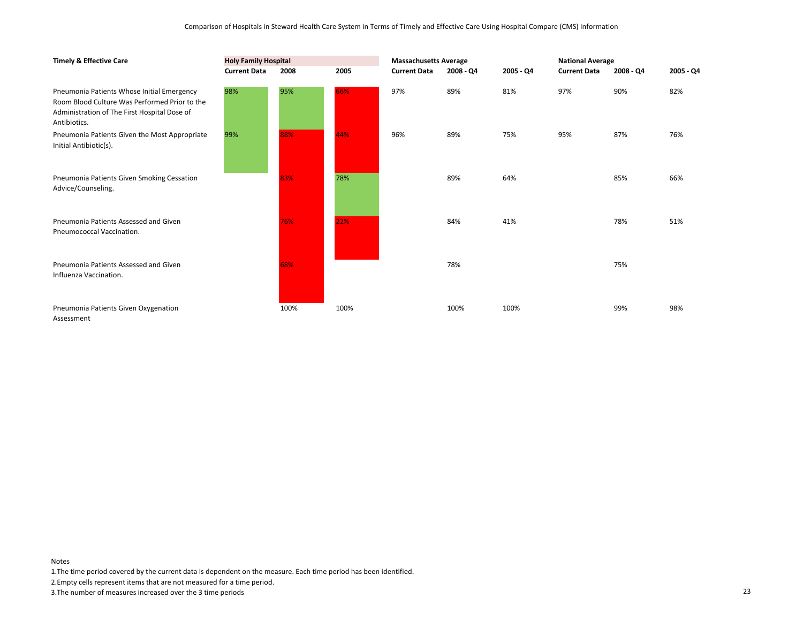| <b>Timely &amp; Effective Care</b>                                                                                                                          | <b>Holy Family Hospital</b> |      |      | <b>Massachusetts Average</b> |             |           | <b>National Average</b> |           |             |
|-------------------------------------------------------------------------------------------------------------------------------------------------------------|-----------------------------|------|------|------------------------------|-------------|-----------|-------------------------|-----------|-------------|
|                                                                                                                                                             | <b>Current Data</b>         | 2008 | 2005 | <b>Current Data</b>          | $2008 - QA$ | 2005 - Q4 | <b>Current Data</b>     | 2008 - Q4 | $2005 - Q4$ |
| Pneumonia Patients Whose Initial Emergency<br>Room Blood Culture Was Performed Prior to the<br>Administration of The First Hospital Dose of<br>Antibiotics. | 98%                         | 95%  | 66%  | 97%                          | 89%         | 81%       | 97%                     | 90%       | 82%         |
| Pneumonia Patients Given the Most Appropriate<br>Initial Antibiotic(s).                                                                                     | 99%                         | 88%  | 44%  | 96%                          | 89%         | 75%       | 95%                     | 87%       | 76%         |
| Pneumonia Patients Given Smoking Cessation<br>Advice/Counseling.                                                                                            |                             | 83%  | 78%  |                              | 89%         | 64%       |                         | 85%       | 66%         |
| Pneumonia Patients Assessed and Given<br>Pneumococcal Vaccination.                                                                                          |                             | 76%  | 22%  |                              | 84%         | 41%       |                         | 78%       | 51%         |
| Pneumonia Patients Assessed and Given<br>Influenza Vaccination.                                                                                             |                             | 68%  |      |                              | 78%         |           |                         | 75%       |             |
| Pneumonia Patients Given Oxygenation<br>Assessment                                                                                                          |                             | 100% | 100% |                              | 100%        | 100%      |                         | 99%       | 98%         |

1.The time period covered by the current data is dependent on the measure. Each time period has been identified.

2.Empty cells represent items that are not measured for a time period.

3.The number of measures increased over the 3 time periods 23

Notes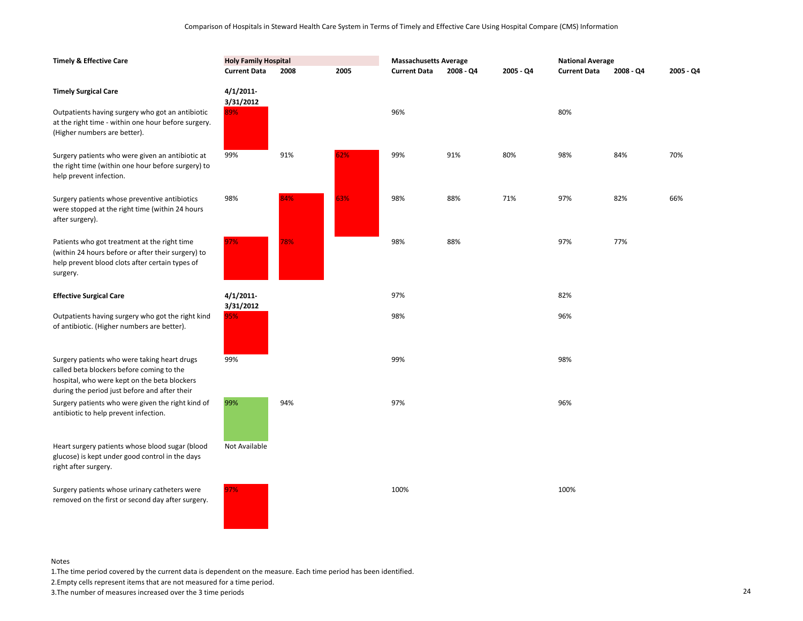| <b>Timely &amp; Effective Care</b>                                                                                                                                                         | <b>Holy Family Hospital</b> |      |      | <b>Massachusetts Average</b> |             |           | <b>National Average</b> |           |           |
|--------------------------------------------------------------------------------------------------------------------------------------------------------------------------------------------|-----------------------------|------|------|------------------------------|-------------|-----------|-------------------------|-----------|-----------|
|                                                                                                                                                                                            | <b>Current Data</b>         | 2008 | 2005 | <b>Current Data</b>          | $2008 - Q4$ | 2005 - Q4 | <b>Current Data</b>     | 2008 - Q4 | 2005 - Q4 |
| <b>Timely Surgical Care</b>                                                                                                                                                                | 4/1/2011<br>3/31/2012       |      |      |                              |             |           |                         |           |           |
| Outpatients having surgery who got an antibiotic<br>at the right time - within one hour before surgery.<br>(Higher numbers are better).                                                    | 89%                         |      |      | 96%                          |             |           | 80%                     |           |           |
| Surgery patients who were given an antibiotic at<br>the right time (within one hour before surgery) to<br>help prevent infection.                                                          | 99%                         | 91%  | 62%  | 99%                          | 91%         | 80%       | 98%                     | 84%       | 70%       |
| Surgery patients whose preventive antibiotics<br>were stopped at the right time (within 24 hours<br>after surgery).                                                                        | 98%                         | 84%  | 63%  | 98%                          | 88%         | 71%       | 97%                     | 82%       | 66%       |
| Patients who got treatment at the right time<br>(within 24 hours before or after their surgery) to<br>help prevent blood clots after certain types of<br>surgery.                          | 97%                         | 78%  |      | 98%                          | 88%         |           | 97%                     | 77%       |           |
| <b>Effective Surgical Care</b>                                                                                                                                                             | 4/1/2011<br>3/31/2012       |      |      | 97%                          |             |           | 82%                     |           |           |
| Outpatients having surgery who got the right kind<br>of antibiotic. (Higher numbers are better).                                                                                           | 95%                         |      |      | 98%                          |             |           | 96%                     |           |           |
| Surgery patients who were taking heart drugs<br>called beta blockers before coming to the<br>hospital, who were kept on the beta blockers<br>during the period just before and after their | 99%                         |      |      | 99%                          |             |           | 98%                     |           |           |
| Surgery patients who were given the right kind of<br>antibiotic to help prevent infection.                                                                                                 | 99%                         | 94%  |      | 97%                          |             |           | 96%                     |           |           |
| Heart surgery patients whose blood sugar (blood<br>glucose) is kept under good control in the days<br>right after surgery.                                                                 | Not Available               |      |      |                              |             |           |                         |           |           |
| Surgery patients whose urinary catheters were<br>removed on the first or second day after surgery.                                                                                         | 97%                         |      |      | 100%                         |             |           | 100%                    |           |           |

1.The time period covered by the current data is dependent on the measure. Each time period has been identified.

2.Empty cells represent items that are not measured for a time period.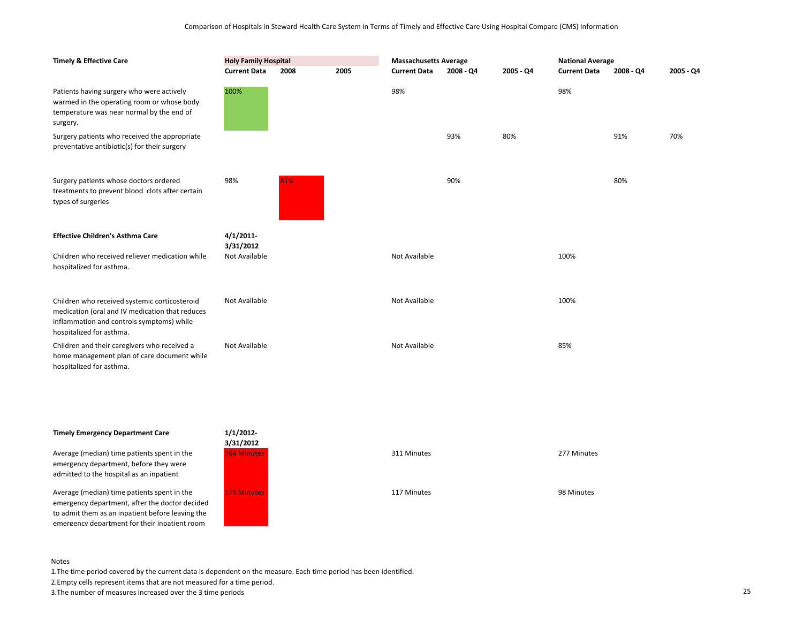| <b>Timely &amp; Effective Care</b>                                                                                                                                        | <b>Holy Family Hospital</b><br><b>Current Data</b><br>2005<br>2008 |     | <b>Massachusetts Average</b><br><b>Current Data</b><br>2008 - Q4<br>2005 - Q4 |               |     | <b>National Average</b><br><b>Current Data</b><br>2008 - Q4<br>2005 - Q4 |      |     |     |
|---------------------------------------------------------------------------------------------------------------------------------------------------------------------------|--------------------------------------------------------------------|-----|-------------------------------------------------------------------------------|---------------|-----|--------------------------------------------------------------------------|------|-----|-----|
| Patients having surgery who were actively<br>warmed in the operating room or whose body<br>temperature was near normal by the end of<br>surgery.                          | 100%                                                               |     |                                                                               | 98%           |     |                                                                          | 98%  |     |     |
| Surgery patients who received the appropriate<br>preventative antibiotic(s) for their surgery                                                                             |                                                                    |     |                                                                               |               | 93% | 80%                                                                      |      | 91% | 70% |
| Surgery patients whose doctors ordered<br>treatments to prevent blood clots after certain<br>types of surgeries                                                           | 98%                                                                | 81% |                                                                               |               | 90% |                                                                          |      | 80% |     |
| <b>Effective Children's Asthma Care</b>                                                                                                                                   | 4/1/2011<br>3/31/2012                                              |     |                                                                               |               |     |                                                                          |      |     |     |
| Children who received reliever medication while<br>hospitalized for asthma.                                                                                               | Not Available                                                      |     |                                                                               | Not Available |     |                                                                          | 100% |     |     |
| Children who received systemic corticosteroid<br>medication (oral and IV medication that reduces<br>inflammation and controls symptoms) while<br>hospitalized for asthma. | Not Available                                                      |     |                                                                               | Not Available |     |                                                                          | 100% |     |     |
| Children and their caregivers who received a<br>home management plan of care document while<br>hospitalized for asthma.                                                   | Not Available                                                      |     |                                                                               | Not Available |     |                                                                          | 85%  |     |     |

## **Timely Emergency Department Care**

Average (median) time patients spent in the emergency department, before they were admitted to the hospital as an inpatient

Average (median) time patients spent in the emergency department, after the doctor decided to admit them as an inpatient before leaving the emergency department for their inpatient room



#### Notes

1.The time period covered by the current data is dependent on the measure. Each time period has been identified.

2.Empty cells represent items that are not measured for a time period.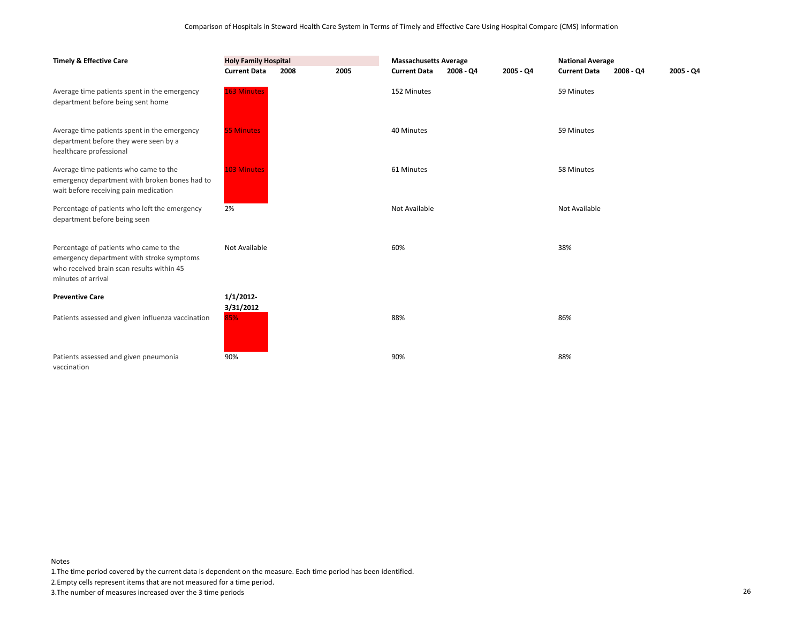| <b>Holy Family Hospital</b><br><b>Timely &amp; Effective Care</b>                                                                                      |                       |      |      | <b>Massachusetts Average</b> |           |           | <b>National Average</b> |           |             |
|--------------------------------------------------------------------------------------------------------------------------------------------------------|-----------------------|------|------|------------------------------|-----------|-----------|-------------------------|-----------|-------------|
|                                                                                                                                                        | <b>Current Data</b>   | 2008 | 2005 | <b>Current Data</b>          | 2008 - Q4 | 2005 - Q4 | <b>Current Data</b>     | 2008 - Q4 | $2005 - Q4$ |
| Average time patients spent in the emergency<br>department before being sent home                                                                      | <b>163 Minutes</b>    |      |      | 152 Minutes                  |           |           | 59 Minutes              |           |             |
| Average time patients spent in the emergency<br>department before they were seen by a<br>healthcare professional                                       | <b>55 Minutes</b>     |      |      | 40 Minutes                   |           |           | 59 Minutes              |           |             |
| Average time patients who came to the<br>emergency department with broken bones had to<br>wait before receiving pain medication                        | <b>103 Minutes</b>    |      |      | 61 Minutes                   |           |           | 58 Minutes              |           |             |
| Percentage of patients who left the emergency<br>department before being seen                                                                          | 2%                    |      |      | Not Available                |           |           | Not Available           |           |             |
| Percentage of patients who came to the<br>emergency department with stroke symptoms<br>who received brain scan results within 45<br>minutes of arrival | Not Available         |      |      | 60%                          |           |           | 38%                     |           |             |
| <b>Preventive Care</b>                                                                                                                                 | 1/1/2012<br>3/31/2012 |      |      |                              |           |           |                         |           |             |
| Patients assessed and given influenza vaccination                                                                                                      | 85%                   |      |      | 88%                          |           |           | 86%                     |           |             |
| Patients assessed and given pneumonia                                                                                                                  | 90%                   |      |      | 90%                          |           |           | 88%                     |           |             |

vaccination

1.The time period covered by the current data is dependent on the measure. Each time period has been identified.

2.Empty cells represent items that are not measured for a time period.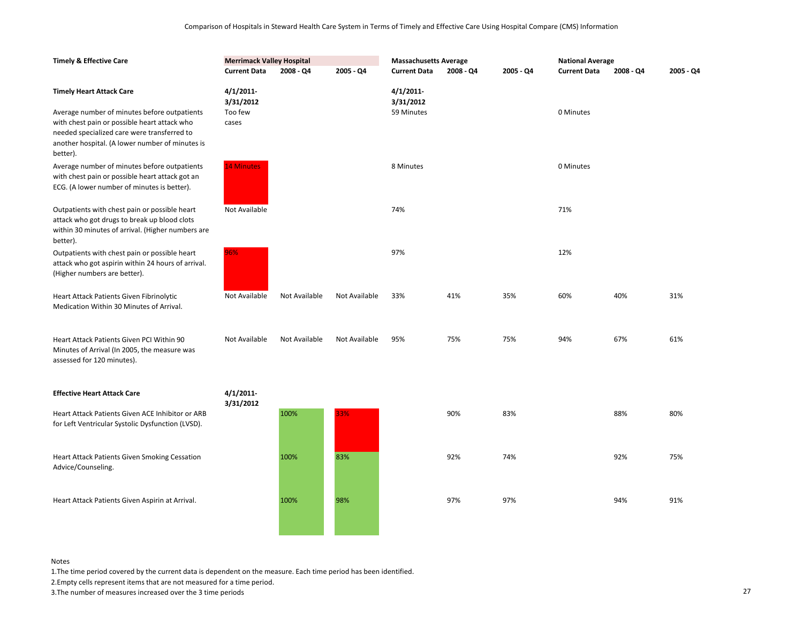| <b>Timely &amp; Effective Care</b>                                                                                                                                                                                                            |                                            | <b>Merrimack Valley Hospital</b> |               |                                     | <b>Massachusetts Average</b> |           |                     | <b>National Average</b> |           |  |
|-----------------------------------------------------------------------------------------------------------------------------------------------------------------------------------------------------------------------------------------------|--------------------------------------------|----------------------------------|---------------|-------------------------------------|------------------------------|-----------|---------------------|-------------------------|-----------|--|
|                                                                                                                                                                                                                                               | <b>Current Data</b>                        | $2008 - Q4$                      | 2005 - Q4     | <b>Current Data</b>                 | $2008 - Q4$                  | 2005 - Q4 | <b>Current Data</b> | $2008 - Q4$             | 2005 - Q4 |  |
| <b>Timely Heart Attack Care</b><br>Average number of minutes before outpatients<br>with chest pain or possible heart attack who<br>needed specialized care were transferred to<br>another hospital. (A lower number of minutes is<br>better). | 4/1/2011-<br>3/31/2012<br>Too few<br>cases |                                  |               | 4/1/2011<br>3/31/2012<br>59 Minutes |                              |           | 0 Minutes           |                         |           |  |
| Average number of minutes before outpatients<br>with chest pain or possible heart attack got an<br>ECG. (A lower number of minutes is better).                                                                                                | <b>14 Minutes</b>                          |                                  |               | 8 Minutes                           |                              |           | 0 Minutes           |                         |           |  |
| Outpatients with chest pain or possible heart<br>attack who got drugs to break up blood clots<br>within 30 minutes of arrival. (Higher numbers are<br>better).                                                                                | Not Available                              |                                  |               | 74%                                 |                              |           | 71%                 |                         |           |  |
| Outpatients with chest pain or possible heart<br>attack who got aspirin within 24 hours of arrival.<br>(Higher numbers are better).                                                                                                           | 96%                                        |                                  |               | 97%                                 |                              |           | 12%                 |                         |           |  |
| Heart Attack Patients Given Fibrinolytic<br>Medication Within 30 Minutes of Arrival.                                                                                                                                                          | Not Available                              | Not Available                    | Not Available | 33%                                 | 41%                          | 35%       | 60%                 | 40%                     | 31%       |  |
| Heart Attack Patients Given PCI Within 90<br>Minutes of Arrival (In 2005, the measure was<br>assessed for 120 minutes).                                                                                                                       | Not Available                              | Not Available                    | Not Available | 95%                                 | 75%                          | 75%       | 94%                 | 67%                     | 61%       |  |
| <b>Effective Heart Attack Care</b>                                                                                                                                                                                                            | 4/1/2011-                                  |                                  |               |                                     |                              |           |                     |                         |           |  |
| Heart Attack Patients Given ACE Inhibitor or ARB<br>for Left Ventricular Systolic Dysfunction (LVSD).                                                                                                                                         | 3/31/2012                                  | 100%                             | 33%           |                                     | 90%                          | 83%       |                     | 88%                     | 80%       |  |
| Heart Attack Patients Given Smoking Cessation<br>Advice/Counseling.                                                                                                                                                                           |                                            | 100%                             | 83%           |                                     | 92%                          | 74%       |                     | 92%                     | 75%       |  |
| Heart Attack Patients Given Aspirin at Arrival.                                                                                                                                                                                               |                                            | 100%                             | 98%           |                                     | 97%                          | 97%       |                     | 94%                     | 91%       |  |

1.The time period covered by the current data is dependent on the measure. Each time period has been identified.

2.Empty cells represent items that are not measured for a time period.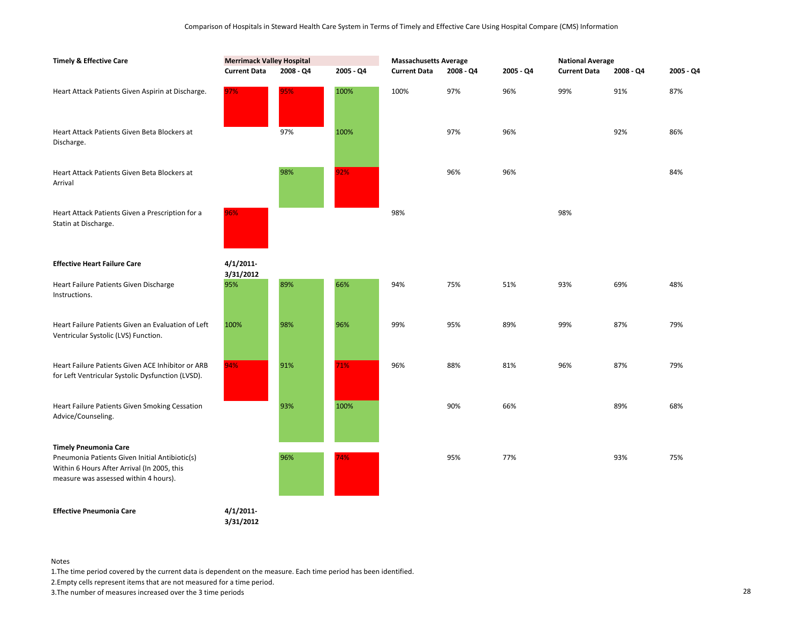| <b>Timely &amp; Effective Care</b>                                                                                                                                     | <b>Merrimack Valley Hospital</b> |           |           | <b>Massachusetts Average</b> |           |           | <b>National Average</b> |           |           |
|------------------------------------------------------------------------------------------------------------------------------------------------------------------------|----------------------------------|-----------|-----------|------------------------------|-----------|-----------|-------------------------|-----------|-----------|
|                                                                                                                                                                        | <b>Current Data</b>              | 2008 - Q4 | 2005 - Q4 | <b>Current Data</b>          | 2008 - Q4 | 2005 - Q4 | <b>Current Data</b>     | 2008 - Q4 | 2005 - Q4 |
| Heart Attack Patients Given Aspirin at Discharge.                                                                                                                      | 97%                              | 95%       | 100%      | 100%                         | 97%       | 96%       | 99%                     | 91%       | 87%       |
| Heart Attack Patients Given Beta Blockers at<br>Discharge.                                                                                                             |                                  | 97%       | 100%      |                              | 97%       | 96%       |                         | 92%       | 86%       |
| Heart Attack Patients Given Beta Blockers at<br>Arrival                                                                                                                |                                  | 98%       | 92%       |                              | 96%       | 96%       |                         |           | 84%       |
| Heart Attack Patients Given a Prescription for a<br>Statin at Discharge.                                                                                               | 96%                              |           |           | 98%                          |           |           | 98%                     |           |           |
| <b>Effective Heart Failure Care</b>                                                                                                                                    | 4/1/2011-<br>3/31/2012           |           |           |                              |           |           |                         |           |           |
| Heart Failure Patients Given Discharge<br>Instructions.                                                                                                                | 95%                              | 89%       | 66%       | 94%                          | 75%       | 51%       | 93%                     | 69%       | 48%       |
| Heart Failure Patients Given an Evaluation of Left<br>Ventricular Systolic (LVS) Function.                                                                             | 100%                             | 98%       | 96%       | 99%                          | 95%       | 89%       | 99%                     | 87%       | 79%       |
| Heart Failure Patients Given ACE Inhibitor or ARB<br>for Left Ventricular Systolic Dysfunction (LVSD).                                                                 | 94%                              | 91%       | 71%       | 96%                          | 88%       | 81%       | 96%                     | 87%       | 79%       |
| Heart Failure Patients Given Smoking Cessation<br>Advice/Counseling.                                                                                                   |                                  | 93%       | 100%      |                              | 90%       | 66%       |                         | 89%       | 68%       |
| <b>Timely Pneumonia Care</b><br>Pneumonia Patients Given Initial Antibiotic(s)<br>Within 6 Hours After Arrival (In 2005, this<br>measure was assessed within 4 hours). |                                  | 96%       | 74%       |                              | 95%       | 77%       |                         | 93%       | 75%       |
| <b>Effective Pneumonia Care</b>                                                                                                                                        | 4/1/2011-<br>3/31/2012           |           |           |                              |           |           |                         |           |           |

1.The time period covered by the current data is dependent on the measure. Each time period has been identified.

2.Empty cells represent items that are not measured for a time period.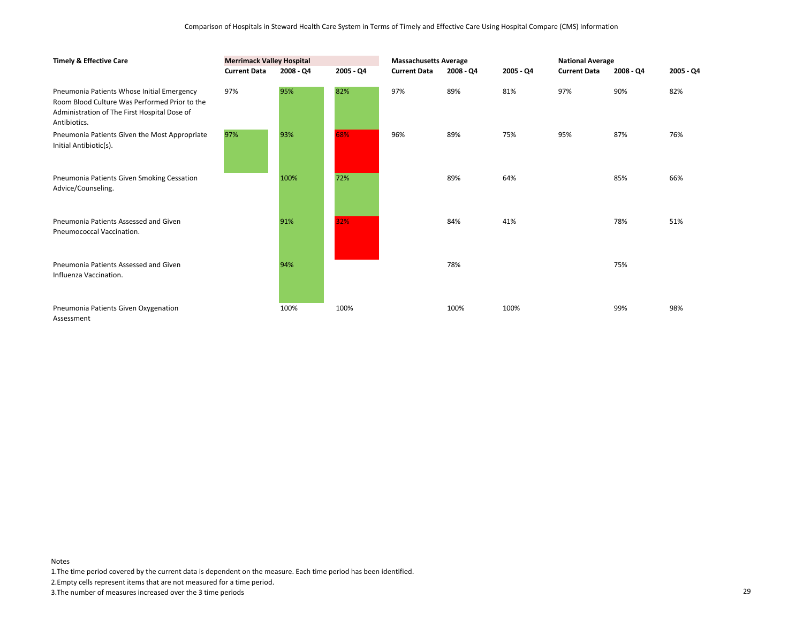| <b>Timely &amp; Effective Care</b>                                                                                                                          |                     | <b>Merrimack Valley Hospital</b> |           |                     | <b>Massachusetts Average</b> |           |                     | <b>National Average</b> |             |  |
|-------------------------------------------------------------------------------------------------------------------------------------------------------------|---------------------|----------------------------------|-----------|---------------------|------------------------------|-----------|---------------------|-------------------------|-------------|--|
|                                                                                                                                                             | <b>Current Data</b> | $2008 - Q4$                      | 2005 - Q4 | <b>Current Data</b> | $2008 - QA$                  | 2005 - Q4 | <b>Current Data</b> | $2008 - Q4$             | $2005 - Q4$ |  |
| Pneumonia Patients Whose Initial Emergency<br>Room Blood Culture Was Performed Prior to the<br>Administration of The First Hospital Dose of<br>Antibiotics. | 97%                 | 95%                              | 82%       | 97%                 | 89%                          | 81%       | 97%                 | 90%                     | 82%         |  |
| Pneumonia Patients Given the Most Appropriate<br>Initial Antibiotic(s).                                                                                     | 97%                 | 93%                              | 68%       | 96%                 | 89%                          | 75%       | 95%                 | 87%                     | 76%         |  |
| Pneumonia Patients Given Smoking Cessation<br>Advice/Counseling.                                                                                            |                     | 100%                             | 72%       |                     | 89%                          | 64%       |                     | 85%                     | 66%         |  |
| Pneumonia Patients Assessed and Given<br>Pneumococcal Vaccination.                                                                                          |                     | 91%                              | 32%       |                     | 84%                          | 41%       |                     | 78%                     | 51%         |  |
| Pneumonia Patients Assessed and Given<br>Influenza Vaccination.                                                                                             |                     | 94%                              |           |                     | 78%                          |           |                     | 75%                     |             |  |
| Pneumonia Patients Given Oxygenation<br>Assessment                                                                                                          |                     | 100%                             | 100%      |                     | 100%                         | 100%      |                     | 99%                     | 98%         |  |

1.The time period covered by the current data is dependent on the measure. Each time period has been identified.

2.Empty cells represent items that are not measured for a time period.

3.The number of measures increased over the 3 time periods 29

Notes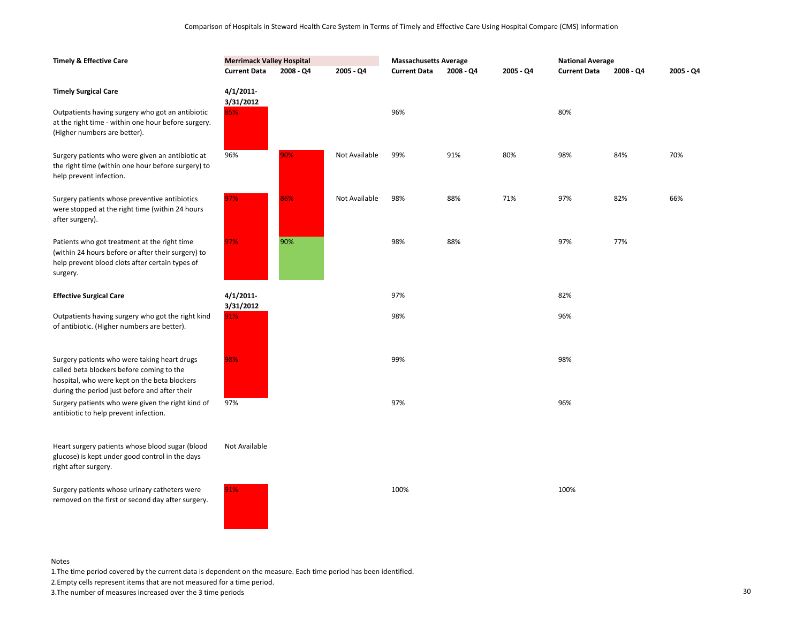| <b>Timely &amp; Effective Care</b>                                                                                                                                                         | <b>Merrimack Valley Hospital</b> |           |               | <b>Massachusetts Average</b> |             |           | <b>National Average</b> |           |           |
|--------------------------------------------------------------------------------------------------------------------------------------------------------------------------------------------|----------------------------------|-----------|---------------|------------------------------|-------------|-----------|-------------------------|-----------|-----------|
|                                                                                                                                                                                            | <b>Current Data</b>              | 2008 - Q4 | 2005 - Q4     | <b>Current Data</b>          | $2008 - Q4$ | 2005 - Q4 | <b>Current Data</b>     | 2008 - Q4 | 2005 - Q4 |
| <b>Timely Surgical Care</b>                                                                                                                                                                | 4/1/2011<br>3/31/2012            |           |               |                              |             |           |                         |           |           |
| Outpatients having surgery who got an antibiotic<br>at the right time - within one hour before surgery.<br>(Higher numbers are better).                                                    | 85%                              |           |               | 96%                          |             |           | 80%                     |           |           |
| Surgery patients who were given an antibiotic at<br>the right time (within one hour before surgery) to<br>help prevent infection.                                                          | 96%                              | 90%       | Not Available | 99%                          | 91%         | 80%       | 98%                     | 84%       | 70%       |
| Surgery patients whose preventive antibiotics<br>were stopped at the right time (within 24 hours<br>after surgery).                                                                        | 97%                              | 86%       | Not Available | 98%                          | 88%         | 71%       | 97%                     | 82%       | 66%       |
| Patients who got treatment at the right time<br>(within 24 hours before or after their surgery) to<br>help prevent blood clots after certain types of<br>surgery.                          | 97%                              | 90%       |               | 98%                          | 88%         |           | 97%                     | 77%       |           |
| <b>Effective Surgical Care</b>                                                                                                                                                             | 4/1/2011<br>3/31/2012            |           |               | 97%                          |             |           | 82%                     |           |           |
| Outpatients having surgery who got the right kind<br>of antibiotic. (Higher numbers are better).                                                                                           | 91%                              |           |               | 98%                          |             |           | 96%                     |           |           |
| Surgery patients who were taking heart drugs<br>called beta blockers before coming to the<br>hospital, who were kept on the beta blockers<br>during the period just before and after their | 98%                              |           |               | 99%                          |             |           | 98%                     |           |           |
| Surgery patients who were given the right kind of<br>antibiotic to help prevent infection.                                                                                                 | 97%                              |           |               | 97%                          |             |           | 96%                     |           |           |
| Heart surgery patients whose blood sugar (blood<br>glucose) is kept under good control in the days<br>right after surgery.                                                                 | Not Available                    |           |               |                              |             |           |                         |           |           |
| Surgery patients whose urinary catheters were<br>removed on the first or second day after surgery.                                                                                         | 91%                              |           |               | 100%                         |             |           | 100%                    |           |           |

1.The time period covered by the current data is dependent on the measure. Each time period has been identified.

2.Empty cells represent items that are not measured for a time period.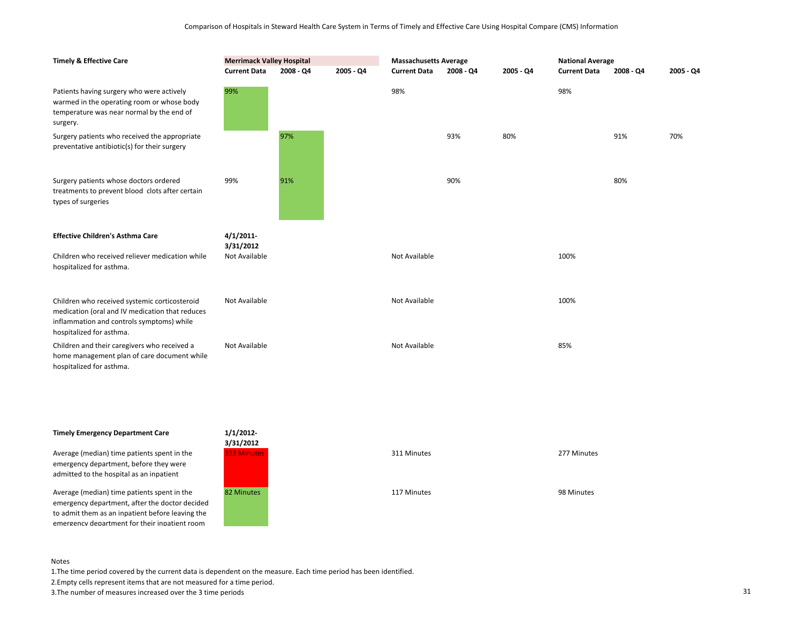| <b>Timely &amp; Effective Care</b>                                                                                                                                        | <b>Merrimack Valley Hospital</b> |           |           | <b>Massachusetts Average</b> |           |           | <b>National Average</b> |           |           |
|---------------------------------------------------------------------------------------------------------------------------------------------------------------------------|----------------------------------|-----------|-----------|------------------------------|-----------|-----------|-------------------------|-----------|-----------|
|                                                                                                                                                                           | <b>Current Data</b>              | 2008 - Q4 | 2005 - Q4 | <b>Current Data</b>          | 2008 - Q4 | 2005 - Q4 | <b>Current Data</b>     | 2008 - Q4 | 2005 - Q4 |
| Patients having surgery who were actively<br>warmed in the operating room or whose body<br>temperature was near normal by the end of<br>surgery.                          | 99%                              |           |           | 98%                          |           |           | 98%                     |           |           |
| Surgery patients who received the appropriate<br>preventative antibiotic(s) for their surgery                                                                             |                                  | 97%       |           |                              | 93%       | 80%       |                         | 91%       | 70%       |
| Surgery patients whose doctors ordered<br>treatments to prevent blood clots after certain<br>types of surgeries                                                           | 99%                              | 91%       |           |                              | 90%       |           |                         | 80%       |           |
| <b>Effective Children's Asthma Care</b>                                                                                                                                   | 4/1/2011<br>3/31/2012            |           |           |                              |           |           |                         |           |           |
| Children who received reliever medication while<br>hospitalized for asthma.                                                                                               | Not Available                    |           |           | Not Available                |           |           | 100%                    |           |           |
| Children who received systemic corticosteroid<br>medication (oral and IV medication that reduces<br>inflammation and controls symptoms) while<br>hospitalized for asthma. | Not Available                    |           |           | Not Available                |           |           | 100%                    |           |           |
| Children and their caregivers who received a<br>home management plan of care document while<br>hospitalized for asthma.                                                   | Not Available                    |           |           | Not Available                |           |           | 85%                     |           |           |

## **Timely Emergency Department Care**

Average (median) time patients spent in the emergency department, before they were admitted to the hospital as an inpatient

Average (median) time patients spent in the emergency department, after the doctor decided to admit them as an inpatient before leaving the emergency department for their inpatient room



| 311 Minutes | 277 Minutes |
|-------------|-------------|
| 117 Minutes | 98 Minutes  |

#### Notes

1.The time period covered by the current data is dependent on the measure. Each time period has been identified.

2.Empty cells represent items that are not measured for a time period.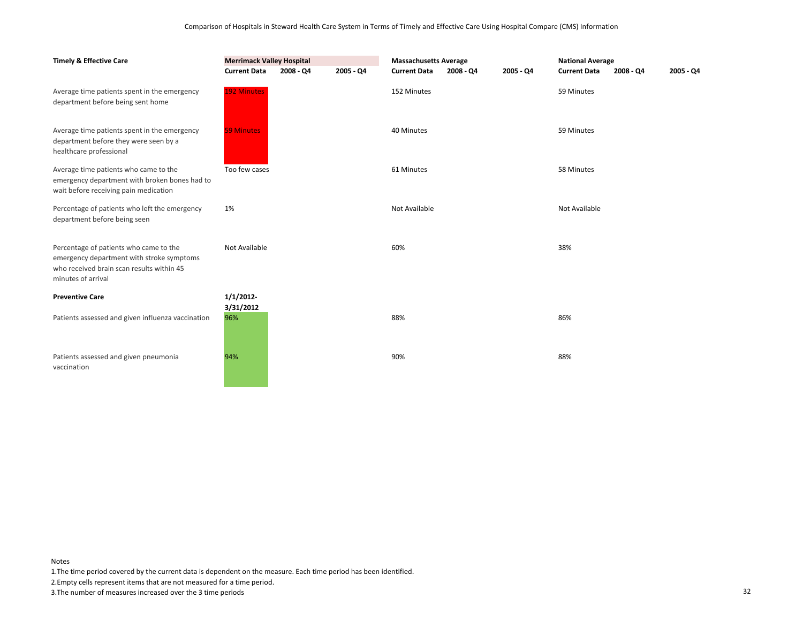| <b>Timely &amp; Effective Care</b>                                                                                                                     | <b>Merrimack Valley Hospital</b><br><b>Current Data</b> | 2008 - Q4 | 2005 - Q4 | <b>Massachusetts Average</b><br><b>Current Data</b><br>$2008 - Q4$<br>2005 - Q4 |  | <b>National Average</b><br><b>Current Data</b><br>2008 - Q4 |               | $2005 - Q4$ |  |
|--------------------------------------------------------------------------------------------------------------------------------------------------------|---------------------------------------------------------|-----------|-----------|---------------------------------------------------------------------------------|--|-------------------------------------------------------------|---------------|-------------|--|
| Average time patients spent in the emergency<br>department before being sent home                                                                      | <b>192 Minutes</b>                                      |           |           | 152 Minutes                                                                     |  |                                                             | 59 Minutes    |             |  |
| Average time patients spent in the emergency<br>department before they were seen by a<br>healthcare professional                                       | <b>59 Minutes</b>                                       |           |           | 40 Minutes                                                                      |  |                                                             | 59 Minutes    |             |  |
| Average time patients who came to the<br>emergency department with broken bones had to<br>wait before receiving pain medication                        | Too few cases                                           |           |           | 61 Minutes                                                                      |  |                                                             | 58 Minutes    |             |  |
| Percentage of patients who left the emergency<br>department before being seen                                                                          | 1%                                                      |           |           | Not Available                                                                   |  |                                                             | Not Available |             |  |
| Percentage of patients who came to the<br>emergency department with stroke symptoms<br>who received brain scan results within 45<br>minutes of arrival | Not Available                                           |           |           | 60%                                                                             |  |                                                             | 38%           |             |  |
| <b>Preventive Care</b>                                                                                                                                 | 1/1/2012                                                |           |           |                                                                                 |  |                                                             |               |             |  |
| Patients assessed and given influenza vaccination                                                                                                      | 3/31/2012<br>96%                                        |           |           | 88%                                                                             |  |                                                             | 86%           |             |  |
| Patients assessed and given pneumonia<br>vaccination                                                                                                   | 94%                                                     |           |           | 90%                                                                             |  |                                                             | 88%           |             |  |

1.The time period covered by the current data is dependent on the measure. Each time period has been identified.

2.Empty cells represent items that are not measured for a time period.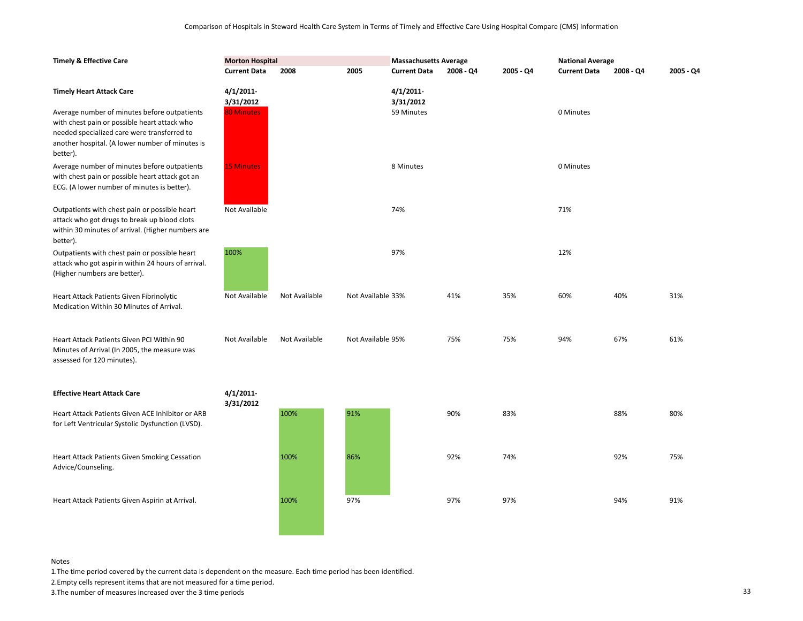| <b>Timely &amp; Effective Care</b>                                                                                                                                                                                                | <b>Morton Hospital</b>                      |               |                   | <b>Massachusetts Average</b>        |             |           | <b>National Average</b> |           |           |
|-----------------------------------------------------------------------------------------------------------------------------------------------------------------------------------------------------------------------------------|---------------------------------------------|---------------|-------------------|-------------------------------------|-------------|-----------|-------------------------|-----------|-----------|
|                                                                                                                                                                                                                                   | <b>Current Data</b>                         | 2008          | 2005              | <b>Current Data</b>                 | $2008 - Q4$ | 2005 - Q4 | <b>Current Data</b>     | 2008 - Q4 | 2005 - Q4 |
| <b>Timely Heart Attack Care</b><br>Average number of minutes before outpatients<br>with chest pain or possible heart attack who<br>needed specialized care were transferred to<br>another hospital. (A lower number of minutes is | 4/1/2011-<br>3/31/2012<br><b>80 Minutes</b> |               |                   | 4/1/2011<br>3/31/2012<br>59 Minutes |             |           | 0 Minutes               |           |           |
| better).<br>Average number of minutes before outpatients<br>with chest pain or possible heart attack got an<br>ECG. (A lower number of minutes is better).                                                                        | <b>15 Minutes</b>                           |               |                   | 8 Minutes                           |             |           | 0 Minutes               |           |           |
| Outpatients with chest pain or possible heart<br>attack who got drugs to break up blood clots<br>within 30 minutes of arrival. (Higher numbers are<br>better).                                                                    | Not Available                               |               |                   | 74%                                 |             |           | 71%                     |           |           |
| Outpatients with chest pain or possible heart<br>attack who got aspirin within 24 hours of arrival.<br>(Higher numbers are better).                                                                                               | 100%                                        |               |                   | 97%                                 |             |           | 12%                     |           |           |
| Heart Attack Patients Given Fibrinolytic<br>Medication Within 30 Minutes of Arrival.                                                                                                                                              | Not Available                               | Not Available | Not Available 33% |                                     | 41%         | 35%       | 60%                     | 40%       | 31%       |
| Heart Attack Patients Given PCI Within 90<br>Minutes of Arrival (In 2005, the measure was<br>assessed for 120 minutes).                                                                                                           | Not Available                               | Not Available | Not Available 95% |                                     | 75%         | 75%       | 94%                     | 67%       | 61%       |
| <b>Effective Heart Attack Care</b>                                                                                                                                                                                                | 4/1/2011-                                   |               |                   |                                     |             |           |                         |           |           |
| Heart Attack Patients Given ACE Inhibitor or ARB<br>for Left Ventricular Systolic Dysfunction (LVSD).                                                                                                                             | 3/31/2012                                   | 100%          | 91%               |                                     | 90%         | 83%       |                         | 88%       | 80%       |
| <b>Heart Attack Patients Given Smoking Cessation</b><br>Advice/Counseling.                                                                                                                                                        |                                             | 100%          | 86%               |                                     | 92%         | 74%       |                         | 92%       | 75%       |
| Heart Attack Patients Given Aspirin at Arrival.                                                                                                                                                                                   |                                             | 100%          | 97%               |                                     | 97%         | 97%       |                         | 94%       | 91%       |

1.The time period covered by the current data is dependent on the measure. Each time period has been identified.

2.Empty cells represent items that are not measured for a time period.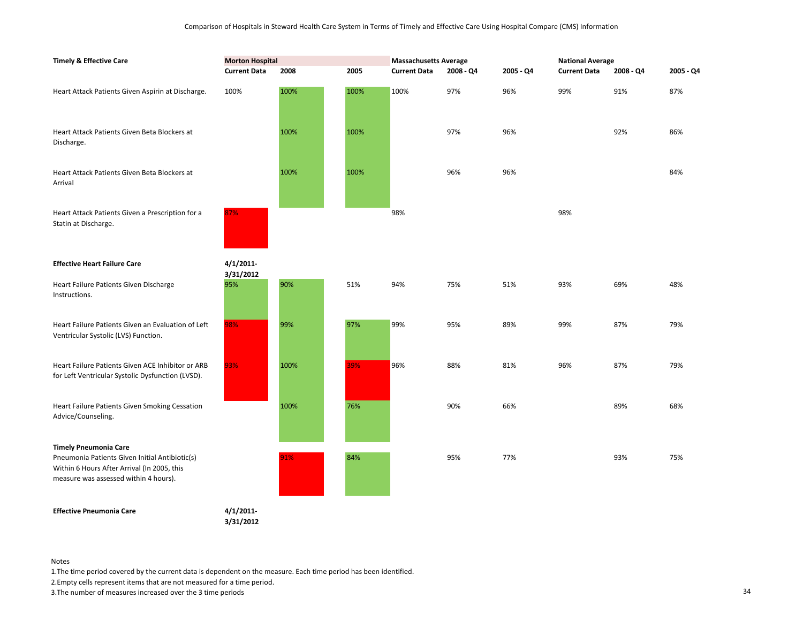| <b>Timely &amp; Effective Care</b>                                                                                                                                     | <b>Morton Hospital</b>    |      |      | <b>Massachusetts Average</b> |           |           | <b>National Average</b> |           |           |
|------------------------------------------------------------------------------------------------------------------------------------------------------------------------|---------------------------|------|------|------------------------------|-----------|-----------|-------------------------|-----------|-----------|
|                                                                                                                                                                        | <b>Current Data</b>       | 2008 | 2005 | <b>Current Data</b>          | 2008 - Q4 | 2005 - Q4 | <b>Current Data</b>     | 2008 - Q4 | 2005 - Q4 |
| Heart Attack Patients Given Aspirin at Discharge.                                                                                                                      | 100%                      | 100% | 100% | 100%                         | 97%       | 96%       | 99%                     | 91%       | 87%       |
| Heart Attack Patients Given Beta Blockers at<br>Discharge.                                                                                                             |                           | 100% | 100% |                              | 97%       | 96%       |                         | 92%       | 86%       |
| Heart Attack Patients Given Beta Blockers at<br>Arrival                                                                                                                |                           | 100% | 100% |                              | 96%       | 96%       |                         |           | 84%       |
| Heart Attack Patients Given a Prescription for a<br>Statin at Discharge.                                                                                               | 87%                       |      |      | 98%                          |           |           | 98%                     |           |           |
| <b>Effective Heart Failure Care</b>                                                                                                                                    | $4/1/2011$ -<br>3/31/2012 |      |      |                              |           |           |                         |           |           |
| Heart Failure Patients Given Discharge<br>Instructions.                                                                                                                | 95%                       | 90%  | 51%  | 94%                          | 75%       | 51%       | 93%                     | 69%       | 48%       |
| Heart Failure Patients Given an Evaluation of Left<br>Ventricular Systolic (LVS) Function.                                                                             | 98%                       | 99%  | 97%  | 99%                          | 95%       | 89%       | 99%                     | 87%       | 79%       |
| Heart Failure Patients Given ACE Inhibitor or ARB<br>for Left Ventricular Systolic Dysfunction (LVSD).                                                                 | 93%                       | 100% | 39%  | 96%                          | 88%       | 81%       | 96%                     | 87%       | 79%       |
| Heart Failure Patients Given Smoking Cessation<br>Advice/Counseling.                                                                                                   |                           | 100% | 76%  |                              | 90%       | 66%       |                         | 89%       | 68%       |
| <b>Timely Pneumonia Care</b><br>Pneumonia Patients Given Initial Antibiotic(s)<br>Within 6 Hours After Arrival (In 2005, this<br>measure was assessed within 4 hours). |                           | 91%  | 84%  |                              | 95%       | 77%       |                         | 93%       | 75%       |
| <b>Effective Pneumonia Care</b>                                                                                                                                        | $4/1/2011$ -<br>3/31/2012 |      |      |                              |           |           |                         |           |           |

1.The time period covered by the current data is dependent on the measure. Each time period has been identified.

2.Empty cells represent items that are not measured for a time period.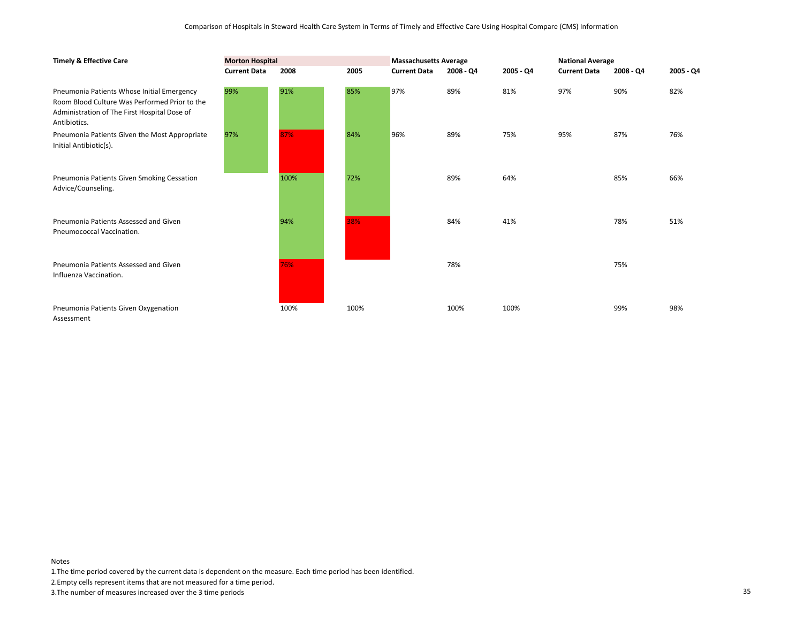| <b>Timely &amp; Effective Care</b>                                                                                                                          | <b>Morton Hospital</b> |      |      | <b>Massachusetts Average</b> |             |           | <b>National Average</b> |           |           |
|-------------------------------------------------------------------------------------------------------------------------------------------------------------|------------------------|------|------|------------------------------|-------------|-----------|-------------------------|-----------|-----------|
|                                                                                                                                                             | <b>Current Data</b>    | 2008 | 2005 | <b>Current Data</b>          | $2008 - QA$ | 2005 - Q4 | <b>Current Data</b>     | 2008 - Q4 | 2005 - Q4 |
| Pneumonia Patients Whose Initial Emergency<br>Room Blood Culture Was Performed Prior to the<br>Administration of The First Hospital Dose of<br>Antibiotics. | 99%                    | 91%  | 85%  | 97%                          | 89%         | 81%       | 97%                     | 90%       | 82%       |
| Pneumonia Patients Given the Most Appropriate<br>Initial Antibiotic(s).                                                                                     | 97%                    | 87%  | 84%  | 96%                          | 89%         | 75%       | 95%                     | 87%       | 76%       |
| Pneumonia Patients Given Smoking Cessation<br>Advice/Counseling.                                                                                            |                        | 100% | 72%  |                              | 89%         | 64%       |                         | 85%       | 66%       |
| Pneumonia Patients Assessed and Given<br>Pneumococcal Vaccination.                                                                                          |                        | 94%  | 38%  |                              | 84%         | 41%       |                         | 78%       | 51%       |
| Pneumonia Patients Assessed and Given<br>Influenza Vaccination.                                                                                             |                        | 76%  |      |                              | 78%         |           |                         | 75%       |           |
| Pneumonia Patients Given Oxygenation<br>Assessment                                                                                                          |                        | 100% | 100% |                              | 100%        | 100%      |                         | 99%       | 98%       |

1.The time period covered by the current data is dependent on the measure. Each time period has been identified.

2.Empty cells represent items that are not measured for a time period.

3.The number of measures increased over the 3 time periods 35

Notes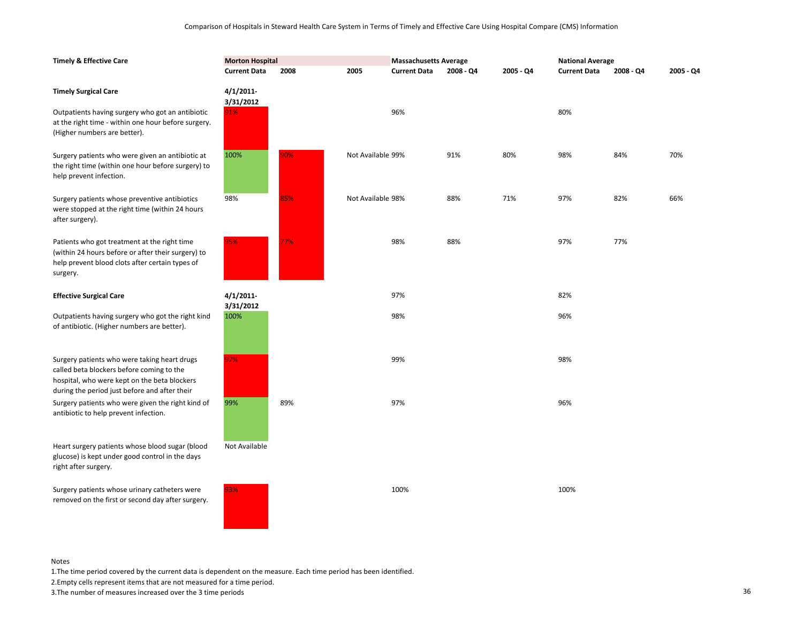| <b>Timely &amp; Effective Care</b>                                                                                                                                                         | <b>Morton Hospital</b>    |      |                   | <b>Massachusetts Average</b> |           |           | <b>National Average</b> |           |           |
|--------------------------------------------------------------------------------------------------------------------------------------------------------------------------------------------|---------------------------|------|-------------------|------------------------------|-----------|-----------|-------------------------|-----------|-----------|
|                                                                                                                                                                                            | <b>Current Data</b>       | 2008 | 2005              | <b>Current Data</b>          | 2008 - Q4 | 2005 - Q4 | <b>Current Data</b>     | 2008 - Q4 | 2005 - Q4 |
| <b>Timely Surgical Care</b>                                                                                                                                                                | 4/1/2011<br>3/31/2012     |      |                   |                              |           |           |                         |           |           |
| Outpatients having surgery who got an antibiotic<br>at the right time - within one hour before surgery.<br>(Higher numbers are better).                                                    | 91%                       |      |                   | 96%                          |           |           | 80%                     |           |           |
| Surgery patients who were given an antibiotic at<br>the right time (within one hour before surgery) to<br>help prevent infection.                                                          | 100%                      | 90%  | Not Available 99% |                              | 91%       | 80%       | 98%                     | 84%       | 70%       |
| Surgery patients whose preventive antibiotics<br>were stopped at the right time (within 24 hours<br>after surgery).                                                                        | 98%                       | 85%  | Not Available 98% |                              | 88%       | 71%       | 97%                     | 82%       | 66%       |
| Patients who got treatment at the right time<br>(within 24 hours before or after their surgery) to<br>help prevent blood clots after certain types of<br>surgery.                          | 95%                       | 77%  |                   | 98%                          | 88%       |           | 97%                     | 77%       |           |
| <b>Effective Surgical Care</b>                                                                                                                                                             | $4/1/2011$ -<br>3/31/2012 |      |                   | 97%                          |           |           | 82%                     |           |           |
| Outpatients having surgery who got the right kind<br>of antibiotic. (Higher numbers are better).                                                                                           | 100%                      |      |                   | 98%                          |           |           | 96%                     |           |           |
| Surgery patients who were taking heart drugs<br>called beta blockers before coming to the<br>hospital, who were kept on the beta blockers<br>during the period just before and after their | 97%                       |      |                   | 99%                          |           |           | 98%                     |           |           |
| Surgery patients who were given the right kind of<br>antibiotic to help prevent infection.                                                                                                 | 99%                       | 89%  |                   | 97%                          |           |           | 96%                     |           |           |
| Heart surgery patients whose blood sugar (blood<br>glucose) is kept under good control in the days<br>right after surgery.                                                                 | Not Available             |      |                   |                              |           |           |                         |           |           |
| Surgery patients whose urinary catheters were<br>removed on the first or second day after surgery.                                                                                         | 93%                       |      |                   | 100%                         |           |           | 100%                    |           |           |

1.The time period covered by the current data is dependent on the measure. Each time period has been identified.

2.Empty cells represent items that are not measured for a time period.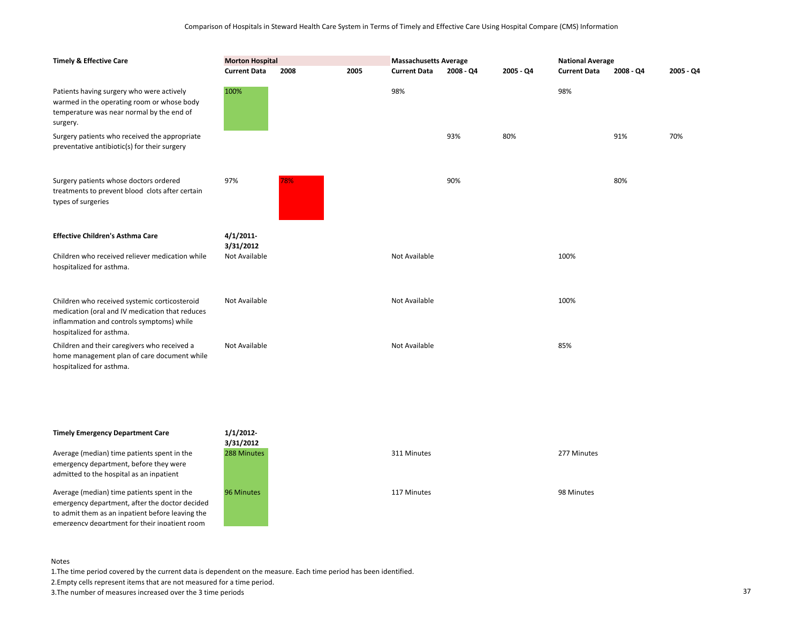| <b>Timely &amp; Effective Care</b>                                                                                                                                        | <b>Morton Hospital</b> |      |      | <b>Massachusetts Average</b> |           |           | <b>National Average</b> |           |           |
|---------------------------------------------------------------------------------------------------------------------------------------------------------------------------|------------------------|------|------|------------------------------|-----------|-----------|-------------------------|-----------|-----------|
|                                                                                                                                                                           | <b>Current Data</b>    | 2008 | 2005 | <b>Current Data</b>          | 2008 - Q4 | 2005 - Q4 | <b>Current Data</b>     | 2008 - Q4 | 2005 - Q4 |
| Patients having surgery who were actively<br>warmed in the operating room or whose body<br>temperature was near normal by the end of<br>surgery.                          | 100%                   |      |      | 98%                          |           |           | 98%                     |           |           |
| Surgery patients who received the appropriate<br>preventative antibiotic(s) for their surgery                                                                             |                        |      |      |                              | 93%       | 80%       |                         | 91%       | 70%       |
| Surgery patients whose doctors ordered<br>treatments to prevent blood clots after certain<br>types of surgeries                                                           | 97%                    | 78%  |      |                              | 90%       |           |                         | 80%       |           |
| <b>Effective Children's Asthma Care</b>                                                                                                                                   | 4/1/2011<br>3/31/2012  |      |      |                              |           |           |                         |           |           |
| Children who received reliever medication while<br>hospitalized for asthma.                                                                                               | Not Available          |      |      | Not Available                |           |           | 100%                    |           |           |
| Children who received systemic corticosteroid<br>medication (oral and IV medication that reduces<br>inflammation and controls symptoms) while<br>hospitalized for asthma. | Not Available          |      |      | Not Available                |           |           | 100%                    |           |           |
| Children and their caregivers who received a<br>home management plan of care document while<br>hospitalized for asthma.                                                   | Not Available          |      |      | Not Available                |           |           | 85%                     |           |           |

# **Timely Emergency Department Care**

Average (median) time patients spent in the emergency department, before they were admitted to the hospital as an inpatient

Average (median) time patients spent in the emergency department, after the doctor decided to admit them as an inpatient before leaving the emergency department for their inpatient room



#### Notes

1.The time period covered by the current data is dependent on the measure. Each time period has been identified.

2.Empty cells represent items that are not measured for a time period.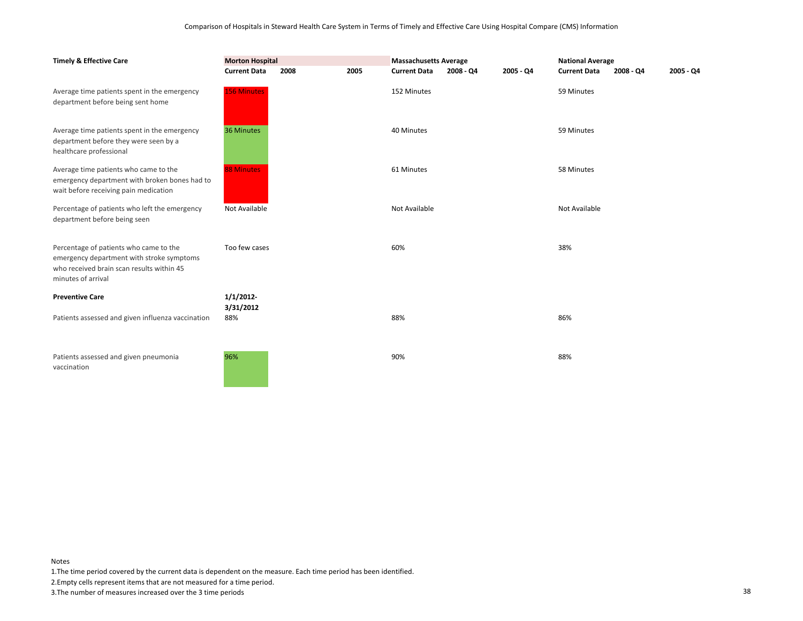| <b>Timely &amp; Effective Care</b>                                                                                                                     | <b>Morton Hospital</b> |      |      | <b>Massachusetts Average</b> |           |           | <b>National Average</b> |           |             |
|--------------------------------------------------------------------------------------------------------------------------------------------------------|------------------------|------|------|------------------------------|-----------|-----------|-------------------------|-----------|-------------|
|                                                                                                                                                        | <b>Current Data</b>    | 2008 | 2005 | <b>Current Data</b>          | 2008 - Q4 | 2005 - Q4 | <b>Current Data</b>     | 2008 - Q4 | $2005 - Q4$ |
| Average time patients spent in the emergency<br>department before being sent home                                                                      | <b>156 Minutes</b>     |      |      | 152 Minutes                  |           |           | 59 Minutes              |           |             |
| Average time patients spent in the emergency<br>department before they were seen by a<br>healthcare professional                                       | 36 Minutes             |      |      | 40 Minutes                   |           |           | 59 Minutes              |           |             |
| Average time patients who came to the<br>emergency department with broken bones had to<br>wait before receiving pain medication                        | <b>88 Minutes</b>      |      |      | 61 Minutes                   |           |           | 58 Minutes              |           |             |
| Percentage of patients who left the emergency<br>department before being seen                                                                          | Not Available          |      |      | Not Available                |           |           | Not Available           |           |             |
| Percentage of patients who came to the<br>emergency department with stroke symptoms<br>who received brain scan results within 45<br>minutes of arrival | Too few cases          |      |      | 60%                          |           |           | 38%                     |           |             |
| <b>Preventive Care</b>                                                                                                                                 | 1/1/2012               |      |      |                              |           |           |                         |           |             |
| Patients assessed and given influenza vaccination                                                                                                      | 3/31/2012<br>88%       |      |      | 88%                          |           |           | 86%                     |           |             |
| Patients assessed and given pneumonia<br>vaccination                                                                                                   | 96%                    |      |      | 90%                          |           |           | 88%                     |           |             |

1.The time period covered by the current data is dependent on the measure. Each time period has been identified.

2.Empty cells represent items that are not measured for a time period.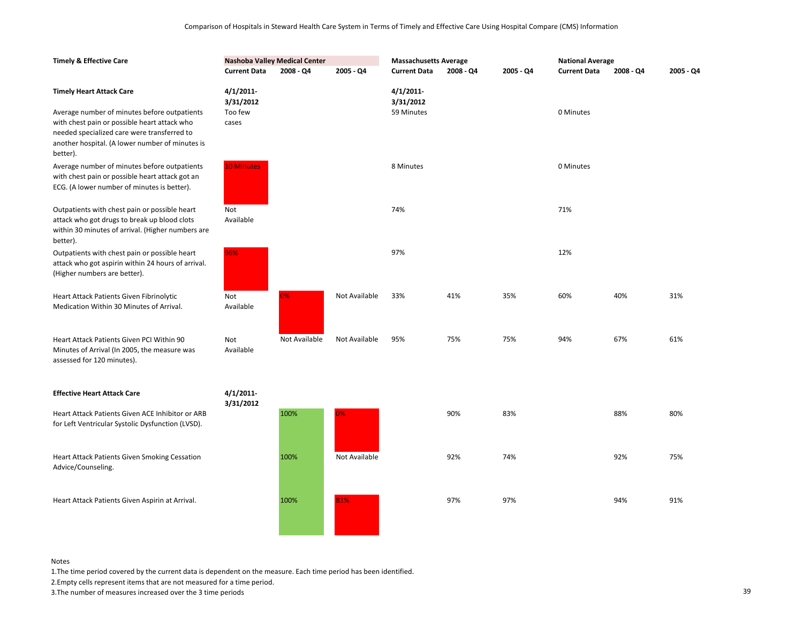| <b>Timely &amp; Effective Care</b>                                                                                                                             |                                      | Nashoba Valley Medical Center |               | <b>Massachusetts Average</b>            |             |           | <b>National Average</b> |           |           |
|----------------------------------------------------------------------------------------------------------------------------------------------------------------|--------------------------------------|-------------------------------|---------------|-----------------------------------------|-------------|-----------|-------------------------|-----------|-----------|
|                                                                                                                                                                | <b>Current Data</b>                  | $2008 - Q4$                   | 2005 - Q4     | <b>Current Data</b>                     | $2008 - Q4$ | 2005 - Q4 | <b>Current Data</b>     | 2008 - Q4 | 2005 - Q4 |
| <b>Timely Heart Attack Care</b><br>Average number of minutes before outpatients                                                                                | $4/1/2011$ -<br>3/31/2012<br>Too few |                               |               | $4/1/2011$ -<br>3/31/2012<br>59 Minutes |             |           | 0 Minutes               |           |           |
| with chest pain or possible heart attack who<br>needed specialized care were transferred to<br>another hospital. (A lower number of minutes is<br>better).     | cases                                |                               |               |                                         |             |           |                         |           |           |
| Average number of minutes before outpatients<br>with chest pain or possible heart attack got an<br>ECG. (A lower number of minutes is better).                 | <b>10 Minutes</b>                    |                               |               | 8 Minutes                               |             |           | 0 Minutes               |           |           |
| Outpatients with chest pain or possible heart<br>attack who got drugs to break up blood clots<br>within 30 minutes of arrival. (Higher numbers are<br>better). | Not<br>Available                     |                               |               | 74%                                     |             |           | 71%                     |           |           |
| Outpatients with chest pain or possible heart<br>attack who got aspirin within 24 hours of arrival.<br>(Higher numbers are better).                            | 96%                                  |                               |               | 97%                                     |             |           | 12%                     |           |           |
| Heart Attack Patients Given Fibrinolytic<br>Medication Within 30 Minutes of Arrival.                                                                           | Not<br>Available                     | $2\%$                         | Not Available | 33%                                     | 41%         | 35%       | 60%                     | 40%       | 31%       |
| Heart Attack Patients Given PCI Within 90<br>Minutes of Arrival (In 2005, the measure was<br>assessed for 120 minutes).                                        | Not<br>Available                     | Not Available                 | Not Available | 95%                                     | 75%         | 75%       | 94%                     | 67%       | 61%       |
| <b>Effective Heart Attack Care</b>                                                                                                                             | 4/1/2011<br>3/31/2012                |                               |               |                                         |             |           |                         |           |           |
| Heart Attack Patients Given ACE Inhibitor or ARB<br>for Left Ventricular Systolic Dysfunction (LVSD).                                                          |                                      | 100%                          | 0%            |                                         | 90%         | 83%       |                         | 88%       | 80%       |
| Heart Attack Patients Given Smoking Cessation<br>Advice/Counseling.                                                                                            |                                      | 100%                          | Not Available |                                         | 92%         | 74%       |                         | 92%       | 75%       |
| Heart Attack Patients Given Aspirin at Arrival.                                                                                                                |                                      | 100%                          | 81%           |                                         | 97%         | 97%       |                         | 94%       | 91%       |

1.The time period covered by the current data is dependent on the measure. Each time period has been identified.

2.Empty cells represent items that are not measured for a time period.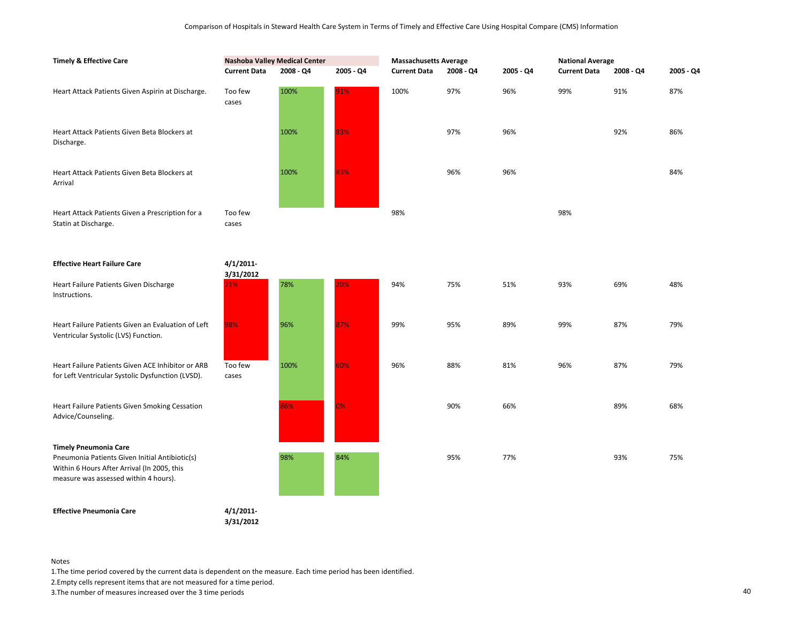| <b>Timely &amp; Effective Care</b>                                                                                                                                     | <b>Nashoba Valley Medical Center</b> |           |           | <b>Massachusetts Average</b> |           |           | <b>National Average</b> |           |           |
|------------------------------------------------------------------------------------------------------------------------------------------------------------------------|--------------------------------------|-----------|-----------|------------------------------|-----------|-----------|-------------------------|-----------|-----------|
|                                                                                                                                                                        | <b>Current Data</b>                  | 2008 - Q4 | 2005 - Q4 | <b>Current Data</b>          | 2008 - Q4 | 2005 - Q4 | <b>Current Data</b>     | 2008 - Q4 | 2005 - Q4 |
| Heart Attack Patients Given Aspirin at Discharge.                                                                                                                      | Too few<br>cases                     | 100%      | 91%       | 100%                         | 97%       | 96%       | 99%                     | 91%       | 87%       |
| Heart Attack Patients Given Beta Blockers at<br>Discharge.                                                                                                             |                                      | 100%      | 83%       |                              | 97%       | 96%       |                         | 92%       | 86%       |
| Heart Attack Patients Given Beta Blockers at<br>Arrival                                                                                                                |                                      | 100%      | 83%       |                              | 96%       | 96%       |                         |           | 84%       |
| Heart Attack Patients Given a Prescription for a<br>Statin at Discharge.                                                                                               | Too few<br>cases                     |           |           | 98%                          |           |           | 98%                     |           |           |
| <b>Effective Heart Failure Care</b>                                                                                                                                    | 4/1/2011<br>3/31/2012                |           |           |                              |           |           |                         |           |           |
| Heart Failure Patients Given Discharge<br>Instructions.                                                                                                                | 71%                                  | 78%       | 20%       | 94%                          | 75%       | 51%       | 93%                     | 69%       | 48%       |
| Heart Failure Patients Given an Evaluation of Left<br>Ventricular Systolic (LVS) Function.                                                                             | 98%                                  | 96%       | 87%       | 99%                          | 95%       | 89%       | 99%                     | 87%       | 79%       |
| Heart Failure Patients Given ACE Inhibitor or ARB<br>for Left Ventricular Systolic Dysfunction (LVSD).                                                                 | Too few<br>cases                     | 100%      | 60%       | 96%                          | 88%       | 81%       | 96%                     | 87%       | 79%       |
| Heart Failure Patients Given Smoking Cessation<br>Advice/Counseling.                                                                                                   |                                      | 86%       | 0%        |                              | 90%       | 66%       |                         | 89%       | 68%       |
| <b>Timely Pneumonia Care</b><br>Pneumonia Patients Given Initial Antibiotic(s)<br>Within 6 Hours After Arrival (In 2005, this<br>measure was assessed within 4 hours). |                                      | 98%       | 84%       |                              | 95%       | 77%       |                         | 93%       | 75%       |
| <b>Effective Pneumonia Care</b>                                                                                                                                        | $4/1/2011$ -                         |           |           |                              |           |           |                         |           |           |

**3/31/2012**

Notes

1.The time period covered by the current data is dependent on the measure. Each time period has been identified.

2.Empty cells represent items that are not measured for a time period.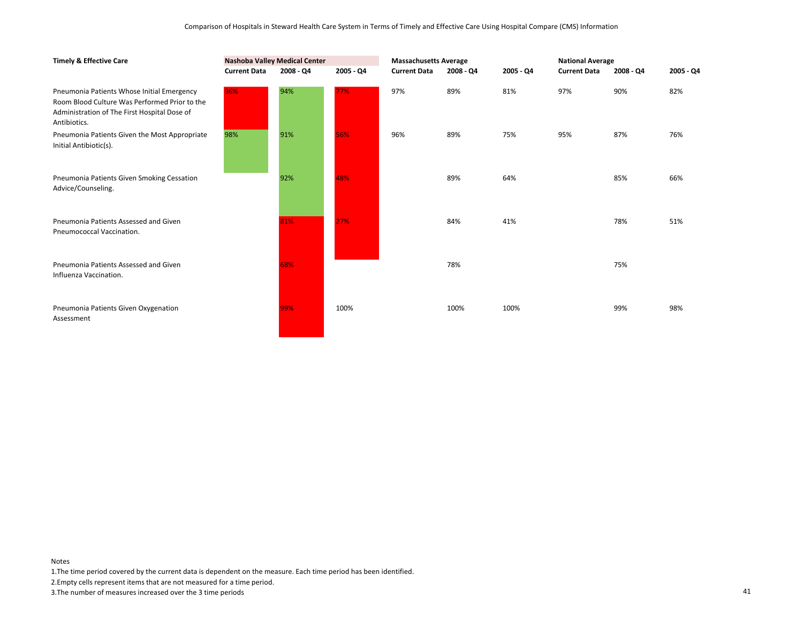| <b>Timely &amp; Effective Care</b>                                                                                                                          | <b>Nashoba Valley Medical Center</b> |           |             | <b>Massachusetts Average</b> |           |           | <b>National Average</b> |             |           |
|-------------------------------------------------------------------------------------------------------------------------------------------------------------|--------------------------------------|-----------|-------------|------------------------------|-----------|-----------|-------------------------|-------------|-----------|
|                                                                                                                                                             | <b>Current Data</b>                  | 2008 - Q4 | $2005 - Q4$ | <b>Current Data</b>          | 2008 - Q4 | 2005 - Q4 | <b>Current Data</b>     | $2008 - Q4$ | 2005 - Q4 |
| Pneumonia Patients Whose Initial Emergency<br>Room Blood Culture Was Performed Prior to the<br>Administration of The First Hospital Dose of<br>Antibiotics. | 96%                                  | 94%       | 77%         | 97%                          | 89%       | 81%       | 97%                     | 90%         | 82%       |
| Pneumonia Patients Given the Most Appropriate<br>Initial Antibiotic(s).                                                                                     | 98%                                  | 91%       | 56%         | 96%                          | 89%       | 75%       | 95%                     | 87%         | 76%       |
| Pneumonia Patients Given Smoking Cessation<br>Advice/Counseling.                                                                                            |                                      | 92%       | 48%         |                              | 89%       | 64%       |                         | 85%         | 66%       |
| Pneumonia Patients Assessed and Given<br>Pneumococcal Vaccination.                                                                                          |                                      | 81%       | 27%         |                              | 84%       | 41%       |                         | 78%         | 51%       |
| Pneumonia Patients Assessed and Given<br>Influenza Vaccination.                                                                                             |                                      | 68%       |             |                              | 78%       |           |                         | 75%         |           |
| Pneumonia Patients Given Oxygenation<br>Assessment                                                                                                          |                                      | 99%       | 100%        |                              | 100%      | 100%      |                         | 99%         | 98%       |

1.The time period covered by the current data is dependent on the measure. Each time period has been identified.

2.Empty cells represent items that are not measured for a time period.

3.The number of measures increased over the 3 time periods 41

Notes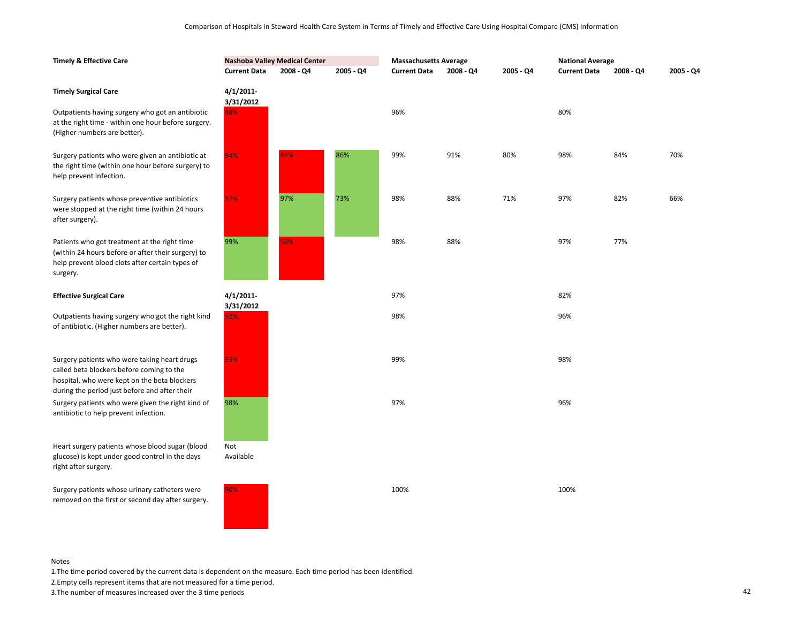| <b>Timely &amp; Effective Care</b>                                                                                                                                                         | <b>Nashoba Valley Medical Center</b> |           |           | <b>Massachusetts Average</b> |           |           | <b>National Average</b> |             |           |
|--------------------------------------------------------------------------------------------------------------------------------------------------------------------------------------------|--------------------------------------|-----------|-----------|------------------------------|-----------|-----------|-------------------------|-------------|-----------|
|                                                                                                                                                                                            | <b>Current Data</b>                  | 2008 - Q4 | 2005 - Q4 | <b>Current Data</b>          | 2008 - Q4 | 2005 - Q4 | <b>Current Data</b>     | $2008 - Q4$ | 2005 - Q4 |
| <b>Timely Surgical Care</b>                                                                                                                                                                | $4/1/2011$ -<br>3/31/2012            |           |           |                              |           |           |                         |             |           |
| Outpatients having surgery who got an antibiotic<br>at the right time - within one hour before surgery.<br>(Higher numbers are better).                                                    | 88%                                  |           |           | 96%                          |           |           | 80%                     |             |           |
| Surgery patients who were given an antibiotic at<br>the right time (within one hour before surgery) to<br>help prevent infection.                                                          | 94%                                  | 84%       | 86%       | 99%                          | 91%       | 80%       | 98%                     | 84%         | 70%       |
| Surgery patients whose preventive antibiotics<br>were stopped at the right time (within 24 hours<br>after surgery).                                                                        | 97%                                  | 97%       | 73%       | 98%                          | 88%       | 71%       | 97%                     | 82%         | 66%       |
| Patients who got treatment at the right time<br>(within 24 hours before or after their surgery) to<br>help prevent blood clots after certain types of<br>surgery.                          | 99%                                  | 58%       |           | 98%                          | 88%       |           | 97%                     | 77%         |           |
| <b>Effective Surgical Care</b>                                                                                                                                                             | $4/1/2011$ -<br>3/31/2012            |           |           | 97%                          |           |           | 82%                     |             |           |
| Outpatients having surgery who got the right kind<br>of antibiotic. (Higher numbers are better).                                                                                           | 92%                                  |           |           | 98%                          |           |           | 96%                     |             |           |
| Surgery patients who were taking heart drugs<br>called beta blockers before coming to the<br>hospital, who were kept on the beta blockers<br>during the period just before and after their | 93%                                  |           |           | 99%                          |           |           | 98%                     |             |           |
| Surgery patients who were given the right kind of<br>antibiotic to help prevent infection.                                                                                                 | 98%                                  |           |           | 97%                          |           |           | 96%                     |             |           |
| Heart surgery patients whose blood sugar (blood<br>glucose) is kept under good control in the days<br>right after surgery.                                                                 | Not<br>Available                     |           |           |                              |           |           |                         |             |           |
| Surgery patients whose urinary catheters were<br>removed on the first or second day after surgery.                                                                                         | 90%                                  |           |           | 100%                         |           |           | 100%                    |             |           |

1.The time period covered by the current data is dependent on the measure. Each time period has been identified.

2.Empty cells represent items that are not measured for a time period.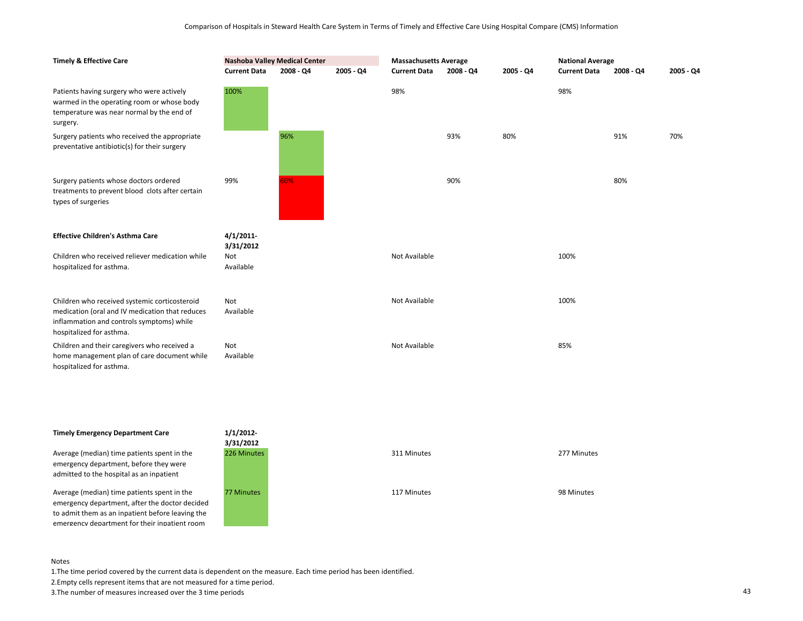| <b>Timely &amp; Effective Care</b>                                                                                                                                        | <b>Nashoba Valley Medical Center</b> |             |           | <b>Massachusetts Average</b> |           |           | <b>National Average</b> |           |           |
|---------------------------------------------------------------------------------------------------------------------------------------------------------------------------|--------------------------------------|-------------|-----------|------------------------------|-----------|-----------|-------------------------|-----------|-----------|
|                                                                                                                                                                           | <b>Current Data</b>                  | $2008 - Q4$ | 2005 - Q4 | <b>Current Data</b>          | 2008 - Q4 | 2005 - Q4 | <b>Current Data</b>     | 2008 - Q4 | 2005 - Q4 |
| Patients having surgery who were actively<br>warmed in the operating room or whose body<br>temperature was near normal by the end of<br>surgery.                          | 100%                                 |             |           | 98%                          |           |           | 98%                     |           |           |
| Surgery patients who received the appropriate<br>preventative antibiotic(s) for their surgery                                                                             |                                      | 96%         |           |                              | 93%       | 80%       |                         | 91%       | 70%       |
| Surgery patients whose doctors ordered<br>treatments to prevent blood clots after certain<br>types of surgeries                                                           | 99%                                  | 60%         |           |                              | 90%       |           |                         | 80%       |           |
| <b>Effective Children's Asthma Care</b>                                                                                                                                   | 4/1/2011<br>3/31/2012                |             |           |                              |           |           |                         |           |           |
| Children who received reliever medication while<br>hospitalized for asthma.                                                                                               | Not<br>Available                     |             |           | Not Available                |           |           | 100%                    |           |           |
| Children who received systemic corticosteroid<br>medication (oral and IV medication that reduces<br>inflammation and controls symptoms) while<br>hospitalized for asthma. | Not<br>Available                     |             |           | Not Available                |           |           | 100%                    |           |           |
| Children and their caregivers who received a<br>home management plan of care document while<br>hospitalized for asthma.                                                   | Not<br>Available                     |             |           | Not Available                |           |           | 85%                     |           |           |

# **Timely Emergency Department Care**

Average (median) time patients spent in the emergency department, before they were admitted to the hospital as an inpatient

Average (median) time patients spent in the emergency department, after the doctor decided to admit them as an inpatient before leaving the emergency department for their inpatient room



#### Notes

1.The time period covered by the current data is dependent on the measure. Each time period has been identified.

2.Empty cells represent items that are not measured for a time period.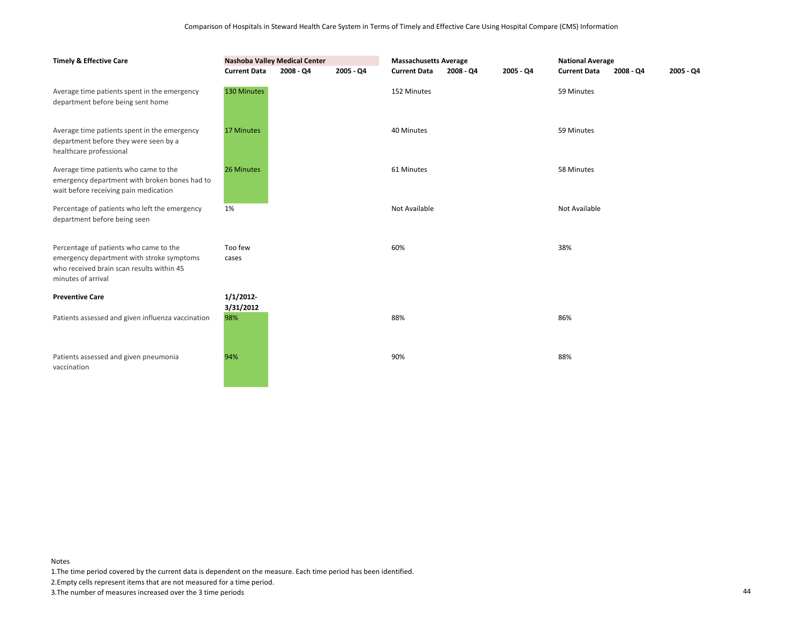| <b>Timely &amp; Effective Care</b>                                                                                                                     | <b>Nashoba Valley Medical Center</b> |             | <b>Massachusetts Average</b> |                     |           | <b>National Average</b> |                     |                            |  |
|--------------------------------------------------------------------------------------------------------------------------------------------------------|--------------------------------------|-------------|------------------------------|---------------------|-----------|-------------------------|---------------------|----------------------------|--|
|                                                                                                                                                        | <b>Current Data</b>                  | $2008 - Q4$ | $2005 - Q4$                  | <b>Current Data</b> | 2008 - Q4 | 2005 - Q4               | <b>Current Data</b> | $2005 - Q4$<br>$2008 - Q4$ |  |
| Average time patients spent in the emergency<br>department before being sent home                                                                      | 130 Minutes                          |             |                              | 152 Minutes         |           |                         | 59 Minutes          |                            |  |
| Average time patients spent in the emergency<br>department before they were seen by a<br>healthcare professional                                       | <b>17 Minutes</b>                    |             |                              | 40 Minutes          |           |                         | 59 Minutes          |                            |  |
| Average time patients who came to the<br>emergency department with broken bones had to<br>wait before receiving pain medication                        | 26 Minutes                           |             |                              | 61 Minutes          |           |                         | 58 Minutes          |                            |  |
| Percentage of patients who left the emergency<br>department before being seen                                                                          | 1%                                   |             |                              | Not Available       |           |                         | Not Available       |                            |  |
| Percentage of patients who came to the<br>emergency department with stroke symptoms<br>who received brain scan results within 45<br>minutes of arrival | Too few<br>cases                     |             |                              | 60%                 |           |                         | 38%                 |                            |  |
| <b>Preventive Care</b>                                                                                                                                 | 1/1/2012                             |             |                              |                     |           |                         |                     |                            |  |
| Patients assessed and given influenza vaccination                                                                                                      | 3/31/2012<br>98%                     |             |                              | 88%                 |           |                         | 86%                 |                            |  |
| Patients assessed and given pneumonia<br>vaccination                                                                                                   | 94%                                  |             |                              | 90%                 |           |                         | 88%                 |                            |  |

1.The time period covered by the current data is dependent on the measure. Each time period has been identified.

2.Empty cells represent items that are not measured for a time period.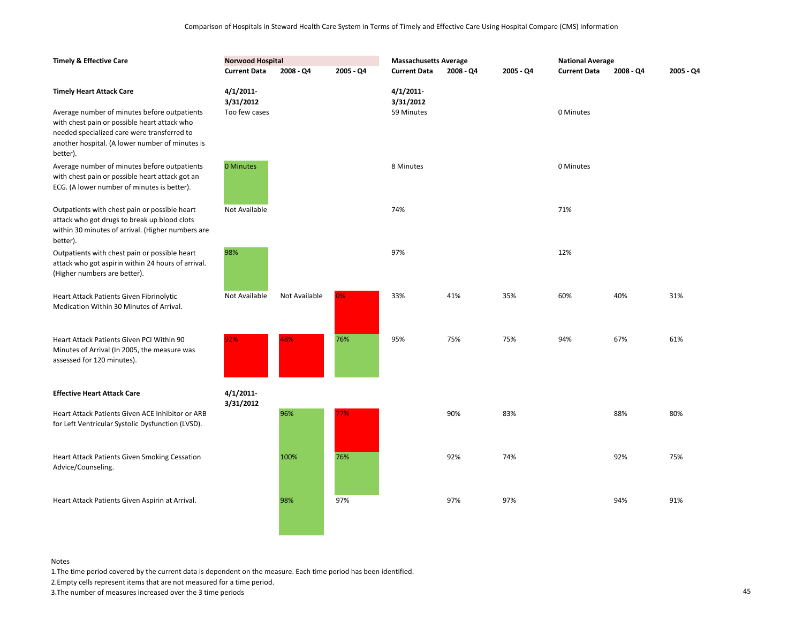| <b>Timely &amp; Effective Care</b>                                                                                                                                                                         | <b>Norwood Hospital</b> |               |           | <b>Massachusetts Average</b> |           |           | <b>National Average</b> |           |           |
|------------------------------------------------------------------------------------------------------------------------------------------------------------------------------------------------------------|-------------------------|---------------|-----------|------------------------------|-----------|-----------|-------------------------|-----------|-----------|
|                                                                                                                                                                                                            | <b>Current Data</b>     | 2008 - Q4     | 2005 - Q4 | <b>Current Data</b>          | 2008 - Q4 | 2005 - Q4 | <b>Current Data</b>     | 2008 - Q4 | 2005 - Q4 |
| <b>Timely Heart Attack Care</b>                                                                                                                                                                            | 4/1/2011<br>3/31/2012   |               |           | 4/1/2011<br>3/31/2012        |           |           |                         |           |           |
| Average number of minutes before outpatients<br>with chest pain or possible heart attack who<br>needed specialized care were transferred to<br>another hospital. (A lower number of minutes is<br>better). | Too few cases           |               |           | 59 Minutes                   |           |           | 0 Minutes               |           |           |
| Average number of minutes before outpatients<br>with chest pain or possible heart attack got an<br>ECG. (A lower number of minutes is better).                                                             | 0 Minutes               |               |           | 8 Minutes                    |           |           | 0 Minutes               |           |           |
| Outpatients with chest pain or possible heart<br>attack who got drugs to break up blood clots<br>within 30 minutes of arrival. (Higher numbers are<br>better).                                             | Not Available           |               |           | 74%                          |           |           | 71%                     |           |           |
| Outpatients with chest pain or possible heart<br>attack who got aspirin within 24 hours of arrival.<br>(Higher numbers are better).                                                                        | 98%                     |               |           | 97%                          |           |           | 12%                     |           |           |
| Heart Attack Patients Given Fibrinolytic<br>Medication Within 30 Minutes of Arrival.                                                                                                                       | Not Available           | Not Available | 0%        | 33%                          | 41%       | 35%       | 60%                     | 40%       | 31%       |
| Heart Attack Patients Given PCI Within 90<br>Minutes of Arrival (In 2005, the measure was<br>assessed for 120 minutes).                                                                                    | 92%                     | 48%           | 76%       | 95%                          | 75%       | 75%       | 94%                     | 67%       | 61%       |
| <b>Effective Heart Attack Care</b>                                                                                                                                                                         | 4/1/2011<br>3/31/2012   |               |           |                              |           |           |                         |           |           |
| Heart Attack Patients Given ACE Inhibitor or ARB<br>for Left Ventricular Systolic Dysfunction (LVSD).                                                                                                      |                         | 96%           | 7%        |                              | 90%       | 83%       |                         | 88%       | 80%       |
| <b>Heart Attack Patients Given Smoking Cessation</b><br>Advice/Counseling.                                                                                                                                 |                         | 100%          | 76%       |                              | 92%       | 74%       |                         | 92%       | 75%       |
| Heart Attack Patients Given Aspirin at Arrival.                                                                                                                                                            |                         | 98%           | 97%       |                              | 97%       | 97%       |                         | 94%       | 91%       |

1.The time period covered by the current data is dependent on the measure. Each time period has been identified.

2.Empty cells represent items that are not measured for a time period.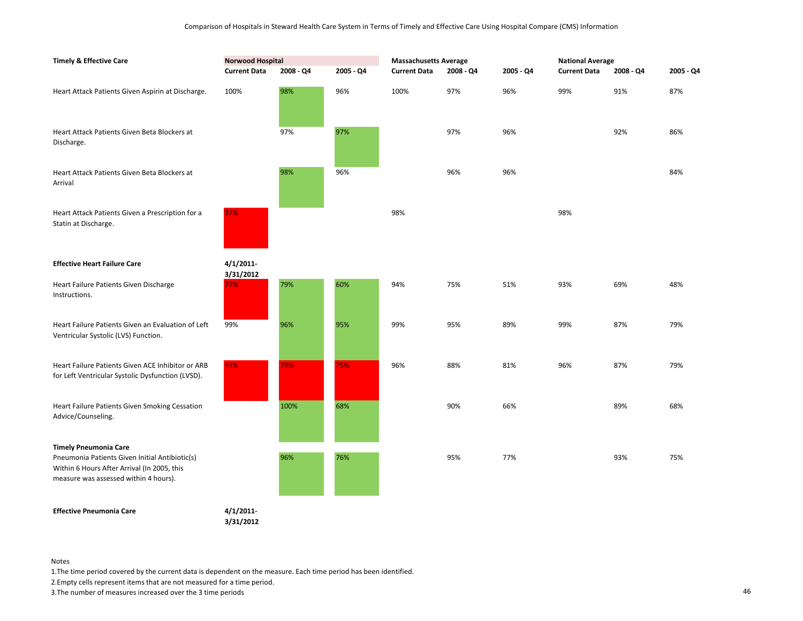| <b>Timely &amp; Effective Care</b>                                                                                                     | <b>Norwood Hospital</b> |           |           | <b>Massachusetts Average</b> |             |           | <b>National Average</b> |           |           |
|----------------------------------------------------------------------------------------------------------------------------------------|-------------------------|-----------|-----------|------------------------------|-------------|-----------|-------------------------|-----------|-----------|
|                                                                                                                                        | <b>Current Data</b>     | 2008 - Q4 | 2005 - Q4 | <b>Current Data</b>          | $2008 - Q4$ | 2005 - Q4 | <b>Current Data</b>     | 2008 - Q4 | 2005 - Q4 |
| Heart Attack Patients Given Aspirin at Discharge.                                                                                      | 100%                    | 98%       | 96%       | 100%                         | 97%         | 96%       | 99%                     | 91%       | 87%       |
| Heart Attack Patients Given Beta Blockers at<br>Discharge.                                                                             |                         | 97%       | 97%       |                              | 97%         | 96%       |                         | 92%       | 86%       |
| Heart Attack Patients Given Beta Blockers at<br>Arrival                                                                                |                         | 98%       | 96%       |                              | 96%         | 96%       |                         |           | 84%       |
| Heart Attack Patients Given a Prescription for a<br>Statin at Discharge.                                                               | 97%                     |           |           | 98%                          |             |           | 98%                     |           |           |
| <b>Effective Heart Failure Care</b>                                                                                                    | 4/1/2011<br>3/31/2012   |           |           |                              |             |           |                         |           |           |
| Heart Failure Patients Given Discharge<br>Instructions.                                                                                | 77%                     | 79%       | 60%       | 94%                          | 75%         | 51%       | 93%                     | 69%       | 48%       |
| Heart Failure Patients Given an Evaluation of Left<br>Ventricular Systolic (LVS) Function.                                             | 99%                     | 96%       | 95%       | 99%                          | 95%         | 89%       | 99%                     | 87%       | 79%       |
| Heart Failure Patients Given ACE Inhibitor or ARB<br>for Left Ventricular Systolic Dysfunction (LVSD).                                 | 93%                     | 79%       | 75%       | 96%                          | 88%         | 81%       | 96%                     | 87%       | 79%       |
| Heart Failure Patients Given Smoking Cessation<br>Advice/Counseling.                                                                   |                         | 100%      | 68%       |                              | 90%         | 66%       |                         | 89%       | 68%       |
| <b>Timely Pneumonia Care</b>                                                                                                           |                         |           |           |                              |             |           |                         |           |           |
| Pneumonia Patients Given Initial Antibiotic(s)<br>Within 6 Hours After Arrival (In 2005, this<br>measure was assessed within 4 hours). |                         | 96%       | 76%       |                              | 95%         | 77%       |                         | 93%       | 75%       |
| <b>Effective Pneumonia Care</b>                                                                                                        | 4/1/2011                |           |           |                              |             |           |                         |           |           |

**3/31/2012**

Notes

1.The time period covered by the current data is dependent on the measure. Each time period has been identified.

2.Empty cells represent items that are not measured for a time period.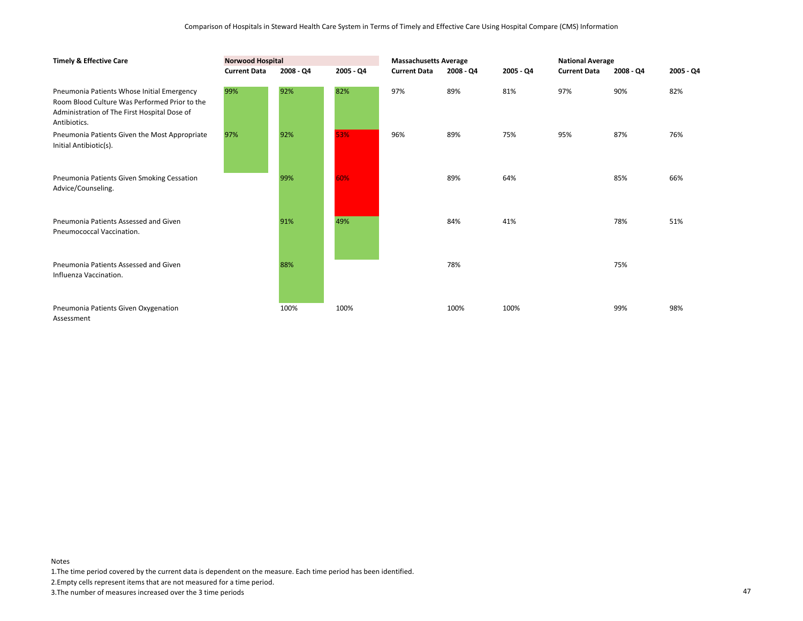| <b>Timely &amp; Effective Care</b>                                                                                                                          | <b>Norwood Hospital</b> |           |           | <b>Massachusetts Average</b> |           |             | <b>National Average</b> |             |           |
|-------------------------------------------------------------------------------------------------------------------------------------------------------------|-------------------------|-----------|-----------|------------------------------|-----------|-------------|-------------------------|-------------|-----------|
|                                                                                                                                                             | <b>Current Data</b>     | 2008 - Q4 | 2005 - Q4 | <b>Current Data</b>          | 2008 - Q4 | $2005 - Q4$ | <b>Current Data</b>     | $2008 - Q4$ | 2005 - Q4 |
| Pneumonia Patients Whose Initial Emergency<br>Room Blood Culture Was Performed Prior to the<br>Administration of The First Hospital Dose of<br>Antibiotics. | 99%                     | 92%       | 82%       | 97%                          | 89%       | 81%         | 97%                     | 90%         | 82%       |
| Pneumonia Patients Given the Most Appropriate<br>Initial Antibiotic(s).                                                                                     | 97%                     | 92%       | 53%       | 96%                          | 89%       | 75%         | 95%                     | 87%         | 76%       |
| Pneumonia Patients Given Smoking Cessation<br>Advice/Counseling.                                                                                            |                         | 99%       | 60%       |                              | 89%       | 64%         |                         | 85%         | 66%       |
| Pneumonia Patients Assessed and Given<br>Pneumococcal Vaccination.                                                                                          |                         | 91%       | 49%       |                              | 84%       | 41%         |                         | 78%         | 51%       |
| Pneumonia Patients Assessed and Given<br>Influenza Vaccination.                                                                                             |                         | 88%       |           |                              | 78%       |             |                         | 75%         |           |
| Pneumonia Patients Given Oxygenation<br>Assessment                                                                                                          |                         | 100%      | 100%      |                              | 100%      | 100%        |                         | 99%         | 98%       |

1.The time period covered by the current data is dependent on the measure. Each time period has been identified.

2.Empty cells represent items that are not measured for a time period.

3.The number of measures increased over the 3 time periods 47

Notes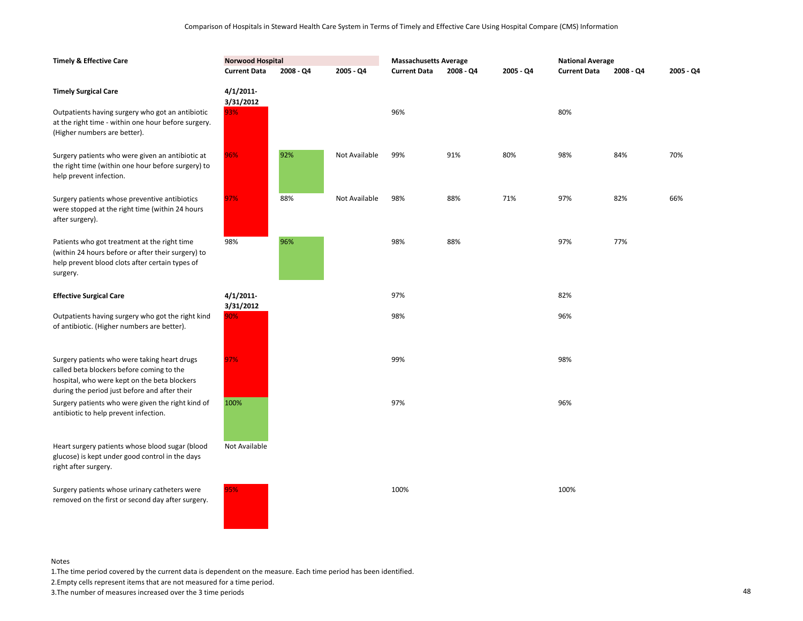| <b>Timely &amp; Effective Care</b>                                                                                                                                                         | <b>Norwood Hospital</b>   |           |               | <b>Massachusetts Average</b> |             |           | <b>National Average</b> |             |           |
|--------------------------------------------------------------------------------------------------------------------------------------------------------------------------------------------|---------------------------|-----------|---------------|------------------------------|-------------|-----------|-------------------------|-------------|-----------|
|                                                                                                                                                                                            | <b>Current Data</b>       | 2008 - Q4 | 2005 - Q4     | <b>Current Data</b>          | $2008 - Q4$ | 2005 - Q4 | <b>Current Data</b>     | $2008 - Q4$ | 2005 - Q4 |
| <b>Timely Surgical Care</b>                                                                                                                                                                | $4/1/2011$ -<br>3/31/2012 |           |               |                              |             |           |                         |             |           |
| Outpatients having surgery who got an antibiotic<br>at the right time - within one hour before surgery.<br>(Higher numbers are better).                                                    | 93%                       |           |               | 96%                          |             |           | 80%                     |             |           |
| Surgery patients who were given an antibiotic at<br>the right time (within one hour before surgery) to<br>help prevent infection.                                                          | 96%                       | 92%       | Not Available | 99%                          | 91%         | 80%       | 98%                     | 84%         | 70%       |
| Surgery patients whose preventive antibiotics<br>were stopped at the right time (within 24 hours<br>after surgery).                                                                        | 97%                       | 88%       | Not Available | 98%                          | 88%         | 71%       | 97%                     | 82%         | 66%       |
| Patients who got treatment at the right time<br>(within 24 hours before or after their surgery) to<br>help prevent blood clots after certain types of<br>surgery.                          | 98%                       | 96%       |               | 98%                          | 88%         |           | 97%                     | 77%         |           |
| <b>Effective Surgical Care</b>                                                                                                                                                             | $4/1/2011$ -<br>3/31/2012 |           |               | 97%                          |             |           | 82%                     |             |           |
| Outpatients having surgery who got the right kind<br>of antibiotic. (Higher numbers are better).                                                                                           | 90%                       |           |               | 98%                          |             |           | 96%                     |             |           |
| Surgery patients who were taking heart drugs<br>called beta blockers before coming to the<br>hospital, who were kept on the beta blockers<br>during the period just before and after their | 97%                       |           |               | 99%                          |             |           | 98%                     |             |           |
| Surgery patients who were given the right kind of<br>antibiotic to help prevent infection.                                                                                                 | 100%                      |           |               | 97%                          |             |           | 96%                     |             |           |
| Heart surgery patients whose blood sugar (blood<br>glucose) is kept under good control in the days<br>right after surgery.                                                                 | Not Available             |           |               |                              |             |           |                         |             |           |
| Surgery patients whose urinary catheters were<br>removed on the first or second day after surgery.                                                                                         | 95%                       |           |               | 100%                         |             |           | 100%                    |             |           |

1.The time period covered by the current data is dependent on the measure. Each time period has been identified.

2.Empty cells represent items that are not measured for a time period.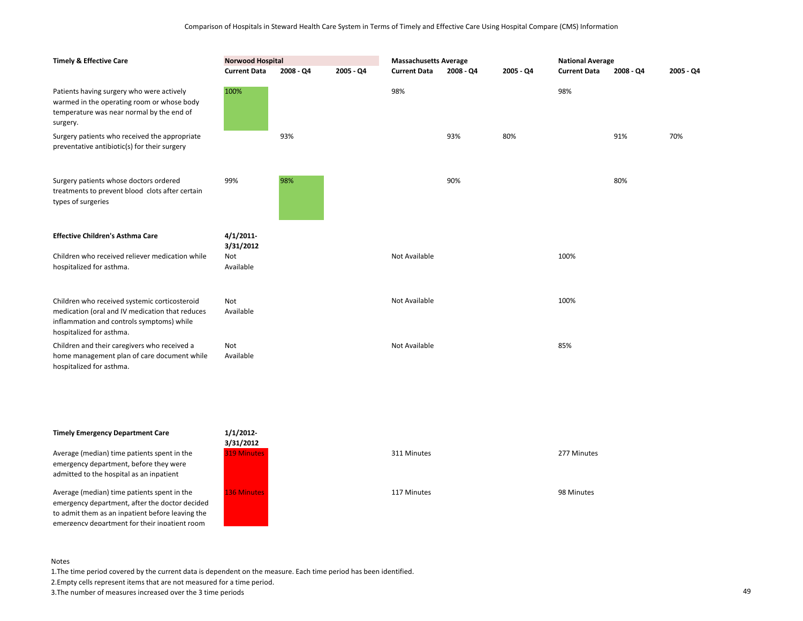| <b>Timely &amp; Effective Care</b>                                                                                                                                        | <b>Norwood Hospital</b> |             |           | <b>Massachusetts Average</b> |             |           | <b>National Average</b> |             |           |
|---------------------------------------------------------------------------------------------------------------------------------------------------------------------------|-------------------------|-------------|-----------|------------------------------|-------------|-----------|-------------------------|-------------|-----------|
|                                                                                                                                                                           | <b>Current Data</b>     | $2008 - Q4$ | 2005 - Q4 | <b>Current Data</b>          | $2008 - QA$ | 2005 - Q4 | <b>Current Data</b>     | $2008 - Q4$ | 2005 - Q4 |
| Patients having surgery who were actively<br>warmed in the operating room or whose body<br>temperature was near normal by the end of<br>surgery.                          | 100%                    |             |           | 98%                          |             |           | 98%                     |             |           |
| Surgery patients who received the appropriate<br>preventative antibiotic(s) for their surgery                                                                             |                         | 93%         |           |                              | 93%         | 80%       |                         | 91%         | 70%       |
| Surgery patients whose doctors ordered<br>treatments to prevent blood clots after certain<br>types of surgeries                                                           | 99%                     | 98%         |           |                              | 90%         |           |                         | 80%         |           |
| <b>Effective Children's Asthma Care</b>                                                                                                                                   | 4/1/2011<br>3/31/2012   |             |           |                              |             |           |                         |             |           |
| Children who received reliever medication while<br>hospitalized for asthma.                                                                                               | Not<br>Available        |             |           | Not Available                |             |           | 100%                    |             |           |
| Children who received systemic corticosteroid<br>medication (oral and IV medication that reduces<br>inflammation and controls symptoms) while<br>hospitalized for asthma. | Not<br>Available        |             |           | Not Available                |             |           | 100%                    |             |           |
| Children and their caregivers who received a<br>home management plan of care document while<br>hospitalized for asthma.                                                   | Not<br>Available        |             |           | Not Available                |             |           | 85%                     |             |           |

# **Timely Emergency Department Care**

Average (median) time patients spent in the emergency department, before they were admitted to the hospital as an inpatient

Average (median) time patients spent in the emergency department, after the doctor decided to admit them as an inpatient before leaving the emergency department for their inpatient room



#### Notes

1.The time period covered by the current data is dependent on the measure. Each time period has been identified.

2.Empty cells represent items that are not measured for a time period.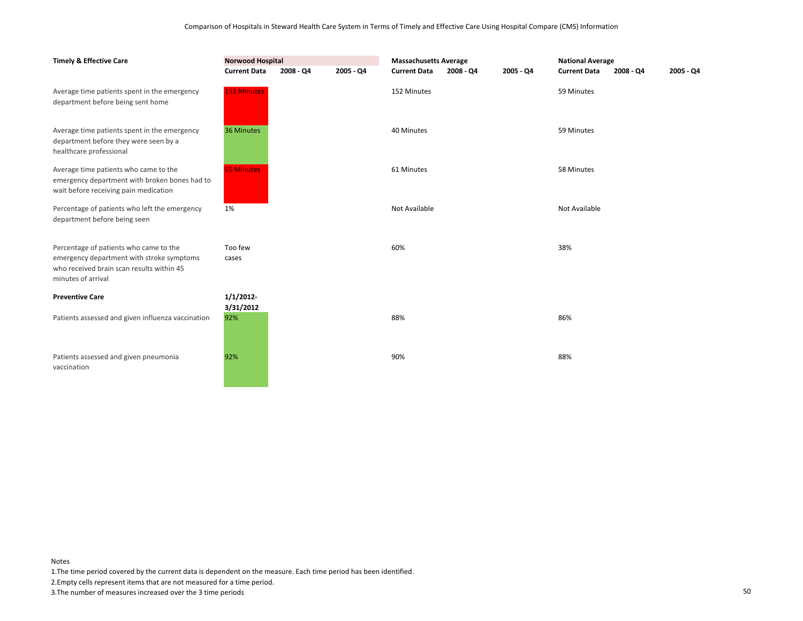| <b>Timely &amp; Effective Care</b>                                                                                                                     | <b>Norwood Hospital</b> |             |             | <b>Massachusetts Average</b> |           |           | <b>National Average</b> |           |             |
|--------------------------------------------------------------------------------------------------------------------------------------------------------|-------------------------|-------------|-------------|------------------------------|-----------|-----------|-------------------------|-----------|-------------|
|                                                                                                                                                        | <b>Current Data</b>     | $2008 - Q4$ | $2005 - Q4$ | <b>Current Data</b>          | 2008 - Q4 | 2005 - Q4 | <b>Current Data</b>     | 2008 - Q4 | $2005 - Q4$ |
| Average time patients spent in the emergency<br>department before being sent home                                                                      | <b>153 Minutes</b>      |             |             | 152 Minutes                  |           |           | 59 Minutes              |           |             |
| Average time patients spent in the emergency<br>department before they were seen by a<br>healthcare professional                                       | 36 Minutes              |             |             | 40 Minutes                   |           |           | 59 Minutes              |           |             |
| Average time patients who came to the<br>emergency department with broken bones had to<br>wait before receiving pain medication                        | <b>65 Minutes</b>       |             |             | 61 Minutes                   |           |           | 58 Minutes              |           |             |
| Percentage of patients who left the emergency<br>department before being seen                                                                          | 1%                      |             |             | Not Available                |           |           | Not Available           |           |             |
| Percentage of patients who came to the<br>emergency department with stroke symptoms<br>who received brain scan results within 45<br>minutes of arrival | Too few<br>cases        |             |             | 60%                          |           |           | 38%                     |           |             |
| <b>Preventive Care</b>                                                                                                                                 | 1/1/2012                |             |             |                              |           |           |                         |           |             |
| Patients assessed and given influenza vaccination                                                                                                      | 3/31/2012<br>92%        |             |             | 88%                          |           |           | 86%                     |           |             |
| Patients assessed and given pneumonia<br>vaccination                                                                                                   | 92%                     |             |             | 90%                          |           |           | 88%                     |           |             |

1.The time period covered by the current data is dependent on the measure. Each time period has been identified.

2.Empty cells represent items that are not measured for a time period.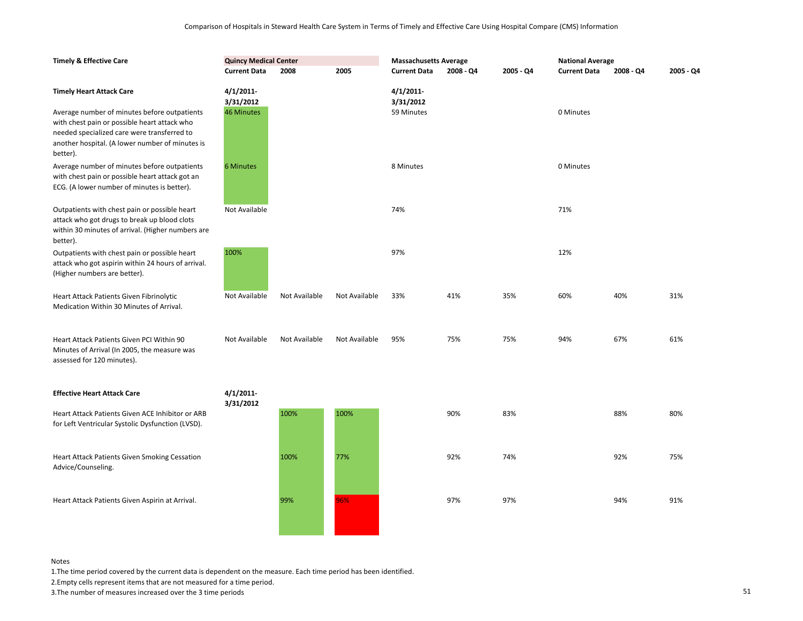| <b>Timely &amp; Effective Care</b>                                                                                                                                                                                                | <b>Quincy Medical Center</b>               |               |               | <b>Massachusetts Average</b>            |           |           | <b>National Average</b> |           |           |
|-----------------------------------------------------------------------------------------------------------------------------------------------------------------------------------------------------------------------------------|--------------------------------------------|---------------|---------------|-----------------------------------------|-----------|-----------|-------------------------|-----------|-----------|
|                                                                                                                                                                                                                                   | <b>Current Data</b>                        | 2008          | 2005          | <b>Current Data</b>                     | 2008 - Q4 | 2005 - Q4 | <b>Current Data</b>     | 2008 - Q4 | 2005 - Q4 |
| <b>Timely Heart Attack Care</b><br>Average number of minutes before outpatients<br>with chest pain or possible heart attack who<br>needed specialized care were transferred to<br>another hospital. (A lower number of minutes is | 4/1/2011<br>3/31/2012<br><b>46 Minutes</b> |               |               | $4/1/2011$ -<br>3/31/2012<br>59 Minutes |           |           | 0 Minutes               |           |           |
| better).<br>Average number of minutes before outpatients<br>with chest pain or possible heart attack got an                                                                                                                       | 6 Minutes                                  |               |               | 8 Minutes                               |           |           | 0 Minutes               |           |           |
| ECG. (A lower number of minutes is better).<br>Outpatients with chest pain or possible heart                                                                                                                                      | Not Available                              |               |               | 74%                                     |           |           | 71%                     |           |           |
| attack who got drugs to break up blood clots<br>within 30 minutes of arrival. (Higher numbers are<br>better).<br>Outpatients with chest pain or possible heart                                                                    | 100%                                       |               |               | 97%                                     |           |           | 12%                     |           |           |
| attack who got aspirin within 24 hours of arrival.<br>(Higher numbers are better).                                                                                                                                                |                                            |               |               |                                         |           |           |                         |           |           |
| Heart Attack Patients Given Fibrinolytic<br>Medication Within 30 Minutes of Arrival.                                                                                                                                              | Not Available                              | Not Available | Not Available | 33%                                     | 41%       | 35%       | 60%                     | 40%       | 31%       |
| Heart Attack Patients Given PCI Within 90<br>Minutes of Arrival (In 2005, the measure was<br>assessed for 120 minutes).                                                                                                           | Not Available                              | Not Available | Not Available | 95%                                     | 75%       | 75%       | 94%                     | 67%       | 61%       |
| <b>Effective Heart Attack Care</b>                                                                                                                                                                                                | 4/1/2011<br>3/31/2012                      |               |               |                                         |           |           |                         |           |           |
| Heart Attack Patients Given ACE Inhibitor or ARB<br>for Left Ventricular Systolic Dysfunction (LVSD).                                                                                                                             |                                            | 100%          | 100%          |                                         | 90%       | 83%       |                         | 88%       | 80%       |
| Heart Attack Patients Given Smoking Cessation<br>Advice/Counseling.                                                                                                                                                               |                                            | 100%          | 77%           |                                         | 92%       | 74%       |                         | 92%       | 75%       |
| Heart Attack Patients Given Aspirin at Arrival.                                                                                                                                                                                   |                                            | 99%           | 96%           |                                         | 97%       | 97%       |                         | 94%       | 91%       |

1.The time period covered by the current data is dependent on the measure. Each time period has been identified.

2.Empty cells represent items that are not measured for a time period.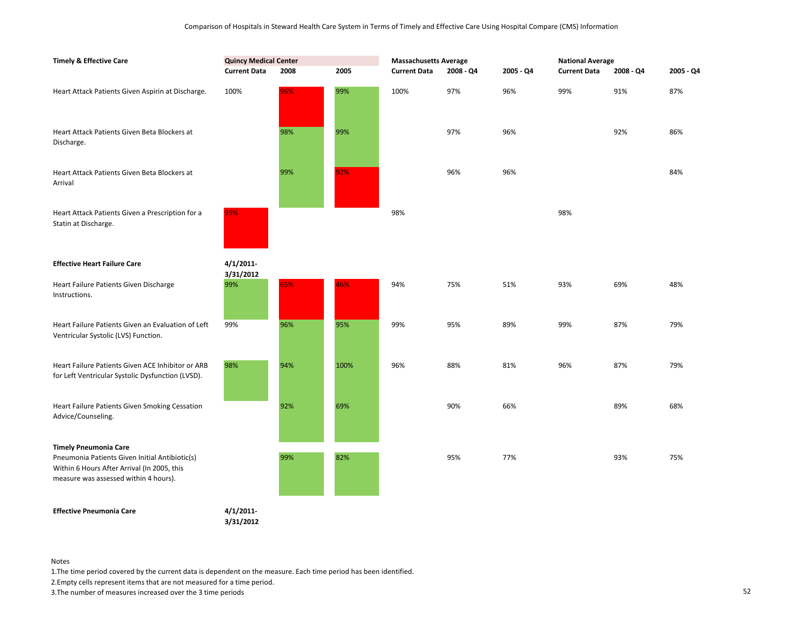| <b>Timely &amp; Effective Care</b>                                                                                                     | <b>Quincy Medical Center</b> |      |      | <b>Massachusetts Average</b> |           |           | <b>National Average</b> |           |           |
|----------------------------------------------------------------------------------------------------------------------------------------|------------------------------|------|------|------------------------------|-----------|-----------|-------------------------|-----------|-----------|
|                                                                                                                                        | <b>Current Data</b>          | 2008 | 2005 | <b>Current Data</b>          | 2008 - Q4 | 2005 - Q4 | <b>Current Data</b>     | 2008 - Q4 | 2005 - Q4 |
| Heart Attack Patients Given Aspirin at Discharge.                                                                                      | 100%                         | 96%  | 99%  | 100%                         | 97%       | 96%       | 99%                     | 91%       | 87%       |
| Heart Attack Patients Given Beta Blockers at<br>Discharge.                                                                             |                              | 98%  | 99%  |                              | 97%       | 96%       |                         | 92%       | 86%       |
| Heart Attack Patients Given Beta Blockers at<br>Arrival                                                                                |                              | 99%  | 92%  |                              | 96%       | 96%       |                         |           | 84%       |
| Heart Attack Patients Given a Prescription for a<br>Statin at Discharge.                                                               | 95%                          |      |      | 98%                          |           |           | 98%                     |           |           |
| <b>Effective Heart Failure Care</b>                                                                                                    | 4/1/2011<br>3/31/2012        |      |      |                              |           |           |                         |           |           |
| Heart Failure Patients Given Discharge<br>Instructions.                                                                                | 99%                          | 65%  | 46%  | 94%                          | 75%       | 51%       | 93%                     | 69%       | 48%       |
| Heart Failure Patients Given an Evaluation of Left<br>Ventricular Systolic (LVS) Function.                                             | 99%                          | 96%  | 95%  | 99%                          | 95%       | 89%       | 99%                     | 87%       | 79%       |
| Heart Failure Patients Given ACE Inhibitor or ARB<br>for Left Ventricular Systolic Dysfunction (LVSD).                                 | 98%                          | 94%  | 100% | 96%                          | 88%       | 81%       | 96%                     | 87%       | 79%       |
| Heart Failure Patients Given Smoking Cessation<br>Advice/Counseling.                                                                   |                              | 92%  | 69%  |                              | 90%       | 66%       |                         | 89%       | 68%       |
| <b>Timely Pneumonia Care</b>                                                                                                           |                              |      |      |                              |           |           |                         |           |           |
| Pneumonia Patients Given Initial Antibiotic(s)<br>Within 6 Hours After Arrival (In 2005, this<br>measure was assessed within 4 hours). |                              | 99%  | 82%  |                              | 95%       | 77%       |                         | 93%       | 75%       |
| <b>Effective Pneumonia Care</b>                                                                                                        | 4/1/2011                     |      |      |                              |           |           |                         |           |           |

**3/31/2012**

Notes

1.The time period covered by the current data is dependent on the measure. Each time period has been identified.

2.Empty cells represent items that are not measured for a time period.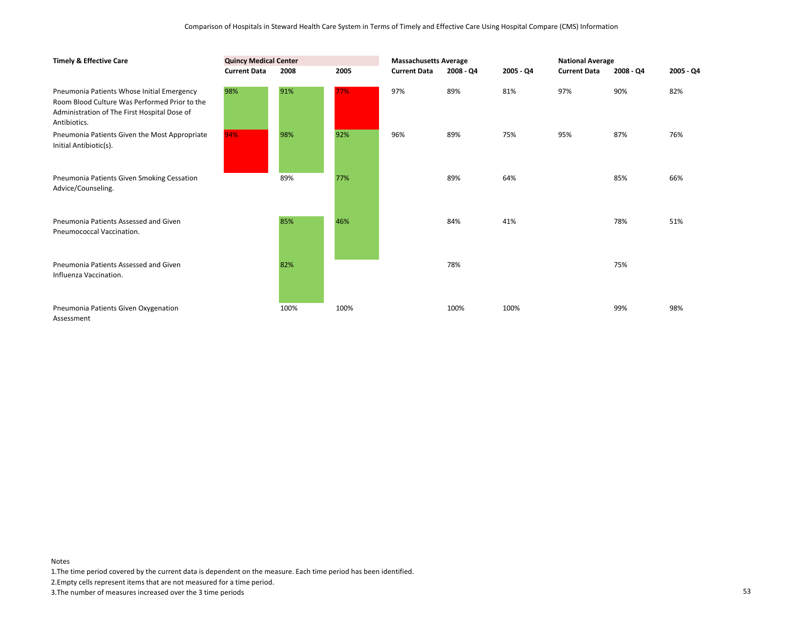| <b>Timely &amp; Effective Care</b>                                                                                                                          | <b>Quincy Medical Center</b> |      |      | <b>Massachusetts Average</b> |             |           | <b>National Average</b> |           |             |
|-------------------------------------------------------------------------------------------------------------------------------------------------------------|------------------------------|------|------|------------------------------|-------------|-----------|-------------------------|-----------|-------------|
|                                                                                                                                                             | <b>Current Data</b>          | 2008 | 2005 | <b>Current Data</b>          | $2008 - QA$ | 2005 - Q4 | <b>Current Data</b>     | 2008 - Q4 | $2005 - Q4$ |
| Pneumonia Patients Whose Initial Emergency<br>Room Blood Culture Was Performed Prior to the<br>Administration of The First Hospital Dose of<br>Antibiotics. | 98%                          | 91%  | 77%  | 97%                          | 89%         | 81%       | 97%                     | 90%       | 82%         |
| Pneumonia Patients Given the Most Appropriate<br>Initial Antibiotic(s).                                                                                     | 94%                          | 98%  | 92%  | 96%                          | 89%         | 75%       | 95%                     | 87%       | 76%         |
| Pneumonia Patients Given Smoking Cessation<br>Advice/Counseling.                                                                                            |                              | 89%  | 77%  |                              | 89%         | 64%       |                         | 85%       | 66%         |
| Pneumonia Patients Assessed and Given<br>Pneumococcal Vaccination.                                                                                          |                              | 85%  | 46%  |                              | 84%         | 41%       |                         | 78%       | 51%         |
| Pneumonia Patients Assessed and Given<br>Influenza Vaccination.                                                                                             |                              | 82%  |      |                              | 78%         |           |                         | 75%       |             |
| Pneumonia Patients Given Oxygenation<br>Assessment                                                                                                          |                              | 100% | 100% |                              | 100%        | 100%      |                         | 99%       | 98%         |

1.The time period covered by the current data is dependent on the measure. Each time period has been identified.

2.Empty cells represent items that are not measured for a time period.

3.The number of measures increased over the 3 time periods 53

Notes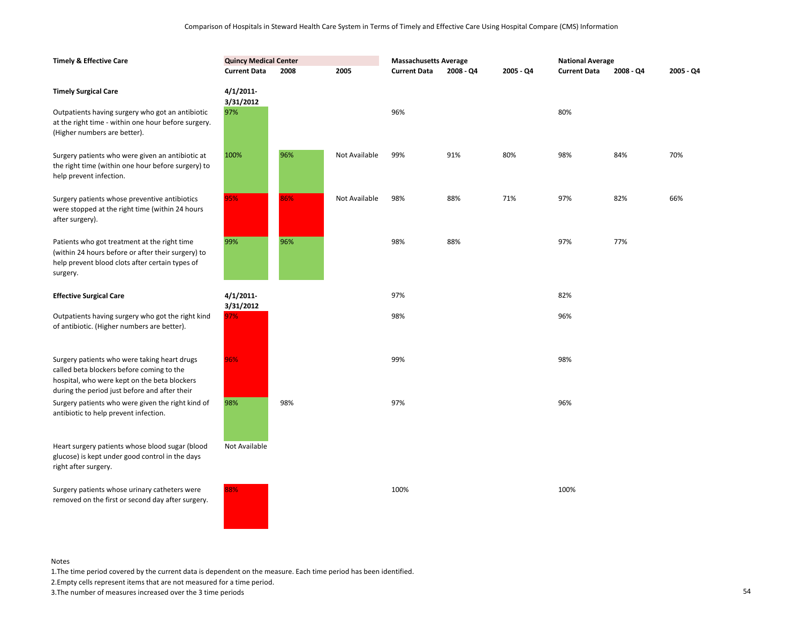| <b>Timely &amp; Effective Care</b>                                                                                                                                | <b>Quincy Medical Center</b> |      |               | <b>Massachusetts Average</b> |           |           | <b>National Average</b> |             |           |
|-------------------------------------------------------------------------------------------------------------------------------------------------------------------|------------------------------|------|---------------|------------------------------|-----------|-----------|-------------------------|-------------|-----------|
|                                                                                                                                                                   | <b>Current Data</b>          | 2008 | 2005          | <b>Current Data</b>          | 2008 - Q4 | 2005 - Q4 | <b>Current Data</b>     | $2008 - Q4$ | 2005 - Q4 |
| <b>Timely Surgical Care</b>                                                                                                                                       | $4/1/2011$ -                 |      |               |                              |           |           |                         |             |           |
| Outpatients having surgery who got an antibiotic<br>at the right time - within one hour before surgery.<br>(Higher numbers are better).                           | 3/31/2012<br>97%             |      |               | 96%                          |           |           | 80%                     |             |           |
| Surgery patients who were given an antibiotic at<br>the right time (within one hour before surgery) to<br>help prevent infection.                                 | 100%                         | 96%  | Not Available | 99%                          | 91%       | 80%       | 98%                     | 84%         | 70%       |
| Surgery patients whose preventive antibiotics<br>were stopped at the right time (within 24 hours<br>after surgery).                                               | 95%                          | 86%  | Not Available | 98%                          | 88%       | 71%       | 97%                     | 82%         | 66%       |
| Patients who got treatment at the right time<br>(within 24 hours before or after their surgery) to<br>help prevent blood clots after certain types of<br>surgery. | 99%                          | 96%  |               | 98%                          | 88%       |           | 97%                     | 77%         |           |
| <b>Effective Surgical Care</b>                                                                                                                                    | $4/1/2011$ -<br>3/31/2012    |      |               | 97%                          |           |           | 82%                     |             |           |
| Outpatients having surgery who got the right kind<br>of antibiotic. (Higher numbers are better).                                                                  | 97%                          |      |               | 98%                          |           |           | 96%                     |             |           |
| Surgery patients who were taking heart drugs<br>called beta blockers before coming to the<br>hospital, who were kept on the beta blockers                         | 96%                          |      |               | 99%                          |           |           | 98%                     |             |           |
| during the period just before and after their<br>Surgery patients who were given the right kind of<br>antibiotic to help prevent infection.                       | 98%                          | 98%  |               | 97%                          |           |           | 96%                     |             |           |
| Heart surgery patients whose blood sugar (blood<br>glucose) is kept under good control in the days<br>right after surgery.                                        | Not Available                |      |               |                              |           |           |                         |             |           |
| Surgery patients whose urinary catheters were<br>removed on the first or second day after surgery.                                                                | 88%                          |      |               | 100%                         |           |           | 100%                    |             |           |

1.The time period covered by the current data is dependent on the measure. Each time period has been identified.

2.Empty cells represent items that are not measured for a time period.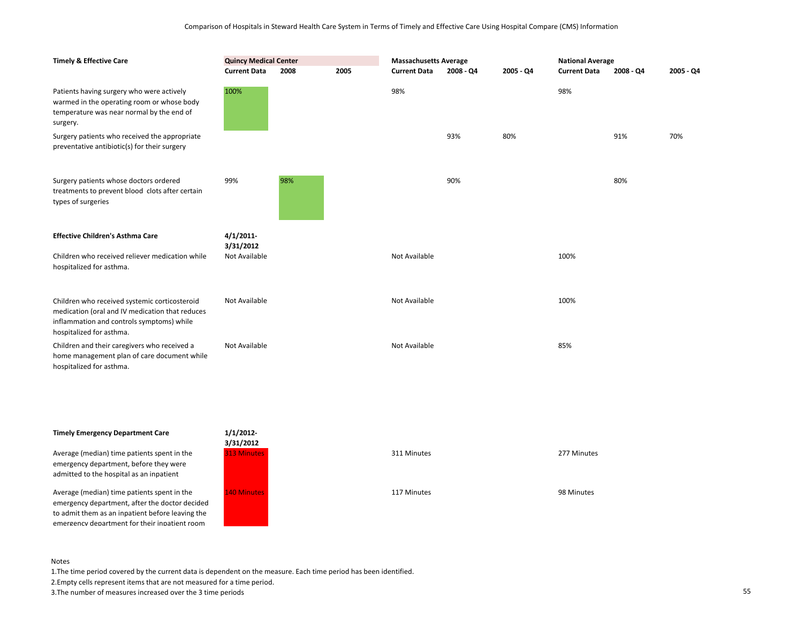| <b>Timely &amp; Effective Care</b>                                                                                                                                        | <b>Quincy Medical Center</b><br><b>Current Data</b> | 2008 | 2005 | <b>Massachusetts Average</b><br><b>Current Data</b> | 2008 - Q4 | 2005 - Q4 | <b>National Average</b><br><b>Current Data</b> | $2008 - QA$ | 2005 - Q4 |
|---------------------------------------------------------------------------------------------------------------------------------------------------------------------------|-----------------------------------------------------|------|------|-----------------------------------------------------|-----------|-----------|------------------------------------------------|-------------|-----------|
| Patients having surgery who were actively<br>warmed in the operating room or whose body<br>temperature was near normal by the end of<br>surgery.                          | 100%                                                |      |      | 98%                                                 |           |           | 98%                                            |             |           |
| Surgery patients who received the appropriate<br>preventative antibiotic(s) for their surgery                                                                             |                                                     |      |      |                                                     | 93%       | 80%       |                                                | 91%         | 70%       |
| Surgery patients whose doctors ordered<br>treatments to prevent blood clots after certain<br>types of surgeries                                                           | 99%                                                 | 98%  |      |                                                     | 90%       |           |                                                | 80%         |           |
| <b>Effective Children's Asthma Care</b>                                                                                                                                   | 4/1/2011-<br>3/31/2012                              |      |      |                                                     |           |           |                                                |             |           |
| Children who received reliever medication while<br>hospitalized for asthma.                                                                                               | Not Available                                       |      |      | Not Available                                       |           |           | 100%                                           |             |           |
| Children who received systemic corticosteroid<br>medication (oral and IV medication that reduces<br>inflammation and controls symptoms) while<br>hospitalized for asthma. | Not Available                                       |      |      | Not Available                                       |           |           | 100%                                           |             |           |
| Children and their caregivers who received a<br>home management plan of care document while<br>hospitalized for asthma.                                                   | Not Available                                       |      |      | Not Available                                       |           |           | 85%                                            |             |           |

# **Timely Emergency Department Care**

Average (median) time patients spent in the emergency department, before they were admitted to the hospital as an inpatient

Average (median) time patients spent in the emergency department, after the doctor decided to admit them as an inpatient before leaving the emergency department for their inpatient room



#### Notes

1.The time period covered by the current data is dependent on the measure. Each time period has been identified.

2.Empty cells represent items that are not measured for a time period.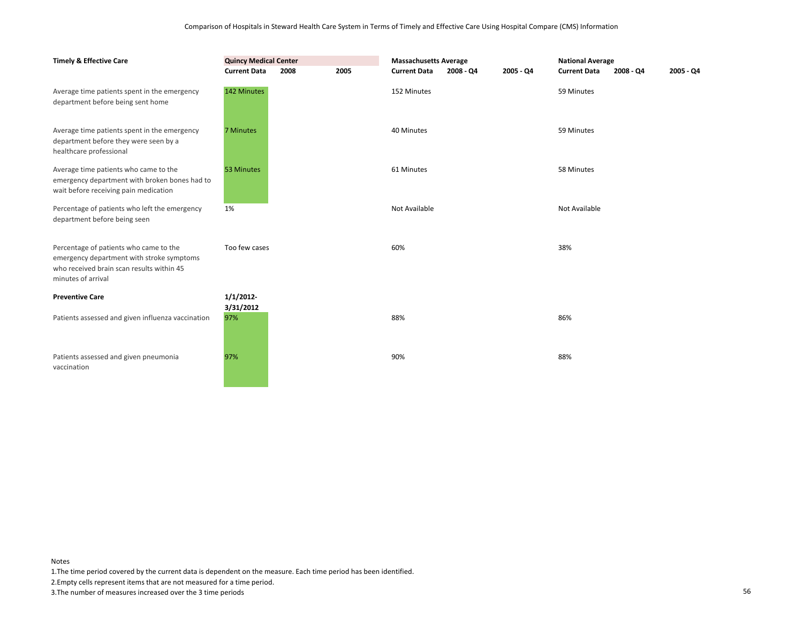| <b>Timely &amp; Effective Care</b>                                                                                                                     | <b>Quincy Medical Center</b><br><b>Current Data</b> | 2005<br>2008 |  | <b>Massachusetts Average</b><br>2005 - Q4<br><b>Current Data</b><br>2008 - Q4 |  | <b>National Average</b><br><b>Current Data</b><br>2008 - Q4 |               | $2005 - Q4$ |  |
|--------------------------------------------------------------------------------------------------------------------------------------------------------|-----------------------------------------------------|--------------|--|-------------------------------------------------------------------------------|--|-------------------------------------------------------------|---------------|-------------|--|
| Average time patients spent in the emergency<br>department before being sent home                                                                      | 142 Minutes                                         |              |  | 152 Minutes                                                                   |  |                                                             | 59 Minutes    |             |  |
| Average time patients spent in the emergency<br>department before they were seen by a<br>healthcare professional                                       | 7 Minutes                                           |              |  | 40 Minutes                                                                    |  |                                                             | 59 Minutes    |             |  |
| Average time patients who came to the<br>emergency department with broken bones had to<br>wait before receiving pain medication                        | 53 Minutes                                          |              |  | 61 Minutes                                                                    |  |                                                             | 58 Minutes    |             |  |
| Percentage of patients who left the emergency<br>department before being seen                                                                          | 1%                                                  |              |  | Not Available                                                                 |  |                                                             | Not Available |             |  |
| Percentage of patients who came to the<br>emergency department with stroke symptoms<br>who received brain scan results within 45<br>minutes of arrival | Too few cases                                       |              |  | 60%                                                                           |  |                                                             | 38%           |             |  |
| <b>Preventive Care</b>                                                                                                                                 | 1/1/2012                                            |              |  |                                                                               |  |                                                             |               |             |  |
| Patients assessed and given influenza vaccination                                                                                                      | 3/31/2012<br>97%                                    |              |  | 88%                                                                           |  |                                                             | 86%           |             |  |
| Patients assessed and given pneumonia<br>vaccination                                                                                                   | 97%                                                 |              |  | 90%                                                                           |  |                                                             | 88%           |             |  |

1.The time period covered by the current data is dependent on the measure. Each time period has been identified.

2.Empty cells represent items that are not measured for a time period.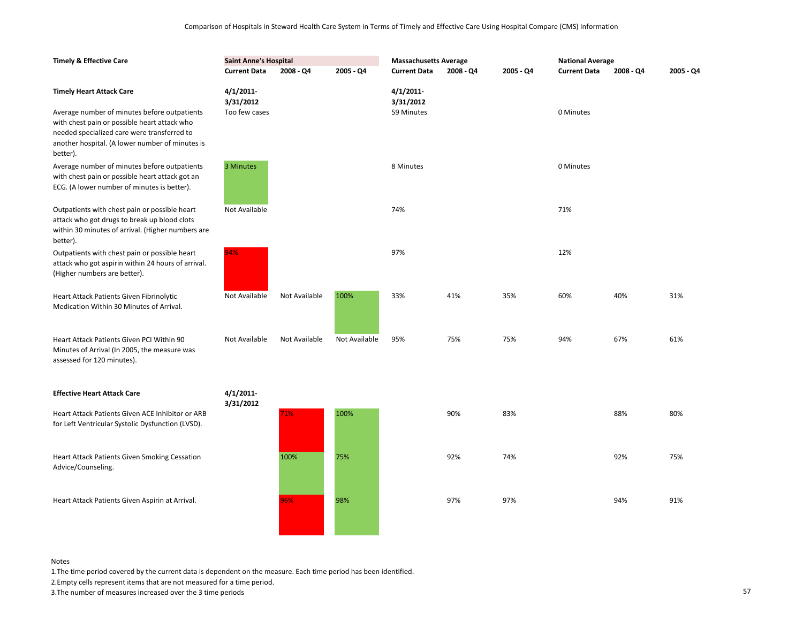| <b>Timely &amp; Effective Care</b>                                                                                                                                                                         | <b>Saint Anne's Hospital</b> |               | <b>Massachusetts Average</b> |                           |             | <b>National Average</b> |                     |             |             |
|------------------------------------------------------------------------------------------------------------------------------------------------------------------------------------------------------------|------------------------------|---------------|------------------------------|---------------------------|-------------|-------------------------|---------------------|-------------|-------------|
|                                                                                                                                                                                                            | <b>Current Data</b>          | $2008 - Q4$   | 2005 - Q4                    | <b>Current Data</b>       | $2008 - Q4$ | 2005 - Q4               | <b>Current Data</b> | $2008 - Q4$ | $2005 - Q4$ |
| <b>Timely Heart Attack Care</b>                                                                                                                                                                            | $4/1/2011$ -<br>3/31/2012    |               |                              | $4/1/2011$ -<br>3/31/2012 |             |                         |                     |             |             |
| Average number of minutes before outpatients<br>with chest pain or possible heart attack who<br>needed specialized care were transferred to<br>another hospital. (A lower number of minutes is<br>better). | Too few cases                |               |                              | 59 Minutes                |             |                         | 0 Minutes           |             |             |
| Average number of minutes before outpatients<br>with chest pain or possible heart attack got an<br>ECG. (A lower number of minutes is better).                                                             | 3 Minutes                    |               |                              | 8 Minutes                 |             |                         | 0 Minutes           |             |             |
| Outpatients with chest pain or possible heart<br>attack who got drugs to break up blood clots<br>within 30 minutes of arrival. (Higher numbers are<br>better).                                             | Not Available                |               |                              | 74%                       |             |                         | 71%                 |             |             |
| Outpatients with chest pain or possible heart<br>attack who got aspirin within 24 hours of arrival.<br>(Higher numbers are better).                                                                        | 94%                          |               |                              | 97%                       |             |                         | 12%                 |             |             |
| Heart Attack Patients Given Fibrinolytic<br>Medication Within 30 Minutes of Arrival.                                                                                                                       | Not Available                | Not Available | 100%                         | 33%                       | 41%         | 35%                     | 60%                 | 40%         | 31%         |
| Heart Attack Patients Given PCI Within 90<br>Minutes of Arrival (In 2005, the measure was<br>assessed for 120 minutes).                                                                                    | Not Available                | Not Available | Not Available                | 95%                       | 75%         | 75%                     | 94%                 | 67%         | 61%         |
| <b>Effective Heart Attack Care</b>                                                                                                                                                                         | 4/1/2011                     |               |                              |                           |             |                         |                     |             |             |
| Heart Attack Patients Given ACE Inhibitor or ARB<br>for Left Ventricular Systolic Dysfunction (LVSD).                                                                                                      | 3/31/2012                    | 71%           | 100%                         |                           | 90%         | 83%                     |                     | 88%         | 80%         |
| Heart Attack Patients Given Smoking Cessation<br>Advice/Counseling.                                                                                                                                        |                              | 100%          | 75%                          |                           | 92%         | 74%                     |                     | 92%         | 75%         |
| Heart Attack Patients Given Aspirin at Arrival.                                                                                                                                                            |                              | 96%           | 98%                          |                           | 97%         | 97%                     |                     | 94%         | 91%         |
|                                                                                                                                                                                                            |                              |               |                              |                           |             |                         |                     |             |             |

1.The time period covered by the current data is dependent on the measure. Each time period has been identified.

2.Empty cells represent items that are not measured for a time period.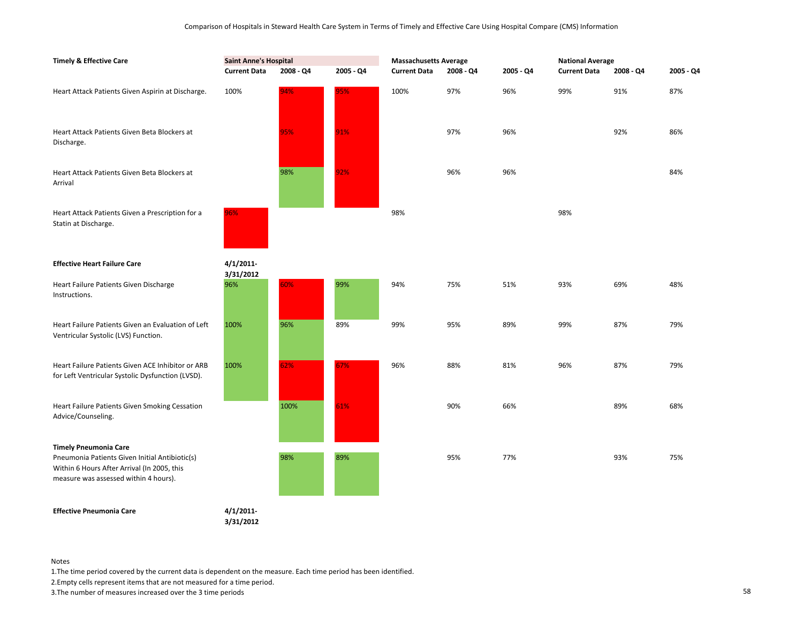| <b>Timely &amp; Effective Care</b>                                                                                                                                     | <b>Saint Anne's Hospital</b> |           |           | <b>Massachusetts Average</b> |           |           | <b>National Average</b> |           |           |  |
|------------------------------------------------------------------------------------------------------------------------------------------------------------------------|------------------------------|-----------|-----------|------------------------------|-----------|-----------|-------------------------|-----------|-----------|--|
|                                                                                                                                                                        | <b>Current Data</b>          | 2008 - Q4 | 2005 - Q4 | <b>Current Data</b>          | 2008 - Q4 | 2005 - Q4 | <b>Current Data</b>     | 2008 - Q4 | 2005 - Q4 |  |
| Heart Attack Patients Given Aspirin at Discharge.                                                                                                                      | 100%                         | 94%       | 95%       | 100%                         | 97%       | 96%       | 99%                     | 91%       | 87%       |  |
| Heart Attack Patients Given Beta Blockers at<br>Discharge.                                                                                                             |                              | 95%       | 91%       |                              | 97%       | 96%       |                         | 92%       | 86%       |  |
| Heart Attack Patients Given Beta Blockers at<br>Arrival                                                                                                                |                              | 98%       | 92%       |                              | 96%       | 96%       |                         |           | 84%       |  |
| Heart Attack Patients Given a Prescription for a<br>Statin at Discharge.                                                                                               | 96%                          |           |           | 98%                          |           |           | 98%                     |           |           |  |
| <b>Effective Heart Failure Care</b>                                                                                                                                    | $4/1/2011$ -<br>3/31/2012    |           |           |                              |           |           |                         |           |           |  |
| Heart Failure Patients Given Discharge<br>Instructions.                                                                                                                | 96%                          | 60%       | 99%       | 94%                          | 75%       | 51%       | 93%                     | 69%       | 48%       |  |
| Heart Failure Patients Given an Evaluation of Left<br>Ventricular Systolic (LVS) Function.                                                                             | 100%                         | 96%       | 89%       | 99%                          | 95%       | 89%       | 99%                     | 87%       | 79%       |  |
| Heart Failure Patients Given ACE Inhibitor or ARB<br>for Left Ventricular Systolic Dysfunction (LVSD).                                                                 | 100%                         | 62%       | 67%       | 96%                          | 88%       | 81%       | 96%                     | 87%       | 79%       |  |
| Heart Failure Patients Given Smoking Cessation<br>Advice/Counseling.                                                                                                   |                              | 100%      | 61%       |                              | 90%       | 66%       |                         | 89%       | 68%       |  |
| <b>Timely Pneumonia Care</b><br>Pneumonia Patients Given Initial Antibiotic(s)<br>Within 6 Hours After Arrival (In 2005, this<br>measure was assessed within 4 hours). |                              | 98%       | 89%       |                              | 95%       | 77%       |                         | 93%       | 75%       |  |
| <b>Effective Pneumonia Care</b>                                                                                                                                        | 4/1/2011-<br>3/31/2012       |           |           |                              |           |           |                         |           |           |  |

1.The time period covered by the current data is dependent on the measure. Each time period has been identified.

2.Empty cells represent items that are not measured for a time period.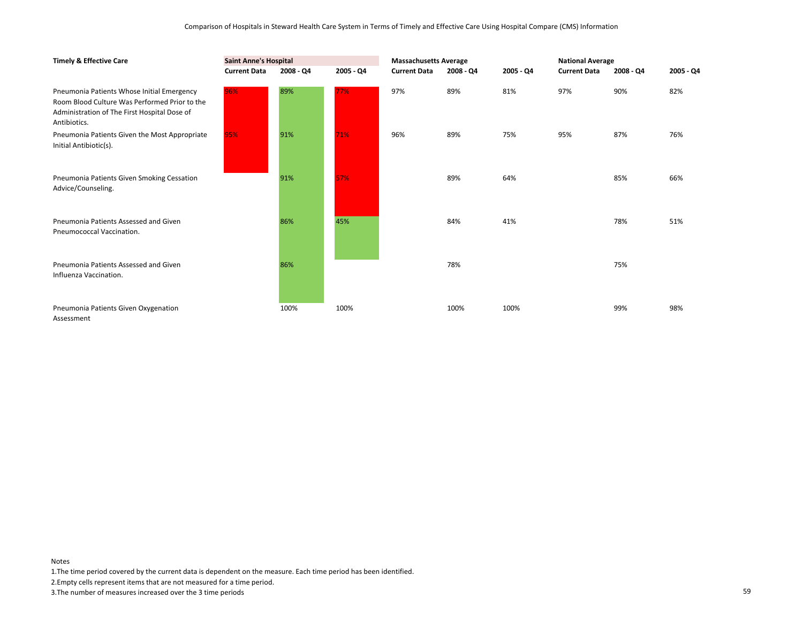| <b>Timely &amp; Effective Care</b>                                                                                                                          | <b>Saint Anne's Hospital</b> |           |           | <b>Massachusetts Average</b> |           |           | <b>National Average</b> |           |             |
|-------------------------------------------------------------------------------------------------------------------------------------------------------------|------------------------------|-----------|-----------|------------------------------|-----------|-----------|-------------------------|-----------|-------------|
|                                                                                                                                                             | <b>Current Data</b>          | 2008 - Q4 | 2005 - Q4 | <b>Current Data</b>          | 2008 - Q4 | 2005 - Q4 | <b>Current Data</b>     | 2008 - Q4 | $2005 - Q4$ |
| Pneumonia Patients Whose Initial Emergency<br>Room Blood Culture Was Performed Prior to the<br>Administration of The First Hospital Dose of<br>Antibiotics. | 96%                          | 89%       | 77%       | 97%                          | 89%       | 81%       | 97%                     | 90%       | 82%         |
| Pneumonia Patients Given the Most Appropriate<br>Initial Antibiotic(s).                                                                                     | 95%                          | 91%       | 71%       | 96%                          | 89%       | 75%       | 95%                     | 87%       | 76%         |
| Pneumonia Patients Given Smoking Cessation<br>Advice/Counseling.                                                                                            |                              | 91%       | 57%       |                              | 89%       | 64%       |                         | 85%       | 66%         |
| Pneumonia Patients Assessed and Given<br>Pneumococcal Vaccination.                                                                                          |                              | 86%       | 45%       |                              | 84%       | 41%       |                         | 78%       | 51%         |
| Pneumonia Patients Assessed and Given<br>Influenza Vaccination.                                                                                             |                              | 86%       |           |                              | 78%       |           |                         | 75%       |             |
| Pneumonia Patients Given Oxygenation<br>Assessment                                                                                                          |                              | 100%      | 100%      |                              | 100%      | 100%      |                         | 99%       | 98%         |

1.The time period covered by the current data is dependent on the measure. Each time period has been identified.

2.Empty cells represent items that are not measured for a time period.

3.The number of measures increased over the 3 time periods 59

Notes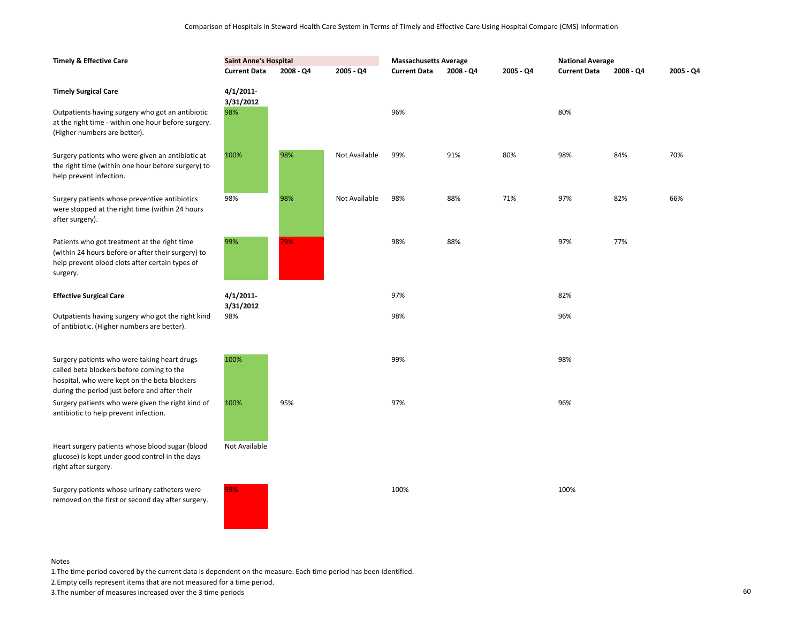| <b>Timely &amp; Effective Care</b>                                                                                                                                | <b>Saint Anne's Hospital</b> |           |               | <b>Massachusetts Average</b> |           |           | <b>National Average</b> |           |           |
|-------------------------------------------------------------------------------------------------------------------------------------------------------------------|------------------------------|-----------|---------------|------------------------------|-----------|-----------|-------------------------|-----------|-----------|
|                                                                                                                                                                   | <b>Current Data</b>          | 2008 - Q4 | 2005 - Q4     | <b>Current Data</b>          | 2008 - Q4 | 2005 - Q4 | <b>Current Data</b>     | 2008 - Q4 | 2005 - Q4 |
| <b>Timely Surgical Care</b>                                                                                                                                       | 4/1/2011<br>3/31/2012        |           |               |                              |           |           |                         |           |           |
| Outpatients having surgery who got an antibiotic<br>at the right time - within one hour before surgery.<br>(Higher numbers are better).                           | 98%                          |           |               | 96%                          |           |           | 80%                     |           |           |
| Surgery patients who were given an antibiotic at<br>the right time (within one hour before surgery) to<br>help prevent infection.                                 | 100%                         | 98%       | Not Available | 99%                          | 91%       | 80%       | 98%                     | 84%       | 70%       |
| Surgery patients whose preventive antibiotics<br>were stopped at the right time (within 24 hours<br>after surgery).                                               | 98%                          | 98%       | Not Available | 98%                          | 88%       | 71%       | 97%                     | 82%       | 66%       |
| Patients who got treatment at the right time<br>(within 24 hours before or after their surgery) to<br>help prevent blood clots after certain types of<br>surgery. | 99%                          | 79%       |               | 98%                          | 88%       |           | 97%                     | 77%       |           |
| <b>Effective Surgical Care</b>                                                                                                                                    | $4/1/2011$ -                 |           |               | 97%                          |           |           | 82%                     |           |           |
| Outpatients having surgery who got the right kind<br>of antibiotic. (Higher numbers are better).                                                                  | 3/31/2012<br>98%             |           |               | 98%                          |           |           | 96%                     |           |           |
| Surgery patients who were taking heart drugs<br>called beta blockers before coming to the<br>hospital, who were kept on the beta blockers                         | 100%                         |           |               | 99%                          |           |           | 98%                     |           |           |
| during the period just before and after their<br>Surgery patients who were given the right kind of<br>antibiotic to help prevent infection.                       | 100%                         | 95%       |               | 97%                          |           |           | 96%                     |           |           |
| Heart surgery patients whose blood sugar (blood<br>glucose) is kept under good control in the days<br>right after surgery.                                        | Not Available                |           |               |                              |           |           |                         |           |           |
| Surgery patients whose urinary catheters were<br>removed on the first or second day after surgery.                                                                | 99%                          |           |               | 100%                         |           |           | 100%                    |           |           |

1.The time period covered by the current data is dependent on the measure. Each time period has been identified.

2.Empty cells represent items that are not measured for a time period.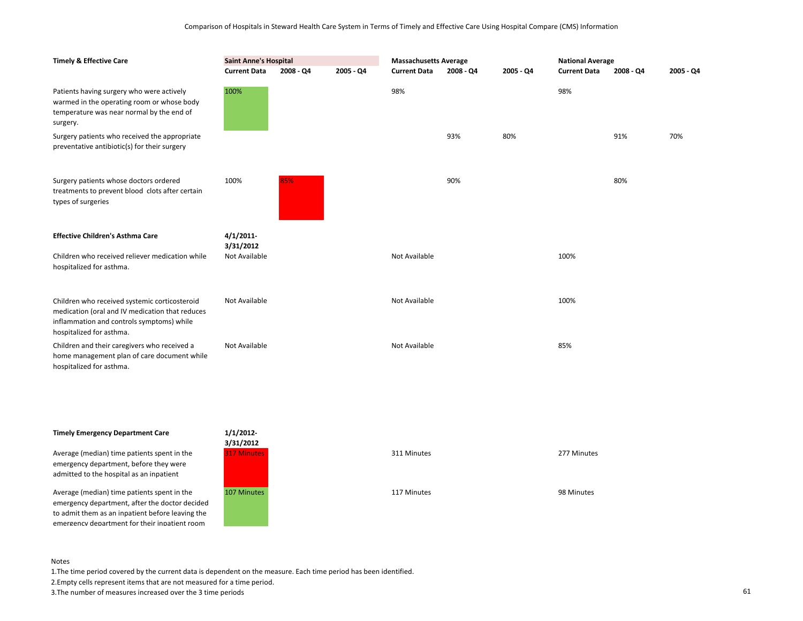| <b>Timely &amp; Effective Care</b>                                                                                                                                        | <b>Saint Anne's Hospital</b><br><b>Current Data</b><br>$2008 - Q4$<br>$2005 - Q4$ |     | <b>Massachusetts Average</b><br><b>Current Data</b><br>$2008 - Q4$<br>$2005 - Q4$ |               |     | <b>National Average</b><br><b>Current Data</b><br>$2008 - Q4$<br>2005 - Q4 |      |     |     |
|---------------------------------------------------------------------------------------------------------------------------------------------------------------------------|-----------------------------------------------------------------------------------|-----|-----------------------------------------------------------------------------------|---------------|-----|----------------------------------------------------------------------------|------|-----|-----|
| Patients having surgery who were actively<br>warmed in the operating room or whose body<br>temperature was near normal by the end of<br>surgery.                          | 100%                                                                              |     |                                                                                   | 98%           |     |                                                                            | 98%  |     |     |
| Surgery patients who received the appropriate<br>preventative antibiotic(s) for their surgery                                                                             |                                                                                   |     |                                                                                   |               | 93% | 80%                                                                        |      | 91% | 70% |
| Surgery patients whose doctors ordered<br>treatments to prevent blood clots after certain<br>types of surgeries                                                           | 100%                                                                              | 85% |                                                                                   |               | 90% |                                                                            |      | 80% |     |
| <b>Effective Children's Asthma Care</b>                                                                                                                                   | 4/1/2011<br>3/31/2012                                                             |     |                                                                                   |               |     |                                                                            |      |     |     |
| Children who received reliever medication while<br>hospitalized for asthma.                                                                                               | Not Available                                                                     |     |                                                                                   | Not Available |     |                                                                            | 100% |     |     |
| Children who received systemic corticosteroid<br>medication (oral and IV medication that reduces<br>inflammation and controls symptoms) while<br>hospitalized for asthma. | Not Available                                                                     |     |                                                                                   | Not Available |     |                                                                            | 100% |     |     |
| Children and their caregivers who received a<br>home management plan of care document while<br>hospitalized for asthma.                                                   | Not Available                                                                     |     |                                                                                   | Not Available |     |                                                                            | 85%  |     |     |

# **Timely Emergency Department Care**

Average (median) time patients spent in the emergency department, before they were admitted to the hospital as an inpatient

Average (median) time patients spent in the emergency department, after the doctor decided to admit them as an inpatient before leaving the emergency department for their inpatient room



| 1/1/2012-<br>3/31/2012<br><b>317 Minutes</b> | 311 Minutes | 277 Minutes |
|----------------------------------------------|-------------|-------------|
| 107 Minutes                                  | 117 Minutes | 98 Minutes  |

#### Notes

1.The time period covered by the current data is dependent on the measure. Each time period has been identified.

2.Empty cells represent items that are not measured for a time period.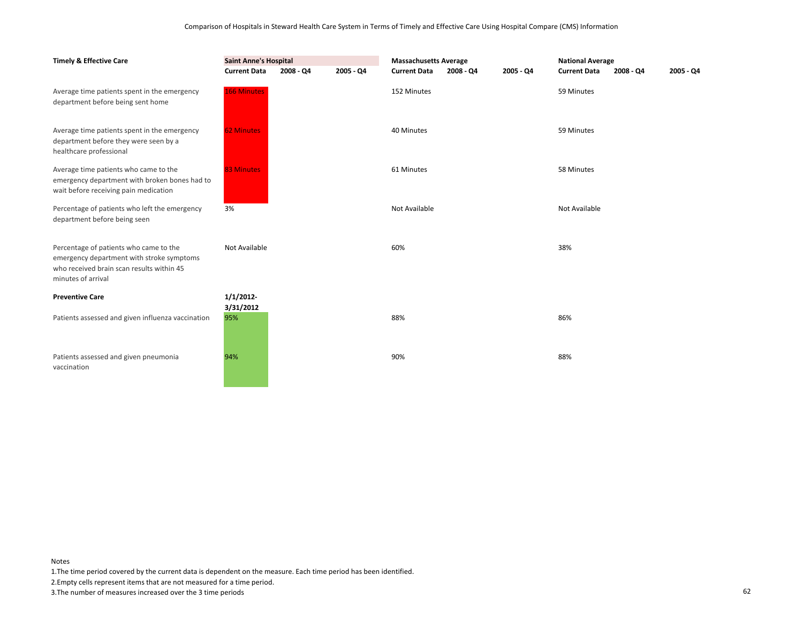| <b>Timely &amp; Effective Care</b>                                                                                                                     | <b>Saint Anne's Hospital</b> |           |             | <b>Massachusetts Average</b> |           |           | <b>National Average</b> |           |           |
|--------------------------------------------------------------------------------------------------------------------------------------------------------|------------------------------|-----------|-------------|------------------------------|-----------|-----------|-------------------------|-----------|-----------|
|                                                                                                                                                        | <b>Current Data</b>          | 2008 - Q4 | $2005 - Q4$ | <b>Current Data</b>          | 2008 - Q4 | 2005 - Q4 | <b>Current Data</b>     | 2008 - Q4 | 2005 - Q4 |
| Average time patients spent in the emergency<br>department before being sent home                                                                      | <b>166 Minutes</b>           |           |             | 152 Minutes                  |           |           | 59 Minutes              |           |           |
| Average time patients spent in the emergency<br>department before they were seen by a<br>healthcare professional                                       | <b>62 Minutes</b>            |           |             | 40 Minutes                   |           |           | 59 Minutes              |           |           |
| Average time patients who came to the<br>emergency department with broken bones had to<br>wait before receiving pain medication                        | <b>83 Minutes</b>            |           |             | 61 Minutes                   |           |           | 58 Minutes              |           |           |
| Percentage of patients who left the emergency<br>department before being seen                                                                          | 3%                           |           |             | Not Available                |           |           | Not Available           |           |           |
| Percentage of patients who came to the<br>emergency department with stroke symptoms<br>who received brain scan results within 45<br>minutes of arrival | Not Available                |           |             | 60%                          |           |           | 38%                     |           |           |
| <b>Preventive Care</b>                                                                                                                                 | 1/1/2012                     |           |             |                              |           |           |                         |           |           |
| Patients assessed and given influenza vaccination                                                                                                      | 3/31/2012<br>95%             |           |             | 88%                          |           |           | 86%                     |           |           |
| Patients assessed and given pneumonia<br>vaccination                                                                                                   | 94%                          |           |             | 90%                          |           |           | 88%                     |           |           |

1.The time period covered by the current data is dependent on the measure. Each time period has been identified.

2.Empty cells represent items that are not measured for a time period.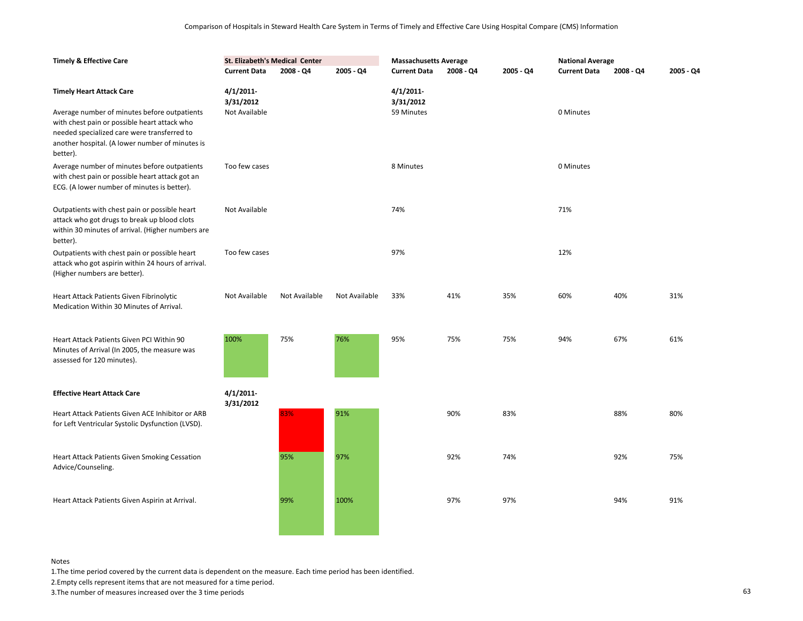| <b>Timely &amp; Effective Care</b>                                                                                                                                                                         | St. Elizabeth's Medical Center |               |               | <b>Massachusetts Average</b> |           |           | <b>National Average</b> |           |             |
|------------------------------------------------------------------------------------------------------------------------------------------------------------------------------------------------------------|--------------------------------|---------------|---------------|------------------------------|-----------|-----------|-------------------------|-----------|-------------|
|                                                                                                                                                                                                            | <b>Current Data</b>            | 2008 - Q4     | 2005 - Q4     | <b>Current Data</b>          | 2008 - Q4 | 2005 - Q4 | <b>Current Data</b>     | 2008 - Q4 | $2005 - Q4$ |
| <b>Timely Heart Attack Care</b>                                                                                                                                                                            | $4/1/2011$ -<br>3/31/2012      |               |               | $4/1/2011$ -<br>3/31/2012    |           |           |                         |           |             |
| Average number of minutes before outpatients<br>with chest pain or possible heart attack who<br>needed specialized care were transferred to<br>another hospital. (A lower number of minutes is<br>better). | Not Available                  |               |               | 59 Minutes                   |           |           | 0 Minutes               |           |             |
| Average number of minutes before outpatients<br>with chest pain or possible heart attack got an<br>ECG. (A lower number of minutes is better).                                                             | Too few cases                  |               |               | 8 Minutes                    |           |           | 0 Minutes               |           |             |
| Outpatients with chest pain or possible heart<br>attack who got drugs to break up blood clots<br>within 30 minutes of arrival. (Higher numbers are<br>better).                                             | Not Available                  |               |               | 74%                          |           |           | 71%                     |           |             |
| Outpatients with chest pain or possible heart<br>attack who got aspirin within 24 hours of arrival.<br>(Higher numbers are better).                                                                        | Too few cases                  |               |               | 97%                          |           |           | 12%                     |           |             |
| Heart Attack Patients Given Fibrinolytic<br>Medication Within 30 Minutes of Arrival.                                                                                                                       | Not Available                  | Not Available | Not Available | 33%                          | 41%       | 35%       | 60%                     | 40%       | 31%         |
| Heart Attack Patients Given PCI Within 90<br>Minutes of Arrival (In 2005, the measure was<br>assessed for 120 minutes).                                                                                    | 100%                           | 75%           | 76%           | 95%                          | 75%       | 75%       | 94%                     | 67%       | 61%         |
| <b>Effective Heart Attack Care</b>                                                                                                                                                                         | $4/1/2011$ -                   |               |               |                              |           |           |                         |           |             |
| Heart Attack Patients Given ACE Inhibitor or ARB<br>for Left Ventricular Systolic Dysfunction (LVSD).                                                                                                      | 3/31/2012                      | 83%           | 91%           |                              | 90%       | 83%       |                         | 88%       | 80%         |
| Heart Attack Patients Given Smoking Cessation<br>Advice/Counseling.                                                                                                                                        |                                | 95%           | 97%           |                              | 92%       | 74%       |                         | 92%       | 75%         |
| Heart Attack Patients Given Aspirin at Arrival.                                                                                                                                                            |                                | 99%           | 100%          |                              | 97%       | 97%       |                         | 94%       | 91%         |

1.The time period covered by the current data is dependent on the measure. Each time period has been identified.

2.Empty cells represent items that are not measured for a time period.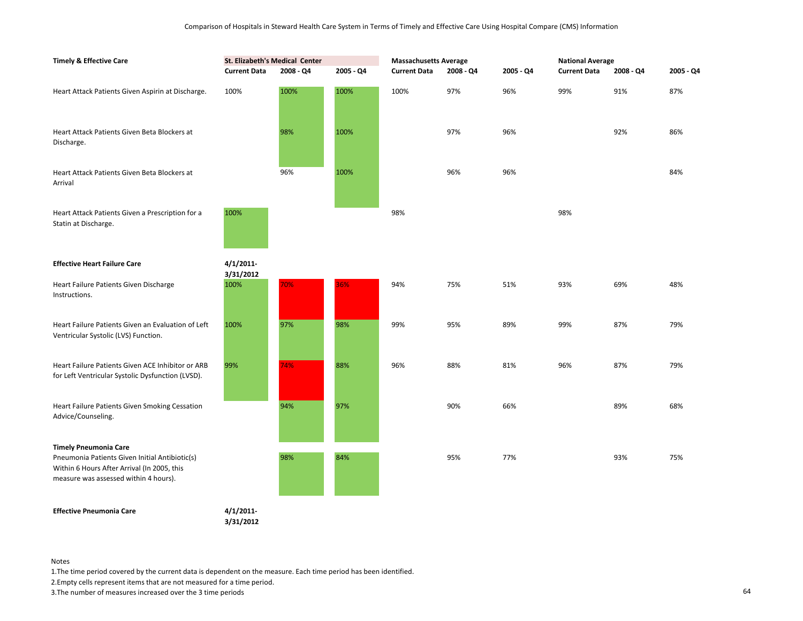| <b>Timely &amp; Effective Care</b>                                                                                                                                     | St. Elizabeth's Medical Center<br>2008 - Q4<br>2005 - Q4<br><b>Current Data</b> |      | <b>Massachusetts Average</b><br><b>Current Data</b><br>2008 - Q4<br>2005 - Q4 |      |     | <b>National Average</b><br><b>Current Data</b><br>2008 - Q4<br>2005 - Q4 |     |     |     |
|------------------------------------------------------------------------------------------------------------------------------------------------------------------------|---------------------------------------------------------------------------------|------|-------------------------------------------------------------------------------|------|-----|--------------------------------------------------------------------------|-----|-----|-----|
| Heart Attack Patients Given Aspirin at Discharge.                                                                                                                      | 100%                                                                            | 100% | 100%                                                                          | 100% | 97% | 96%                                                                      | 99% | 91% | 87% |
| Heart Attack Patients Given Beta Blockers at<br>Discharge.                                                                                                             |                                                                                 | 98%  | 100%                                                                          |      | 97% | 96%                                                                      |     | 92% | 86% |
| Heart Attack Patients Given Beta Blockers at<br>Arrival                                                                                                                |                                                                                 | 96%  | 100%                                                                          |      | 96% | 96%                                                                      |     |     | 84% |
| Heart Attack Patients Given a Prescription for a<br>Statin at Discharge.                                                                                               | 100%                                                                            |      |                                                                               | 98%  |     |                                                                          | 98% |     |     |
| <b>Effective Heart Failure Care</b>                                                                                                                                    | 4/1/2011-<br>3/31/2012                                                          |      |                                                                               |      |     |                                                                          |     |     |     |
| Heart Failure Patients Given Discharge<br>Instructions.                                                                                                                | 100%                                                                            | 70%  | 36%                                                                           | 94%  | 75% | 51%                                                                      | 93% | 69% | 48% |
| Heart Failure Patients Given an Evaluation of Left<br>Ventricular Systolic (LVS) Function.                                                                             | 100%                                                                            | 97%  | 98%                                                                           | 99%  | 95% | 89%                                                                      | 99% | 87% | 79% |
| Heart Failure Patients Given ACE Inhibitor or ARB<br>for Left Ventricular Systolic Dysfunction (LVSD).                                                                 | 99%                                                                             | 74%  | 88%                                                                           | 96%  | 88% | 81%                                                                      | 96% | 87% | 79% |
| Heart Failure Patients Given Smoking Cessation<br>Advice/Counseling.                                                                                                   |                                                                                 | 94%  | 97%                                                                           |      | 90% | 66%                                                                      |     | 89% | 68% |
| <b>Timely Pneumonia Care</b><br>Pneumonia Patients Given Initial Antibiotic(s)<br>Within 6 Hours After Arrival (In 2005, this<br>measure was assessed within 4 hours). |                                                                                 | 98%  | 84%                                                                           |      | 95% | 77%                                                                      |     | 93% | 75% |
| <b>Effective Pneumonia Care</b>                                                                                                                                        | 4/1/2011                                                                        |      |                                                                               |      |     |                                                                          |     |     |     |

**3/31/2012**

Notes

1.The time period covered by the current data is dependent on the measure. Each time period has been identified.

2.Empty cells represent items that are not measured for a time period.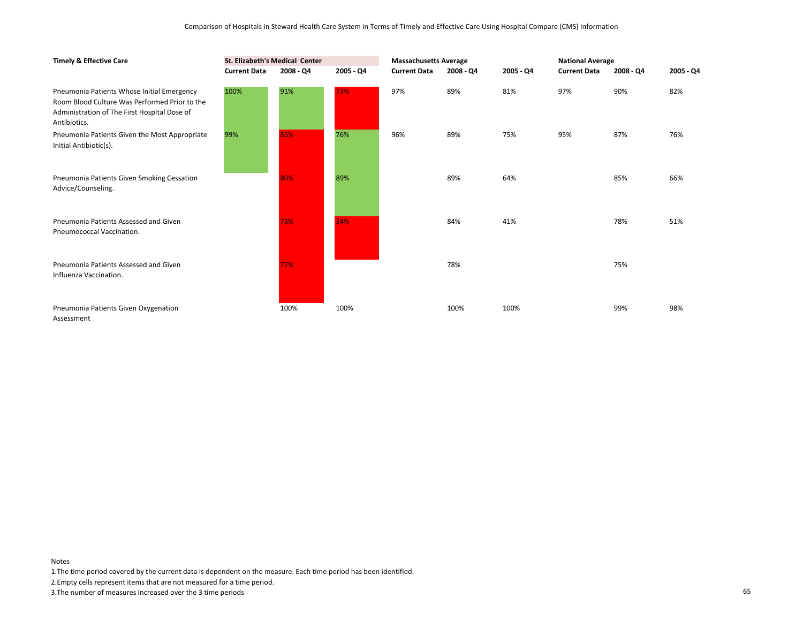| <b>Timely &amp; Effective Care</b>                                                                                                                          | St. Elizabeth's Medical Center |           |           | <b>Massachusetts Average</b> |           |           | <b>National Average</b> |             |             |
|-------------------------------------------------------------------------------------------------------------------------------------------------------------|--------------------------------|-----------|-----------|------------------------------|-----------|-----------|-------------------------|-------------|-------------|
|                                                                                                                                                             | <b>Current Data</b>            | 2008 - Q4 | 2005 - Q4 | <b>Current Data</b>          | 2008 - Q4 | 2005 - Q4 | <b>Current Data</b>     | $2008 - Q4$ | $2005 - Q4$ |
| Pneumonia Patients Whose Initial Emergency<br>Room Blood Culture Was Performed Prior to the<br>Administration of The First Hospital Dose of<br>Antibiotics. | 100%                           | 91%       | 73%       | 97%                          | 89%       | 81%       | 97%                     | 90%         | 82%         |
| Pneumonia Patients Given the Most Appropriate<br>Initial Antibiotic(s).                                                                                     | 99%                            | 85%       | 76%       | 96%                          | 89%       | 75%       | 95%                     | 87%         | 76%         |
| Pneumonia Patients Given Smoking Cessation<br>Advice/Counseling.                                                                                            |                                | 80%       | 89%       |                              | 89%       | 64%       |                         | 85%         | 66%         |
| Pneumonia Patients Assessed and Given<br>Pneumococcal Vaccination.                                                                                          |                                | 73%       | 34%       |                              | 84%       | 41%       |                         | 78%         | 51%         |
| Pneumonia Patients Assessed and Given<br>Influenza Vaccination.                                                                                             |                                | 72%       |           |                              | 78%       |           |                         | 75%         |             |
| Pneumonia Patients Given Oxygenation<br>Assessment                                                                                                          |                                | 100%      | 100%      |                              | 100%      | 100%      |                         | 99%         | 98%         |

1.The time period covered by the current data is dependent on the measure. Each time period has been identified.

2.Empty cells represent items that are not measured for a time period.

3.The number of measures increased over the 3 time periods 65

Notes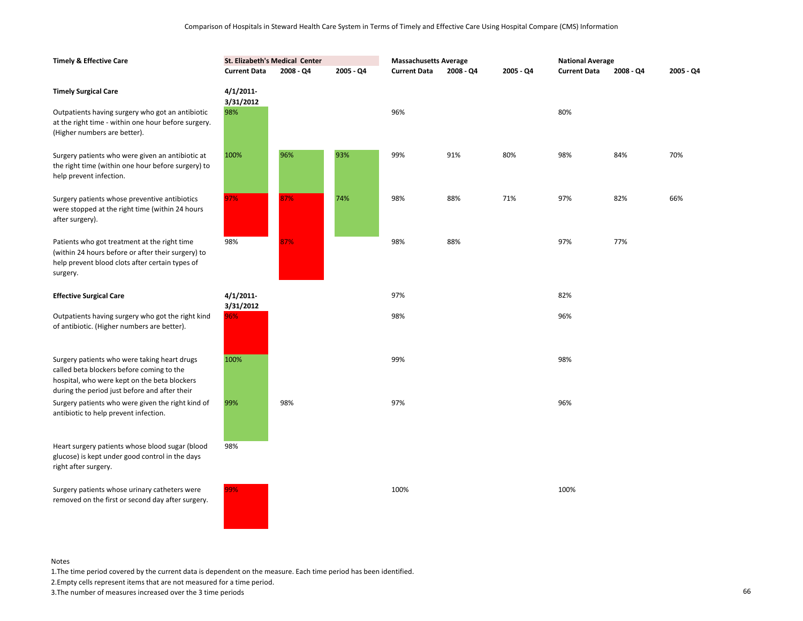| <b>Timely &amp; Effective Care</b>                                                                                                                                                         | St. Elizabeth's Medical Center |           |           | <b>Massachusetts Average</b> |           |           | <b>National Average</b> |           |           |
|--------------------------------------------------------------------------------------------------------------------------------------------------------------------------------------------|--------------------------------|-----------|-----------|------------------------------|-----------|-----------|-------------------------|-----------|-----------|
|                                                                                                                                                                                            | <b>Current Data</b>            | 2008 - Q4 | 2005 - Q4 | <b>Current Data</b>          | 2008 - Q4 | 2005 - Q4 | <b>Current Data</b>     | 2008 - Q4 | 2005 - Q4 |
| <b>Timely Surgical Care</b>                                                                                                                                                                | $4/1/2011$ -<br>3/31/2012      |           |           |                              |           |           |                         |           |           |
| Outpatients having surgery who got an antibiotic<br>at the right time - within one hour before surgery.<br>(Higher numbers are better).                                                    | 98%                            |           |           | 96%                          |           |           | 80%                     |           |           |
| Surgery patients who were given an antibiotic at<br>the right time (within one hour before surgery) to<br>help prevent infection.                                                          | 100%                           | 96%       | 93%       | 99%                          | 91%       | 80%       | 98%                     | 84%       | 70%       |
| Surgery patients whose preventive antibiotics<br>were stopped at the right time (within 24 hours<br>after surgery).                                                                        | 97%                            | 87%       | 74%       | 98%                          | 88%       | 71%       | 97%                     | 82%       | 66%       |
| Patients who got treatment at the right time<br>(within 24 hours before or after their surgery) to<br>help prevent blood clots after certain types of<br>surgery.                          | 98%                            | 87%       |           | 98%                          | 88%       |           | 97%                     | 77%       |           |
| <b>Effective Surgical Care</b>                                                                                                                                                             | $4/1/2011$ -<br>3/31/2012      |           |           | 97%                          |           |           | 82%                     |           |           |
| Outpatients having surgery who got the right kind<br>of antibiotic. (Higher numbers are better).                                                                                           | 96%                            |           |           | 98%                          |           |           | 96%                     |           |           |
| Surgery patients who were taking heart drugs<br>called beta blockers before coming to the<br>hospital, who were kept on the beta blockers<br>during the period just before and after their | 100%                           |           |           | 99%                          |           |           | 98%                     |           |           |
| Surgery patients who were given the right kind of<br>antibiotic to help prevent infection.                                                                                                 | 99%                            | 98%       |           | 97%                          |           |           | 96%                     |           |           |
| Heart surgery patients whose blood sugar (blood<br>glucose) is kept under good control in the days<br>right after surgery.                                                                 | 98%                            |           |           |                              |           |           |                         |           |           |
| Surgery patients whose urinary catheters were<br>removed on the first or second day after surgery.                                                                                         | 99%                            |           |           | 100%                         |           |           | 100%                    |           |           |

1.The time period covered by the current data is dependent on the measure. Each time period has been identified.

2.Empty cells represent items that are not measured for a time period.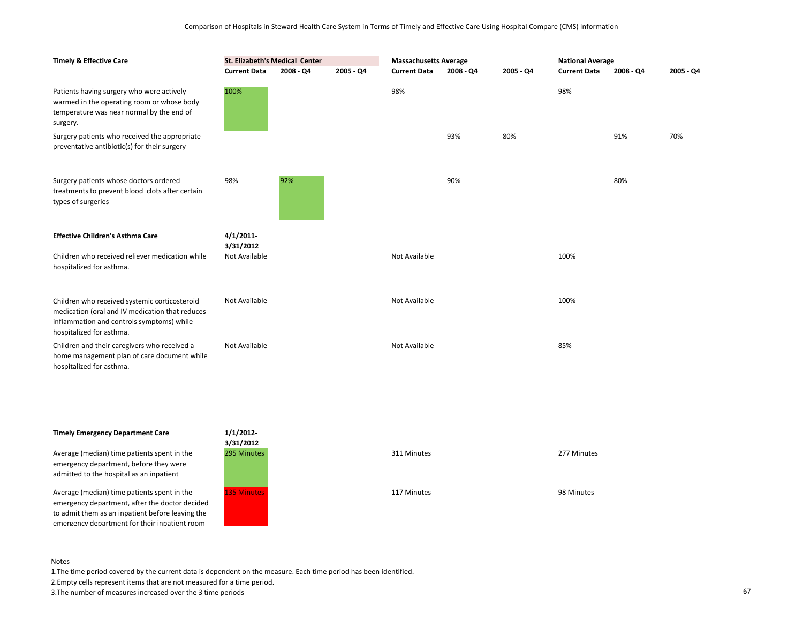| <b>Timely &amp; Effective Care</b>                                                                                                                                        | St. Elizabeth's Medical Center<br><b>Current Data</b><br>2005 - Q4<br>2008 - Q4 |     | <b>Massachusetts Average</b><br><b>Current Data</b><br>2008 - Q4<br>2005 - Q4 |               |     | <b>National Average</b><br><b>Current Data</b><br>2008 - Q4<br>2005 - Q4 |      |     |     |
|---------------------------------------------------------------------------------------------------------------------------------------------------------------------------|---------------------------------------------------------------------------------|-----|-------------------------------------------------------------------------------|---------------|-----|--------------------------------------------------------------------------|------|-----|-----|
| Patients having surgery who were actively<br>warmed in the operating room or whose body<br>temperature was near normal by the end of<br>surgery.                          | 100%                                                                            |     |                                                                               | 98%           |     |                                                                          | 98%  |     |     |
| Surgery patients who received the appropriate<br>preventative antibiotic(s) for their surgery                                                                             |                                                                                 |     |                                                                               |               | 93% | 80%                                                                      |      | 91% | 70% |
| Surgery patients whose doctors ordered<br>treatments to prevent blood clots after certain<br>types of surgeries                                                           | 98%                                                                             | 92% |                                                                               |               | 90% |                                                                          |      | 80% |     |
| <b>Effective Children's Asthma Care</b>                                                                                                                                   | 4/1/2011<br>3/31/2012                                                           |     |                                                                               |               |     |                                                                          |      |     |     |
| Children who received reliever medication while<br>hospitalized for asthma.                                                                                               | Not Available                                                                   |     |                                                                               | Not Available |     |                                                                          | 100% |     |     |
| Children who received systemic corticosteroid<br>medication (oral and IV medication that reduces<br>inflammation and controls symptoms) while<br>hospitalized for asthma. | Not Available                                                                   |     |                                                                               | Not Available |     |                                                                          | 100% |     |     |
| Children and their caregivers who received a<br>home management plan of care document while<br>hospitalized for asthma.                                                   | Not Available                                                                   |     |                                                                               | Not Available |     |                                                                          | 85%  |     |     |

# **Timely Emergency Department Care**

Average (median) time patients spent in the emergency department, before they were admitted to the hospital as an inpatient

Average (median) time patients spent in the emergency department, after the doctor decided to admit them as an inpatient before leaving the emergency department for their inpatient room



#### Notes

1.The time period covered by the current data is dependent on the measure. Each time period has been identified.

2.Empty cells represent items that are not measured for a time period.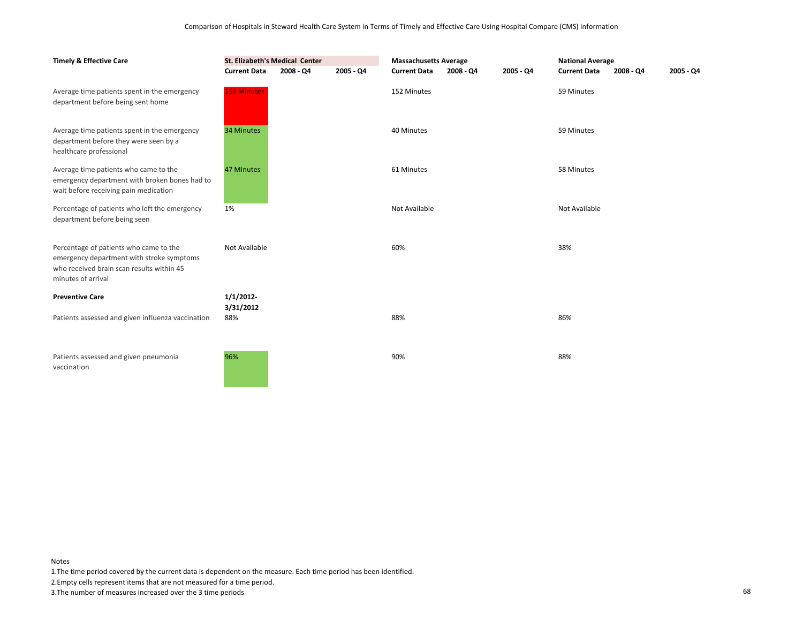| <b>Timely &amp; Effective Care</b>                                                                                                                     | St. Elizabeth's Medical Center<br><b>Current Data</b> | 2008 - Q4 | 2005 - Q4 | <b>Massachusetts Average</b><br><b>Current Data</b><br>2005 - Q4<br>$2008 - Q4$ |  |  | <b>National Average</b><br><b>Current Data</b><br>2008 - Q4 |  | 2005 - Q4 |
|--------------------------------------------------------------------------------------------------------------------------------------------------------|-------------------------------------------------------|-----------|-----------|---------------------------------------------------------------------------------|--|--|-------------------------------------------------------------|--|-----------|
| Average time patients spent in the emergency<br>department before being sent home                                                                      | <b>156 Minutes</b>                                    |           |           | 152 Minutes                                                                     |  |  | 59 Minutes                                                  |  |           |
| Average time patients spent in the emergency<br>department before they were seen by a<br>healthcare professional                                       | 34 Minutes                                            |           |           | 40 Minutes                                                                      |  |  | 59 Minutes                                                  |  |           |
| Average time patients who came to the<br>emergency department with broken bones had to<br>wait before receiving pain medication                        | 47 Minutes                                            |           |           | 61 Minutes                                                                      |  |  | 58 Minutes                                                  |  |           |
| Percentage of patients who left the emergency<br>department before being seen                                                                          | 1%                                                    |           |           | Not Available                                                                   |  |  | Not Available                                               |  |           |
| Percentage of patients who came to the<br>emergency department with stroke symptoms<br>who received brain scan results within 45<br>minutes of arrival | Not Available                                         |           |           | 60%                                                                             |  |  | 38%                                                         |  |           |
| <b>Preventive Care</b>                                                                                                                                 | 1/1/2012                                              |           |           |                                                                                 |  |  |                                                             |  |           |
| Patients assessed and given influenza vaccination                                                                                                      | 3/31/2012<br>88%                                      |           |           | 88%                                                                             |  |  | 86%                                                         |  |           |
| Patients assessed and given pneumonia<br>vaccination                                                                                                   | 96%                                                   |           |           | 90%                                                                             |  |  | 88%                                                         |  |           |

1.The time period covered by the current data is dependent on the measure. Each time period has been identified.

2.Empty cells represent items that are not measured for a time period.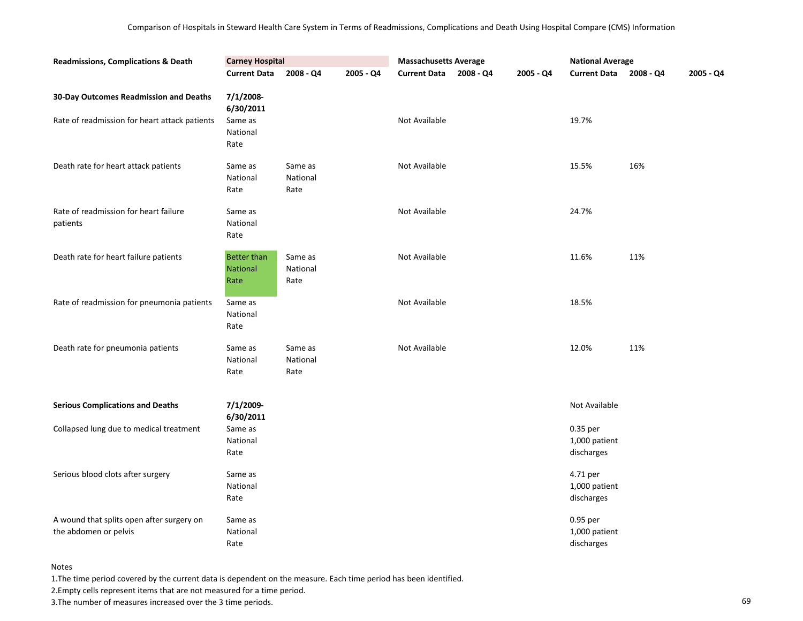| <b>Readmissions, Complications &amp; Death</b>                     | <b>Carney Hospital</b>                        |                             |           | <b>Massachusetts Average</b> |           | <b>National Average</b>                 |           |           |
|--------------------------------------------------------------------|-----------------------------------------------|-----------------------------|-----------|------------------------------|-----------|-----------------------------------------|-----------|-----------|
|                                                                    | <b>Current Data</b>                           | 2008 - Q4                   | 2005 - Q4 | Current Data 2008 - Q4       | 2005 - Q4 | <b>Current Data</b>                     | 2008 - Q4 | 2005 - Q4 |
| 30-Day Outcomes Readmission and Deaths                             | 7/1/2008-<br>6/30/2011                        |                             |           |                              |           |                                         |           |           |
| Rate of readmission for heart attack patients                      | Same as<br>National<br>Rate                   |                             |           | Not Available                |           | 19.7%                                   |           |           |
| Death rate for heart attack patients                               | Same as<br>National<br>Rate                   | Same as<br>National<br>Rate |           | Not Available                |           | 15.5%                                   | 16%       |           |
| Rate of readmission for heart failure<br>patients                  | Same as<br>National<br>Rate                   |                             |           | Not Available                |           | 24.7%                                   |           |           |
| Death rate for heart failure patients                              | <b>Better than</b><br><b>National</b><br>Rate | Same as<br>National<br>Rate |           | Not Available                |           | 11.6%                                   | 11%       |           |
| Rate of readmission for pneumonia patients                         | Same as<br>National<br>Rate                   |                             |           | Not Available                |           | 18.5%                                   |           |           |
| Death rate for pneumonia patients                                  | Same as<br>National<br>Rate                   | Same as<br>National<br>Rate |           | Not Available                |           | 12.0%                                   | 11%       |           |
| <b>Serious Complications and Deaths</b>                            | 7/1/2009-<br>6/30/2011                        |                             |           |                              |           | Not Available                           |           |           |
| Collapsed lung due to medical treatment                            | Same as<br>National<br>Rate                   |                             |           |                              |           | 0.35 per<br>1,000 patient<br>discharges |           |           |
| Serious blood clots after surgery                                  | Same as<br>National<br>Rate                   |                             |           |                              |           | 4.71 per<br>1,000 patient<br>discharges |           |           |
| A wound that splits open after surgery on<br>the abdomen or pelvis | Same as<br>National<br>Rate                   |                             |           |                              |           | 0.95 per<br>1,000 patient<br>discharges |           |           |

1.The time period covered by the current data is dependent on the measure. Each time period has been identified.

2.Empty cells represent items that are not measured for a time period.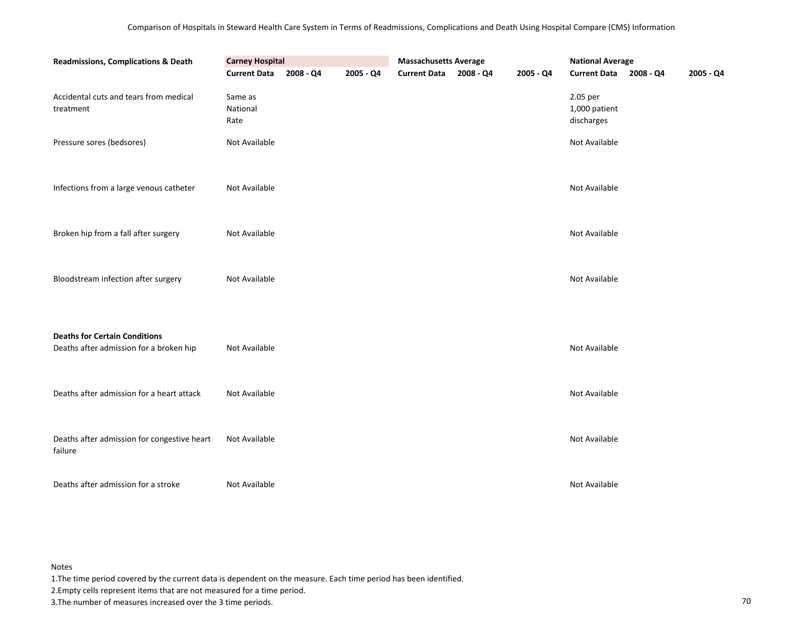| <b>Readmissions, Complications &amp; Death</b>                                  | <b>Carney Hospital</b>      |           |           | <b>Massachusetts Average</b> |           | <b>National Average</b>                 |           |           |
|---------------------------------------------------------------------------------|-----------------------------|-----------|-----------|------------------------------|-----------|-----------------------------------------|-----------|-----------|
|                                                                                 | <b>Current Data</b>         | 2008 - Q4 | 2005 - Q4 | Current Data 2008 - Q4       | 2005 - Q4 | <b>Current Data</b>                     | 2008 - Q4 | 2005 - Q4 |
| Accidental cuts and tears from medical<br>treatment                             | Same as<br>National<br>Rate |           |           |                              |           | 2.05 per<br>1,000 patient<br>discharges |           |           |
| Pressure sores (bedsores)                                                       | Not Available               |           |           |                              |           | Not Available                           |           |           |
|                                                                                 |                             |           |           |                              |           |                                         |           |           |
| Infections from a large venous catheter                                         | Not Available               |           |           |                              |           | Not Available                           |           |           |
|                                                                                 |                             |           |           |                              |           |                                         |           |           |
| Broken hip from a fall after surgery                                            | Not Available               |           |           |                              |           | Not Available                           |           |           |
| Bloodstream infection after surgery                                             | Not Available               |           |           |                              |           | Not Available                           |           |           |
|                                                                                 |                             |           |           |                              |           |                                         |           |           |
| <b>Deaths for Certain Conditions</b><br>Deaths after admission for a broken hip | Not Available               |           |           |                              |           | Not Available                           |           |           |
| Deaths after admission for a heart attack                                       | Not Available               |           |           |                              |           | Not Available                           |           |           |
|                                                                                 |                             |           |           |                              |           |                                         |           |           |
| Deaths after admission for congestive heart<br>failure                          | Not Available               |           |           |                              |           | Not Available                           |           |           |
| Deaths after admission for a stroke                                             | Not Available               |           |           |                              |           | Not Available                           |           |           |

1.The time period covered by the current data is dependent on the measure. Each time period has been identified.

2.Empty cells represent items that are not measured for a time period.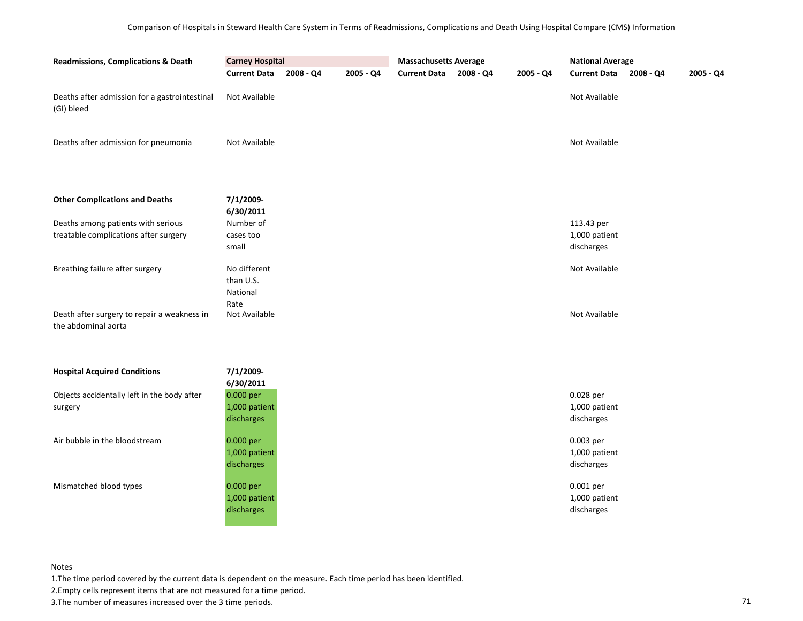| <b>Carney Hospital</b><br><b>Readmissions, Complications &amp; Death</b>    |                                          |           | <b>Massachusetts Average</b> |                     |           | <b>National Average</b> |                                           |             |           |
|-----------------------------------------------------------------------------|------------------------------------------|-----------|------------------------------|---------------------|-----------|-------------------------|-------------------------------------------|-------------|-----------|
|                                                                             | <b>Current Data</b>                      | 2008 - Q4 | 2005 - Q4                    | <b>Current Data</b> | 2008 - Q4 | 2005 - Q4               | <b>Current Data</b>                       | $2008 - Q4$ | 2005 - Q4 |
| Deaths after admission for a gastrointestinal<br>(GI) bleed                 | Not Available                            |           |                              |                     |           |                         | Not Available                             |             |           |
| Deaths after admission for pneumonia                                        | Not Available                            |           |                              |                     |           |                         | Not Available                             |             |           |
| <b>Other Complications and Deaths</b>                                       | 7/1/2009-<br>6/30/2011                   |           |                              |                     |           |                         |                                           |             |           |
| Deaths among patients with serious<br>treatable complications after surgery | Number of<br>cases too<br>small          |           |                              |                     |           |                         | 113.43 per<br>1,000 patient<br>discharges |             |           |
| Breathing failure after surgery                                             | No different<br>than U.S.<br>National    |           |                              |                     |           |                         | Not Available                             |             |           |
| Death after surgery to repair a weakness in<br>the abdominal aorta          | Rate<br>Not Available                    |           |                              |                     |           |                         | Not Available                             |             |           |
| <b>Hospital Acquired Conditions</b>                                         | 7/1/2009-<br>6/30/2011                   |           |                              |                     |           |                         |                                           |             |           |
| Objects accidentally left in the body after<br>surgery                      | 0.000 per<br>1,000 patient<br>discharges |           |                              |                     |           |                         | 0.028 per<br>1,000 patient<br>discharges  |             |           |
| Air bubble in the bloodstream                                               | 0.000 per<br>1,000 patient<br>discharges |           |                              |                     |           |                         | 0.003 per<br>1,000 patient<br>discharges  |             |           |
| Mismatched blood types                                                      | 0.000 per<br>1,000 patient<br>discharges |           |                              |                     |           |                         | 0.001 per<br>1,000 patient<br>discharges  |             |           |

1.The time period covered by the current data is dependent on the measure. Each time period has been identified.

2.Empty cells represent items that are not measured for a time period.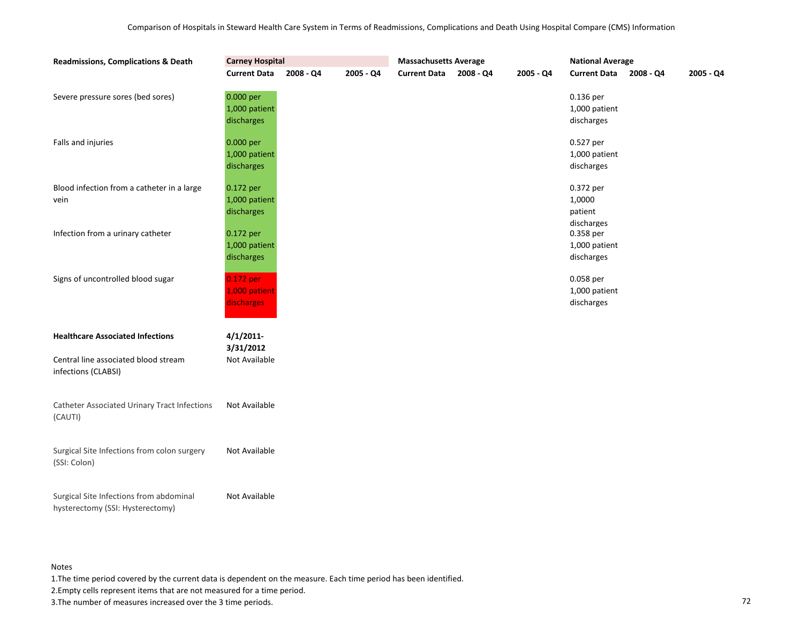| <b>Readmissions, Complications &amp; Death</b>                              | <b>Carney Hospital</b>                   |           |           | <b>Massachusetts Average</b> |           |           | <b>National Average</b>                      |           |           |
|-----------------------------------------------------------------------------|------------------------------------------|-----------|-----------|------------------------------|-----------|-----------|----------------------------------------------|-----------|-----------|
|                                                                             | <b>Current Data</b>                      | 2008 - Q4 | 2005 - Q4 | <b>Current Data</b>          | 2008 - Q4 | 2005 - Q4 | <b>Current Data</b>                          | 2008 - Q4 | 2005 - Q4 |
| Severe pressure sores (bed sores)                                           | 0.000 per<br>1,000 patient<br>discharges |           |           |                              |           |           | 0.136 per<br>1,000 patient<br>discharges     |           |           |
| Falls and injuries                                                          | 0.000 per<br>1,000 patient<br>discharges |           |           |                              |           |           | 0.527 per<br>1,000 patient<br>discharges     |           |           |
| Blood infection from a catheter in a large<br>vein                          | 0.172 per<br>1,000 patient<br>discharges |           |           |                              |           |           | 0.372 per<br>1,0000<br>patient<br>discharges |           |           |
| Infection from a urinary catheter                                           | 0.172 per<br>1,000 patient<br>discharges |           |           |                              |           |           | 0.358 per<br>1,000 patient<br>discharges     |           |           |
| Signs of uncontrolled blood sugar                                           | 0.172 per<br>1,000 patient<br>discharges |           |           |                              |           |           | 0.058 per<br>1,000 patient<br>discharges     |           |           |
| <b>Healthcare Associated Infections</b>                                     | 4/1/2011                                 |           |           |                              |           |           |                                              |           |           |
| Central line associated blood stream<br>infections (CLABSI)                 | 3/31/2012<br>Not Available               |           |           |                              |           |           |                                              |           |           |
| <b>Catheter Associated Urinary Tract Infections</b><br>(CAUTI)              | Not Available                            |           |           |                              |           |           |                                              |           |           |
| Surgical Site Infections from colon surgery<br>(SSI: Colon)                 | Not Available                            |           |           |                              |           |           |                                              |           |           |
| Surgical Site Infections from abdominal<br>hysterectomy (SSI: Hysterectomy) | Not Available                            |           |           |                              |           |           |                                              |           |           |

1.The time period covered by the current data is dependent on the measure. Each time period has been identified.

2.Empty cells represent items that are not measured for a time period.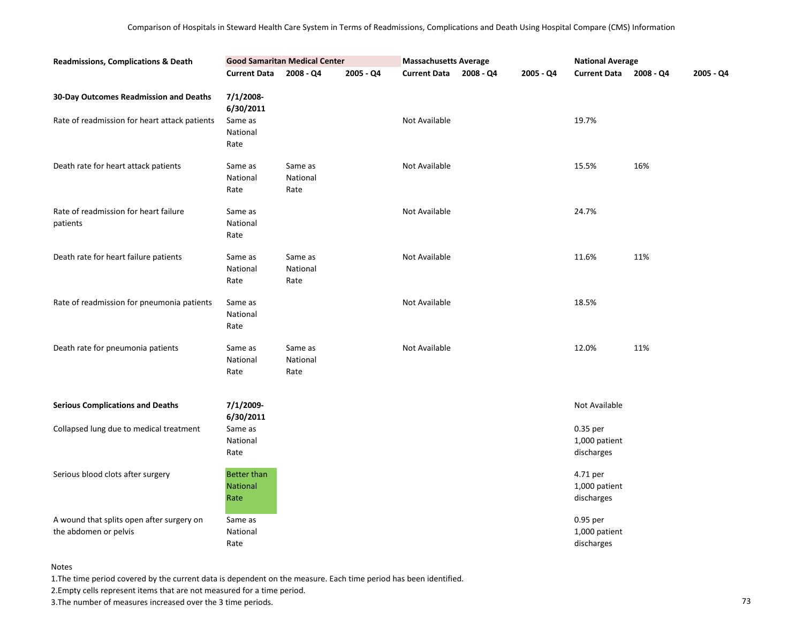| <b>Readmissions, Complications &amp; Death</b>                                          |                                                       | <b>Good Samaritan Medical Center</b> |           | <b>Massachusetts Average</b> |           |           | <b>National Average</b>                 |           |           |
|-----------------------------------------------------------------------------------------|-------------------------------------------------------|--------------------------------------|-----------|------------------------------|-----------|-----------|-----------------------------------------|-----------|-----------|
|                                                                                         | <b>Current Data</b>                                   | $2008 - Q4$                          | 2005 - Q4 | <b>Current Data</b>          | 2008 - Q4 | 2005 - Q4 | <b>Current Data</b>                     | 2008 - Q4 | 2005 - Q4 |
| 30-Day Outcomes Readmission and Deaths<br>Rate of readmission for heart attack patients | 7/1/2008-<br>6/30/2011<br>Same as<br>National<br>Rate |                                      |           | Not Available                |           |           | 19.7%                                   |           |           |
| Death rate for heart attack patients                                                    | Same as<br>National<br>Rate                           | Same as<br>National<br>Rate          |           | Not Available                |           |           | 15.5%                                   | 16%       |           |
| Rate of readmission for heart failure<br>patients                                       | Same as<br>National<br>Rate                           |                                      |           | Not Available                |           |           | 24.7%                                   |           |           |
| Death rate for heart failure patients                                                   | Same as<br>National<br>Rate                           | Same as<br>National<br>Rate          |           | Not Available                |           |           | 11.6%                                   | 11%       |           |
| Rate of readmission for pneumonia patients                                              | Same as<br>National<br>Rate                           |                                      |           | Not Available                |           |           | 18.5%                                   |           |           |
| Death rate for pneumonia patients                                                       | Same as<br>National<br>Rate                           | Same as<br>National<br>Rate          |           | Not Available                |           |           | 12.0%                                   | 11%       |           |
| <b>Serious Complications and Deaths</b>                                                 | 7/1/2009-<br>6/30/2011                                |                                      |           |                              |           |           | Not Available                           |           |           |
| Collapsed lung due to medical treatment                                                 | Same as<br>National<br>Rate                           |                                      |           |                              |           |           | 0.35 per<br>1,000 patient<br>discharges |           |           |
| Serious blood clots after surgery                                                       | <b>Better than</b><br><b>National</b><br>Rate         |                                      |           |                              |           |           | 4.71 per<br>1,000 patient<br>discharges |           |           |
| A wound that splits open after surgery on<br>the abdomen or pelvis                      | Same as<br>National<br>Rate                           |                                      |           |                              |           |           | 0.95 per<br>1,000 patient<br>discharges |           |           |

1.The time period covered by the current data is dependent on the measure. Each time period has been identified.

2.Empty cells represent items that are not measured for a time period.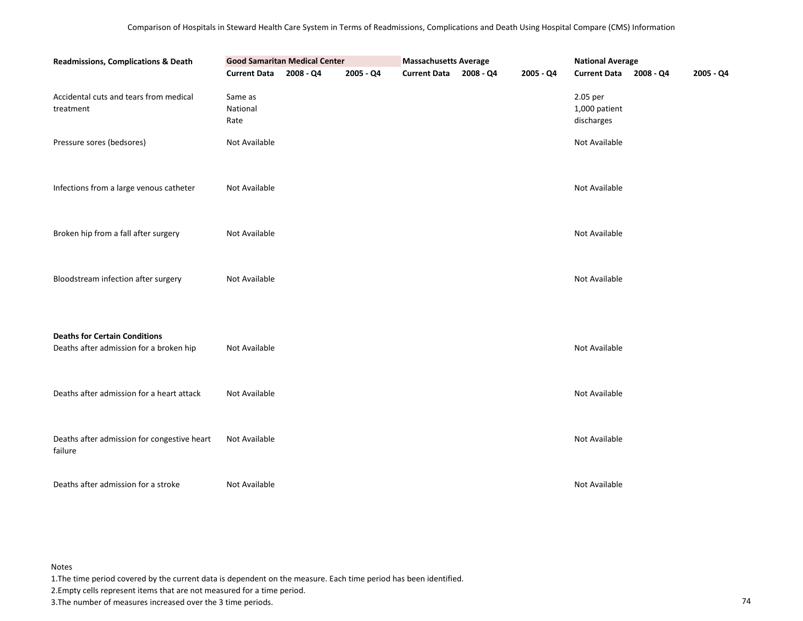| Readmissions, Complications & Death                                             | <b>Good Samaritan Medical Center</b> | <b>Massachusetts Average</b> |           | <b>National Average</b> |           |                                         |  |           |
|---------------------------------------------------------------------------------|--------------------------------------|------------------------------|-----------|-------------------------|-----------|-----------------------------------------|--|-----------|
|                                                                                 | <b>Current Data</b>                  | 2008 - Q4                    | 2005 - Q4 | Current Data 2008 - Q4  | 2005 - Q4 | Current Data 2008 - Q4                  |  | 2005 - Q4 |
| Accidental cuts and tears from medical<br>treatment                             | Same as<br>National<br>Rate          |                              |           |                         |           | 2.05 per<br>1,000 patient<br>discharges |  |           |
| Pressure sores (bedsores)                                                       | Not Available                        |                              |           |                         |           | Not Available                           |  |           |
| Infections from a large venous catheter                                         | Not Available                        |                              |           |                         |           | Not Available                           |  |           |
| Broken hip from a fall after surgery                                            | Not Available                        |                              |           |                         |           | Not Available                           |  |           |
| Bloodstream infection after surgery                                             | Not Available                        |                              |           |                         |           | Not Available                           |  |           |
| <b>Deaths for Certain Conditions</b><br>Deaths after admission for a broken hip | Not Available                        |                              |           |                         |           | Not Available                           |  |           |
| Deaths after admission for a heart attack                                       | Not Available                        |                              |           |                         |           | Not Available                           |  |           |
| Deaths after admission for congestive heart<br>failure                          | Not Available                        |                              |           |                         |           | Not Available                           |  |           |
| Deaths after admission for a stroke                                             | Not Available                        |                              |           |                         |           | Not Available                           |  |           |

1.The time period covered by the current data is dependent on the measure. Each time period has been identified.

2.Empty cells represent items that are not measured for a time period.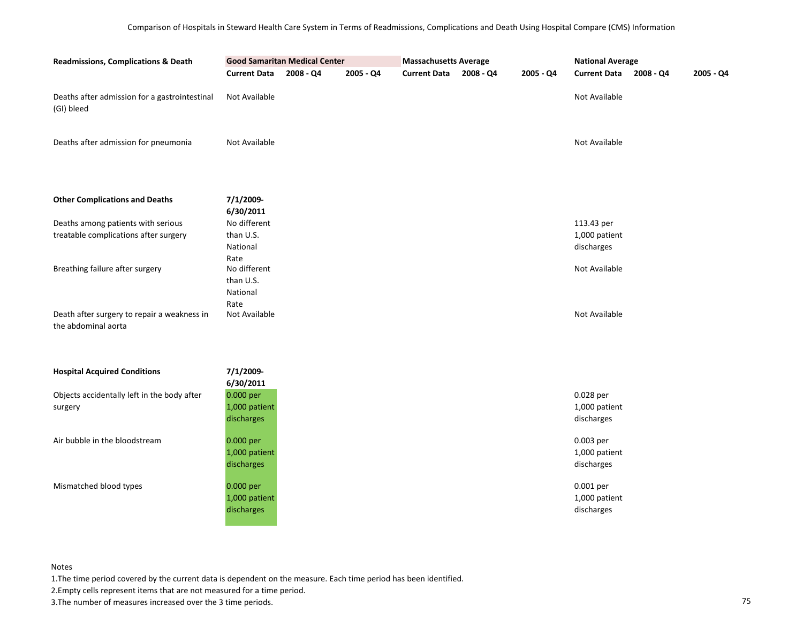| <b>Readmissions, Complications &amp; Death</b>                     |                        | <b>Good Samaritan Medical Center</b> |           | <b>Massachusetts Average</b> |           |           | <b>National Average</b> |           |           |
|--------------------------------------------------------------------|------------------------|--------------------------------------|-----------|------------------------------|-----------|-----------|-------------------------|-----------|-----------|
|                                                                    | <b>Current Data</b>    | 2008 - Q4                            | 2005 - Q4 | <b>Current Data</b>          | 2008 - Q4 | 2005 - Q4 | <b>Current Data</b>     | 2008 - Q4 | 2005 - Q4 |
| Deaths after admission for a gastrointestinal<br>(GI) bleed        | Not Available          |                                      |           |                              |           |           | Not Available           |           |           |
| Deaths after admission for pneumonia                               | Not Available          |                                      |           |                              |           |           | Not Available           |           |           |
| <b>Other Complications and Deaths</b>                              | 7/1/2009-<br>6/30/2011 |                                      |           |                              |           |           |                         |           |           |
| Deaths among patients with serious                                 | No different           |                                      |           |                              |           |           | 113.43 per              |           |           |
| treatable complications after surgery                              | than U.S.              |                                      |           |                              |           |           | 1,000 patient           |           |           |
|                                                                    | National<br>Rate       |                                      |           |                              |           |           | discharges              |           |           |
| Breathing failure after surgery                                    | No different           |                                      |           |                              |           |           | Not Available           |           |           |
|                                                                    | than U.S.              |                                      |           |                              |           |           |                         |           |           |
|                                                                    | National<br>Rate       |                                      |           |                              |           |           |                         |           |           |
| Death after surgery to repair a weakness in<br>the abdominal aorta | Not Available          |                                      |           |                              |           |           | Not Available           |           |           |
| <b>Hospital Acquired Conditions</b>                                | 7/1/2009-              |                                      |           |                              |           |           |                         |           |           |
| Objects accidentally left in the body after                        | 6/30/2011<br>0.000 per |                                      |           |                              |           |           | 0.028 per               |           |           |
| surgery                                                            | 1,000 patient          |                                      |           |                              |           |           | 1,000 patient           |           |           |
|                                                                    | discharges             |                                      |           |                              |           |           | discharges              |           |           |
| Air bubble in the bloodstream                                      | 0.000 per              |                                      |           |                              |           |           | 0.003 per               |           |           |
|                                                                    | 1,000 patient          |                                      |           |                              |           |           | 1,000 patient           |           |           |
|                                                                    | discharges             |                                      |           |                              |           |           | discharges              |           |           |
| Mismatched blood types                                             | 0.000 per              |                                      |           |                              |           |           | 0.001 per               |           |           |
|                                                                    | 1,000 patient          |                                      |           |                              |           |           | 1,000 patient           |           |           |
|                                                                    | discharges             |                                      |           |                              |           |           | discharges              |           |           |
|                                                                    |                        |                                      |           |                              |           |           |                         |           |           |

1.The time period covered by the current data is dependent on the measure. Each time period has been identified.

2.Empty cells represent items that are not measured for a time period.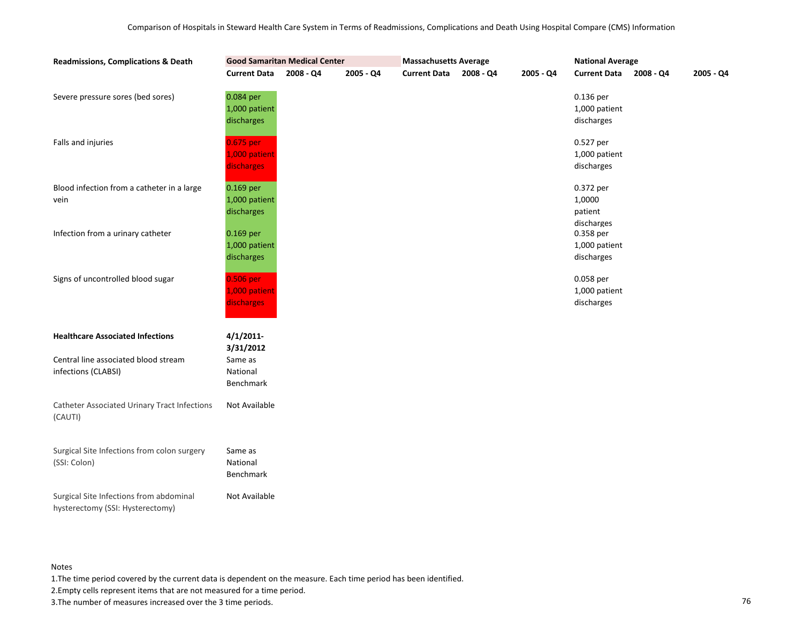| <b>Readmissions, Complications &amp; Death</b>                              | <b>Good Samaritan Medical Center</b>     |             |           | <b>Massachusetts Average</b> |           |           | <b>National Average</b>                      |             |             |  |
|-----------------------------------------------------------------------------|------------------------------------------|-------------|-----------|------------------------------|-----------|-----------|----------------------------------------------|-------------|-------------|--|
|                                                                             | <b>Current Data</b>                      | $2008 - Q4$ | 2005 - Q4 | <b>Current Data</b>          | 2008 - Q4 | 2005 - Q4 | <b>Current Data</b>                          | $2008 - Q4$ | $2005 - Q4$ |  |
| Severe pressure sores (bed sores)                                           | 0.084 per<br>1,000 patient<br>discharges |             |           |                              |           |           | 0.136 per<br>1,000 patient<br>discharges     |             |             |  |
| Falls and injuries                                                          | 0.675 per<br>1,000 patient<br>discharges |             |           |                              |           |           | 0.527 per<br>1,000 patient<br>discharges     |             |             |  |
| Blood infection from a catheter in a large<br>vein                          | 0.169 per<br>1,000 patient<br>discharges |             |           |                              |           |           | 0.372 per<br>1,0000<br>patient<br>discharges |             |             |  |
| Infection from a urinary catheter                                           | 0.169 per<br>1,000 patient<br>discharges |             |           |                              |           |           | 0.358 per<br>1,000 patient<br>discharges     |             |             |  |
| Signs of uncontrolled blood sugar                                           | 0.506 per<br>1,000 patient<br>discharges |             |           |                              |           |           | 0.058 per<br>1,000 patient<br>discharges     |             |             |  |
| <b>Healthcare Associated Infections</b>                                     | 4/1/2011<br>3/31/2012                    |             |           |                              |           |           |                                              |             |             |  |
| Central line associated blood stream<br>infections (CLABSI)                 | Same as<br>National<br>Benchmark         |             |           |                              |           |           |                                              |             |             |  |
| <b>Catheter Associated Urinary Tract Infections</b><br>(CAUTI)              | Not Available                            |             |           |                              |           |           |                                              |             |             |  |
| Surgical Site Infections from colon surgery<br>(SSI: Colon)                 | Same as<br>National<br>Benchmark         |             |           |                              |           |           |                                              |             |             |  |
| Surgical Site Infections from abdominal<br>hysterectomy (SSI: Hysterectomy) | Not Available                            |             |           |                              |           |           |                                              |             |             |  |

1.The time period covered by the current data is dependent on the measure. Each time period has been identified.

2.Empty cells represent items that are not measured for a time period.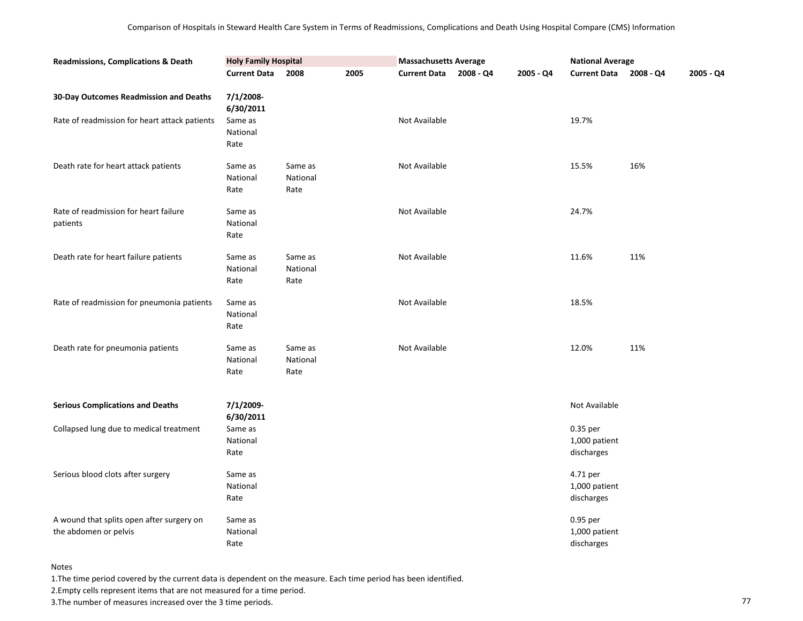| <b>Readmissions, Complications &amp; Death</b>                     | <b>Holy Family Hospital</b> |                             |      | <b>Massachusetts Average</b> |           |           | <b>National Average</b>                 |           |           |
|--------------------------------------------------------------------|-----------------------------|-----------------------------|------|------------------------------|-----------|-----------|-----------------------------------------|-----------|-----------|
|                                                                    | <b>Current Data</b>         | 2008                        | 2005 | <b>Current Data</b>          | 2008 - Q4 | 2005 - Q4 | <b>Current Data</b>                     | 2008 - Q4 | 2005 - Q4 |
| 30-Day Outcomes Readmission and Deaths                             | 7/1/2008-<br>6/30/2011      |                             |      |                              |           |           |                                         |           |           |
| Rate of readmission for heart attack patients                      | Same as<br>National<br>Rate |                             |      | Not Available                |           |           | 19.7%                                   |           |           |
| Death rate for heart attack patients                               | Same as<br>National<br>Rate | Same as<br>National<br>Rate |      | Not Available                |           |           | 15.5%                                   | 16%       |           |
| Rate of readmission for heart failure<br>patients                  | Same as<br>National<br>Rate |                             |      | Not Available                |           |           | 24.7%                                   |           |           |
| Death rate for heart failure patients                              | Same as<br>National<br>Rate | Same as<br>National<br>Rate |      | Not Available                |           |           | 11.6%                                   | 11%       |           |
| Rate of readmission for pneumonia patients                         | Same as<br>National<br>Rate |                             |      | Not Available                |           |           | 18.5%                                   |           |           |
| Death rate for pneumonia patients                                  | Same as<br>National<br>Rate | Same as<br>National<br>Rate |      | Not Available                |           |           | 12.0%                                   | 11%       |           |
| <b>Serious Complications and Deaths</b>                            | 7/1/2009-<br>6/30/2011      |                             |      |                              |           |           | Not Available                           |           |           |
| Collapsed lung due to medical treatment                            | Same as<br>National<br>Rate |                             |      |                              |           |           | 0.35 per<br>1,000 patient<br>discharges |           |           |
| Serious blood clots after surgery                                  | Same as<br>National<br>Rate |                             |      |                              |           |           | 4.71 per<br>1,000 patient<br>discharges |           |           |
| A wound that splits open after surgery on<br>the abdomen or pelvis | Same as<br>National<br>Rate |                             |      |                              |           |           | 0.95 per<br>1,000 patient<br>discharges |           |           |

1.The time period covered by the current data is dependent on the measure. Each time period has been identified.

2.Empty cells represent items that are not measured for a time period.

3. The number of measures increased over the 3 time periods. The number of measures increased over the 3 time periods.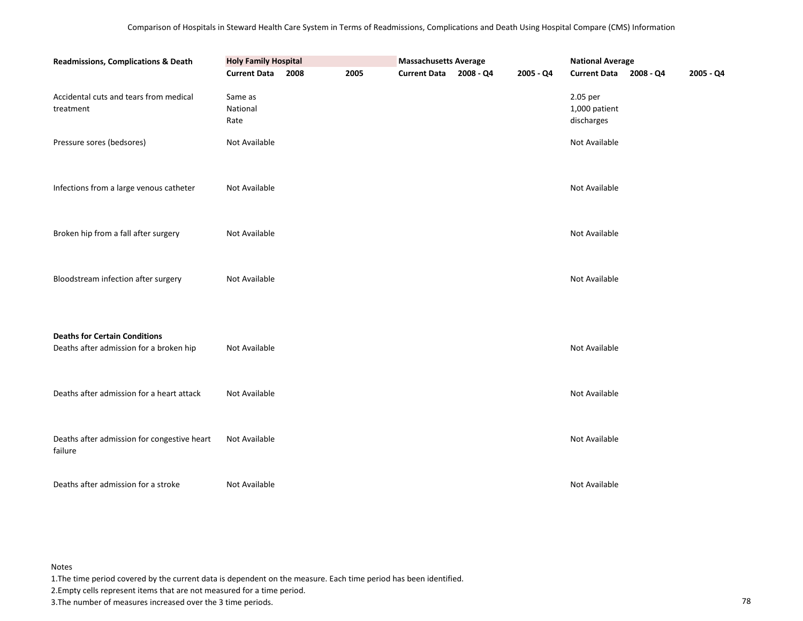| Readmissions, Complications & Death                                             | <b>Holy Family Hospital</b> |      |      | <b>Massachusetts Average</b> |           | <b>National Average</b>                 |  |           |
|---------------------------------------------------------------------------------|-----------------------------|------|------|------------------------------|-----------|-----------------------------------------|--|-----------|
|                                                                                 | <b>Current Data</b>         | 2008 | 2005 | Current Data 2008 - Q4       | 2005 - Q4 | Current Data 2008 - Q4                  |  | 2005 - Q4 |
| Accidental cuts and tears from medical<br>treatment                             | Same as<br>National<br>Rate |      |      |                              |           | 2.05 per<br>1,000 patient<br>discharges |  |           |
| Pressure sores (bedsores)                                                       | Not Available               |      |      |                              |           | Not Available                           |  |           |
| Infections from a large venous catheter                                         | Not Available               |      |      |                              |           | Not Available                           |  |           |
| Broken hip from a fall after surgery                                            | Not Available               |      |      |                              |           | Not Available                           |  |           |
| Bloodstream infection after surgery                                             | Not Available               |      |      |                              |           | Not Available                           |  |           |
| <b>Deaths for Certain Conditions</b><br>Deaths after admission for a broken hip | Not Available               |      |      |                              |           | Not Available                           |  |           |
| Deaths after admission for a heart attack                                       | Not Available               |      |      |                              |           | Not Available                           |  |           |
| Deaths after admission for congestive heart<br>failure                          | Not Available               |      |      |                              |           | Not Available                           |  |           |
| Deaths after admission for a stroke                                             | Not Available               |      |      |                              |           | Not Available                           |  |           |

1.The time period covered by the current data is dependent on the measure. Each time period has been identified.

2.Empty cells represent items that are not measured for a time period.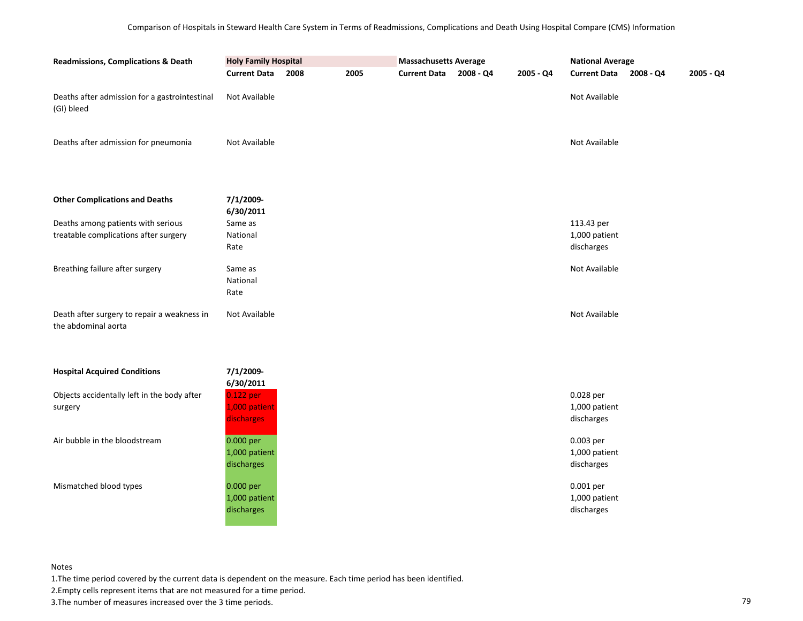| <b>Readmissions, Complications &amp; Death</b>                     | <b>Holy Family Hospital</b> |      |      | <b>Massachusetts Average</b> |           |           | <b>National Average</b>     |           |           |
|--------------------------------------------------------------------|-----------------------------|------|------|------------------------------|-----------|-----------|-----------------------------|-----------|-----------|
|                                                                    | <b>Current Data</b>         | 2008 | 2005 | <b>Current Data</b>          | 2008 - Q4 | 2005 - Q4 | <b>Current Data</b>         | 2008 - Q4 | 2005 - Q4 |
| Deaths after admission for a gastrointestinal<br>(GI) bleed        | Not Available               |      |      |                              |           |           | Not Available               |           |           |
| Deaths after admission for pneumonia                               | Not Available               |      |      |                              |           |           | Not Available               |           |           |
| <b>Other Complications and Deaths</b>                              | 7/1/2009-<br>6/30/2011      |      |      |                              |           |           |                             |           |           |
| Deaths among patients with serious                                 | Same as                     |      |      |                              |           |           | 113.43 per                  |           |           |
| treatable complications after surgery                              | National<br>Rate            |      |      |                              |           |           | 1,000 patient<br>discharges |           |           |
|                                                                    |                             |      |      |                              |           |           |                             |           |           |
| Breathing failure after surgery                                    | Same as<br>National<br>Rate |      |      |                              |           |           | Not Available               |           |           |
| Death after surgery to repair a weakness in<br>the abdominal aorta | Not Available               |      |      |                              |           |           | Not Available               |           |           |
| <b>Hospital Acquired Conditions</b>                                | 7/1/2009-                   |      |      |                              |           |           |                             |           |           |
| Objects accidentally left in the body after                        | 6/30/2011<br>0.122 per      |      |      |                              |           |           | 0.028 per                   |           |           |
| surgery                                                            | 1,000 patient               |      |      |                              |           |           | 1,000 patient               |           |           |
|                                                                    | discharges                  |      |      |                              |           |           | discharges                  |           |           |
| Air bubble in the bloodstream                                      | 0.000 per                   |      |      |                              |           |           | 0.003 per                   |           |           |
|                                                                    | 1,000 patient               |      |      |                              |           |           | 1,000 patient               |           |           |
|                                                                    | discharges                  |      |      |                              |           |           | discharges                  |           |           |
| Mismatched blood types                                             | 0.000 per                   |      |      |                              |           |           | 0.001 per                   |           |           |
|                                                                    | 1,000 patient               |      |      |                              |           |           | 1,000 patient               |           |           |
|                                                                    | discharges                  |      |      |                              |           |           | discharges                  |           |           |
|                                                                    |                             |      |      |                              |           |           |                             |           |           |

1.The time period covered by the current data is dependent on the measure. Each time period has been identified.

2.Empty cells represent items that are not measured for a time period.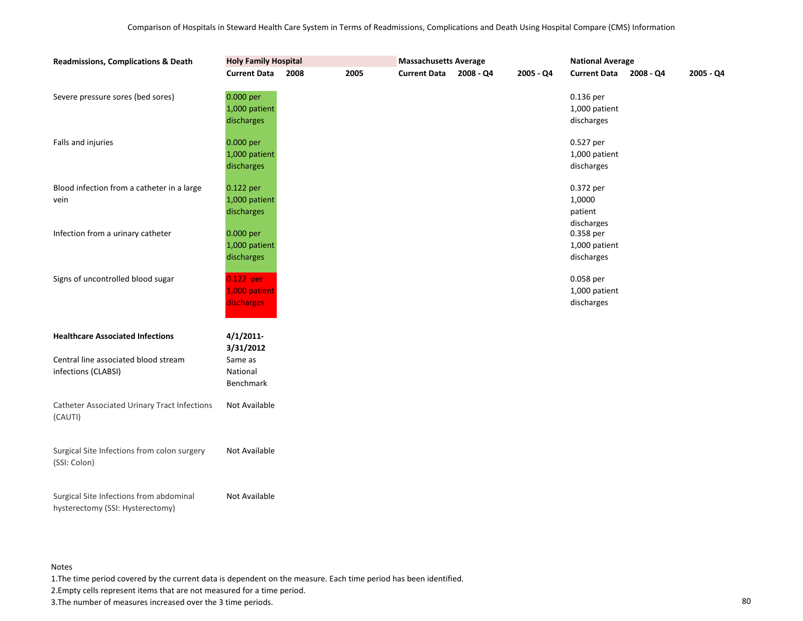| <b>Readmissions, Complications &amp; Death</b>                              | <b>Holy Family Hospital</b>              |      |      |                     |           |             | <b>National Average</b>                      |             |           |  |
|-----------------------------------------------------------------------------|------------------------------------------|------|------|---------------------|-----------|-------------|----------------------------------------------|-------------|-----------|--|
|                                                                             | <b>Current Data</b>                      | 2008 | 2005 | <b>Current Data</b> | 2008 - Q4 | $2005 - Q4$ | <b>Current Data</b>                          | $2008 - Q4$ | 2005 - Q4 |  |
| Severe pressure sores (bed sores)                                           | 0.000 per<br>1,000 patient<br>discharges |      |      |                     |           |             | 0.136 per<br>1,000 patient<br>discharges     |             |           |  |
| Falls and injuries                                                          | 0.000 per<br>1,000 patient<br>discharges |      |      |                     |           |             | 0.527 per<br>1,000 patient<br>discharges     |             |           |  |
| Blood infection from a catheter in a large<br>vein                          | 0.122 per<br>1,000 patient<br>discharges |      |      |                     |           |             | 0.372 per<br>1,0000<br>patient<br>discharges |             |           |  |
| Infection from a urinary catheter                                           | 0.000 per<br>1,000 patient<br>discharges |      |      |                     |           |             | 0.358 per<br>1,000 patient<br>discharges     |             |           |  |
| Signs of uncontrolled blood sugar                                           | 0.122 per<br>1,000 patient<br>discharges |      |      |                     |           |             | 0.058 per<br>1,000 patient<br>discharges     |             |           |  |
| <b>Healthcare Associated Infections</b>                                     | 4/1/2011<br>3/31/2012                    |      |      |                     |           |             |                                              |             |           |  |
| Central line associated blood stream<br>infections (CLABSI)                 | Same as<br>National<br>Benchmark         |      |      |                     |           |             |                                              |             |           |  |
| <b>Catheter Associated Urinary Tract Infections</b><br>(CAUTI)              | Not Available                            |      |      |                     |           |             |                                              |             |           |  |
| Surgical Site Infections from colon surgery<br>(SSI: Colon)                 | Not Available                            |      |      |                     |           |             |                                              |             |           |  |
| Surgical Site Infections from abdominal<br>hysterectomy (SSI: Hysterectomy) | Not Available                            |      |      |                     |           |             |                                              |             |           |  |

1.The time period covered by the current data is dependent on the measure. Each time period has been identified.

2.Empty cells represent items that are not measured for a time period.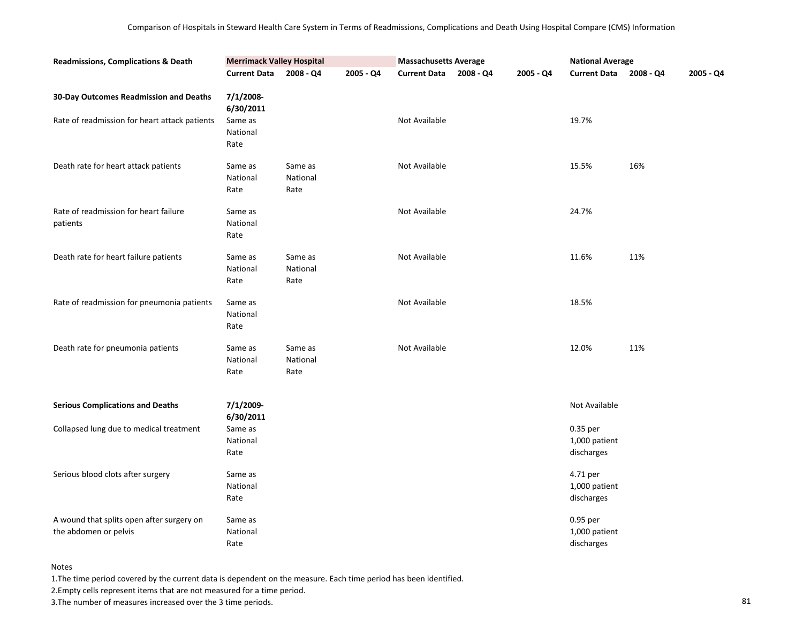| <b>Readmissions, Complications &amp; Death</b>                                          | <b>Merrimack Valley Hospital</b>                      |                             |           | <b>Massachusetts Average</b> |             |           | <b>National Average</b>                 |             |           |
|-----------------------------------------------------------------------------------------|-------------------------------------------------------|-----------------------------|-----------|------------------------------|-------------|-----------|-----------------------------------------|-------------|-----------|
|                                                                                         | <b>Current Data</b>                                   | $2008 - Q4$                 | 2005 - Q4 | <b>Current Data</b>          | $2008 - Q4$ | 2005 - Q4 | <b>Current Data</b>                     | $2008 - Q4$ | 2005 - Q4 |
| 30-Day Outcomes Readmission and Deaths<br>Rate of readmission for heart attack patients | 7/1/2008-<br>6/30/2011<br>Same as<br>National<br>Rate |                             |           | Not Available                |             |           | 19.7%                                   |             |           |
| Death rate for heart attack patients                                                    | Same as<br>National<br>Rate                           | Same as<br>National<br>Rate |           | Not Available                |             |           | 15.5%                                   | 16%         |           |
| Rate of readmission for heart failure<br>patients                                       | Same as<br>National<br>Rate                           |                             |           | Not Available                |             |           | 24.7%                                   |             |           |
| Death rate for heart failure patients                                                   | Same as<br>National<br>Rate                           | Same as<br>National<br>Rate |           | Not Available                |             |           | 11.6%                                   | 11%         |           |
| Rate of readmission for pneumonia patients                                              | Same as<br>National<br>Rate                           |                             |           | Not Available                |             |           | 18.5%                                   |             |           |
| Death rate for pneumonia patients                                                       | Same as<br>National<br>Rate                           | Same as<br>National<br>Rate |           | Not Available                |             |           | 12.0%                                   | 11%         |           |
| <b>Serious Complications and Deaths</b>                                                 | 7/1/2009-<br>6/30/2011                                |                             |           |                              |             |           | Not Available                           |             |           |
| Collapsed lung due to medical treatment                                                 | Same as<br>National<br>Rate                           |                             |           |                              |             |           | 0.35 per<br>1,000 patient<br>discharges |             |           |
| Serious blood clots after surgery                                                       | Same as<br>National<br>Rate                           |                             |           |                              |             |           | 4.71 per<br>1,000 patient<br>discharges |             |           |
| A wound that splits open after surgery on<br>the abdomen or pelvis                      | Same as<br>National<br>Rate                           |                             |           |                              |             |           | 0.95 per<br>1,000 patient<br>discharges |             |           |

1.The time period covered by the current data is dependent on the measure. Each time period has been identified.

2.Empty cells represent items that are not measured for a time period.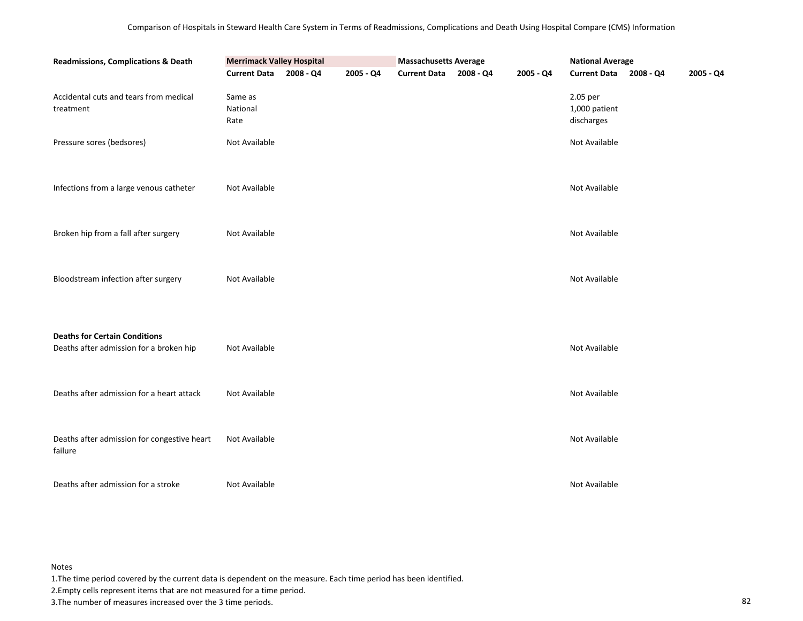| <b>Readmissions, Complications &amp; Death</b>         | <b>Merrimack Valley Hospital</b> |           |           | <b>Massachusetts Average</b> |           | <b>National Average</b>                 |           |           |
|--------------------------------------------------------|----------------------------------|-----------|-----------|------------------------------|-----------|-----------------------------------------|-----------|-----------|
|                                                        | <b>Current Data</b>              | 2008 - Q4 | 2005 - Q4 | Current Data 2008 - Q4       | 2005 - Q4 | <b>Current Data</b>                     | 2008 - Q4 | 2005 - Q4 |
| Accidental cuts and tears from medical<br>treatment    | Same as<br>National<br>Rate      |           |           |                              |           | 2.05 per<br>1,000 patient<br>discharges |           |           |
| Pressure sores (bedsores)                              | Not Available                    |           |           |                              |           | Not Available                           |           |           |
| Infections from a large venous catheter                | Not Available                    |           |           |                              |           | Not Available                           |           |           |
| Broken hip from a fall after surgery                   | Not Available                    |           |           |                              |           | Not Available                           |           |           |
| Bloodstream infection after surgery                    | Not Available                    |           |           |                              |           | Not Available                           |           |           |
| <b>Deaths for Certain Conditions</b>                   |                                  |           |           |                              |           |                                         |           |           |
| Deaths after admission for a broken hip                | Not Available                    |           |           |                              |           | Not Available                           |           |           |
|                                                        |                                  |           |           |                              |           |                                         |           |           |
| Deaths after admission for a heart attack              | Not Available                    |           |           |                              |           | Not Available                           |           |           |
|                                                        |                                  |           |           |                              |           |                                         |           |           |
| Deaths after admission for congestive heart<br>failure | Not Available                    |           |           |                              |           | Not Available                           |           |           |
| Deaths after admission for a stroke                    | Not Available                    |           |           |                              |           | Not Available                           |           |           |

1.The time period covered by the current data is dependent on the measure. Each time period has been identified.

2.Empty cells represent items that are not measured for a time period.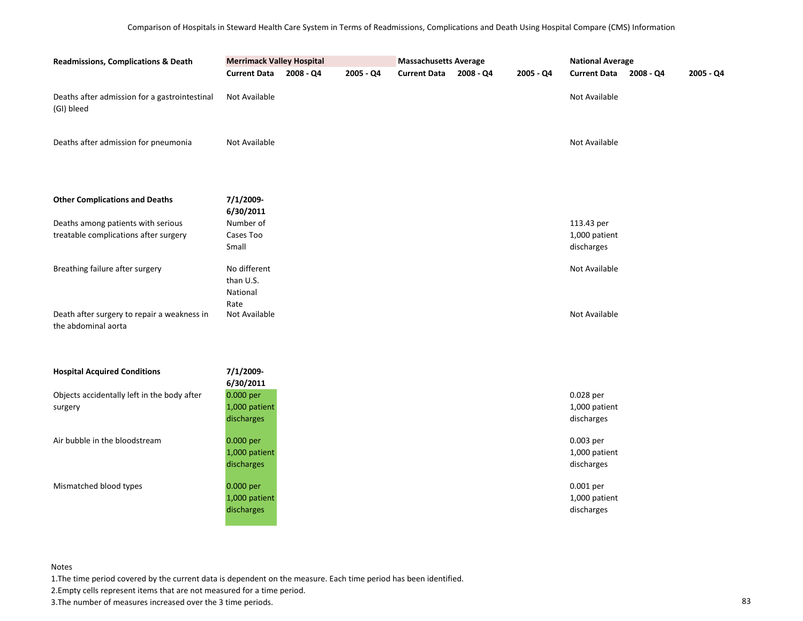| <b>Readmissions, Complications &amp; Death</b>                              | <b>Merrimack Valley Hospital</b>         |           | <b>Massachusetts Average</b> |                     |           | <b>National Average</b> |                                           |             |             |
|-----------------------------------------------------------------------------|------------------------------------------|-----------|------------------------------|---------------------|-----------|-------------------------|-------------------------------------------|-------------|-------------|
|                                                                             | <b>Current Data</b>                      | 2008 - Q4 | 2005 - Q4                    | <b>Current Data</b> | 2008 - Q4 | 2005 - Q4               | <b>Current Data</b>                       | $2008 - Q4$ | $2005 - Q4$ |
| Deaths after admission for a gastrointestinal<br>(GI) bleed                 | Not Available                            |           |                              |                     |           |                         | Not Available                             |             |             |
| Deaths after admission for pneumonia                                        | Not Available                            |           |                              |                     |           |                         | Not Available                             |             |             |
| <b>Other Complications and Deaths</b>                                       | 7/1/2009-<br>6/30/2011                   |           |                              |                     |           |                         |                                           |             |             |
| Deaths among patients with serious<br>treatable complications after surgery | Number of<br>Cases Too<br>Small          |           |                              |                     |           |                         | 113.43 per<br>1,000 patient<br>discharges |             |             |
| Breathing failure after surgery                                             | No different<br>than U.S.<br>National    |           |                              |                     |           |                         | Not Available                             |             |             |
| Death after surgery to repair a weakness in<br>the abdominal aorta          | Rate<br>Not Available                    |           |                              |                     |           |                         | Not Available                             |             |             |
| <b>Hospital Acquired Conditions</b>                                         | 7/1/2009-<br>6/30/2011                   |           |                              |                     |           |                         |                                           |             |             |
| Objects accidentally left in the body after<br>surgery                      | 0.000 per<br>1,000 patient<br>discharges |           |                              |                     |           |                         | 0.028 per<br>1,000 patient<br>discharges  |             |             |
| Air bubble in the bloodstream                                               | 0.000 per<br>1,000 patient<br>discharges |           |                              |                     |           |                         | 0.003 per<br>1,000 patient<br>discharges  |             |             |
| Mismatched blood types                                                      | 0.000 per<br>1,000 patient<br>discharges |           |                              |                     |           |                         | 0.001 per<br>1,000 patient<br>discharges  |             |             |

1.The time period covered by the current data is dependent on the measure. Each time period has been identified.

2.Empty cells represent items that are not measured for a time period.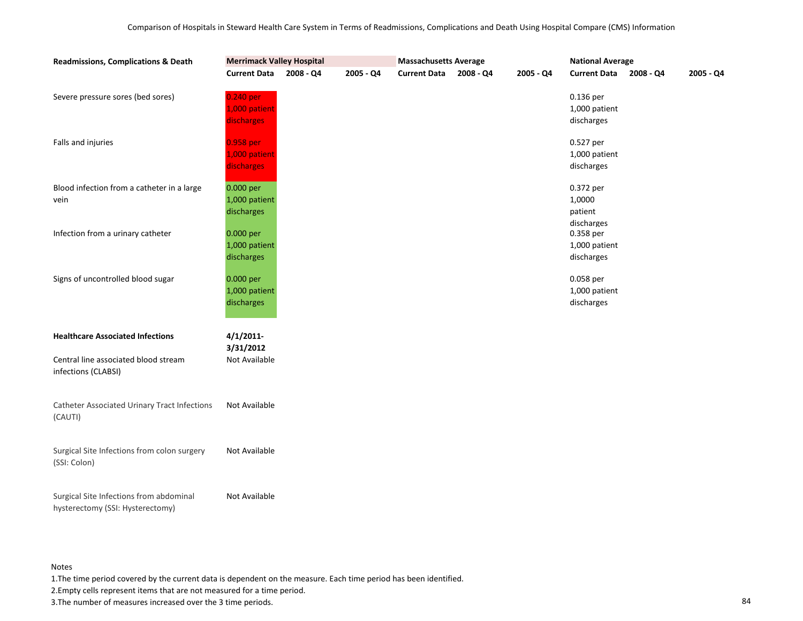| <b>Readmissions, Complications &amp; Death</b>                              | <b>Merrimack Valley Hospital</b>         |           |           |                     |           |           | <b>National Average</b>                      |             |             |  |
|-----------------------------------------------------------------------------|------------------------------------------|-----------|-----------|---------------------|-----------|-----------|----------------------------------------------|-------------|-------------|--|
|                                                                             | <b>Current Data</b>                      | 2008 - Q4 | 2005 - Q4 | <b>Current Data</b> | 2008 - Q4 | 2005 - Q4 | <b>Current Data</b>                          | $2008 - Q4$ | $2005 - Q4$ |  |
| Severe pressure sores (bed sores)                                           | 0.240 per<br>1,000 patient<br>discharges |           |           |                     |           |           | 0.136 per<br>1,000 patient<br>discharges     |             |             |  |
| Falls and injuries                                                          | 0.958 per<br>1,000 patient<br>discharges |           |           |                     |           |           | 0.527 per<br>1,000 patient<br>discharges     |             |             |  |
| Blood infection from a catheter in a large<br>vein                          | 0.000 per<br>1,000 patient<br>discharges |           |           |                     |           |           | 0.372 per<br>1,0000<br>patient<br>discharges |             |             |  |
| Infection from a urinary catheter                                           | 0.000 per<br>1,000 patient<br>discharges |           |           |                     |           |           | 0.358 per<br>1,000 patient<br>discharges     |             |             |  |
| Signs of uncontrolled blood sugar                                           | 0.000 per<br>1,000 patient<br>discharges |           |           |                     |           |           | 0.058 per<br>1,000 patient<br>discharges     |             |             |  |
| <b>Healthcare Associated Infections</b>                                     | 4/1/2011                                 |           |           |                     |           |           |                                              |             |             |  |
| Central line associated blood stream<br>infections (CLABSI)                 | 3/31/2012<br>Not Available               |           |           |                     |           |           |                                              |             |             |  |
| <b>Catheter Associated Urinary Tract Infections</b><br>(CAUTI)              | Not Available                            |           |           |                     |           |           |                                              |             |             |  |
| Surgical Site Infections from colon surgery<br>(SSI: Colon)                 | Not Available                            |           |           |                     |           |           |                                              |             |             |  |
| Surgical Site Infections from abdominal<br>hysterectomy (SSI: Hysterectomy) | Not Available                            |           |           |                     |           |           |                                              |             |             |  |

1.The time period covered by the current data is dependent on the measure. Each time period has been identified.

2.Empty cells represent items that are not measured for a time period.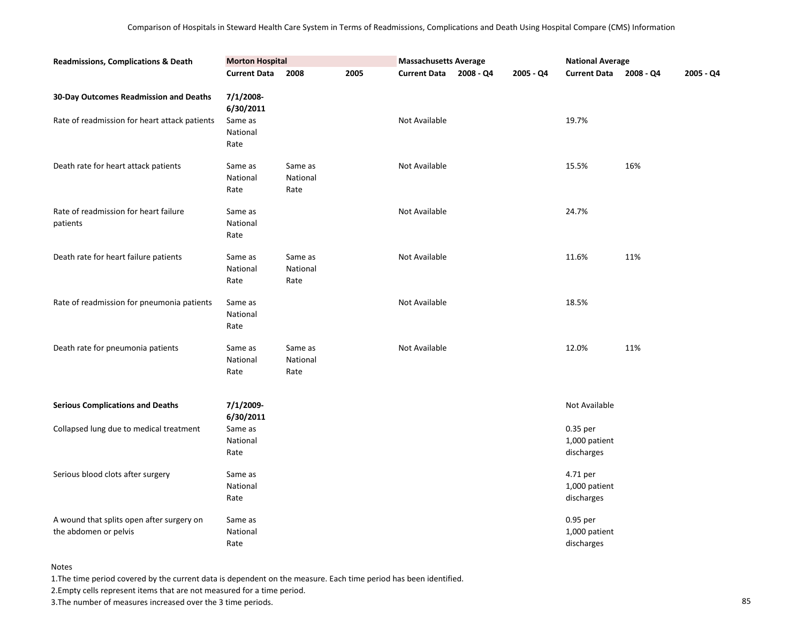| <b>Readmissions, Complications &amp; Death</b>                     | <b>Morton Hospital</b>      |                             |      | <b>Massachusetts Average</b> |             |           | <b>National Average</b>                 |           |           |
|--------------------------------------------------------------------|-----------------------------|-----------------------------|------|------------------------------|-------------|-----------|-----------------------------------------|-----------|-----------|
|                                                                    | <b>Current Data</b>         | 2008                        | 2005 | <b>Current Data</b>          | $2008 - Q4$ | 2005 - Q4 | <b>Current Data</b>                     | 2008 - Q4 | 2005 - Q4 |
| 30-Day Outcomes Readmission and Deaths                             | 7/1/2008-<br>6/30/2011      |                             |      |                              |             |           |                                         |           |           |
| Rate of readmission for heart attack patients                      | Same as<br>National<br>Rate |                             |      | Not Available                |             |           | 19.7%                                   |           |           |
| Death rate for heart attack patients                               | Same as<br>National<br>Rate | Same as<br>National<br>Rate |      | <b>Not Available</b>         |             |           | 15.5%                                   | 16%       |           |
| Rate of readmission for heart failure<br>patients                  | Same as<br>National<br>Rate |                             |      | Not Available                |             |           | 24.7%                                   |           |           |
| Death rate for heart failure patients                              | Same as<br>National<br>Rate | Same as<br>National<br>Rate |      | Not Available                |             |           | 11.6%                                   | 11%       |           |
| Rate of readmission for pneumonia patients                         | Same as<br>National<br>Rate |                             |      | Not Available                |             |           | 18.5%                                   |           |           |
| Death rate for pneumonia patients                                  | Same as<br>National<br>Rate | Same as<br>National<br>Rate |      | <b>Not Available</b>         |             |           | 12.0%                                   | 11%       |           |
| <b>Serious Complications and Deaths</b>                            | 7/1/2009-<br>6/30/2011      |                             |      |                              |             |           | Not Available                           |           |           |
| Collapsed lung due to medical treatment                            | Same as<br>National<br>Rate |                             |      |                              |             |           | 0.35 per<br>1,000 patient<br>discharges |           |           |
| Serious blood clots after surgery                                  | Same as<br>National<br>Rate |                             |      |                              |             |           | 4.71 per<br>1,000 patient<br>discharges |           |           |
| A wound that splits open after surgery on<br>the abdomen or pelvis | Same as<br>National<br>Rate |                             |      |                              |             |           | 0.95 per<br>1,000 patient<br>discharges |           |           |

1.The time period covered by the current data is dependent on the measure. Each time period has been identified.

2.Empty cells represent items that are not measured for a time period.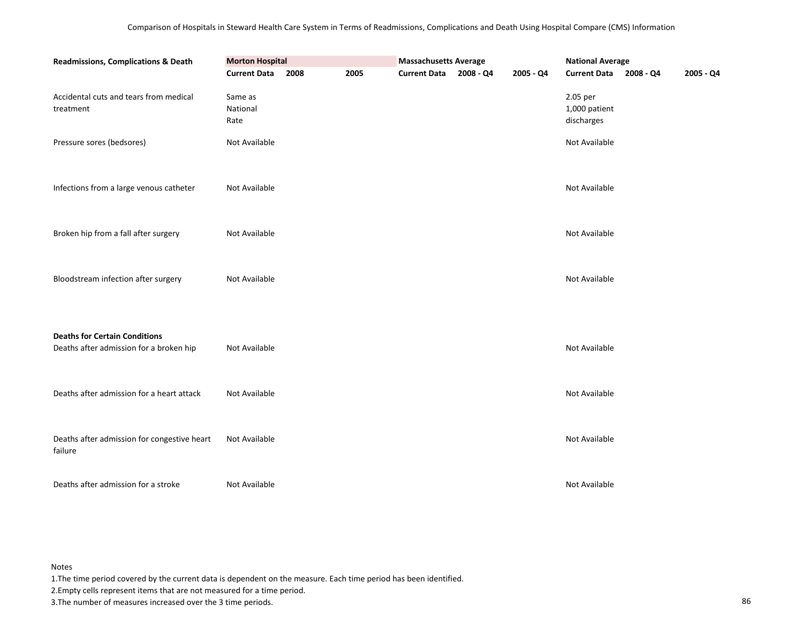| Readmissions, Complications & Death                                             | <b>Morton Hospital</b>      |      |      |                     | <b>Massachusetts Average</b> |           | <b>National Average</b>                 |  |           |
|---------------------------------------------------------------------------------|-----------------------------|------|------|---------------------|------------------------------|-----------|-----------------------------------------|--|-----------|
|                                                                                 | <b>Current Data</b>         | 2008 | 2005 | <b>Current Data</b> | 2008 - Q4                    | 2005 - Q4 | Current Data 2008 - Q4                  |  | 2005 - Q4 |
| Accidental cuts and tears from medical<br>treatment                             | Same as<br>National<br>Rate |      |      |                     |                              |           | 2.05 per<br>1,000 patient<br>discharges |  |           |
| Pressure sores (bedsores)                                                       | Not Available               |      |      |                     |                              |           | Not Available                           |  |           |
| Infections from a large venous catheter                                         | Not Available               |      |      |                     |                              |           | Not Available                           |  |           |
| Broken hip from a fall after surgery                                            | Not Available               |      |      |                     |                              |           | Not Available                           |  |           |
| Bloodstream infection after surgery                                             | Not Available               |      |      |                     |                              |           | Not Available                           |  |           |
| <b>Deaths for Certain Conditions</b><br>Deaths after admission for a broken hip | Not Available               |      |      |                     |                              |           | Not Available                           |  |           |
| Deaths after admission for a heart attack                                       | Not Available               |      |      |                     |                              |           | Not Available                           |  |           |
| Deaths after admission for congestive heart<br>failure                          | Not Available               |      |      |                     |                              |           | Not Available                           |  |           |
| Deaths after admission for a stroke                                             | Not Available               |      |      |                     |                              |           | Not Available                           |  |           |

1.The time period covered by the current data is dependent on the measure. Each time period has been identified.

2.Empty cells represent items that are not measured for a time period.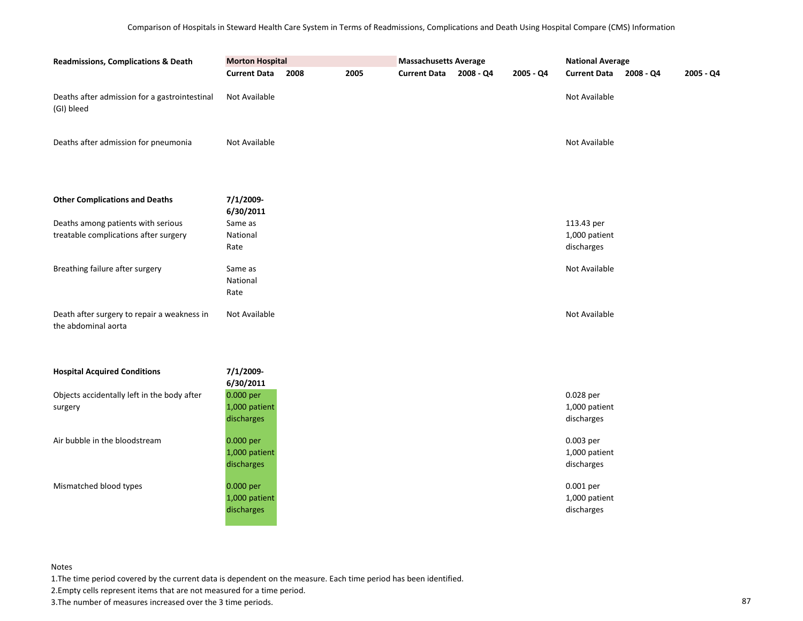| <b>Readmissions, Complications &amp; Death</b>                     | <b>Morton Hospital</b>      |      |      | <b>Massachusetts Average</b> |           |           | <b>National Average</b> |           |             |
|--------------------------------------------------------------------|-----------------------------|------|------|------------------------------|-----------|-----------|-------------------------|-----------|-------------|
|                                                                    | <b>Current Data</b>         | 2008 | 2005 | <b>Current Data</b>          | 2008 - Q4 | 2005 - Q4 | <b>Current Data</b>     | 2008 - Q4 | $2005 - Q4$ |
| Deaths after admission for a gastrointestinal<br>(GI) bleed        | Not Available               |      |      |                              |           |           | Not Available           |           |             |
| Deaths after admission for pneumonia                               | Not Available               |      |      |                              |           |           | Not Available           |           |             |
| <b>Other Complications and Deaths</b>                              | 7/1/2009-<br>6/30/2011      |      |      |                              |           |           |                         |           |             |
| Deaths among patients with serious                                 | Same as                     |      |      |                              |           |           | 113.43 per              |           |             |
| treatable complications after surgery                              | National                    |      |      |                              |           |           | 1,000 patient           |           |             |
|                                                                    | Rate                        |      |      |                              |           |           | discharges              |           |             |
| Breathing failure after surgery                                    | Same as<br>National<br>Rate |      |      |                              |           |           | Not Available           |           |             |
| Death after surgery to repair a weakness in<br>the abdominal aorta | Not Available               |      |      |                              |           |           | Not Available           |           |             |
| <b>Hospital Acquired Conditions</b>                                | 7/1/2009-                   |      |      |                              |           |           |                         |           |             |
| Objects accidentally left in the body after                        | 6/30/2011<br>0.000 per      |      |      |                              |           |           | 0.028 per               |           |             |
| surgery                                                            | 1,000 patient               |      |      |                              |           |           | 1,000 patient           |           |             |
|                                                                    | discharges                  |      |      |                              |           |           | discharges              |           |             |
| Air bubble in the bloodstream                                      | 0.000 per                   |      |      |                              |           |           | 0.003 per               |           |             |
|                                                                    | 1,000 patient               |      |      |                              |           |           | 1,000 patient           |           |             |
|                                                                    | discharges                  |      |      |                              |           |           | discharges              |           |             |
| Mismatched blood types                                             | 0.000 per                   |      |      |                              |           |           | 0.001 per               |           |             |
|                                                                    | 1,000 patient               |      |      |                              |           |           | 1,000 patient           |           |             |
|                                                                    | discharges                  |      |      |                              |           |           | discharges              |           |             |
|                                                                    |                             |      |      |                              |           |           |                         |           |             |

1.The time period covered by the current data is dependent on the measure. Each time period has been identified.

2.Empty cells represent items that are not measured for a time period.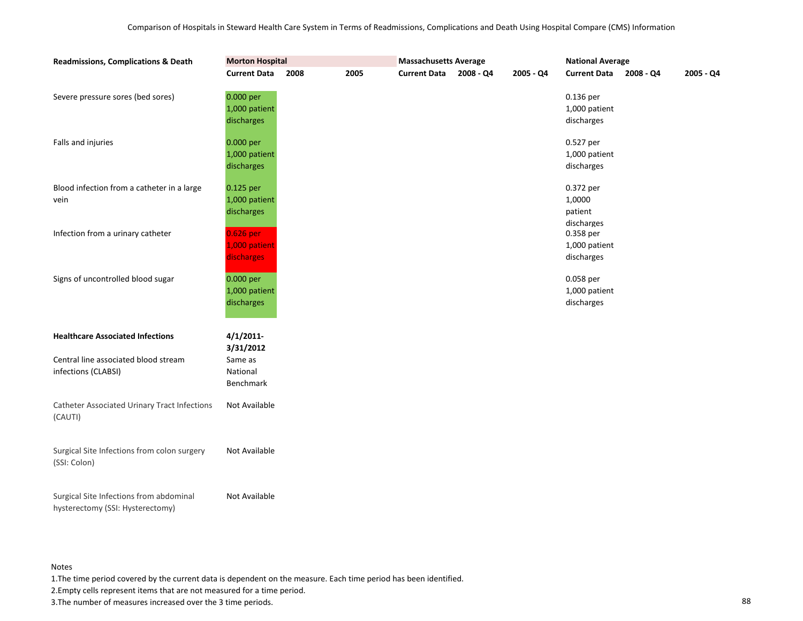| <b>Readmissions, Complications &amp; Death</b>                              | <b>Morton Hospital</b>                   |      |      |                     |           |           | <b>National Average</b>                      |           |             |  |
|-----------------------------------------------------------------------------|------------------------------------------|------|------|---------------------|-----------|-----------|----------------------------------------------|-----------|-------------|--|
|                                                                             | <b>Current Data</b>                      | 2008 | 2005 | <b>Current Data</b> | 2008 - Q4 | 2005 - Q4 | <b>Current Data</b>                          | 2008 - Q4 | $2005 - Q4$ |  |
| Severe pressure sores (bed sores)                                           | 0.000 per<br>1,000 patient<br>discharges |      |      |                     |           |           | 0.136 per<br>1,000 patient<br>discharges     |           |             |  |
| Falls and injuries                                                          | 0.000 per<br>1,000 patient<br>discharges |      |      |                     |           |           | 0.527 per<br>1,000 patient<br>discharges     |           |             |  |
| Blood infection from a catheter in a large<br>vein                          | 0.125 per<br>1,000 patient<br>discharges |      |      |                     |           |           | 0.372 per<br>1,0000<br>patient<br>discharges |           |             |  |
| Infection from a urinary catheter                                           | 0.626 per<br>1,000 patient<br>discharges |      |      |                     |           |           | 0.358 per<br>1,000 patient<br>discharges     |           |             |  |
| Signs of uncontrolled blood sugar                                           | 0.000 per<br>1,000 patient<br>discharges |      |      |                     |           |           | 0.058 per<br>1,000 patient<br>discharges     |           |             |  |
| <b>Healthcare Associated Infections</b>                                     | $4/1/2011$ -<br>3/31/2012                |      |      |                     |           |           |                                              |           |             |  |
| Central line associated blood stream<br>infections (CLABSI)                 | Same as<br>National<br>Benchmark         |      |      |                     |           |           |                                              |           |             |  |
| <b>Catheter Associated Urinary Tract Infections</b><br>(CAUTI)              | Not Available                            |      |      |                     |           |           |                                              |           |             |  |
| Surgical Site Infections from colon surgery<br>(SSI: Colon)                 | Not Available                            |      |      |                     |           |           |                                              |           |             |  |
| Surgical Site Infections from abdominal<br>hysterectomy (SSI: Hysterectomy) | Not Available                            |      |      |                     |           |           |                                              |           |             |  |

1.The time period covered by the current data is dependent on the measure. Each time period has been identified.

2.Empty cells represent items that are not measured for a time period.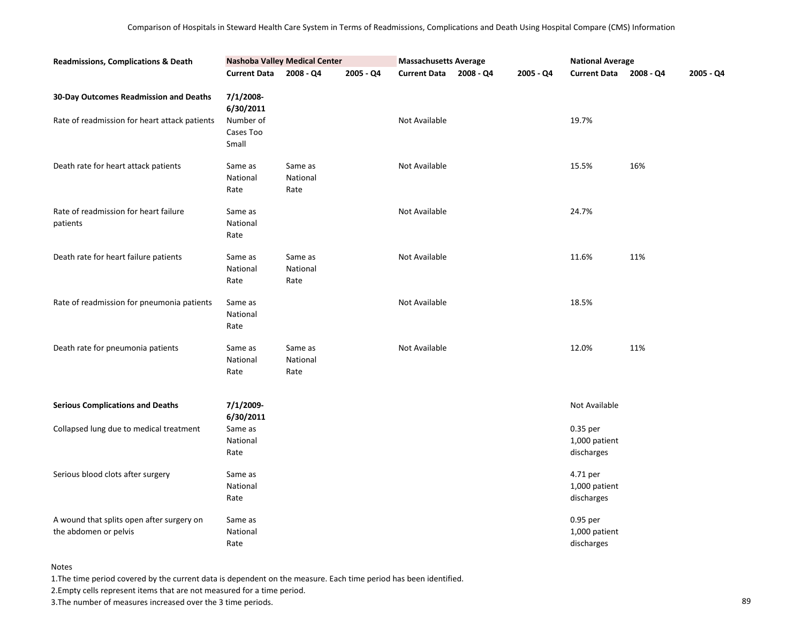| <b>Readmissions, Complications &amp; Death</b>                     |                                 | <b>Nashoba Valley Medical Center</b> |           | <b>Massachusetts Average</b> |           |           | <b>National Average</b>                 |           |           |
|--------------------------------------------------------------------|---------------------------------|--------------------------------------|-----------|------------------------------|-----------|-----------|-----------------------------------------|-----------|-----------|
|                                                                    | <b>Current Data</b>             | $2008 - Q4$                          | 2005 - Q4 | <b>Current Data</b>          | 2008 - Q4 | 2005 - Q4 | <b>Current Data</b>                     | 2008 - Q4 | 2005 - Q4 |
| 30-Day Outcomes Readmission and Deaths                             | 7/1/2008-<br>6/30/2011          |                                      |           |                              |           |           |                                         |           |           |
| Rate of readmission for heart attack patients                      | Number of<br>Cases Too<br>Small |                                      |           | Not Available                |           |           | 19.7%                                   |           |           |
| Death rate for heart attack patients                               | Same as<br>National<br>Rate     | Same as<br>National<br>Rate          |           | Not Available                |           |           | 15.5%                                   | 16%       |           |
| Rate of readmission for heart failure<br>patients                  | Same as<br>National<br>Rate     |                                      |           | Not Available                |           |           | 24.7%                                   |           |           |
| Death rate for heart failure patients                              | Same as<br>National<br>Rate     | Same as<br>National<br>Rate          |           | Not Available                |           |           | 11.6%                                   | 11%       |           |
| Rate of readmission for pneumonia patients                         | Same as<br>National<br>Rate     |                                      |           | Not Available                |           |           | 18.5%                                   |           |           |
| Death rate for pneumonia patients                                  | Same as<br>National<br>Rate     | Same as<br>National<br>Rate          |           | Not Available                |           |           | 12.0%                                   | 11%       |           |
| <b>Serious Complications and Deaths</b>                            | 7/1/2009-<br>6/30/2011          |                                      |           |                              |           |           | Not Available                           |           |           |
| Collapsed lung due to medical treatment                            | Same as<br>National<br>Rate     |                                      |           |                              |           |           | 0.35 per<br>1,000 patient<br>discharges |           |           |
| Serious blood clots after surgery                                  | Same as<br>National<br>Rate     |                                      |           |                              |           |           | 4.71 per<br>1,000 patient<br>discharges |           |           |
| A wound that splits open after surgery on<br>the abdomen or pelvis | Same as<br>National<br>Rate     |                                      |           |                              |           |           | 0.95 per<br>1,000 patient<br>discharges |           |           |

1.The time period covered by the current data is dependent on the measure. Each time period has been identified.

2.Empty cells represent items that are not measured for a time period.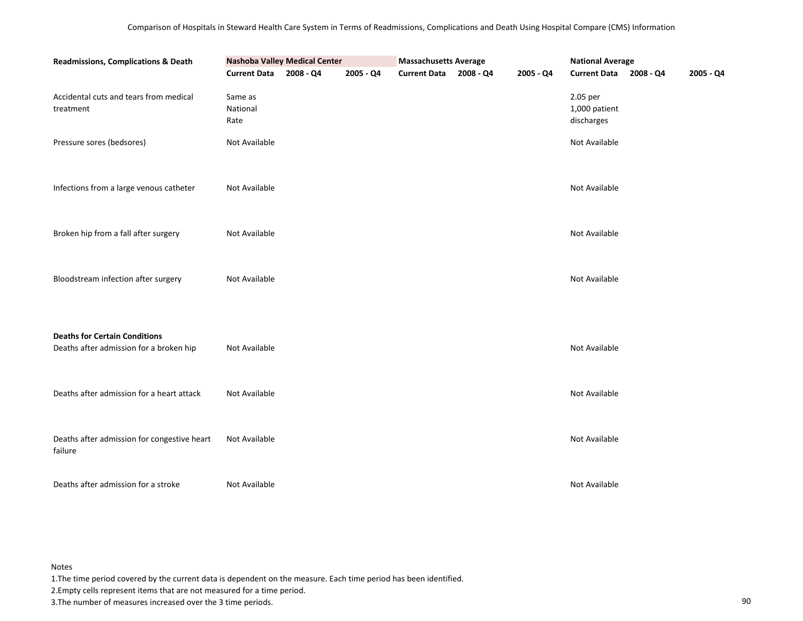| <b>Readmissions, Complications &amp; Death</b>                                  | <b>Nashoba Valley Medical Center</b> | <b>Massachusetts Average</b><br><b>National Average</b> |           |                        |  |           |                                         |  |           |
|---------------------------------------------------------------------------------|--------------------------------------|---------------------------------------------------------|-----------|------------------------|--|-----------|-----------------------------------------|--|-----------|
|                                                                                 | <b>Current Data</b>                  | 2008 - Q4                                               | 2005 - Q4 | Current Data 2008 - Q4 |  | 2005 - Q4 | Current Data 2008 - Q4                  |  | 2005 - Q4 |
| Accidental cuts and tears from medical<br>treatment                             | Same as<br>National<br>Rate          |                                                         |           |                        |  |           | 2.05 per<br>1,000 patient<br>discharges |  |           |
| Pressure sores (bedsores)                                                       | Not Available                        |                                                         |           |                        |  |           | Not Available                           |  |           |
| Infections from a large venous catheter                                         | Not Available                        |                                                         |           |                        |  |           | Not Available                           |  |           |
| Broken hip from a fall after surgery                                            | Not Available                        |                                                         |           |                        |  |           | Not Available                           |  |           |
| Bloodstream infection after surgery                                             | Not Available                        |                                                         |           |                        |  |           | Not Available                           |  |           |
| <b>Deaths for Certain Conditions</b><br>Deaths after admission for a broken hip | Not Available                        |                                                         |           |                        |  |           | Not Available                           |  |           |
| Deaths after admission for a heart attack                                       | Not Available                        |                                                         |           |                        |  |           | Not Available                           |  |           |
| Deaths after admission for congestive heart<br>failure                          | Not Available                        |                                                         |           |                        |  |           | Not Available                           |  |           |
| Deaths after admission for a stroke                                             | Not Available                        |                                                         |           |                        |  |           | Not Available                           |  |           |

1.The time period covered by the current data is dependent on the measure. Each time period has been identified.

2.Empty cells represent items that are not measured for a time period.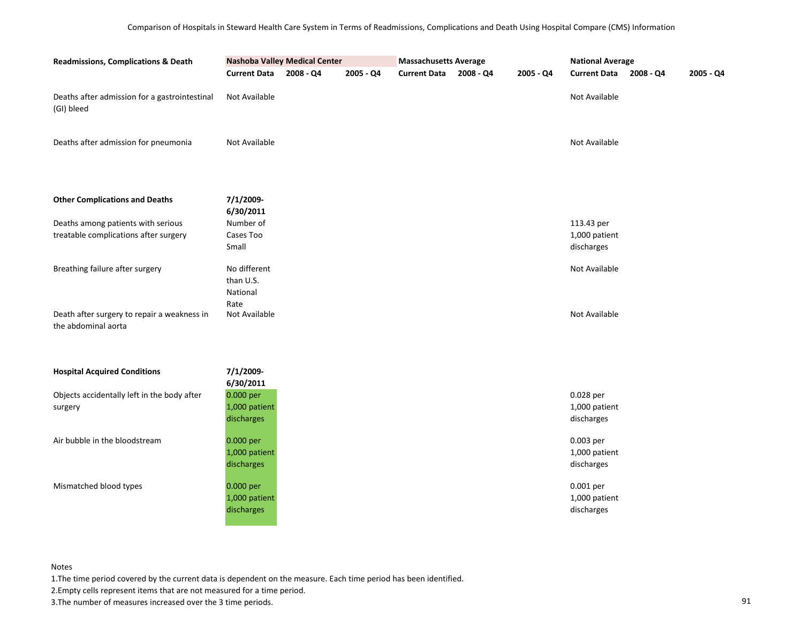| <b>Readmissions, Complications &amp; Death</b>                     | <b>Nashoba Valley Medical Center</b> |           |             | <b>Massachusetts Average</b> |             |           | <b>National Average</b> |           |           |
|--------------------------------------------------------------------|--------------------------------------|-----------|-------------|------------------------------|-------------|-----------|-------------------------|-----------|-----------|
|                                                                    | <b>Current Data</b>                  | 2008 - Q4 | $2005 - Q4$ | <b>Current Data</b>          | $2008 - Q4$ | 2005 - Q4 | <b>Current Data</b>     | 2008 - Q4 | 2005 - Q4 |
| Deaths after admission for a gastrointestinal<br>(GI) bleed        | Not Available                        |           |             |                              |             |           | Not Available           |           |           |
| Deaths after admission for pneumonia                               | Not Available                        |           |             |                              |             |           | Not Available           |           |           |
| <b>Other Complications and Deaths</b>                              | 7/1/2009-<br>6/30/2011               |           |             |                              |             |           |                         |           |           |
| Deaths among patients with serious                                 | Number of                            |           |             |                              |             |           | 113.43 per              |           |           |
| treatable complications after surgery                              | Cases Too                            |           |             |                              |             |           | 1,000 patient           |           |           |
|                                                                    | Small                                |           |             |                              |             |           | discharges              |           |           |
| Breathing failure after surgery                                    | No different<br>than U.S.            |           |             |                              |             |           | Not Available           |           |           |
|                                                                    | National                             |           |             |                              |             |           |                         |           |           |
| Death after surgery to repair a weakness in<br>the abdominal aorta | Rate<br>Not Available                |           |             |                              |             |           | Not Available           |           |           |
| <b>Hospital Acquired Conditions</b>                                | 7/1/2009-                            |           |             |                              |             |           |                         |           |           |
|                                                                    | 6/30/2011<br>0.000 per               |           |             |                              |             |           | 0.028 per               |           |           |
| Objects accidentally left in the body after<br>surgery             | 1,000 patient                        |           |             |                              |             |           | 1,000 patient           |           |           |
|                                                                    | discharges                           |           |             |                              |             |           | discharges              |           |           |
| Air bubble in the bloodstream                                      | 0.000 per                            |           |             |                              |             |           | 0.003 per               |           |           |
|                                                                    | 1,000 patient                        |           |             |                              |             |           | 1,000 patient           |           |           |
|                                                                    | discharges                           |           |             |                              |             |           | discharges              |           |           |
| Mismatched blood types                                             | 0.000 per                            |           |             |                              |             |           | 0.001 per               |           |           |
|                                                                    | 1,000 patient                        |           |             |                              |             |           | 1,000 patient           |           |           |
|                                                                    | discharges                           |           |             |                              |             |           | discharges              |           |           |

1.The time period covered by the current data is dependent on the measure. Each time period has been identified.

2.Empty cells represent items that are not measured for a time period.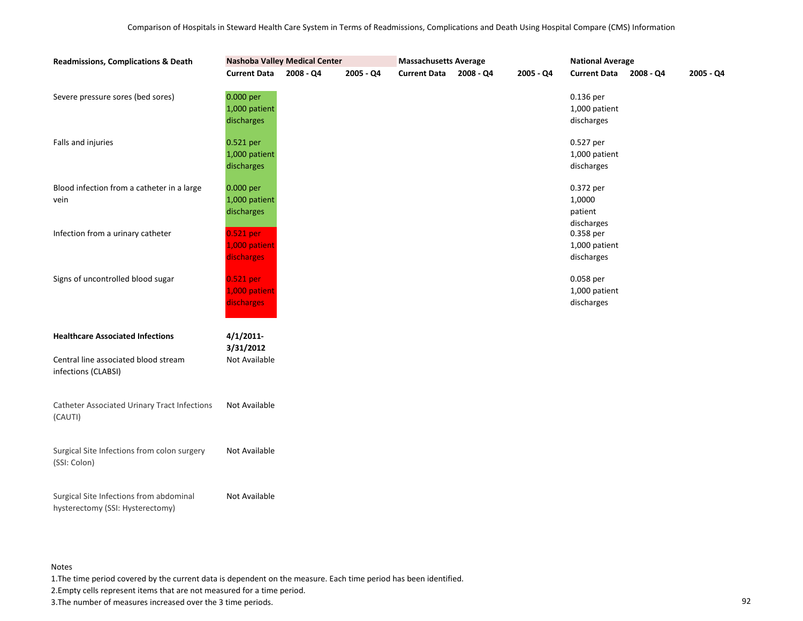| <b>Readmissions, Complications &amp; Death</b>                              |                                          | Nashoba Valley Medical Center | <b>Massachusetts Average</b> |                     |           | <b>National Average</b> |                                              |             |           |
|-----------------------------------------------------------------------------|------------------------------------------|-------------------------------|------------------------------|---------------------|-----------|-------------------------|----------------------------------------------|-------------|-----------|
|                                                                             | <b>Current Data</b>                      | 2008 - Q4                     | $2005 - Q4$                  | <b>Current Data</b> | 2008 - Q4 | $2005 - Q4$             | <b>Current Data</b>                          | $2008 - Q4$ | 2005 - Q4 |
| Severe pressure sores (bed sores)                                           | 0.000 per<br>1,000 patient<br>discharges |                               |                              |                     |           |                         | 0.136 per<br>1,000 patient<br>discharges     |             |           |
| Falls and injuries                                                          | 0.521 per<br>1,000 patient<br>discharges |                               |                              |                     |           |                         | 0.527 per<br>1,000 patient<br>discharges     |             |           |
| Blood infection from a catheter in a large<br>vein                          | 0.000 per<br>1,000 patient<br>discharges |                               |                              |                     |           |                         | 0.372 per<br>1,0000<br>patient<br>discharges |             |           |
| Infection from a urinary catheter                                           | 0.521 per<br>1,000 patient<br>discharges |                               |                              |                     |           |                         | 0.358 per<br>1,000 patient<br>discharges     |             |           |
| Signs of uncontrolled blood sugar                                           | 0.521 per<br>1,000 patient<br>discharges |                               |                              |                     |           |                         | 0.058 per<br>1,000 patient<br>discharges     |             |           |
| <b>Healthcare Associated Infections</b>                                     | $4/1/2011$ -                             |                               |                              |                     |           |                         |                                              |             |           |
| Central line associated blood stream<br>infections (CLABSI)                 | 3/31/2012<br>Not Available               |                               |                              |                     |           |                         |                                              |             |           |
| <b>Catheter Associated Urinary Tract Infections</b><br>(CAUTI)              | Not Available                            |                               |                              |                     |           |                         |                                              |             |           |
| Surgical Site Infections from colon surgery<br>(SSI: Colon)                 | Not Available                            |                               |                              |                     |           |                         |                                              |             |           |
| Surgical Site Infections from abdominal<br>hysterectomy (SSI: Hysterectomy) | Not Available                            |                               |                              |                     |           |                         |                                              |             |           |

1.The time period covered by the current data is dependent on the measure. Each time period has been identified.

2.Empty cells represent items that are not measured for a time period.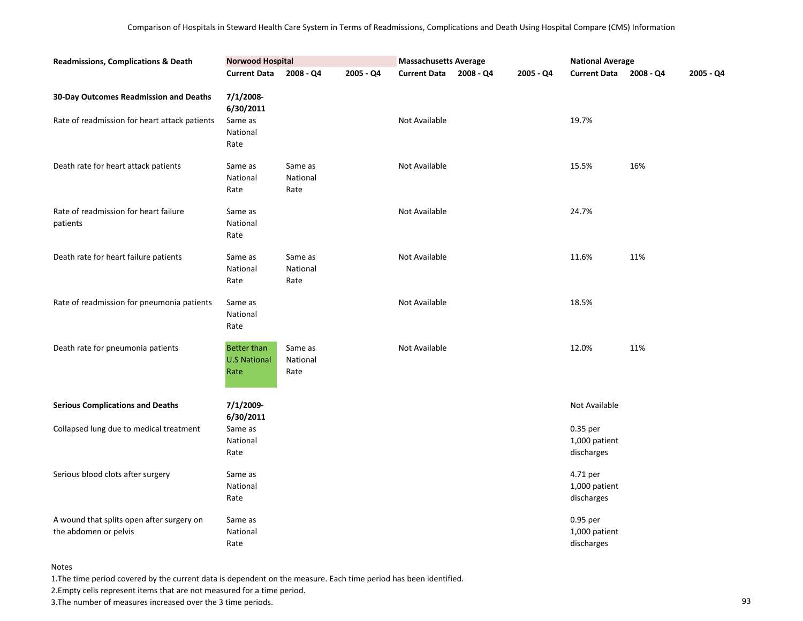| <b>Readmissions, Complications &amp; Death</b>                     | <b>Norwood Hospital</b>                           |                             |           | <b>Massachusetts Average</b> |           |           | <b>National Average</b>                 |           |           |
|--------------------------------------------------------------------|---------------------------------------------------|-----------------------------|-----------|------------------------------|-----------|-----------|-----------------------------------------|-----------|-----------|
|                                                                    | <b>Current Data</b>                               | 2008 - Q4                   | 2005 - Q4 | <b>Current Data</b>          | 2008 - Q4 | 2005 - Q4 | <b>Current Data</b>                     | 2008 - Q4 | 2005 - Q4 |
| 30-Day Outcomes Readmission and Deaths                             | 7/1/2008-<br>6/30/2011                            |                             |           |                              |           |           |                                         |           |           |
| Rate of readmission for heart attack patients                      | Same as<br>National<br>Rate                       |                             |           | Not Available                |           |           | 19.7%                                   |           |           |
| Death rate for heart attack patients                               | Same as<br>National<br>Rate                       | Same as<br>National<br>Rate |           | Not Available                |           |           | 15.5%                                   | 16%       |           |
| Rate of readmission for heart failure<br>patients                  | Same as<br>National<br>Rate                       |                             |           | Not Available                |           |           | 24.7%                                   |           |           |
| Death rate for heart failure patients                              | Same as<br>National<br>Rate                       | Same as<br>National<br>Rate |           | Not Available                |           |           | 11.6%                                   | 11%       |           |
| Rate of readmission for pneumonia patients                         | Same as<br>National<br>Rate                       |                             |           | Not Available                |           |           | 18.5%                                   |           |           |
| Death rate for pneumonia patients                                  | <b>Better than</b><br><b>U.S National</b><br>Rate | Same as<br>National<br>Rate |           | Not Available                |           |           | 12.0%                                   | 11%       |           |
| <b>Serious Complications and Deaths</b>                            | 7/1/2009-<br>6/30/2011                            |                             |           |                              |           |           | Not Available                           |           |           |
| Collapsed lung due to medical treatment                            | Same as<br>National<br>Rate                       |                             |           |                              |           |           | 0.35 per<br>1,000 patient<br>discharges |           |           |
| Serious blood clots after surgery                                  | Same as<br>National<br>Rate                       |                             |           |                              |           |           | 4.71 per<br>1,000 patient<br>discharges |           |           |
| A wound that splits open after surgery on<br>the abdomen or pelvis | Same as<br>National<br>Rate                       |                             |           |                              |           |           | 0.95 per<br>1,000 patient<br>discharges |           |           |

1.The time period covered by the current data is dependent on the measure. Each time period has been identified.

2.Empty cells represent items that are not measured for a time period.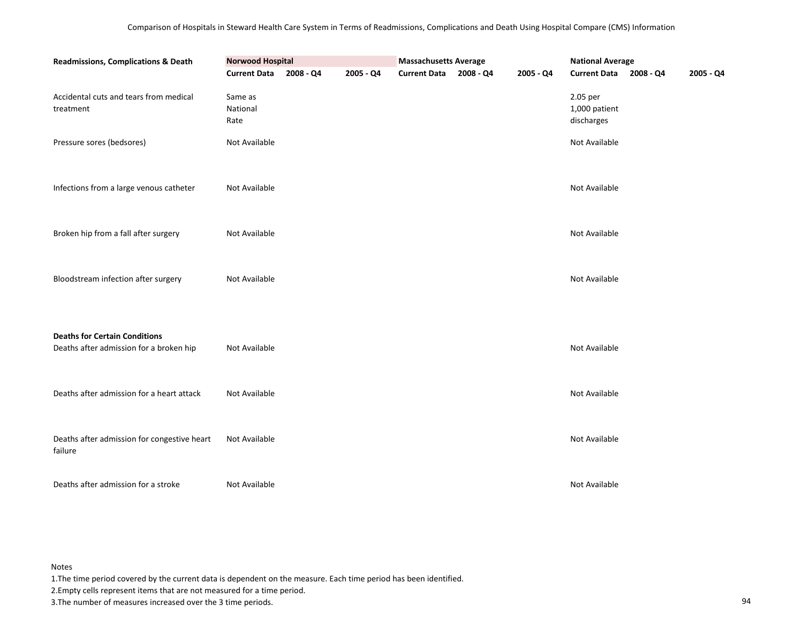| Readmissions, Complications & Death                                             |                             | <b>Massachusetts Average</b><br><b>National Average</b> |           |                        |  |           |                                         |  |           |
|---------------------------------------------------------------------------------|-----------------------------|---------------------------------------------------------|-----------|------------------------|--|-----------|-----------------------------------------|--|-----------|
|                                                                                 | <b>Current Data</b>         | 2008 - Q4                                               | 2005 - Q4 | Current Data 2008 - Q4 |  | 2005 - Q4 | Current Data 2008 - Q4                  |  | 2005 - Q4 |
| Accidental cuts and tears from medical<br>treatment                             | Same as<br>National<br>Rate |                                                         |           |                        |  |           | 2.05 per<br>1,000 patient<br>discharges |  |           |
| Pressure sores (bedsores)                                                       | Not Available               |                                                         |           |                        |  |           | Not Available                           |  |           |
| Infections from a large venous catheter                                         | Not Available               |                                                         |           |                        |  |           | Not Available                           |  |           |
| Broken hip from a fall after surgery                                            | Not Available               |                                                         |           |                        |  |           | Not Available                           |  |           |
| Bloodstream infection after surgery                                             | Not Available               |                                                         |           |                        |  |           | Not Available                           |  |           |
| <b>Deaths for Certain Conditions</b><br>Deaths after admission for a broken hip | Not Available               |                                                         |           |                        |  |           | Not Available                           |  |           |
| Deaths after admission for a heart attack                                       | Not Available               |                                                         |           |                        |  |           | Not Available                           |  |           |
| Deaths after admission for congestive heart<br>failure                          | Not Available               |                                                         |           |                        |  |           | Not Available                           |  |           |
| Deaths after admission for a stroke                                             | Not Available               |                                                         |           |                        |  |           | Not Available                           |  |           |

1.The time period covered by the current data is dependent on the measure. Each time period has been identified.

2.Empty cells represent items that are not measured for a time period.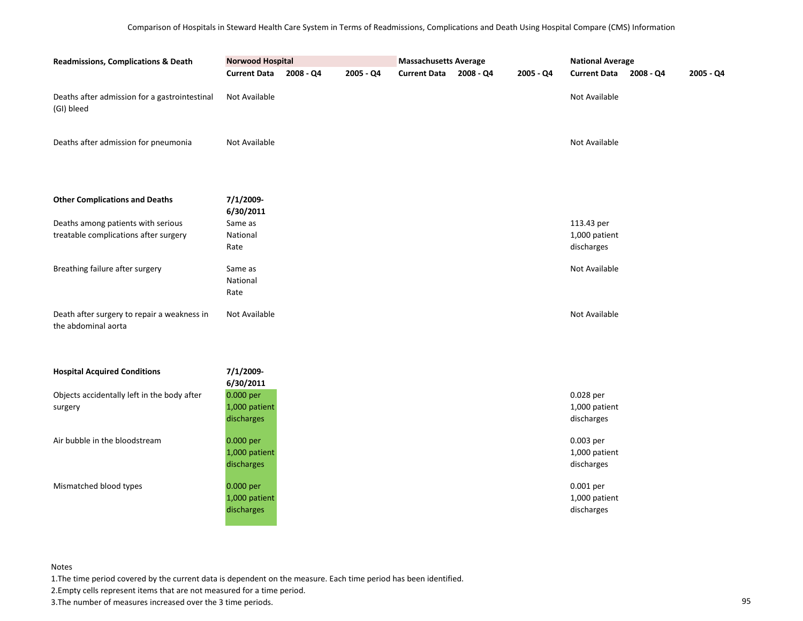| Readmissions, Complications & Death                                         | <b>Norwood Hospital</b>                  |           |           | <b>Massachusetts Average</b> |           |           | <b>National Average</b>                   |           |           |
|-----------------------------------------------------------------------------|------------------------------------------|-----------|-----------|------------------------------|-----------|-----------|-------------------------------------------|-----------|-----------|
|                                                                             | <b>Current Data</b>                      | 2008 - Q4 | 2005 - Q4 | <b>Current Data</b>          | 2008 - Q4 | 2005 - Q4 | <b>Current Data</b>                       | 2008 - Q4 | 2005 - Q4 |
| Deaths after admission for a gastrointestinal<br>(GI) bleed                 | Not Available                            |           |           |                              |           |           | Not Available                             |           |           |
| Deaths after admission for pneumonia                                        | Not Available                            |           |           |                              |           |           | Not Available                             |           |           |
| <b>Other Complications and Deaths</b>                                       | 7/1/2009-<br>6/30/2011                   |           |           |                              |           |           |                                           |           |           |
| Deaths among patients with serious<br>treatable complications after surgery | Same as<br>National<br>Rate              |           |           |                              |           |           | 113.43 per<br>1,000 patient<br>discharges |           |           |
| Breathing failure after surgery                                             | Same as<br>National<br>Rate              |           |           |                              |           |           | Not Available                             |           |           |
| Death after surgery to repair a weakness in<br>the abdominal aorta          | Not Available                            |           |           |                              |           |           | Not Available                             |           |           |
| <b>Hospital Acquired Conditions</b>                                         | 7/1/2009-<br>6/30/2011                   |           |           |                              |           |           |                                           |           |           |
| Objects accidentally left in the body after<br>surgery                      | 0.000 per<br>1,000 patient<br>discharges |           |           |                              |           |           | 0.028 per<br>1,000 patient<br>discharges  |           |           |
| Air bubble in the bloodstream                                               | 0.000 per<br>1,000 patient<br>discharges |           |           |                              |           |           | 0.003 per<br>1,000 patient<br>discharges  |           |           |
| Mismatched blood types                                                      | 0.000 per<br>1,000 patient<br>discharges |           |           |                              |           |           | 0.001 per<br>1,000 patient<br>discharges  |           |           |

1.The time period covered by the current data is dependent on the measure. Each time period has been identified.

2.Empty cells represent items that are not measured for a time period.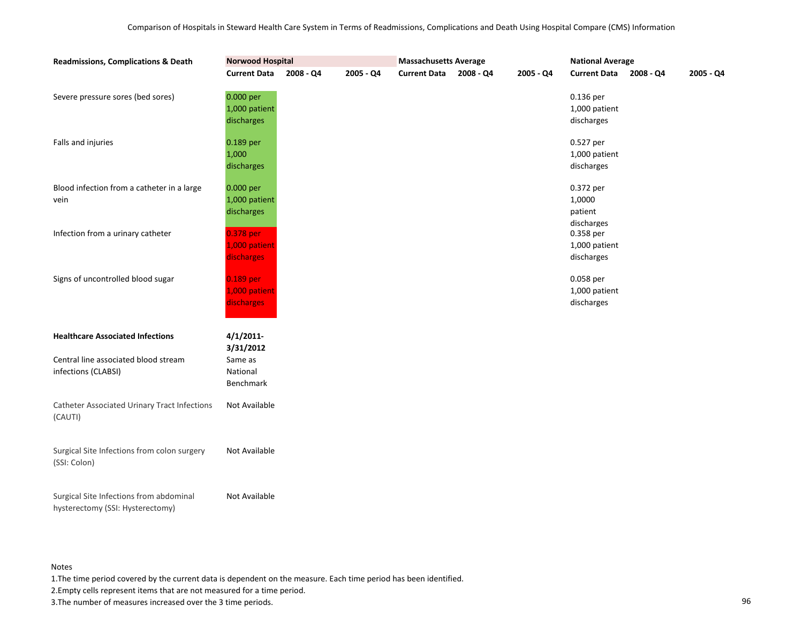| <b>Readmissions, Complications &amp; Death</b>                              | <b>Norwood Hospital</b>                  |           |           | <b>Massachusetts Average</b> |           |             | <b>National Average</b>                      |           |             |
|-----------------------------------------------------------------------------|------------------------------------------|-----------|-----------|------------------------------|-----------|-------------|----------------------------------------------|-----------|-------------|
|                                                                             | <b>Current Data</b>                      | 2008 - Q4 | 2005 - Q4 | <b>Current Data</b>          | 2008 - Q4 | $2005 - Q4$ | <b>Current Data</b>                          | 2008 - Q4 | $2005 - Q4$ |
| Severe pressure sores (bed sores)                                           | 0.000 per<br>1,000 patient<br>discharges |           |           |                              |           |             | 0.136 per<br>1,000 patient<br>discharges     |           |             |
| Falls and injuries                                                          | 0.189 per<br>1,000<br>discharges         |           |           |                              |           |             | 0.527 per<br>1,000 patient<br>discharges     |           |             |
| Blood infection from a catheter in a large<br>vein                          | 0.000 per<br>1,000 patient<br>discharges |           |           |                              |           |             | 0.372 per<br>1,0000<br>patient<br>discharges |           |             |
| Infection from a urinary catheter                                           | 0.378 per<br>1,000 patient<br>discharges |           |           |                              |           |             | 0.358 per<br>1,000 patient<br>discharges     |           |             |
| Signs of uncontrolled blood sugar                                           | 0.189 per<br>1,000 patient<br>discharges |           |           |                              |           |             | 0.058 per<br>1,000 patient<br>discharges     |           |             |
| <b>Healthcare Associated Infections</b>                                     | $4/1/2011$ -<br>3/31/2012                |           |           |                              |           |             |                                              |           |             |
| Central line associated blood stream<br>infections (CLABSI)                 | Same as<br>National<br>Benchmark         |           |           |                              |           |             |                                              |           |             |
| <b>Catheter Associated Urinary Tract Infections</b><br>(CAUTI)              | Not Available                            |           |           |                              |           |             |                                              |           |             |
| Surgical Site Infections from colon surgery<br>(SSI: Colon)                 | Not Available                            |           |           |                              |           |             |                                              |           |             |
| Surgical Site Infections from abdominal<br>hysterectomy (SSI: Hysterectomy) | Not Available                            |           |           |                              |           |             |                                              |           |             |

1.The time period covered by the current data is dependent on the measure. Each time period has been identified.

2.Empty cells represent items that are not measured for a time period.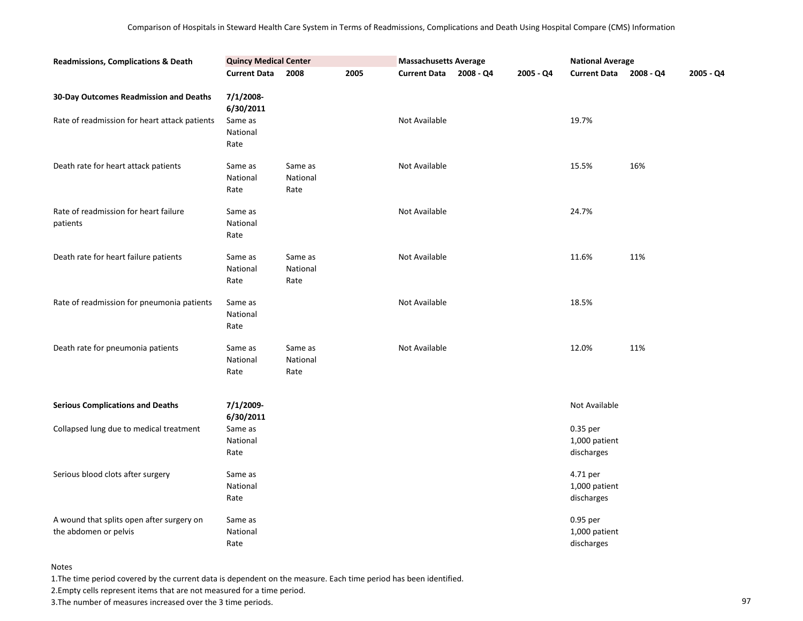| <b>Readmissions, Complications &amp; Death</b>                     | <b>Quincy Medical Center</b> |                             |      | <b>Massachusetts Average</b> |             |           | <b>National Average</b>                 |           |           |
|--------------------------------------------------------------------|------------------------------|-----------------------------|------|------------------------------|-------------|-----------|-----------------------------------------|-----------|-----------|
|                                                                    | <b>Current Data</b>          | 2008                        | 2005 | <b>Current Data</b>          | $2008 - Q4$ | 2005 - Q4 | <b>Current Data</b>                     | 2008 - Q4 | 2005 - Q4 |
| 30-Day Outcomes Readmission and Deaths                             | 7/1/2008-<br>6/30/2011       |                             |      |                              |             |           |                                         |           |           |
| Rate of readmission for heart attack patients                      | Same as<br>National<br>Rate  |                             |      | Not Available                |             |           | 19.7%                                   |           |           |
| Death rate for heart attack patients                               | Same as<br>National<br>Rate  | Same as<br>National<br>Rate |      | Not Available                |             |           | 15.5%                                   | 16%       |           |
| Rate of readmission for heart failure<br>patients                  | Same as<br>National<br>Rate  |                             |      | Not Available                |             |           | 24.7%                                   |           |           |
| Death rate for heart failure patients                              | Same as<br>National<br>Rate  | Same as<br>National<br>Rate |      | Not Available                |             |           | 11.6%                                   | 11%       |           |
| Rate of readmission for pneumonia patients                         | Same as<br>National<br>Rate  |                             |      | Not Available                |             |           | 18.5%                                   |           |           |
| Death rate for pneumonia patients                                  | Same as<br>National<br>Rate  | Same as<br>National<br>Rate |      | Not Available                |             |           | 12.0%                                   | 11%       |           |
| <b>Serious Complications and Deaths</b>                            | 7/1/2009-<br>6/30/2011       |                             |      |                              |             |           | Not Available                           |           |           |
| Collapsed lung due to medical treatment                            | Same as<br>National<br>Rate  |                             |      |                              |             |           | 0.35 per<br>1,000 patient<br>discharges |           |           |
| Serious blood clots after surgery                                  | Same as<br>National<br>Rate  |                             |      |                              |             |           | 4.71 per<br>1,000 patient<br>discharges |           |           |
| A wound that splits open after surgery on<br>the abdomen or pelvis | Same as<br>National<br>Rate  |                             |      |                              |             |           | 0.95 per<br>1,000 patient<br>discharges |           |           |

1.The time period covered by the current data is dependent on the measure. Each time period has been identified.

2.Empty cells represent items that are not measured for a time period.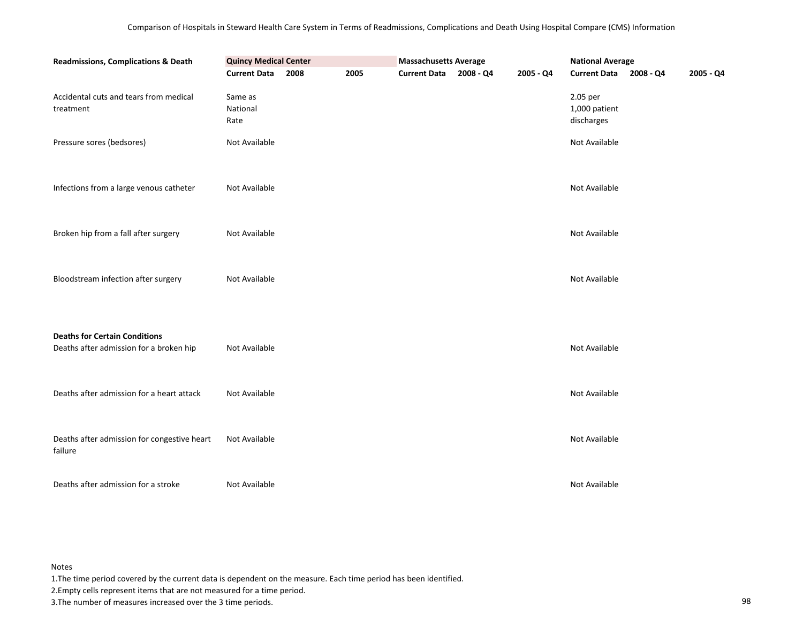| Readmissions, Complications & Death                                             | <b>Quincy Medical Center</b> |      |      | <b>Massachusetts Average</b> |           | <b>National Average</b>                 |           |
|---------------------------------------------------------------------------------|------------------------------|------|------|------------------------------|-----------|-----------------------------------------|-----------|
|                                                                                 | <b>Current Data</b>          | 2008 | 2005 | Current Data 2008 - Q4       | 2005 - Q4 | Current Data 2008 - Q4                  | 2005 - Q4 |
| Accidental cuts and tears from medical<br>treatment                             | Same as<br>National<br>Rate  |      |      |                              |           | 2.05 per<br>1,000 patient<br>discharges |           |
| Pressure sores (bedsores)                                                       | Not Available                |      |      |                              |           | Not Available                           |           |
| Infections from a large venous catheter                                         | Not Available                |      |      |                              |           | Not Available                           |           |
| Broken hip from a fall after surgery                                            | Not Available                |      |      |                              |           | Not Available                           |           |
| Bloodstream infection after surgery                                             | Not Available                |      |      |                              |           | Not Available                           |           |
| <b>Deaths for Certain Conditions</b><br>Deaths after admission for a broken hip | Not Available                |      |      |                              |           | Not Available                           |           |
| Deaths after admission for a heart attack                                       | Not Available                |      |      |                              |           | Not Available                           |           |
| Deaths after admission for congestive heart<br>failure                          | Not Available                |      |      |                              |           | Not Available                           |           |
| Deaths after admission for a stroke                                             | Not Available                |      |      |                              |           | Not Available                           |           |

1.The time period covered by the current data is dependent on the measure. Each time period has been identified.

2.Empty cells represent items that are not measured for a time period.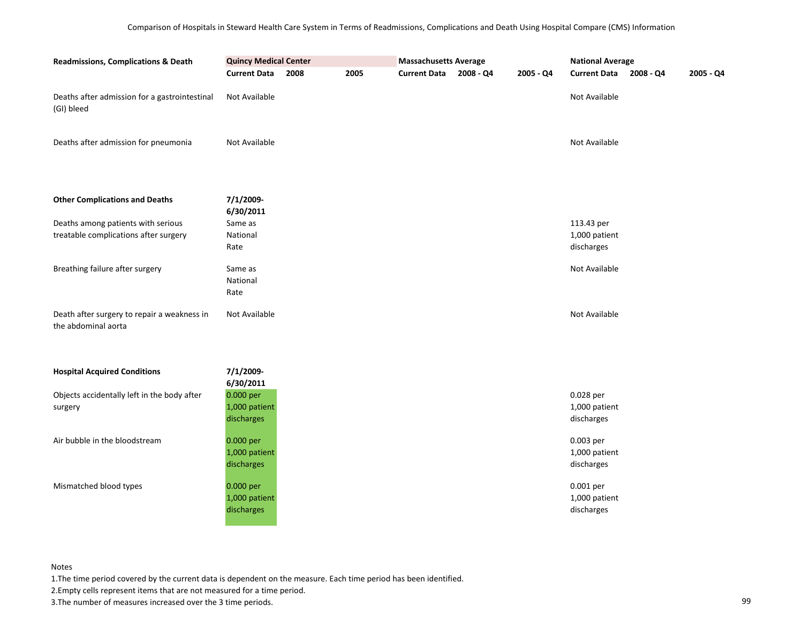| <b>Readmissions, Complications &amp; Death</b>                              | <b>Quincy Medical Center</b><br><b>Current Data</b> | 2008 | 2005 | <b>Massachusetts Average</b><br><b>Current Data</b> | 2008 - Q4 | 2005 - Q4 | <b>National Average</b><br><b>Current Data</b><br>2005 - Q4<br>$2008 - Q4$ |  |  |
|-----------------------------------------------------------------------------|-----------------------------------------------------|------|------|-----------------------------------------------------|-----------|-----------|----------------------------------------------------------------------------|--|--|
| Deaths after admission for a gastrointestinal<br>(GI) bleed                 | Not Available                                       |      |      |                                                     |           |           | Not Available                                                              |  |  |
| Deaths after admission for pneumonia                                        | Not Available                                       |      |      |                                                     |           |           | Not Available                                                              |  |  |
| <b>Other Complications and Deaths</b>                                       | 7/1/2009-<br>6/30/2011                              |      |      |                                                     |           |           |                                                                            |  |  |
| Deaths among patients with serious<br>treatable complications after surgery | Same as<br>National<br>Rate                         |      |      |                                                     |           |           | 113.43 per<br>1,000 patient<br>discharges                                  |  |  |
| Breathing failure after surgery                                             | Same as<br>National<br>Rate                         |      |      |                                                     |           |           | Not Available                                                              |  |  |
| Death after surgery to repair a weakness in<br>the abdominal aorta          | Not Available                                       |      |      |                                                     |           |           | Not Available                                                              |  |  |
| <b>Hospital Acquired Conditions</b>                                         | 7/1/2009-<br>6/30/2011                              |      |      |                                                     |           |           |                                                                            |  |  |
| Objects accidentally left in the body after<br>surgery                      | 0.000 per<br>1,000 patient<br>discharges            |      |      |                                                     |           |           | 0.028 per<br>1,000 patient<br>discharges                                   |  |  |
| Air bubble in the bloodstream                                               | 0.000 per<br>1,000 patient<br>discharges            |      |      |                                                     |           |           | 0.003 per<br>1,000 patient<br>discharges                                   |  |  |
| Mismatched blood types                                                      | 0.000 per<br>1,000 patient<br>discharges            |      |      |                                                     |           |           | 0.001 per<br>1,000 patient<br>discharges                                   |  |  |

1.The time period covered by the current data is dependent on the measure. Each time period has been identified.

2.Empty cells represent items that are not measured for a time period.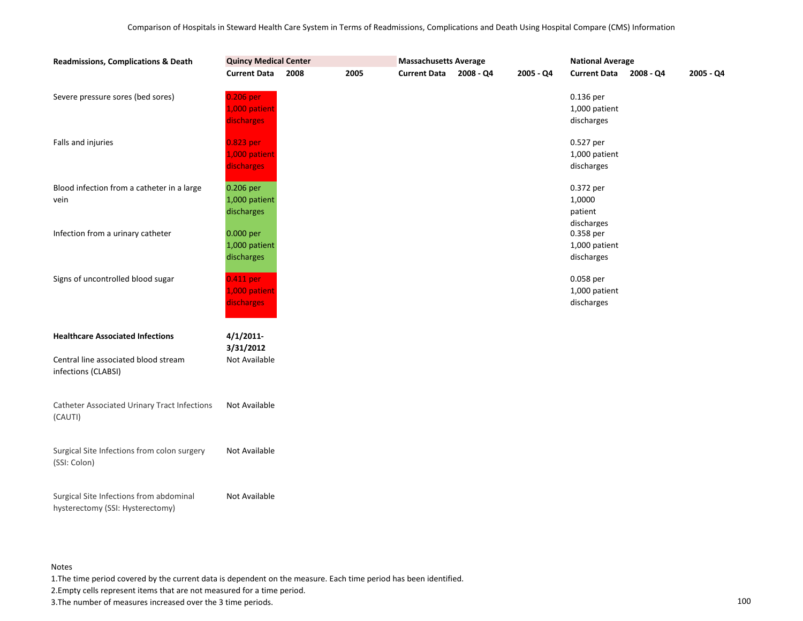| <b>Readmissions, Complications &amp; Death</b>                              | <b>Quincy Medical Center</b>             |      |      | <b>Massachusetts Average</b> |           |           | <b>National Average</b>                      |           |           |
|-----------------------------------------------------------------------------|------------------------------------------|------|------|------------------------------|-----------|-----------|----------------------------------------------|-----------|-----------|
|                                                                             | <b>Current Data</b>                      | 2008 | 2005 | <b>Current Data</b>          | 2008 - Q4 | 2005 - Q4 | <b>Current Data</b>                          | 2008 - Q4 | 2005 - Q4 |
| Severe pressure sores (bed sores)                                           | 0.206 per<br>1,000 patient<br>discharges |      |      |                              |           |           | $0.136$ per<br>1,000 patient<br>discharges   |           |           |
| Falls and injuries                                                          | 0.823 per<br>1,000 patient<br>discharges |      |      |                              |           |           | 0.527 per<br>1,000 patient<br>discharges     |           |           |
| Blood infection from a catheter in a large<br>vein                          | 0.206 per<br>1,000 patient<br>discharges |      |      |                              |           |           | 0.372 per<br>1,0000<br>patient<br>discharges |           |           |
| Infection from a urinary catheter                                           | 0.000 per<br>1,000 patient<br>discharges |      |      |                              |           |           | 0.358 per<br>1,000 patient<br>discharges     |           |           |
| Signs of uncontrolled blood sugar                                           | 0.411 per<br>1,000 patient<br>discharges |      |      |                              |           |           | 0.058 per<br>1,000 patient<br>discharges     |           |           |
| <b>Healthcare Associated Infections</b>                                     | 4/1/2011                                 |      |      |                              |           |           |                                              |           |           |
| Central line associated blood stream<br>infections (CLABSI)                 | 3/31/2012<br>Not Available               |      |      |                              |           |           |                                              |           |           |
| <b>Catheter Associated Urinary Tract Infections</b><br>(CAUTI)              | Not Available                            |      |      |                              |           |           |                                              |           |           |
| Surgical Site Infections from colon surgery<br>(SSI: Colon)                 | Not Available                            |      |      |                              |           |           |                                              |           |           |
| Surgical Site Infections from abdominal<br>hysterectomy (SSI: Hysterectomy) | Not Available                            |      |      |                              |           |           |                                              |           |           |

1.The time period covered by the current data is dependent on the measure. Each time period has been identified.

2.Empty cells represent items that are not measured for a time period.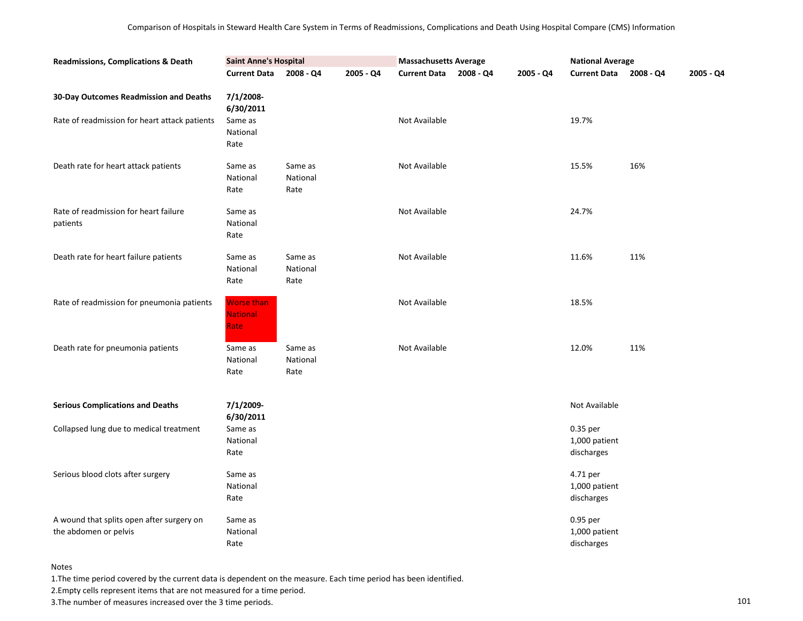| <b>Readmissions, Complications &amp; Death</b>                     | <b>Saint Anne's Hospital</b>                 |                             |           | <b>Massachusetts Average</b> |             |           | <b>National Average</b>                 |           |           |
|--------------------------------------------------------------------|----------------------------------------------|-----------------------------|-----------|------------------------------|-------------|-----------|-----------------------------------------|-----------|-----------|
|                                                                    | <b>Current Data</b>                          | $2008 - Q4$                 | 2005 - Q4 | <b>Current Data</b>          | $2008 - Q4$ | 2005 - Q4 | <b>Current Data</b>                     | 2008 - Q4 | 2005 - Q4 |
| 30-Day Outcomes Readmission and Deaths                             | 7/1/2008-<br>6/30/2011                       |                             |           |                              |             |           |                                         |           |           |
| Rate of readmission for heart attack patients                      | Same as<br>National<br>Rate                  |                             |           | Not Available                |             |           | 19.7%                                   |           |           |
| Death rate for heart attack patients                               | Same as<br>National<br>Rate                  | Same as<br>National<br>Rate |           | Not Available                |             |           | 15.5%                                   | 16%       |           |
| Rate of readmission for heart failure<br>patients                  | Same as<br>National<br>Rate                  |                             |           | Not Available                |             |           | 24.7%                                   |           |           |
| Death rate for heart failure patients                              | Same as<br>National<br>Rate                  | Same as<br>National<br>Rate |           | Not Available                |             |           | 11.6%                                   | 11%       |           |
| Rate of readmission for pneumonia patients                         | <b>Worse than</b><br><b>National</b><br>Rate |                             |           | Not Available                |             |           | 18.5%                                   |           |           |
| Death rate for pneumonia patients                                  | Same as<br>National<br>Rate                  | Same as<br>National<br>Rate |           | Not Available                |             |           | 12.0%                                   | 11%       |           |
| <b>Serious Complications and Deaths</b>                            | 7/1/2009-<br>6/30/2011                       |                             |           |                              |             |           | Not Available                           |           |           |
| Collapsed lung due to medical treatment                            | Same as<br>National<br>Rate                  |                             |           |                              |             |           | 0.35 per<br>1,000 patient<br>discharges |           |           |
| Serious blood clots after surgery                                  | Same as<br>National<br>Rate                  |                             |           |                              |             |           | 4.71 per<br>1,000 patient<br>discharges |           |           |
| A wound that splits open after surgery on<br>the abdomen or pelvis | Same as<br>National<br>Rate                  |                             |           |                              |             |           | 0.95 per<br>1,000 patient<br>discharges |           |           |

1.The time period covered by the current data is dependent on the measure. Each time period has been identified.

2.Empty cells represent items that are not measured for a time period.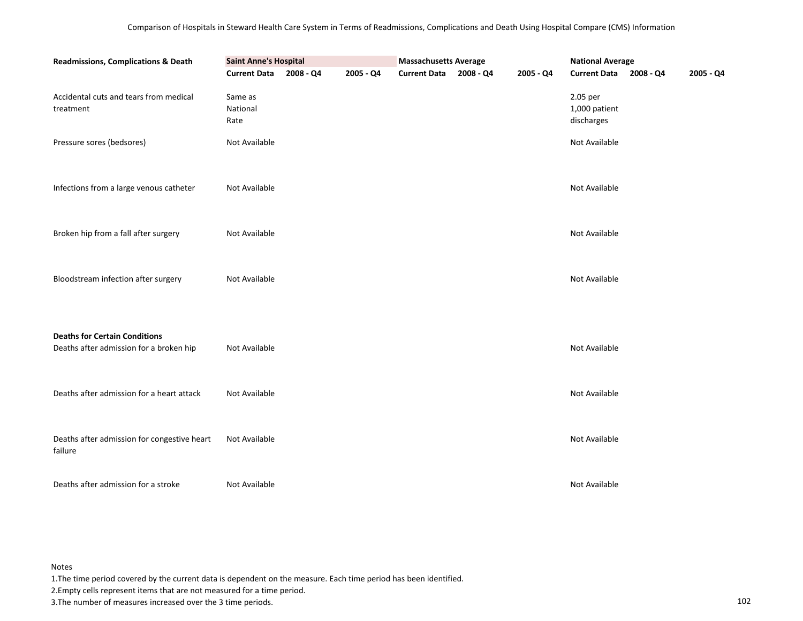| Readmissions, Complications & Death                                             | <b>Saint Anne's Hospital</b> |           |           | <b>Massachusetts Average</b> |           | <b>National Average</b>                 |           |
|---------------------------------------------------------------------------------|------------------------------|-----------|-----------|------------------------------|-----------|-----------------------------------------|-----------|
|                                                                                 | <b>Current Data</b>          | 2008 - Q4 | 2005 - Q4 | Current Data 2008 - Q4       | 2005 - Q4 | Current Data 2008 - Q4                  | 2005 - Q4 |
| Accidental cuts and tears from medical<br>treatment                             | Same as<br>National<br>Rate  |           |           |                              |           | 2.05 per<br>1,000 patient<br>discharges |           |
| Pressure sores (bedsores)                                                       | Not Available                |           |           |                              |           | Not Available                           |           |
|                                                                                 |                              |           |           |                              |           |                                         |           |
| Infections from a large venous catheter                                         | Not Available                |           |           |                              |           | Not Available                           |           |
|                                                                                 |                              |           |           |                              |           |                                         |           |
| Broken hip from a fall after surgery                                            | Not Available                |           |           |                              |           | Not Available                           |           |
| Bloodstream infection after surgery                                             | Not Available                |           |           |                              |           | Not Available                           |           |
|                                                                                 |                              |           |           |                              |           |                                         |           |
| <b>Deaths for Certain Conditions</b><br>Deaths after admission for a broken hip | Not Available                |           |           |                              |           | Not Available                           |           |
|                                                                                 |                              |           |           |                              |           |                                         |           |
|                                                                                 |                              |           |           |                              |           |                                         |           |
| Deaths after admission for a heart attack                                       | Not Available                |           |           |                              |           | Not Available                           |           |
|                                                                                 |                              |           |           |                              |           |                                         |           |
|                                                                                 |                              |           |           |                              |           |                                         |           |
| Deaths after admission for congestive heart<br>failure                          | Not Available                |           |           |                              |           | Not Available                           |           |
|                                                                                 |                              |           |           |                              |           |                                         |           |
| Deaths after admission for a stroke                                             | Not Available                |           |           |                              |           | Not Available                           |           |

1.The time period covered by the current data is dependent on the measure. Each time period has been identified.

2.Empty cells represent items that are not measured for a time period.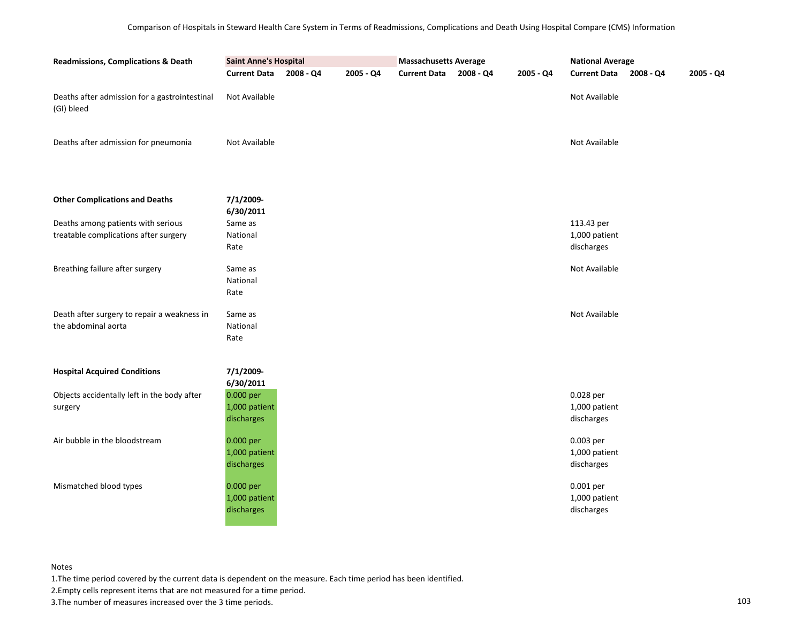| <b>Readmissions, Complications &amp; Death</b>              | <b>Saint Anne's Hospital</b><br><b>Current Data</b> | 2008 - Q4 | 2005 - Q4 | <b>Massachusetts Average</b><br><b>Current Data</b> | 2008 - Q4 | <b>National Average</b><br>Current Data 2008 - Q4<br>2005 - Q4 |                             |  |  |
|-------------------------------------------------------------|-----------------------------------------------------|-----------|-----------|-----------------------------------------------------|-----------|----------------------------------------------------------------|-----------------------------|--|--|
|                                                             |                                                     |           |           |                                                     |           | 2005 - Q4                                                      |                             |  |  |
| Deaths after admission for a gastrointestinal<br>(GI) bleed | Not Available                                       |           |           |                                                     |           |                                                                | Not Available               |  |  |
| Deaths after admission for pneumonia                        | Not Available                                       |           |           |                                                     |           |                                                                | Not Available               |  |  |
| <b>Other Complications and Deaths</b>                       | 7/1/2009-<br>6/30/2011                              |           |           |                                                     |           |                                                                |                             |  |  |
| Deaths among patients with serious                          | Same as                                             |           |           |                                                     |           |                                                                | 113.43 per                  |  |  |
| treatable complications after surgery                       | National                                            |           |           |                                                     |           |                                                                | 1,000 patient<br>discharges |  |  |
|                                                             | Rate                                                |           |           |                                                     |           |                                                                |                             |  |  |
| Breathing failure after surgery                             | Same as                                             |           |           |                                                     |           |                                                                | Not Available               |  |  |
|                                                             | National                                            |           |           |                                                     |           |                                                                |                             |  |  |
|                                                             | Rate                                                |           |           |                                                     |           |                                                                |                             |  |  |
| Death after surgery to repair a weakness in                 | Same as                                             |           |           |                                                     |           |                                                                | Not Available               |  |  |
| the abdominal aorta                                         | National                                            |           |           |                                                     |           |                                                                |                             |  |  |
|                                                             | Rate                                                |           |           |                                                     |           |                                                                |                             |  |  |
|                                                             |                                                     |           |           |                                                     |           |                                                                |                             |  |  |
| <b>Hospital Acquired Conditions</b>                         | 7/1/2009-<br>6/30/2011                              |           |           |                                                     |           |                                                                |                             |  |  |
| Objects accidentally left in the body after                 | 0.000 per                                           |           |           |                                                     |           |                                                                | 0.028 per                   |  |  |
| surgery                                                     | 1,000 patient                                       |           |           |                                                     |           |                                                                | 1,000 patient               |  |  |
|                                                             | discharges                                          |           |           |                                                     |           |                                                                | discharges                  |  |  |
| Air bubble in the bloodstream                               | 0.000 per                                           |           |           |                                                     |           |                                                                | 0.003 per                   |  |  |
|                                                             | 1,000 patient                                       |           |           |                                                     |           |                                                                | 1,000 patient               |  |  |
|                                                             | discharges                                          |           |           |                                                     |           |                                                                | discharges                  |  |  |
| Mismatched blood types                                      | 0.000 per                                           |           |           |                                                     |           |                                                                | 0.001 per                   |  |  |
|                                                             | 1,000 patient                                       |           |           |                                                     |           |                                                                | 1,000 patient               |  |  |
|                                                             | discharges                                          |           |           |                                                     |           |                                                                | discharges                  |  |  |
|                                                             |                                                     |           |           |                                                     |           |                                                                |                             |  |  |

1.The time period covered by the current data is dependent on the measure. Each time period has been identified.

2.Empty cells represent items that are not measured for a time period.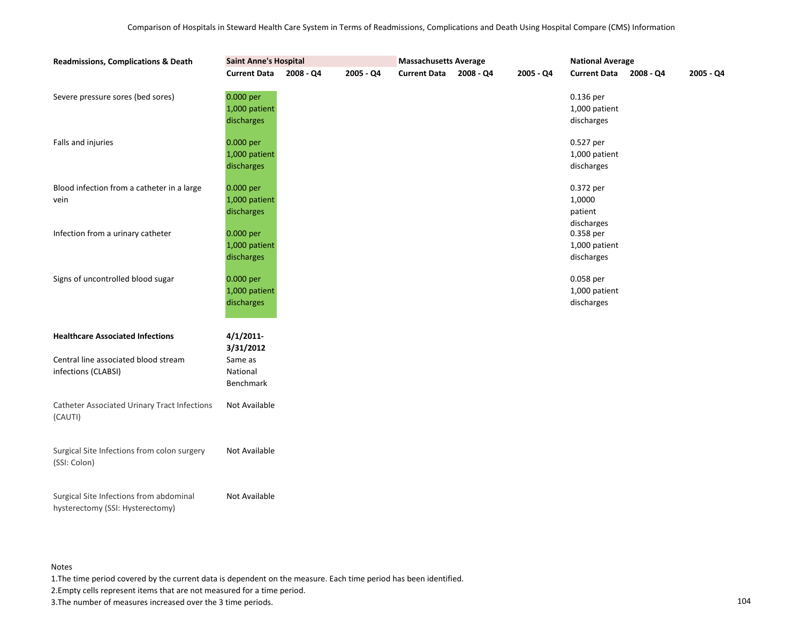| <b>Readmissions, Complications &amp; Death</b>                              |                                          | <b>Massachusetts Average</b> |           |                     | <b>National Average</b> |             |                                              |           |             |
|-----------------------------------------------------------------------------|------------------------------------------|------------------------------|-----------|---------------------|-------------------------|-------------|----------------------------------------------|-----------|-------------|
|                                                                             | <b>Current Data</b>                      | 2008 - Q4                    | 2005 - Q4 | <b>Current Data</b> | 2008 - Q4               | $2005 - Q4$ | <b>Current Data</b>                          | 2008 - Q4 | $2005 - Q4$ |
| Severe pressure sores (bed sores)                                           | 0.000 per<br>1,000 patient<br>discharges |                              |           |                     |                         |             | 0.136 per<br>1,000 patient<br>discharges     |           |             |
| Falls and injuries                                                          | 0.000 per<br>1,000 patient<br>discharges |                              |           |                     |                         |             | 0.527 per<br>1,000 patient<br>discharges     |           |             |
| Blood infection from a catheter in a large<br>vein                          | 0.000 per<br>1,000 patient<br>discharges |                              |           |                     |                         |             | 0.372 per<br>1,0000<br>patient<br>discharges |           |             |
| Infection from a urinary catheter                                           | 0.000 per<br>1,000 patient<br>discharges |                              |           |                     |                         |             | 0.358 per<br>1,000 patient<br>discharges     |           |             |
| Signs of uncontrolled blood sugar                                           | 0.000 per<br>1,000 patient<br>discharges |                              |           |                     |                         |             | 0.058 per<br>1,000 patient<br>discharges     |           |             |
| <b>Healthcare Associated Infections</b>                                     | 4/1/2011<br>3/31/2012                    |                              |           |                     |                         |             |                                              |           |             |
| Central line associated blood stream<br>infections (CLABSI)                 | Same as<br>National<br>Benchmark         |                              |           |                     |                         |             |                                              |           |             |
| <b>Catheter Associated Urinary Tract Infections</b><br>(CAUTI)              | Not Available                            |                              |           |                     |                         |             |                                              |           |             |
| Surgical Site Infections from colon surgery<br>(SSI: Colon)                 | Not Available                            |                              |           |                     |                         |             |                                              |           |             |
| Surgical Site Infections from abdominal<br>hysterectomy (SSI: Hysterectomy) | Not Available                            |                              |           |                     |                         |             |                                              |           |             |

1.The time period covered by the current data is dependent on the measure. Each time period has been identified.

2.Empty cells represent items that are not measured for a time period.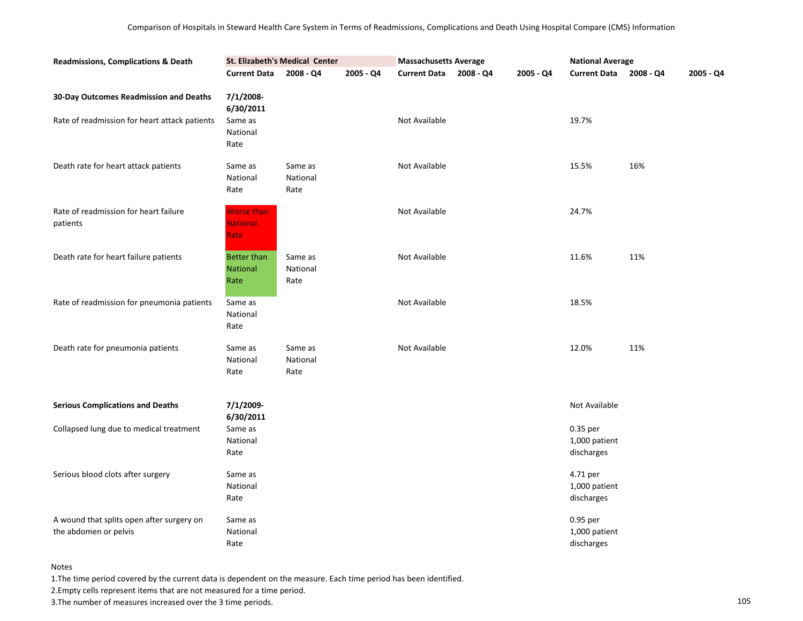| <b>Readmissions, Complications &amp; Death</b>                     |                                        | St. Elizabeth's Medical Center |           | <b>Massachusetts Average</b> |           | <b>National Average</b>                 |           |           |
|--------------------------------------------------------------------|----------------------------------------|--------------------------------|-----------|------------------------------|-----------|-----------------------------------------|-----------|-----------|
|                                                                    | <b>Current Data</b>                    | 2008 - Q4                      | 2005 - Q4 | Current Data 2008 - Q4       | 2005 - Q4 | <b>Current Data</b>                     | 2008 - Q4 | 2005 - Q4 |
| 30-Day Outcomes Readmission and Deaths                             | 7/1/2008-<br>6/30/2011                 |                                |           |                              |           |                                         |           |           |
| Rate of readmission for heart attack patients                      | Same as<br>National<br>Rate            |                                |           | Not Available                |           | 19.7%                                   |           |           |
| Death rate for heart attack patients                               | Same as<br>National<br>Rate            | Same as<br>National<br>Rate    |           | Not Available                |           | 15.5%                                   | 16%       |           |
| Rate of readmission for heart failure<br>patients                  | Worse than<br><b>National</b><br>Rate  |                                |           | Not Available                |           | 24.7%                                   |           |           |
| Death rate for heart failure patients                              | Better than<br><b>National</b><br>Rate | Same as<br>National<br>Rate    |           | Not Available                |           | 11.6%                                   | 11%       |           |
| Rate of readmission for pneumonia patients                         | Same as<br>National<br>Rate            |                                |           | Not Available                |           | 18.5%                                   |           |           |
| Death rate for pneumonia patients                                  | Same as<br>National<br>Rate            | Same as<br>National<br>Rate    |           | Not Available                |           | 12.0%                                   | 11%       |           |
| <b>Serious Complications and Deaths</b>                            | 7/1/2009-<br>6/30/2011                 |                                |           |                              |           | Not Available                           |           |           |
| Collapsed lung due to medical treatment                            | Same as<br>National<br>Rate            |                                |           |                              |           | 0.35 per<br>1,000 patient<br>discharges |           |           |
| Serious blood clots after surgery                                  | Same as<br>National<br>Rate            |                                |           |                              |           | 4.71 per<br>1,000 patient<br>discharges |           |           |
| A wound that splits open after surgery on<br>the abdomen or pelvis | Same as<br>National<br>Rate            |                                |           |                              |           | 0.95 per<br>1,000 patient<br>discharges |           |           |

1.The time period covered by the current data is dependent on the measure. Each time period has been identified.

2.Empty cells represent items that are not measured for a time period.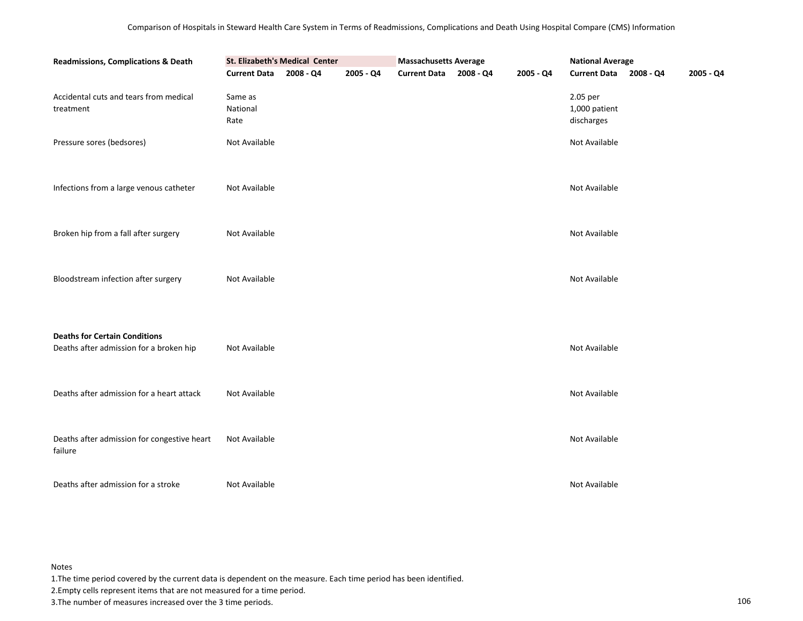| <b>Readmissions, Complications &amp; Death</b>                                  |                             | <b>Massachusetts Average</b> |           | <b>National Average</b> |           |                                         |  |           |
|---------------------------------------------------------------------------------|-----------------------------|------------------------------|-----------|-------------------------|-----------|-----------------------------------------|--|-----------|
|                                                                                 | <b>Current Data</b>         | 2008 - Q4                    | 2005 - Q4 | Current Data 2008 - Q4  | 2005 - Q4 | Current Data 2008 - Q4                  |  | 2005 - Q4 |
| Accidental cuts and tears from medical<br>treatment                             | Same as<br>National<br>Rate |                              |           |                         |           | 2.05 per<br>1,000 patient<br>discharges |  |           |
| Pressure sores (bedsores)                                                       | Not Available               |                              |           |                         |           | Not Available                           |  |           |
| Infections from a large venous catheter                                         | Not Available               |                              |           |                         |           | Not Available                           |  |           |
| Broken hip from a fall after surgery                                            | Not Available               |                              |           |                         |           | Not Available                           |  |           |
| Bloodstream infection after surgery                                             | Not Available               |                              |           |                         |           | Not Available                           |  |           |
| <b>Deaths for Certain Conditions</b><br>Deaths after admission for a broken hip | Not Available               |                              |           |                         |           | Not Available                           |  |           |
| Deaths after admission for a heart attack                                       | Not Available               |                              |           |                         |           | Not Available                           |  |           |
| Deaths after admission for congestive heart<br>failure                          | Not Available               |                              |           |                         |           | Not Available                           |  |           |
| Deaths after admission for a stroke                                             | Not Available               |                              |           |                         |           | Not Available                           |  |           |

1.The time period covered by the current data is dependent on the measure. Each time period has been identified.

2.Empty cells represent items that are not measured for a time period.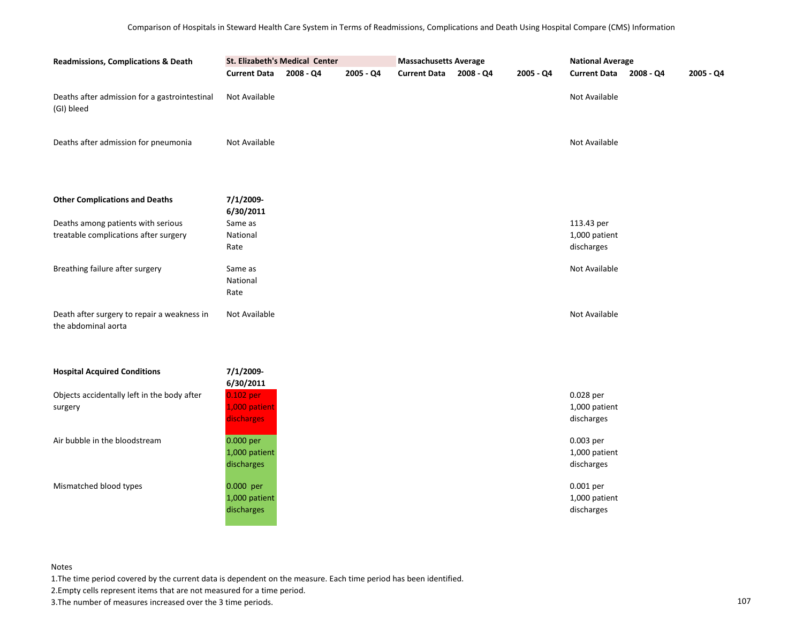| Readmissions, Complications & Death                                         | St. Elizabeth's Medical Center           |           |             | <b>Massachusetts Average</b> |           |             | <b>National Average</b>                   |             |             |
|-----------------------------------------------------------------------------|------------------------------------------|-----------|-------------|------------------------------|-----------|-------------|-------------------------------------------|-------------|-------------|
|                                                                             | <b>Current Data</b>                      | 2008 - Q4 | $2005 - Q4$ | <b>Current Data</b>          | 2008 - Q4 | $2005 - Q4$ | <b>Current Data</b>                       | $2008 - Q4$ | $2005 - Q4$ |
| Deaths after admission for a gastrointestinal<br>(GI) bleed                 | Not Available                            |           |             |                              |           |             | Not Available                             |             |             |
| Deaths after admission for pneumonia                                        | Not Available                            |           |             |                              |           |             | Not Available                             |             |             |
| <b>Other Complications and Deaths</b>                                       | 7/1/2009-<br>6/30/2011                   |           |             |                              |           |             |                                           |             |             |
| Deaths among patients with serious<br>treatable complications after surgery | Same as<br>National<br>Rate              |           |             |                              |           |             | 113.43 per<br>1,000 patient<br>discharges |             |             |
| Breathing failure after surgery                                             | Same as<br>National<br>Rate              |           |             |                              |           |             | Not Available                             |             |             |
| Death after surgery to repair a weakness in<br>the abdominal aorta          | Not Available                            |           |             |                              |           |             | Not Available                             |             |             |
| <b>Hospital Acquired Conditions</b>                                         | 7/1/2009-<br>6/30/2011                   |           |             |                              |           |             |                                           |             |             |
| Objects accidentally left in the body after<br>surgery                      | 0.102 per<br>1,000 patient<br>discharges |           |             |                              |           |             | 0.028 per<br>1,000 patient<br>discharges  |             |             |
| Air bubble in the bloodstream                                               | 0.000 per<br>1,000 patient<br>discharges |           |             |                              |           |             | 0.003 per<br>1,000 patient<br>discharges  |             |             |
| Mismatched blood types                                                      | 0.000 per<br>1,000 patient<br>discharges |           |             |                              |           |             | 0.001 per<br>1,000 patient<br>discharges  |             |             |

1.The time period covered by the current data is dependent on the measure. Each time period has been identified.

2.Empty cells represent items that are not measured for a time period.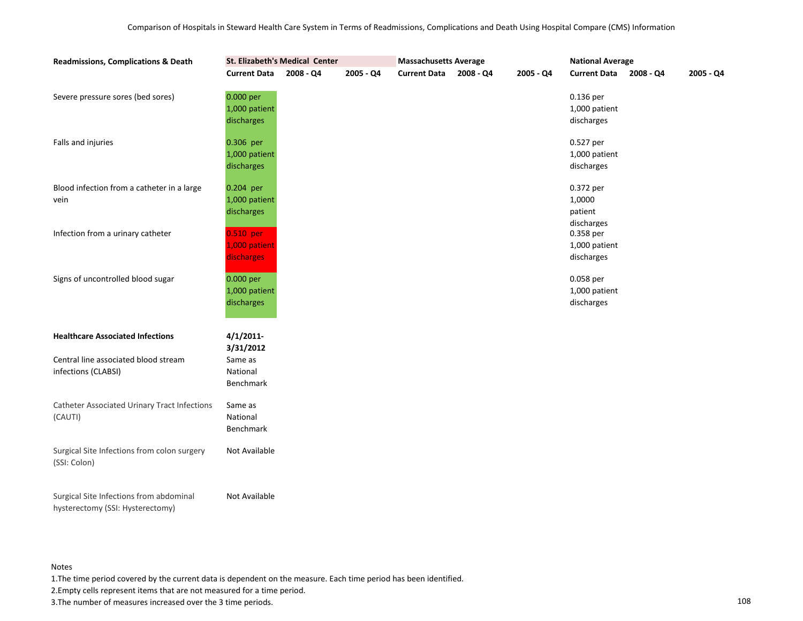| <b>Readmissions, Complications &amp; Death</b>                              | St. Elizabeth's Medical Center           |             |           | <b>Massachusetts Average</b> |           |             | <b>National Average</b>                      |             |             |
|-----------------------------------------------------------------------------|------------------------------------------|-------------|-----------|------------------------------|-----------|-------------|----------------------------------------------|-------------|-------------|
|                                                                             | <b>Current Data</b>                      | $2008 - Q4$ | 2005 - Q4 | <b>Current Data</b>          | 2008 - Q4 | $2005 - Q4$ | <b>Current Data</b>                          | $2008 - Q4$ | $2005 - Q4$ |
| Severe pressure sores (bed sores)                                           | 0.000 per<br>1,000 patient<br>discharges |             |           |                              |           |             | 0.136 per<br>1,000 patient<br>discharges     |             |             |
| Falls and injuries                                                          | 0.306 per<br>1,000 patient<br>discharges |             |           |                              |           |             | 0.527 per<br>1,000 patient<br>discharges     |             |             |
| Blood infection from a catheter in a large<br>vein                          | 0.204 per<br>1,000 patient<br>discharges |             |           |                              |           |             | 0.372 per<br>1,0000<br>patient<br>discharges |             |             |
| Infection from a urinary catheter                                           | 0.510 per<br>1,000 patient<br>discharges |             |           |                              |           |             | 0.358 per<br>1,000 patient<br>discharges     |             |             |
| Signs of uncontrolled blood sugar                                           | 0.000 per<br>1,000 patient<br>discharges |             |           |                              |           |             | 0.058 per<br>1,000 patient<br>discharges     |             |             |
| <b>Healthcare Associated Infections</b>                                     | 4/1/2011<br>3/31/2012                    |             |           |                              |           |             |                                              |             |             |
| Central line associated blood stream<br>infections (CLABSI)                 | Same as<br>National<br>Benchmark         |             |           |                              |           |             |                                              |             |             |
| <b>Catheter Associated Urinary Tract Infections</b><br>(CAUTI)              | Same as<br>National<br>Benchmark         |             |           |                              |           |             |                                              |             |             |
| Surgical Site Infections from colon surgery<br>(SSI: Colon)                 | Not Available                            |             |           |                              |           |             |                                              |             |             |
| Surgical Site Infections from abdominal<br>hysterectomy (SSI: Hysterectomy) | Not Available                            |             |           |                              |           |             |                                              |             |             |

1.The time period covered by the current data is dependent on the measure. Each time period has been identified.

2.Empty cells represent items that are not measured for a time period.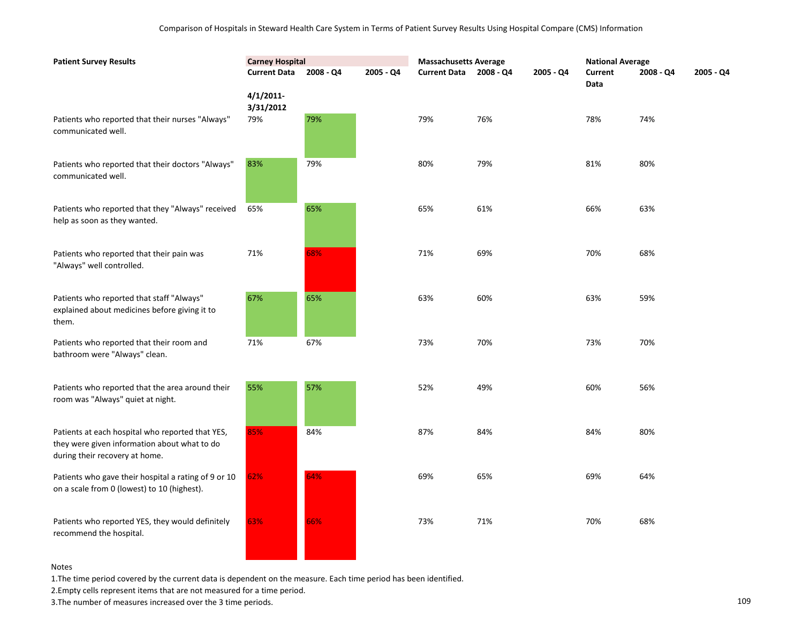| <b>Patient Survey Results</b>                                                                                                      | <b>Carney Hospital</b> |           |             | <b>Massachusetts Average</b> |           |             | <b>National Average</b> |           |             |
|------------------------------------------------------------------------------------------------------------------------------------|------------------------|-----------|-------------|------------------------------|-----------|-------------|-------------------------|-----------|-------------|
|                                                                                                                                    | <b>Current Data</b>    | 2008 - Q4 | $2005 - Q4$ | <b>Current Data</b>          | 2008 - Q4 | $2005 - Q4$ | Current<br><b>Data</b>  | 2008 - Q4 | $2005 - Q4$ |
|                                                                                                                                    | 4/1/2011<br>3/31/2012  |           |             |                              |           |             |                         |           |             |
| Patients who reported that their nurses "Always"<br>communicated well.                                                             | 79%                    | 79%       |             | 79%                          | 76%       |             | 78%                     | 74%       |             |
| Patients who reported that their doctors "Always"<br>communicated well.                                                            | 83%                    | 79%       |             | 80%                          | 79%       |             | 81%                     | 80%       |             |
| Patients who reported that they "Always" received<br>help as soon as they wanted.                                                  | 65%                    | 65%       |             | 65%                          | 61%       |             | 66%                     | 63%       |             |
| Patients who reported that their pain was<br>"Always" well controlled.                                                             | 71%                    | 68%       |             | 71%                          | 69%       |             | 70%                     | 68%       |             |
| Patients who reported that staff "Always"<br>explained about medicines before giving it to<br>them.                                | 67%                    | 65%       |             | 63%                          | 60%       |             | 63%                     | 59%       |             |
| Patients who reported that their room and<br>bathroom were "Always" clean.                                                         | 71%                    | 67%       |             | 73%                          | 70%       |             | 73%                     | 70%       |             |
| Patients who reported that the area around their<br>room was "Always" quiet at night.                                              | 55%                    | 57%       |             | 52%                          | 49%       |             | 60%                     | 56%       |             |
| Patients at each hospital who reported that YES,<br>they were given information about what to do<br>during their recovery at home. | 85%                    | 84%       |             | 87%                          | 84%       |             | 84%                     | 80%       |             |
| Patients who gave their hospital a rating of 9 or 10<br>on a scale from 0 (lowest) to 10 (highest).                                | 62%                    | 64%       |             | 69%                          | 65%       |             | 69%                     | 64%       |             |
| Patients who reported YES, they would definitely<br>recommend the hospital.                                                        | 63%                    | 66%       |             | 73%                          | 71%       |             | 70%                     | 68%       |             |

1.The time period covered by the current data is dependent on the measure. Each time period has been identified.

and the state of the

2.Empty cells represent items that are not measured for a time period.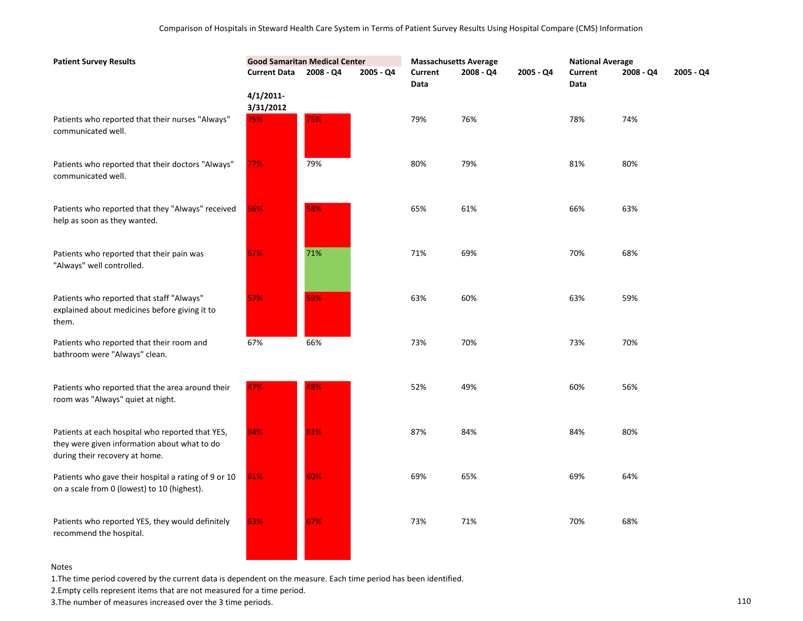| <b>Patient Survey Results</b>                                                                                                      | <b>Good Samaritan Medical Center</b> |           | <b>Massachusetts Average</b> |                 |           | <b>National Average</b> |                 |           |           |
|------------------------------------------------------------------------------------------------------------------------------------|--------------------------------------|-----------|------------------------------|-----------------|-----------|-------------------------|-----------------|-----------|-----------|
|                                                                                                                                    | <b>Current Data</b>                  | 2008 - Q4 | 2005 - Q4                    | Current<br>Data | 2008 - Q4 | 2005 - Q4               | Current<br>Data | 2008 - Q4 | 2005 - Q4 |
|                                                                                                                                    | $4/1/2011$ -<br>3/31/2012            |           |                              |                 |           |                         |                 |           |           |
| Patients who reported that their nurses "Always"<br>communicated well.                                                             | 75%                                  | 75%       |                              | 79%             | 76%       |                         | 78%             | 74%       |           |
| Patients who reported that their doctors "Always"<br>communicated well.                                                            | 77%                                  | 79%       |                              | 80%             | 79%       |                         | 81%             | 80%       |           |
| Patients who reported that they "Always" received<br>help as soon as they wanted.                                                  | 56%                                  | 58%       |                              | 65%             | 61%       |                         | 66%             | 63%       |           |
| Patients who reported that their pain was<br>"Always" well controlled.                                                             | 67%                                  | 71%       |                              | 71%             | 69%       |                         | 70%             | 68%       |           |
| Patients who reported that staff "Always"<br>explained about medicines before giving it to<br>them.                                | 57%                                  | 59%       |                              | 63%             | 60%       |                         | 63%             | 59%       |           |
| Patients who reported that their room and<br>bathroom were "Always" clean.                                                         | 67%                                  | 66%       |                              | 73%             | 70%       |                         | 73%             | 70%       |           |
| Patients who reported that the area around their<br>room was "Always" quiet at night.                                              | 47%                                  | 48%       |                              | 52%             | 49%       |                         | 60%             | 56%       |           |
| Patients at each hospital who reported that YES,<br>they were given information about what to do<br>during their recovery at home. | 84%                                  | 81%       |                              | 87%             | 84%       |                         | 84%             | 80%       |           |
| Patients who gave their hospital a rating of 9 or 10<br>on a scale from 0 (lowest) to 10 (highest).                                | 61%                                  | 60%       |                              | 69%             | 65%       |                         | 69%             | 64%       |           |
| Patients who reported YES, they would definitely<br>recommend the hospital.                                                        | 63%                                  | 67%       |                              | 73%             | 71%       |                         | 70%             | 68%       |           |

1.The time period covered by the current data is dependent on the measure. Each time period has been identified.

2.Empty cells represent items that are not measured for a time period.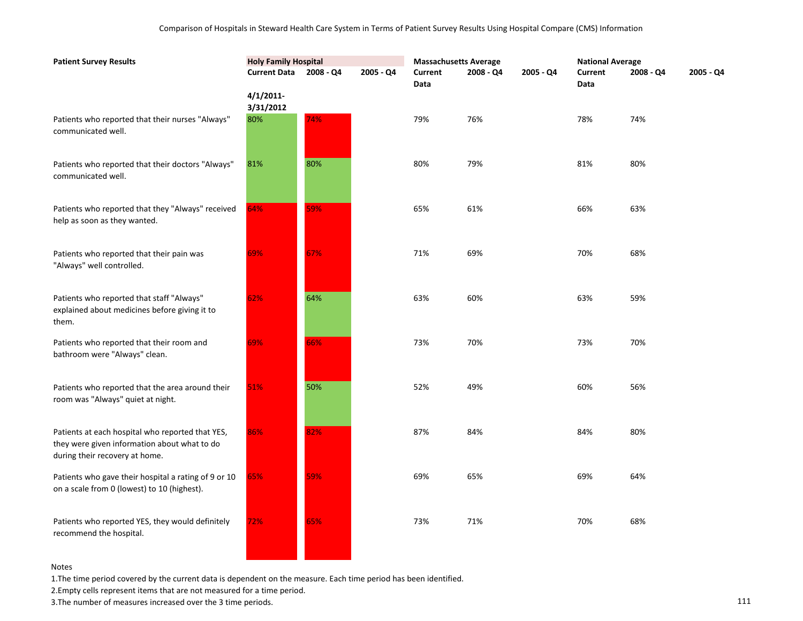| <b>Patient Survey Results</b>                                                                                                      | <b>Holy Family Hospital</b> |             |           | <b>Massachusetts Average</b> |           |           | <b>National Average</b> |           |           |
|------------------------------------------------------------------------------------------------------------------------------------|-----------------------------|-------------|-----------|------------------------------|-----------|-----------|-------------------------|-----------|-----------|
|                                                                                                                                    | <b>Current Data</b>         | $2008 - Q4$ | 2005 - Q4 | <b>Current</b><br>Data       | 2008 - Q4 | 2005 - Q4 | Current<br>Data         | 2008 - Q4 | 2005 - Q4 |
|                                                                                                                                    | 4/1/2011<br>3/31/2012       |             |           |                              |           |           |                         |           |           |
| Patients who reported that their nurses "Always"<br>communicated well.                                                             | 80%                         | 74%         |           | 79%                          | 76%       |           | 78%                     | 74%       |           |
| Patients who reported that their doctors "Always"<br>communicated well.                                                            | 81%                         | 80%         |           | 80%                          | 79%       |           | 81%                     | 80%       |           |
| Patients who reported that they "Always" received<br>help as soon as they wanted.                                                  | 64%                         | 59%         |           | 65%                          | 61%       |           | 66%                     | 63%       |           |
| Patients who reported that their pain was<br>"Always" well controlled.                                                             | 69%                         | 67%         |           | 71%                          | 69%       |           | 70%                     | 68%       |           |
| Patients who reported that staff "Always"<br>explained about medicines before giving it to<br>them.                                | 62%                         | 64%         |           | 63%                          | 60%       |           | 63%                     | 59%       |           |
| Patients who reported that their room and<br>bathroom were "Always" clean.                                                         | 69%                         | 66%         |           | 73%                          | 70%       |           | 73%                     | 70%       |           |
| Patients who reported that the area around their<br>room was "Always" quiet at night.                                              | 51%                         | 50%         |           | 52%                          | 49%       |           | 60%                     | 56%       |           |
| Patients at each hospital who reported that YES,<br>they were given information about what to do<br>during their recovery at home. | 86%                         | 82%         |           | 87%                          | 84%       |           | 84%                     | 80%       |           |
| Patients who gave their hospital a rating of 9 or 10<br>on a scale from 0 (lowest) to 10 (highest).                                | 65%                         | 59%         |           | 69%                          | 65%       |           | 69%                     | 64%       |           |
| Patients who reported YES, they would definitely<br>recommend the hospital.                                                        | 72%                         | 65%         |           | 73%                          | 71%       |           | 70%                     | 68%       |           |

1.The time period covered by the current data is dependent on the measure. Each time period has been identified.

2.Empty cells represent items that are not measured for a time period.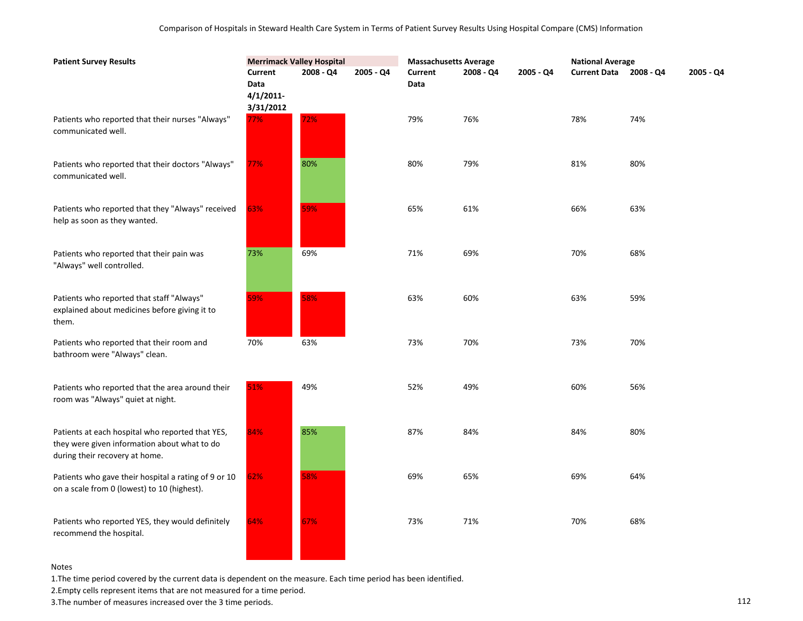| <b>Patient Survey Results</b>                                                                                                      |                                                 | <b>Merrimack Valley Hospital</b> |           |                 | <b>Massachusetts Average</b> |           |                        | <b>National Average</b> |           |  |
|------------------------------------------------------------------------------------------------------------------------------------|-------------------------------------------------|----------------------------------|-----------|-----------------|------------------------------|-----------|------------------------|-------------------------|-----------|--|
|                                                                                                                                    | Current<br><b>Data</b><br>4/1/2011<br>3/31/2012 | 2008 - Q4                        | 2005 - Q4 | Current<br>Data | $2008 - Q4$                  | 2005 - Q4 | Current Data 2008 - Q4 |                         | 2005 - Q4 |  |
| Patients who reported that their nurses "Always"<br>communicated well.                                                             | 77%                                             | 72%                              |           | 79%             | 76%                          |           | 78%                    | 74%                     |           |  |
| Patients who reported that their doctors "Always"<br>communicated well.                                                            | 77%                                             | 80%                              |           | 80%             | 79%                          |           | 81%                    | 80%                     |           |  |
| Patients who reported that they "Always" received<br>help as soon as they wanted.                                                  | 63%                                             | 59%                              |           | 65%             | 61%                          |           | 66%                    | 63%                     |           |  |
| Patients who reported that their pain was<br>"Always" well controlled.                                                             | 73%                                             | 69%                              |           | 71%             | 69%                          |           | 70%                    | 68%                     |           |  |
| Patients who reported that staff "Always"<br>explained about medicines before giving it to<br>them.                                | 59%                                             | 58%                              |           | 63%             | 60%                          |           | 63%                    | 59%                     |           |  |
| Patients who reported that their room and<br>bathroom were "Always" clean.                                                         | 70%                                             | 63%                              |           | 73%             | 70%                          |           | 73%                    | 70%                     |           |  |
| Patients who reported that the area around their<br>room was "Always" quiet at night.                                              | 51%                                             | 49%                              |           | 52%             | 49%                          |           | 60%                    | 56%                     |           |  |
| Patients at each hospital who reported that YES,<br>they were given information about what to do<br>during their recovery at home. | 84%                                             | 85%                              |           | 87%             | 84%                          |           | 84%                    | 80%                     |           |  |
| Patients who gave their hospital a rating of 9 or 10<br>on a scale from 0 (lowest) to 10 (highest).                                | 62%                                             | 58%                              |           | 69%             | 65%                          |           | 69%                    | 64%                     |           |  |
| Patients who reported YES, they would definitely<br>recommend the hospital.                                                        | 64%                                             | 67%                              |           | 73%             | 71%                          |           | 70%                    | 68%                     |           |  |

1.The time period covered by the current data is dependent on the measure. Each time period has been identified.

2.Empty cells represent items that are not measured for a time period.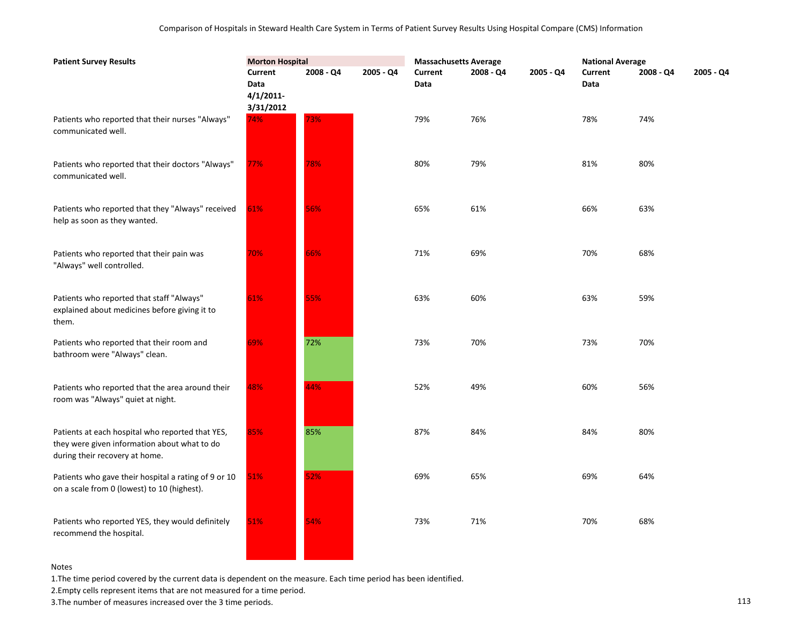| <b>Patient Survey Results</b>                                                                                                      | <b>Morton Hospital</b>                              |           |           | <b>Massachusetts Average</b> |           |           | <b>National Average</b> |             |           |
|------------------------------------------------------------------------------------------------------------------------------------|-----------------------------------------------------|-----------|-----------|------------------------------|-----------|-----------|-------------------------|-------------|-----------|
|                                                                                                                                    | <b>Current</b><br>Data<br>$4/1/2011$ -<br>3/31/2012 | 2008 - Q4 | 2005 - Q4 | Current<br>Data              | 2008 - Q4 | 2005 - Q4 | <b>Current</b><br>Data  | $2008 - Q4$ | 2005 - Q4 |
| Patients who reported that their nurses "Always"<br>communicated well.                                                             | 74%                                                 | 73%       |           | 79%                          | 76%       |           | 78%                     | 74%         |           |
| Patients who reported that their doctors "Always"<br>communicated well.                                                            | 77%                                                 | 78%       |           | 80%                          | 79%       |           | 81%                     | 80%         |           |
| Patients who reported that they "Always" received<br>help as soon as they wanted.                                                  | 61%                                                 | 56%       |           | 65%                          | 61%       |           | 66%                     | 63%         |           |
| Patients who reported that their pain was<br>"Always" well controlled.                                                             | 70%                                                 | 66%       |           | 71%                          | 69%       |           | 70%                     | 68%         |           |
| Patients who reported that staff "Always"<br>explained about medicines before giving it to<br>them.                                | 61%                                                 | 55%       |           | 63%                          | 60%       |           | 63%                     | 59%         |           |
| Patients who reported that their room and<br>bathroom were "Always" clean.                                                         | 69%                                                 | 72%       |           | 73%                          | 70%       |           | 73%                     | 70%         |           |
| Patients who reported that the area around their<br>room was "Always" quiet at night.                                              | 48%                                                 | 44%       |           | 52%                          | 49%       |           | 60%                     | 56%         |           |
| Patients at each hospital who reported that YES,<br>they were given information about what to do<br>during their recovery at home. | 85%                                                 | 85%       |           | 87%                          | 84%       |           | 84%                     | 80%         |           |
| Patients who gave their hospital a rating of 9 or 10<br>on a scale from 0 (lowest) to 10 (highest).                                | 51%                                                 | 52%       |           | 69%                          | 65%       |           | 69%                     | 64%         |           |
| Patients who reported YES, they would definitely<br>recommend the hospital.                                                        | 51%                                                 | 54%       |           | 73%                          | 71%       |           | 70%                     | 68%         |           |

1.The time period covered by the current data is dependent on the measure. Each time period has been identified.

2.Empty cells represent items that are not measured for a time period.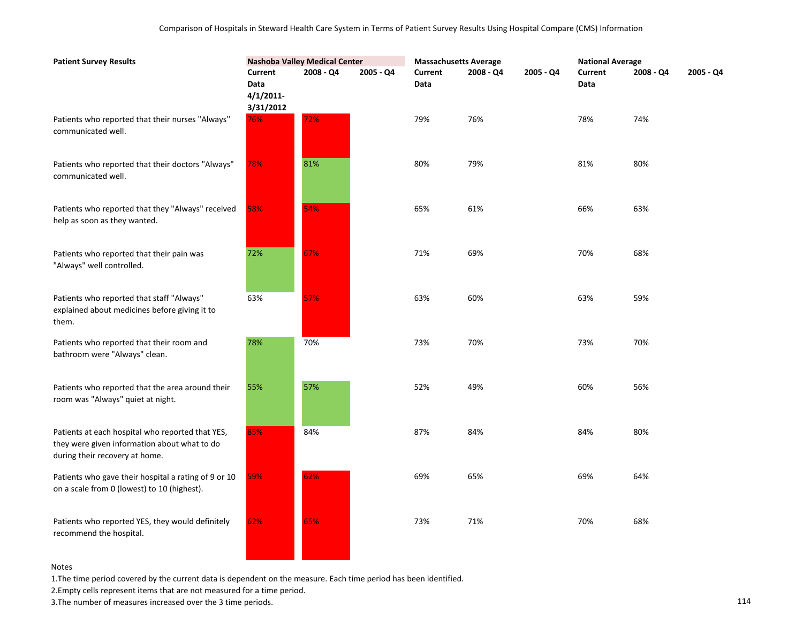| <b>Patient Survey Results</b>                                                                                                      | <b>Nashoba Valley Medical Center</b>         |           | <b>Massachusetts Average</b> |                 |           | <b>National Average</b> |                 |           |           |
|------------------------------------------------------------------------------------------------------------------------------------|----------------------------------------------|-----------|------------------------------|-----------------|-----------|-------------------------|-----------------|-----------|-----------|
|                                                                                                                                    | Current<br>Data<br>$4/1/2011$ -<br>3/31/2012 | 2008 - Q4 | 2005 - Q4                    | Current<br>Data | 2008 - Q4 | 2005 - Q4               | Current<br>Data | 2008 - Q4 | 2005 - Q4 |
| Patients who reported that their nurses "Always"<br>communicated well.                                                             | 76%                                          | 72%       |                              | 79%             | 76%       |                         | 78%             | 74%       |           |
| Patients who reported that their doctors "Always"<br>communicated well.                                                            | 78%                                          | 81%       |                              | 80%             | 79%       |                         | 81%             | 80%       |           |
| Patients who reported that they "Always" received<br>help as soon as they wanted.                                                  | 58%                                          | 54%       |                              | 65%             | 61%       |                         | 66%             | 63%       |           |
| Patients who reported that their pain was<br>"Always" well controlled.                                                             | 72%                                          | 67%       |                              | 71%             | 69%       |                         | 70%             | 68%       |           |
| Patients who reported that staff "Always"<br>explained about medicines before giving it to<br>them.                                | 63%                                          | 57%       |                              | 63%             | 60%       |                         | 63%             | 59%       |           |
| Patients who reported that their room and<br>bathroom were "Always" clean.                                                         | 78%                                          | 70%       |                              | 73%             | 70%       |                         | 73%             | 70%       |           |
| Patients who reported that the area around their<br>room was "Always" quiet at night.                                              | 55%                                          | 57%       |                              | 52%             | 49%       |                         | 60%             | 56%       |           |
| Patients at each hospital who reported that YES,<br>they were given information about what to do<br>during their recovery at home. | 85%                                          | 84%       |                              | 87%             | 84%       |                         | 84%             | 80%       |           |
| Patients who gave their hospital a rating of 9 or 10<br>on a scale from 0 (lowest) to 10 (highest).                                | 59%                                          | 62%       |                              | 69%             | 65%       |                         | 69%             | 64%       |           |
| Patients who reported YES, they would definitely<br>recommend the hospital.                                                        | 62%                                          | 65%       |                              | 73%             | 71%       |                         | 70%             | 68%       |           |

1.The time period covered by the current data is dependent on the measure. Each time period has been identified.

2.Empty cells represent items that are not measured for a time period.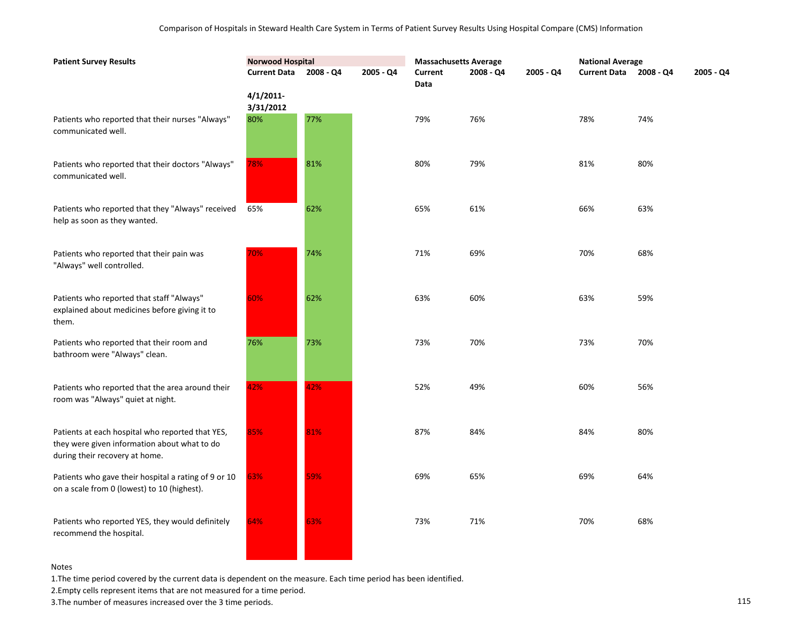| <b>Patient Survey Results</b>                                                                                                      | <b>Norwood Hospital</b> |           |           | <b>Massachusetts Average</b> |           |           | <b>National Average</b> |             |           |
|------------------------------------------------------------------------------------------------------------------------------------|-------------------------|-----------|-----------|------------------------------|-----------|-----------|-------------------------|-------------|-----------|
|                                                                                                                                    | <b>Current Data</b>     | 2008 - Q4 | 2005 - Q4 | <b>Current</b><br>Data       | 2008 - Q4 | 2005 - Q4 | <b>Current Data</b>     | $2008 - Q4$ | 2005 - Q4 |
|                                                                                                                                    | 4/1/2011<br>3/31/2012   |           |           |                              |           |           |                         |             |           |
| Patients who reported that their nurses "Always"<br>communicated well.                                                             | 80%                     | 77%       |           | 79%                          | 76%       |           | 78%                     | 74%         |           |
| Patients who reported that their doctors "Always"<br>communicated well.                                                            | 78%                     | 81%       |           | 80%                          | 79%       |           | 81%                     | 80%         |           |
| Patients who reported that they "Always" received<br>help as soon as they wanted.                                                  | 65%                     | 62%       |           | 65%                          | 61%       |           | 66%                     | 63%         |           |
| Patients who reported that their pain was<br>"Always" well controlled.                                                             | 70%                     | 74%       |           | 71%                          | 69%       |           | 70%                     | 68%         |           |
| Patients who reported that staff "Always"<br>explained about medicines before giving it to<br>them.                                | 60%                     | 62%       |           | 63%                          | 60%       |           | 63%                     | 59%         |           |
| Patients who reported that their room and<br>bathroom were "Always" clean.                                                         | 76%                     | 73%       |           | 73%                          | 70%       |           | 73%                     | 70%         |           |
| Patients who reported that the area around their<br>room was "Always" quiet at night.                                              | 42%                     | 42%       |           | 52%                          | 49%       |           | 60%                     | 56%         |           |
| Patients at each hospital who reported that YES,<br>they were given information about what to do<br>during their recovery at home. | 85%                     | 81%       |           | 87%                          | 84%       |           | 84%                     | 80%         |           |
| Patients who gave their hospital a rating of 9 or 10<br>on a scale from 0 (lowest) to 10 (highest).                                | 63%                     | 59%       |           | 69%                          | 65%       |           | 69%                     | 64%         |           |
| Patients who reported YES, they would definitely<br>recommend the hospital.                                                        | 64%                     | 63%       |           | 73%                          | 71%       |           | 70%                     | 68%         |           |
|                                                                                                                                    |                         |           |           |                              |           |           |                         |             |           |

1.The time period covered by the current data is dependent on the measure. Each time period has been identified.

2.Empty cells represent items that are not measured for a time period.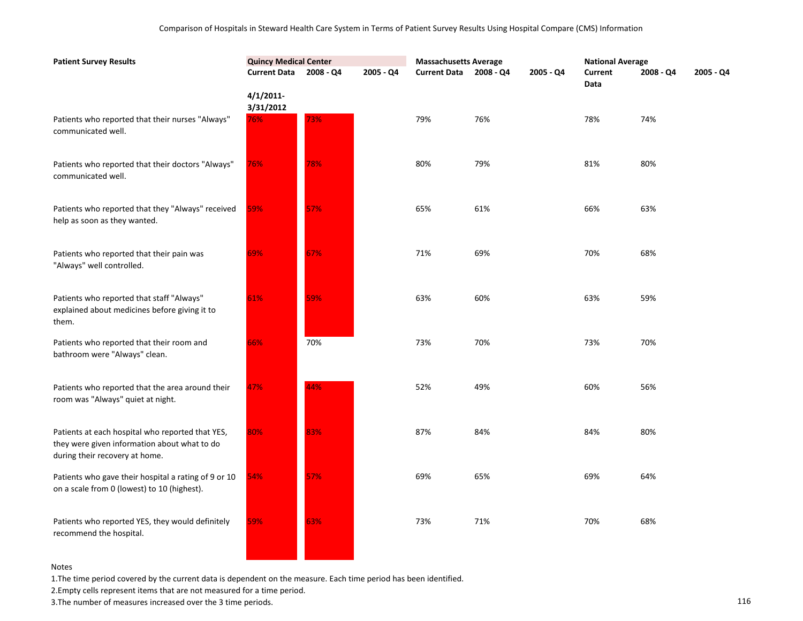| <b>Patient Survey Results</b>                                                                                                      | <b>Quincy Medical Center</b>     |             |           | <b>Massachusetts Average</b> |           |           | <b>National Average</b> |           |           |
|------------------------------------------------------------------------------------------------------------------------------------|----------------------------------|-------------|-----------|------------------------------|-----------|-----------|-------------------------|-----------|-----------|
|                                                                                                                                    | <b>Current Data</b>              | $2008 - Q4$ | 2005 - Q4 | <b>Current Data</b>          | 2008 - Q4 | 2005 - Q4 | Current<br>Data         | 2008 - Q4 | 2005 - Q4 |
| Patients who reported that their nurses "Always"<br>communicated well.                                                             | $4/1/2011$ -<br>3/31/2012<br>76% | 73%         |           | 79%                          | 76%       |           | 78%                     | 74%       |           |
| Patients who reported that their doctors "Always"<br>communicated well.                                                            | 76%                              | 78%         |           | 80%                          | 79%       |           | 81%                     | 80%       |           |
| Patients who reported that they "Always" received<br>help as soon as they wanted.                                                  | 59%                              | 57%         |           | 65%                          | 61%       |           | 66%                     | 63%       |           |
| Patients who reported that their pain was<br>"Always" well controlled.                                                             | 69%                              | 67%         |           | 71%                          | 69%       |           | 70%                     | 68%       |           |
| Patients who reported that staff "Always"<br>explained about medicines before giving it to<br>them.                                | 61%                              | 59%         |           | 63%                          | 60%       |           | 63%                     | 59%       |           |
| Patients who reported that their room and<br>bathroom were "Always" clean.                                                         | 66%                              | 70%         |           | 73%                          | 70%       |           | 73%                     | 70%       |           |
| Patients who reported that the area around their<br>room was "Always" quiet at night.                                              | 47%                              | 44%         |           | 52%                          | 49%       |           | 60%                     | 56%       |           |
| Patients at each hospital who reported that YES,<br>they were given information about what to do<br>during their recovery at home. | 80%                              | 83%         |           | 87%                          | 84%       |           | 84%                     | 80%       |           |
| Patients who gave their hospital a rating of 9 or 10<br>on a scale from 0 (lowest) to 10 (highest).                                | 54%                              | 57%         |           | 69%                          | 65%       |           | 69%                     | 64%       |           |
| Patients who reported YES, they would definitely<br>recommend the hospital.                                                        | 59%                              | 63%         |           | 73%                          | 71%       |           | 70%                     | 68%       |           |

1.The time period covered by the current data is dependent on the measure. Each time period has been identified.

2.Empty cells represent items that are not measured for a time period.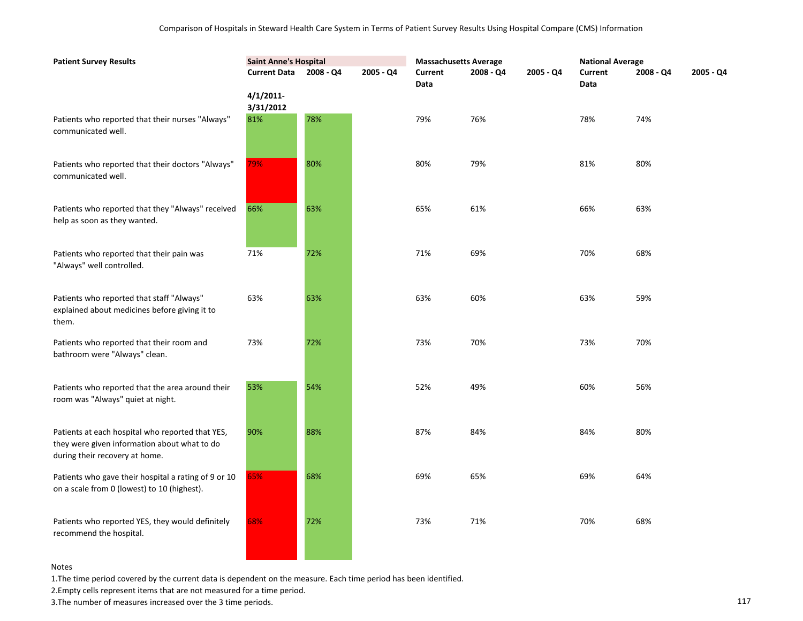| <b>Patient Survey Results</b>                                                                                                      | <b>Saint Anne's Hospital</b> |             |           | <b>Massachusetts Average</b> |           |             | <b>National Average</b> |           |           |
|------------------------------------------------------------------------------------------------------------------------------------|------------------------------|-------------|-----------|------------------------------|-----------|-------------|-------------------------|-----------|-----------|
|                                                                                                                                    | <b>Current Data</b>          | $2008 - Q4$ | 2005 - Q4 | Current<br>Data              | 2008 - Q4 | $2005 - Q4$ | Current<br>Data         | 2008 - Q4 | 2005 - Q4 |
|                                                                                                                                    | $4/1/2011$ -<br>3/31/2012    |             |           |                              |           |             |                         |           |           |
| Patients who reported that their nurses "Always"<br>communicated well.                                                             | 81%                          | 78%         |           | 79%                          | 76%       |             | 78%                     | 74%       |           |
| Patients who reported that their doctors "Always"<br>communicated well.                                                            | 79%                          | 80%         |           | 80%                          | 79%       |             | 81%                     | 80%       |           |
| Patients who reported that they "Always" received<br>help as soon as they wanted.                                                  | 66%                          | 63%         |           | 65%                          | 61%       |             | 66%                     | 63%       |           |
| Patients who reported that their pain was<br>"Always" well controlled.                                                             | 71%                          | 72%         |           | 71%                          | 69%       |             | 70%                     | 68%       |           |
| Patients who reported that staff "Always"<br>explained about medicines before giving it to<br>them.                                | 63%                          | 63%         |           | 63%                          | 60%       |             | 63%                     | 59%       |           |
| Patients who reported that their room and<br>bathroom were "Always" clean.                                                         | 73%                          | 72%         |           | 73%                          | 70%       |             | 73%                     | 70%       |           |
| Patients who reported that the area around their<br>room was "Always" quiet at night.                                              | 53%                          | 54%         |           | 52%                          | 49%       |             | 60%                     | 56%       |           |
| Patients at each hospital who reported that YES,<br>they were given information about what to do<br>during their recovery at home. | 90%                          | 88%         |           | 87%                          | 84%       |             | 84%                     | 80%       |           |
| Patients who gave their hospital a rating of 9 or 10<br>on a scale from 0 (lowest) to 10 (highest).                                | 65%                          | 68%         |           | 69%                          | 65%       |             | 69%                     | 64%       |           |
| Patients who reported YES, they would definitely<br>recommend the hospital.                                                        | 68%                          | 72%         |           | 73%                          | 71%       |             | 70%                     | 68%       |           |

1.The time period covered by the current data is dependent on the measure. Each time period has been identified.

<u> 1989 - John Barn Barn, mars a</u>

2.Empty cells represent items that are not measured for a time period.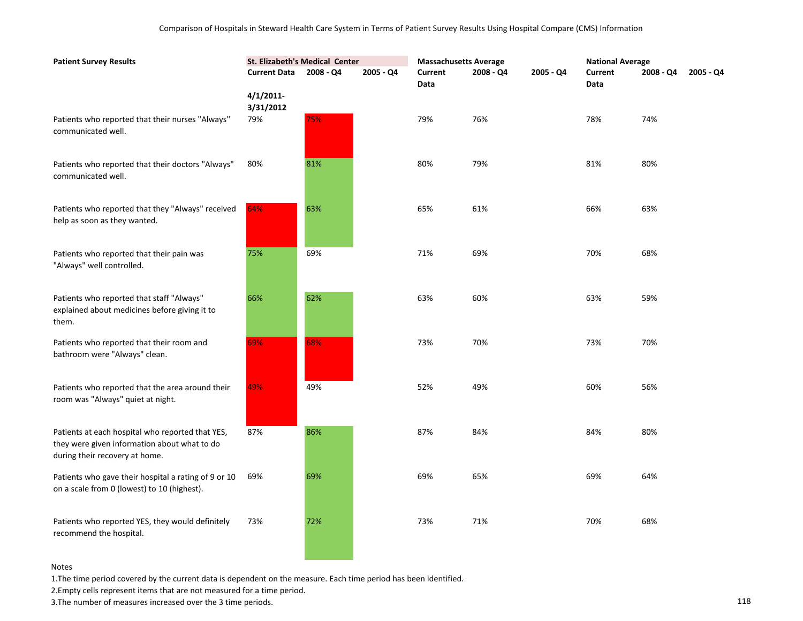| <b>Patient Survey Results</b>                                                                                                      | <b>St. Elizabeth's Medical Center</b> |           | <b>Massachusetts Average</b> |                 |             | <b>National Average</b> |                        |           |           |
|------------------------------------------------------------------------------------------------------------------------------------|---------------------------------------|-----------|------------------------------|-----------------|-------------|-------------------------|------------------------|-----------|-----------|
|                                                                                                                                    | <b>Current Data</b>                   | 2008 - Q4 | 2005 - Q4                    | Current<br>Data | $2008 - Q4$ | 2005 - Q4               | <b>Current</b><br>Data | 2008 - Q4 | 2005 - Q4 |
|                                                                                                                                    | 4/1/2011<br>3/31/2012                 |           |                              |                 |             |                         |                        |           |           |
| Patients who reported that their nurses "Always"<br>communicated well.                                                             | 79%                                   | 75%       |                              | 79%             | 76%         |                         | 78%                    | 74%       |           |
| Patients who reported that their doctors "Always"<br>communicated well.                                                            | 80%                                   | 81%       |                              | 80%             | 79%         |                         | 81%                    | 80%       |           |
| Patients who reported that they "Always" received<br>help as soon as they wanted.                                                  | 64%                                   | 63%       |                              | 65%             | 61%         |                         | 66%                    | 63%       |           |
| Patients who reported that their pain was<br>"Always" well controlled.                                                             | 75%                                   | 69%       |                              | 71%             | 69%         |                         | 70%                    | 68%       |           |
| Patients who reported that staff "Always"<br>explained about medicines before giving it to<br>them.                                | 66%                                   | 62%       |                              | 63%             | 60%         |                         | 63%                    | 59%       |           |
| Patients who reported that their room and<br>bathroom were "Always" clean.                                                         | 69%                                   | 68%       |                              | 73%             | 70%         |                         | 73%                    | 70%       |           |
| Patients who reported that the area around their<br>room was "Always" quiet at night.                                              | 49%                                   | 49%       |                              | 52%             | 49%         |                         | 60%                    | 56%       |           |
| Patients at each hospital who reported that YES,<br>they were given information about what to do<br>during their recovery at home. | 87%                                   | 86%       |                              | 87%             | 84%         |                         | 84%                    | 80%       |           |
| Patients who gave their hospital a rating of 9 or 10<br>on a scale from 0 (lowest) to 10 (highest).                                | 69%                                   | 69%       |                              | 69%             | 65%         |                         | 69%                    | 64%       |           |
| Patients who reported YES, they would definitely<br>recommend the hospital.                                                        | 73%                                   | 72%       |                              | 73%             | 71%         |                         | 70%                    | 68%       |           |

1.The time period covered by the current data is dependent on the measure. Each time period has been identified.

2.Empty cells represent items that are not measured for a time period.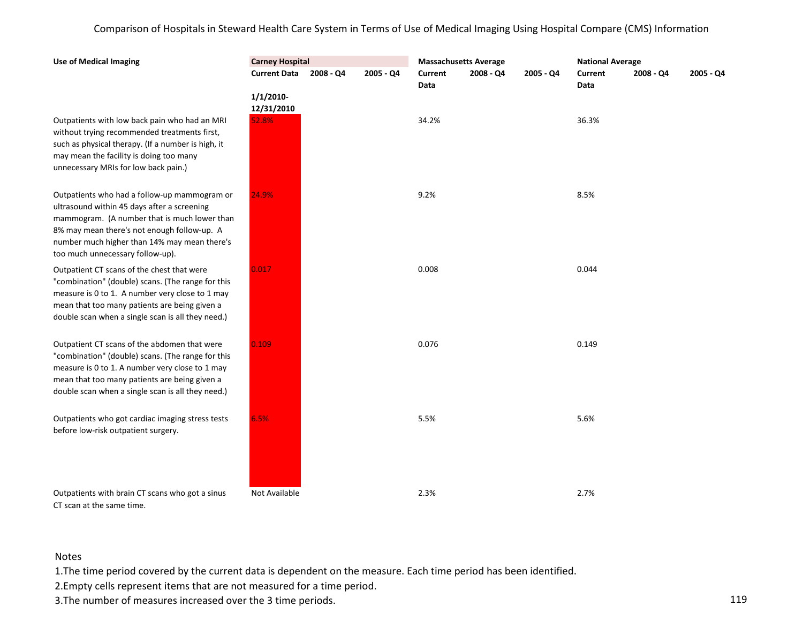| <b>Use of Medical Imaging</b>                                                                                                                                                                                                                                                  | <b>Carney Hospital</b> |           |             | <b>Massachusetts Average</b> |             |             | <b>National Average</b> |             |           |
|--------------------------------------------------------------------------------------------------------------------------------------------------------------------------------------------------------------------------------------------------------------------------------|------------------------|-----------|-------------|------------------------------|-------------|-------------|-------------------------|-------------|-----------|
|                                                                                                                                                                                                                                                                                | <b>Current Data</b>    | 2008 - Q4 | $2005 - Q4$ | <b>Current</b><br>Data       | $2008 - Q4$ | $2005 - Q4$ | Current<br>Data         | $2008 - Q4$ | 2005 - Q4 |
|                                                                                                                                                                                                                                                                                | 1/1/2010<br>12/31/2010 |           |             |                              |             |             |                         |             |           |
| Outpatients with low back pain who had an MRI<br>without trying recommended treatments first,<br>such as physical therapy. (If a number is high, it<br>may mean the facility is doing too many<br>unnecessary MRIs for low back pain.)                                         | 52.8%                  |           |             | 34.2%                        |             |             | 36.3%                   |             |           |
| Outpatients who had a follow-up mammogram or<br>ultrasound within 45 days after a screening<br>mammogram. (A number that is much lower than<br>8% may mean there's not enough follow-up. A<br>number much higher than 14% may mean there's<br>too much unnecessary follow-up). | 24.9%                  |           |             | 9.2%                         |             |             | 8.5%                    |             |           |
| Outpatient CT scans of the chest that were<br>"combination" (double) scans. (The range for this<br>measure is 0 to 1. A number very close to 1 may<br>mean that too many patients are being given a<br>double scan when a single scan is all they need.)                       | 0.017                  |           |             | 0.008                        |             |             | 0.044                   |             |           |
| Outpatient CT scans of the abdomen that were<br>"combination" (double) scans. (The range for this<br>measure is 0 to 1. A number very close to 1 may<br>mean that too many patients are being given a<br>double scan when a single scan is all they need.)                     | 0.109                  |           |             | 0.076                        |             |             | 0.149                   |             |           |
| Outpatients who got cardiac imaging stress tests<br>before low-risk outpatient surgery.                                                                                                                                                                                        | 6.5%                   |           |             | 5.5%                         |             |             | 5.6%                    |             |           |
| Outpatients with brain CT scans who got a sinus<br>CT scan at the same time.                                                                                                                                                                                                   | Not Available          |           |             | 2.3%                         |             |             | 2.7%                    |             |           |

# Notes

1.The time period covered by the current data is dependent on the measure. Each time period has been identified.

2.Empty cells represent items that are not measured for a time period.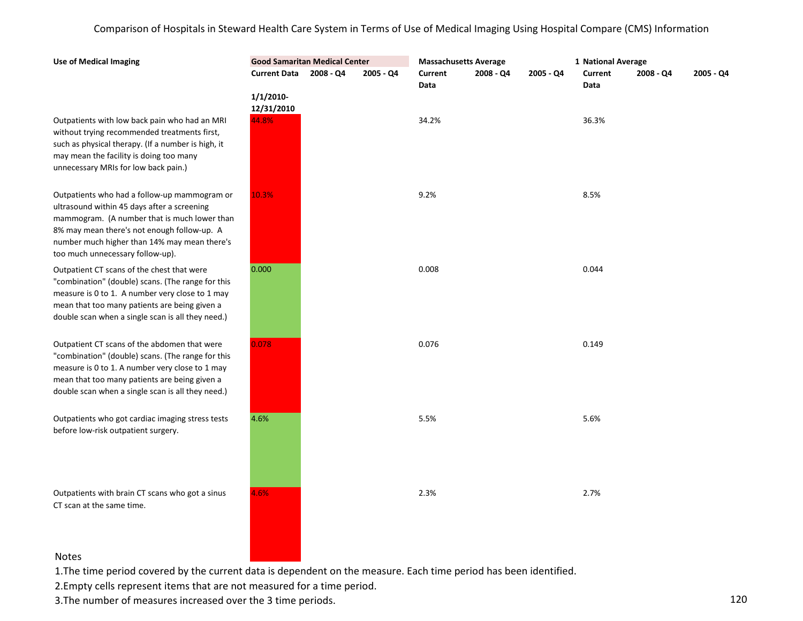| Outpatients with low back pain who had an MRI      |
|----------------------------------------------------|
| without trying recommended treatments first,       |
| such as physical therapy. (If a number is high, it |
| may mean the facility is doing too many            |
| unnecessary MRIs for low back pain.)               |

**Use of Medical Imaging**

Outpatients who had a follow-up mammogram or ultrasound within 45 days after a screening mammogram. (A number that is much lower than 8% may mean there's not enough follow-up. A number much higher than 14% may mean there's too much unnecessary follow-up).

Outpatient CT scans of the chest that were "combination" (double) scans. (The range for this measure is 0 to 1. A number very close to 1 may mean that too many patients are being given a double scan when a single scan is all they need.)

Outpatient CT scans of the abdomen that were "combination" (double) scans. (The range for this measure is 0 to 1. A number very close to 1 may mean that too many patients are being given a double scan when a single scan is all they need.)

Outpatients who got cardiac imaging stress tests before low-risk outpatient surgery.

Outpatients with brain CT scans who got a sinus CT scan at the same time.

| <b>Good Samaritan Medical Center</b> |           |           |                 | <b>Massachusetts Average</b> |           | 1 National Average |           |           |
|--------------------------------------|-----------|-----------|-----------------|------------------------------|-----------|--------------------|-----------|-----------|
| <b>Current Data</b>                  | 2008 - Q4 | 2005 - Q4 | Current<br>Data | 2008 - Q4                    | 2005 - Q4 | Current<br>Data    | 2008 - Q4 | 2005 - Q4 |
| $1/1/2010$ -<br>12/31/2010           |           |           |                 |                              |           |                    |           |           |
| 44.8%                                |           |           | 34.2%           |                              |           | 36.3%              |           |           |
| 10.3%                                |           |           | 9.2%            |                              |           | 8.5%               |           |           |
| 0.000                                |           |           | 0.008           |                              |           | 0.044              |           |           |
| 0.078                                |           |           | 0.076           |                              |           | 0.149              |           |           |
| 4.6%                                 |           |           | 5.5%            |                              |           | 5.6%               |           |           |
| 4.6%                                 |           |           | 2.3%            |                              |           | 2.7%               |           |           |
|                                      |           |           |                 |                              |           |                    |           |           |

### Notes

1.The time period covered by the current data is dependent on the measure. Each time period has been identified.

2.Empty cells represent items that are not measured for a time period.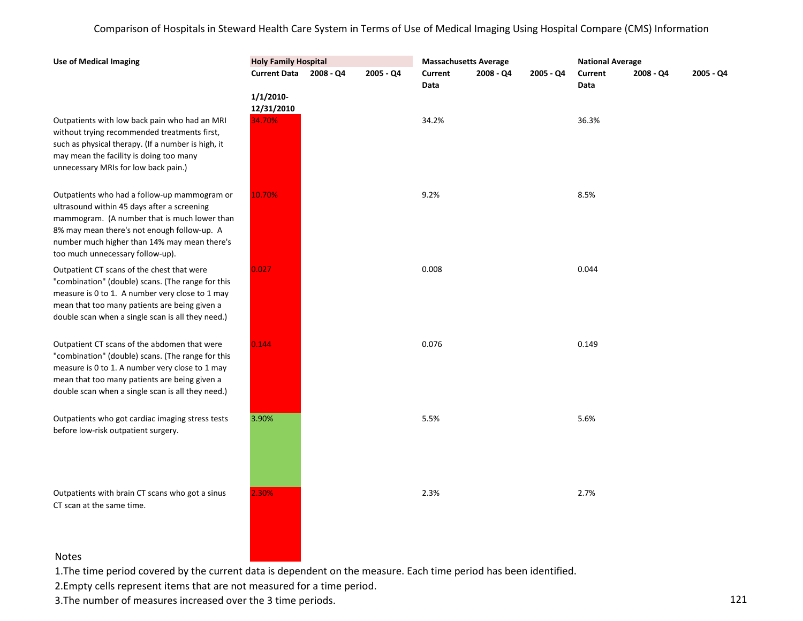| <b>Use of Medical Imaging</b>                                                                                                                                                                                                                                                  | <b>Holy Family Hospital</b>      |             |           | <b>Massachusetts Average</b> |             |           | <b>National Average</b> |           |           |
|--------------------------------------------------------------------------------------------------------------------------------------------------------------------------------------------------------------------------------------------------------------------------------|----------------------------------|-------------|-----------|------------------------------|-------------|-----------|-------------------------|-----------|-----------|
|                                                                                                                                                                                                                                                                                | <b>Current Data</b>              | $2008 - Q4$ | 2005 - Q4 | Current<br>Data              | $2008 - Q4$ | 2005 - Q4 | Current<br>Data         | 2008 - Q4 | 2005 - Q4 |
| Outpatients with low back pain who had an MRI<br>without trying recommended treatments first,                                                                                                                                                                                  | 1/1/2010<br>12/31/2010<br>34.70% |             |           | 34.2%                        |             |           | 36.3%                   |           |           |
| such as physical therapy. (If a number is high, it<br>may mean the facility is doing too many<br>unnecessary MRIs for low back pain.)                                                                                                                                          |                                  |             |           |                              |             |           |                         |           |           |
| Outpatients who had a follow-up mammogram or<br>ultrasound within 45 days after a screening<br>mammogram. (A number that is much lower than<br>8% may mean there's not enough follow-up. A<br>number much higher than 14% may mean there's<br>too much unnecessary follow-up). | 10.70%                           |             |           | 9.2%                         |             |           | 8.5%                    |           |           |
| Outpatient CT scans of the chest that were<br>"combination" (double) scans. (The range for this<br>measure is 0 to 1. A number very close to 1 may<br>mean that too many patients are being given a<br>double scan when a single scan is all they need.)                       | 0.027                            |             |           | 0.008                        |             |           | 0.044                   |           |           |
| Outpatient CT scans of the abdomen that were<br>"combination" (double) scans. (The range for this<br>measure is 0 to 1. A number very close to 1 may<br>mean that too many patients are being given a<br>double scan when a single scan is all they need.)                     | 0.144                            |             |           | 0.076                        |             |           | 0.149                   |           |           |
| Outpatients who got cardiac imaging stress tests<br>before low-risk outpatient surgery.                                                                                                                                                                                        | 3.90%                            |             |           | 5.5%                         |             |           | 5.6%                    |           |           |
| Outpatients with brain CT scans who got a sinus<br>CT scan at the same time.                                                                                                                                                                                                   | 2.30%                            |             |           | 2.3%                         |             |           | 2.7%                    |           |           |

## Notes

1.The time period covered by the current data is dependent on the measure. Each time period has been identified.

2.Empty cells represent items that are not measured for a time period.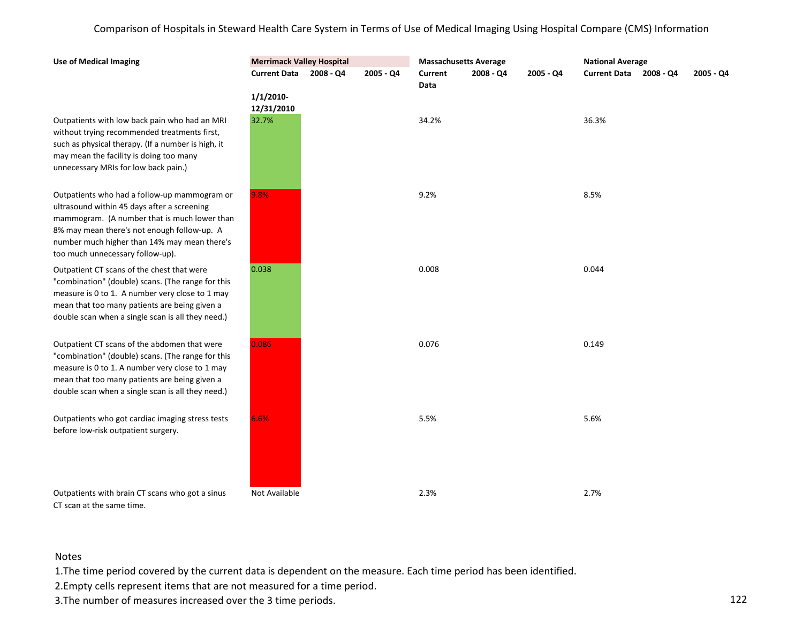| Outpatients with low back pain who had an MRI      |
|----------------------------------------------------|
| without trying recommended treatments first,       |
| such as physical therapy. (If a number is high, it |
| may mean the facility is doing too many            |
| unnecessary MRIs for low back pain.)               |

**Use of Medical Imaging**

Outpatients who had a follow-up mammogram or ultrasound within 45 days after a screening mammogram. (A number that is much lower than 8% may mean there's not enough follow-up. A number much higher than 14% may mean there's too much unnecessary follow-up).

Outpatient CT scans of the chest that were "combination" (double) scans. (The range for this measure is 0 to 1. A number very close to 1 may mean that too many patients are being given a double scan when a single scan is all they need.)

Outpatient CT scans of the abdomen that were "combination" (double) scans. (The range for this measure is 0 to 1. A number very close to 1 may mean that too many patients are being given a double scan when a single scan is all they need.)

Outpatients who got cardiac imaging stress tests before low-risk outpatient surgery.

Outpatients with brain CT scans who got a sinus CT scan at the same time.

| <b>Merrimack Valley Hospital</b> |           |           | <b>Massachusetts Average</b> |           |           | <b>National Average</b> |  |           |  |  |  |
|----------------------------------|-----------|-----------|------------------------------|-----------|-----------|-------------------------|--|-----------|--|--|--|
| <b>Current Data</b>              | 2008 - Q4 | 2005 - Q4 | <b>Current</b><br>Data       | 2008 - Q4 | 2005 - Q4 | Current Data 2008 - Q4  |  | 2005 - Q4 |  |  |  |
| $1/1/2010$ -<br>12/31/2010       |           |           |                              |           |           |                         |  |           |  |  |  |
| 32.7%                            |           |           | 34.2%                        |           |           | 36.3%                   |  |           |  |  |  |
| 9.8%                             |           |           | 9.2%                         |           |           | 8.5%                    |  |           |  |  |  |
| 0.038                            |           |           | 0.008                        |           |           | 0.044                   |  |           |  |  |  |
| 0.086                            |           |           | 0.076                        |           |           | 0.149                   |  |           |  |  |  |
| 6.6%                             |           |           | 5.5%                         |           |           | 5.6%                    |  |           |  |  |  |
| Not Available                    |           |           | 2.3%                         |           |           | 2.7%                    |  |           |  |  |  |

## Notes

1.The time period covered by the current data is dependent on the measure. Each time period has been identified.

2.Empty cells represent items that are not measured for a time period.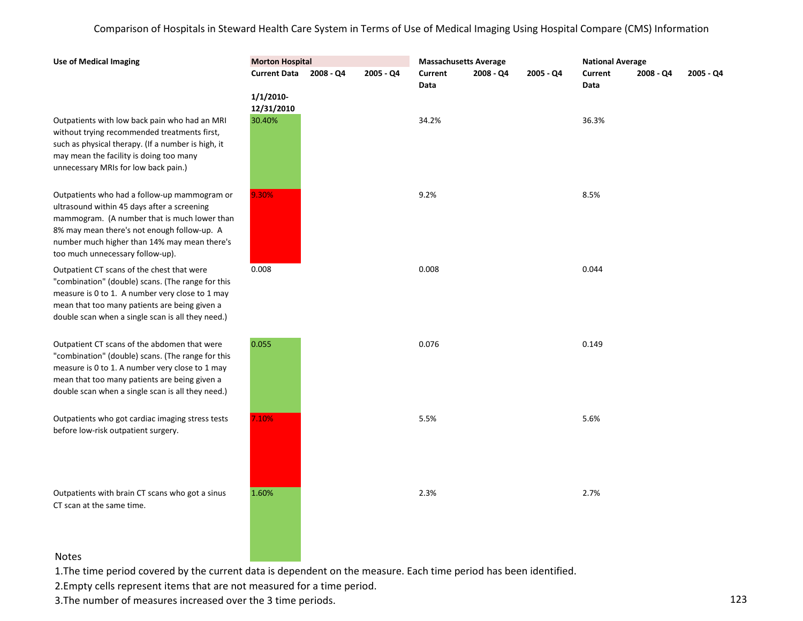Outpatients with low back pain who had an MRI without trying recommended treatments first, such as physical therapy. (If a number is high, it may mean the facility is doing too many unnecessary MRIs for low back pain.)

**Use of Medical Imaging**

Outpatients who had a follow-up mammogram or ultrasound within 45 days after a screening mammogram. (A number that is much lower than 8% may mean there's not enough follow-up. A number much higher than 14% may mean there's too much unnecessary follow-up).

Outpatient CT scans of the chest that were "combination" (double) scans. (The range for this measure is 0 to 1. A number very close to 1 may mean that too many patients are being given a double scan when a single scan is all they need.)

Outpatient CT scans of the abdomen that were "combination" (double) scans. (The range for this measure is 0 to 1. A number very close to 1 may mean that too many patients are being given a double scan when a single scan is all they need.)

Outpatients who got cardiac imaging stress tests before low-risk outpatient surgery.

Outpatients with brain CT scans who got a sinus CT scan at the same time.

| <b>Morton Hospital</b>     |           |           | <b>Massachusetts Average</b> |           |           | <b>National Average</b> |           |           |
|----------------------------|-----------|-----------|------------------------------|-----------|-----------|-------------------------|-----------|-----------|
| <b>Current Data</b>        | 2008 - Q4 | 2005 - Q4 | Current<br>Data              | 2008 - Q4 | 2005 - Q4 | <b>Current</b><br>Data  | 2008 - Q4 | 2005 - Q4 |
| $1/1/2010$ -<br>12/31/2010 |           |           |                              |           |           |                         |           |           |
| 30.40%                     |           |           | 34.2%                        |           |           | 36.3%                   |           |           |
| 9.30%                      |           |           | 9.2%                         |           |           | 8.5%                    |           |           |
| 0.008                      |           |           | 0.008                        |           |           | 0.044                   |           |           |
| 0.055                      |           |           | 0.076                        |           |           | 0.149                   |           |           |
| 7.10%                      |           |           | 5.5%                         |           |           | 5.6%                    |           |           |
| 1.60%                      |           |           | 2.3%                         |           |           | 2.7%                    |           |           |

### Notes

1.The time period covered by the current data is dependent on the measure. Each time period has been identified.

2.Empty cells represent items that are not measured for a time period.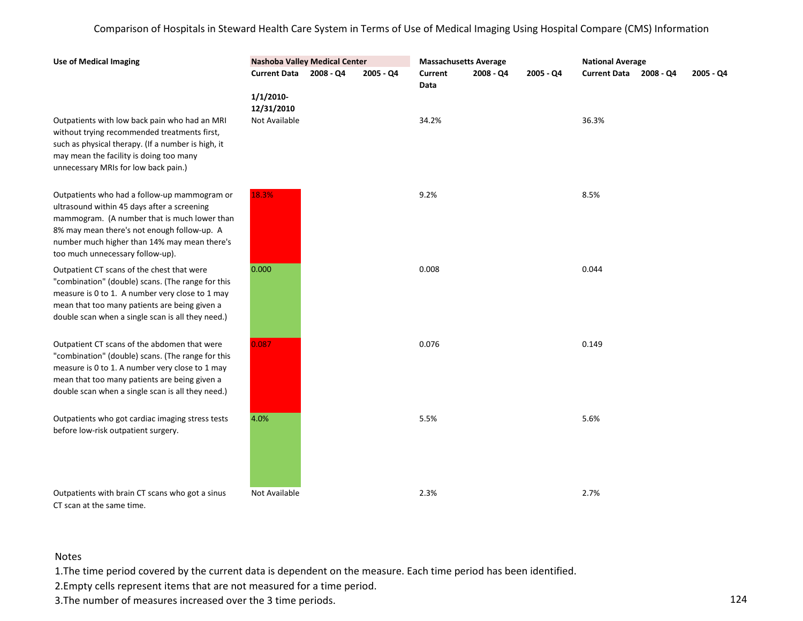| <b>Use of Medical Imaging</b>                                                                                                                                                                                                                                                  | <b>Nashoba Valley Medical Center</b>    |           |                        | <b>Massachusetts Average</b> |           | <b>National Average</b> |  |           |
|--------------------------------------------------------------------------------------------------------------------------------------------------------------------------------------------------------------------------------------------------------------------------------|-----------------------------------------|-----------|------------------------|------------------------------|-----------|-------------------------|--|-----------|
|                                                                                                                                                                                                                                                                                | Current Data 2008 - Q4                  | 2005 - Q4 | <b>Current</b><br>Data | 2008 - Q4                    | 2005 - Q4 | Current Data 2008 - Q4  |  | 2005 - Q4 |
| Outpatients with low back pain who had an MRI<br>without trying recommended treatments first,<br>such as physical therapy. (If a number is high, it<br>may mean the facility is doing too many<br>unnecessary MRIs for low back pain.)                                         | 1/1/2010<br>12/31/2010<br>Not Available |           | 34.2%                  |                              |           | 36.3%                   |  |           |
| Outpatients who had a follow-up mammogram or<br>ultrasound within 45 days after a screening<br>mammogram. (A number that is much lower than<br>8% may mean there's not enough follow-up. A<br>number much higher than 14% may mean there's<br>too much unnecessary follow-up). | 18.3%                                   |           | 9.2%                   |                              |           | 8.5%                    |  |           |
| Outpatient CT scans of the chest that were<br>"combination" (double) scans. (The range for this<br>measure is 0 to 1. A number very close to 1 may<br>mean that too many patients are being given a<br>double scan when a single scan is all they need.)                       | 0.000                                   |           | 0.008                  |                              |           | 0.044                   |  |           |
| Outpatient CT scans of the abdomen that were<br>"combination" (double) scans. (The range for this<br>measure is 0 to 1. A number very close to 1 may<br>mean that too many patients are being given a<br>double scan when a single scan is all they need.)                     | 0.087                                   |           | 0.076                  |                              |           | 0.149                   |  |           |
| Outpatients who got cardiac imaging stress tests<br>before low-risk outpatient surgery.                                                                                                                                                                                        | 4.0%                                    |           | 5.5%                   |                              |           | 5.6%                    |  |           |
| Outpatients with brain CT scans who got a sinus<br>CT scan at the same time.                                                                                                                                                                                                   | Not Available                           |           | 2.3%                   |                              |           | 2.7%                    |  |           |

# Notes

1.The time period covered by the current data is dependent on the measure. Each time period has been identified.

2.Empty cells represent items that are not measured for a time period.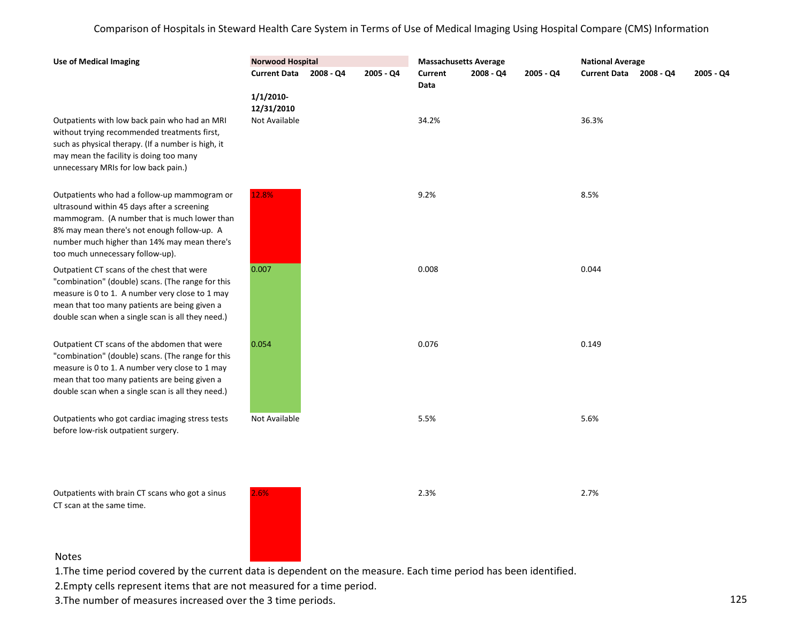| <b>Use of Medical Imaging</b>                                                                                                                                                                                                                                                  | <b>Norwood Hospital</b>                     |           | <b>Massachusetts Average</b> |             |           | <b>National Average</b> |           |
|--------------------------------------------------------------------------------------------------------------------------------------------------------------------------------------------------------------------------------------------------------------------------------|---------------------------------------------|-----------|------------------------------|-------------|-----------|-------------------------|-----------|
|                                                                                                                                                                                                                                                                                | Current Data 2008 - Q4                      | 2005 - Q4 | <b>Current</b><br>Data       | $2008 - Q4$ | 2005 - Q4 | Current Data 2008 - Q4  | 2005 - Q4 |
| Outpatients with low back pain who had an MRI<br>without trying recommended treatments first,<br>such as physical therapy. (If a number is high, it<br>may mean the facility is doing too many<br>unnecessary MRIs for low back pain.)                                         | $1/1/2010$ -<br>12/31/2010<br>Not Available |           | 34.2%                        |             |           | 36.3%                   |           |
| Outpatients who had a follow-up mammogram or<br>ultrasound within 45 days after a screening<br>mammogram. (A number that is much lower than<br>8% may mean there's not enough follow-up. A<br>number much higher than 14% may mean there's<br>too much unnecessary follow-up). | 12.8%                                       |           | 9.2%                         |             |           | 8.5%                    |           |
| Outpatient CT scans of the chest that were<br>"combination" (double) scans. (The range for this<br>measure is 0 to 1. A number very close to 1 may<br>mean that too many patients are being given a<br>double scan when a single scan is all they need.)                       | 0.007                                       |           | 0.008                        |             |           | 0.044                   |           |
| Outpatient CT scans of the abdomen that were<br>"combination" (double) scans. (The range for this<br>measure is 0 to 1. A number very close to 1 may<br>mean that too many patients are being given a<br>double scan when a single scan is all they need.)                     | 0.054                                       |           | 0.076                        |             |           | 0.149                   |           |
| Outpatients who got cardiac imaging stress tests<br>before low-risk outpatient surgery.                                                                                                                                                                                        | Not Available                               |           | 5.5%                         |             |           | 5.6%                    |           |
| Outpatients with brain CT scans who got a sinus<br>CT scan at the same time.                                                                                                                                                                                                   | 2.6%                                        |           | 2.3%                         |             |           | 2.7%                    |           |
|                                                                                                                                                                                                                                                                                |                                             |           |                              |             |           |                         |           |

### Notes

1.The time period covered by the current data is dependent on the measure. Each time period has been identified.

2.Empty cells represent items that are not measured for a time period.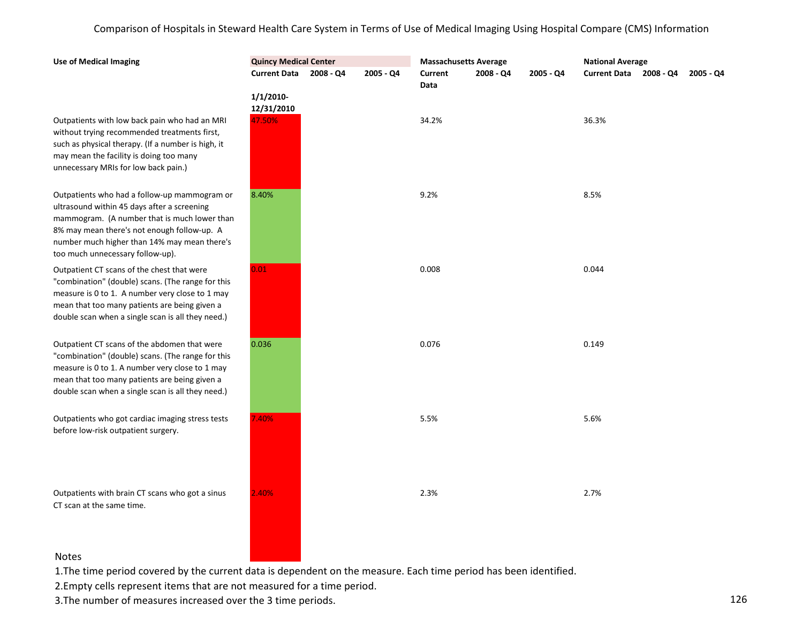| Outpatients with low back pain who had an MRI      |
|----------------------------------------------------|
| without trying recommended treatments first,       |
| such as physical therapy. (If a number is high, it |
| may mean the facility is doing too many            |
| unnecessary MRIs for low back pain.)               |

**Use of Medical Imaging**

Outpatients who had a follow-up mammogram or ultrasound within 45 days after a screening mammogram. (A number that is much lower than 8% may mean there's not enough follow-up. A number much higher than 14% may mean there's too much unnecessary follow-up).

Outpatient CT scans of the chest that were "combination" (double) scans. (The range for this measure is 0 to 1. A number very close to 1 may mean that too many patients are being given a double scan when a single scan is all they need.)

Outpatient CT scans of the abdomen that were "combination" (double) scans. (The range for this measure is 0 to 1. A number very close to 1 may mean that too many patients are being given a double scan when a single scan is all they need.)

Outpatients who got cardiac imaging stress tests before low-risk outpatient surgery.

Outpatients with brain CT scans who got a sinus CT scan at the same time.

| <b>Quincy Medical Center</b> |           |           | <b>Massachusetts Average</b> |           |           | <b>National Average</b>          |  |
|------------------------------|-----------|-----------|------------------------------|-----------|-----------|----------------------------------|--|
| <b>Current Data</b>          | 2008 - Q4 | 2005 - Q4 | <b>Current</b><br>Data       | 2008 - Q4 | 2005 - Q4 | Current Data 2008 - Q4 2005 - Q4 |  |
| $1/1/2010-$<br>12/31/2010    |           |           |                              |           |           |                                  |  |
| 47.50%                       |           |           | 34.2%                        |           |           | 36.3%                            |  |
| 8.40%                        |           |           | 9.2%                         |           |           | 8.5%                             |  |
| 0.01                         |           |           | 0.008                        |           |           | 0.044                            |  |
| 0.036                        |           |           | 0.076                        |           |           | 0.149                            |  |
| 7.40%                        |           |           | 5.5%                         |           |           | 5.6%                             |  |
| 2.40%                        |           |           | 2.3%                         |           |           | 2.7%                             |  |
|                              |           |           |                              |           |           |                                  |  |

### Notes

1.The time period covered by the current data is dependent on the measure. Each time period has been identified.

2.Empty cells represent items that are not measured for a time period.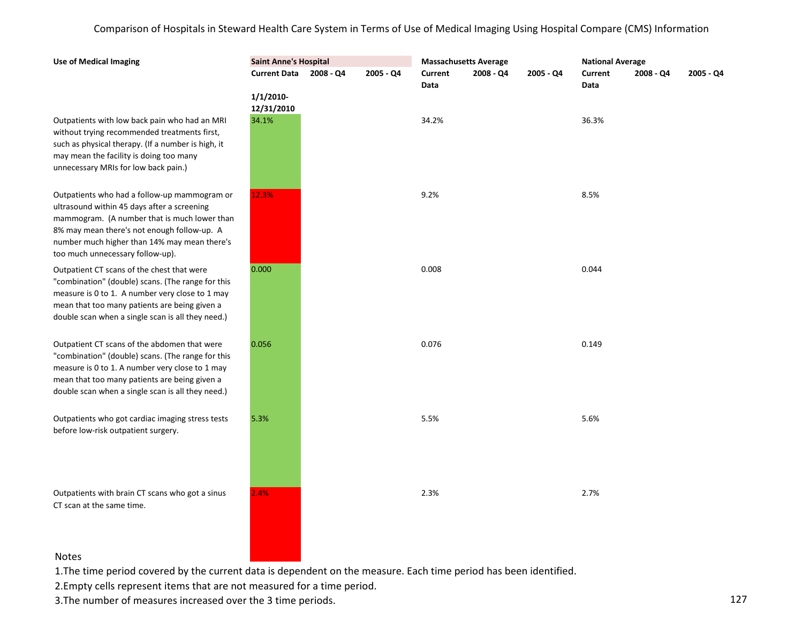Outpatients with low back pain who had an MRI without trying recommended treatments first, such as physical therapy. (If a number is high, it may mean the facility is doing too many unnecessary MRIs for low back pain.)

**Use of Medical Imaging**

Outpatients who had a follow-up mammogram or ultrasound within 45 days after a screening mammogram. (A number that is much lower than 8% may mean there's not enough follow-up. A number much higher than 14% may mean there's too much unnecessary follow-up).

Outpatient CT scans of the chest that were "combination" (double) scans. (The range for this measure is 0 to 1. A number very close to 1 may mean that too many patients are being given a double scan when a single scan is all they need.)

Outpatient CT scans of the abdomen that were "combination" (double) scans. (The range for this measure is 0 to 1. A number very close to 1 may mean that too many patients are being given a double scan when a single scan is all they need.)

Outpatients who got cardiac imaging stress tests before low-risk outpatient surgery.

Outpatients with brain CT scans who got a sinus CT scan at the same time.

| <b>Saint Anne's Hospital</b> |           |           |                 | <b>Massachusetts Average</b> |           | <b>National Average</b> |           |           |
|------------------------------|-----------|-----------|-----------------|------------------------------|-----------|-------------------------|-----------|-----------|
| <b>Current Data</b>          | 2008 - Q4 | 2005 - Q4 | Current<br>Data | 2008 - Q4                    | 2005 - Q4 | Current<br>Data         | 2008 - Q4 | 2005 - Q4 |
| $1/1/2010$ -<br>12/31/2010   |           |           |                 |                              |           |                         |           |           |
| 34.1%                        |           |           | 34.2%           |                              |           | 36.3%                   |           |           |
| 12.3%                        |           |           | 9.2%            |                              |           | 8.5%                    |           |           |
| 0.000                        |           |           | 0.008           |                              |           | 0.044                   |           |           |
| 0.056                        |           |           | 0.076           |                              |           | 0.149                   |           |           |
| 5.3%                         |           |           | 5.5%            |                              |           | 5.6%                    |           |           |
| 2.4%                         |           |           | 2.3%            |                              |           | 2.7%                    |           |           |

### Notes

1.The time period covered by the current data is dependent on the measure. Each time period has been identified.

2.Empty cells represent items that are not measured for a time period.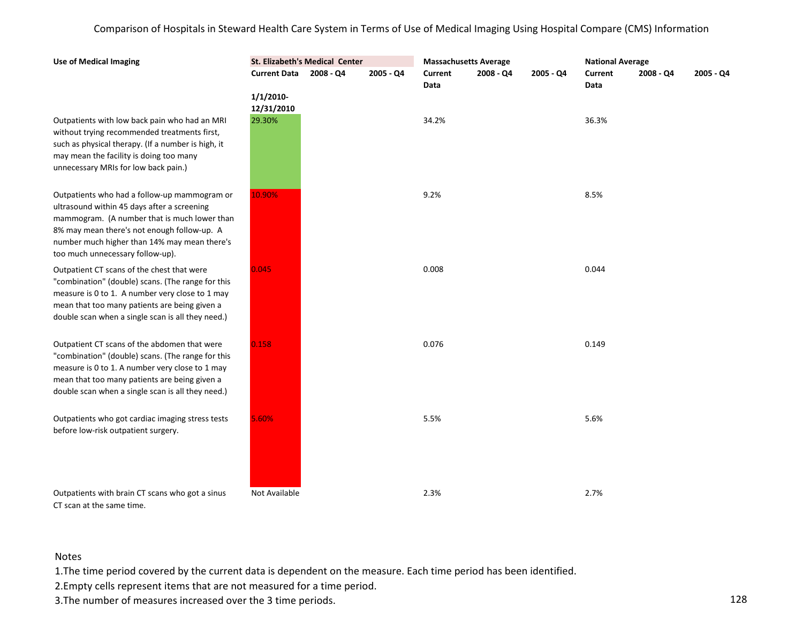| <b>Use of Medical Imaging</b>                                                                                                                                                                                                                                                  |                            | St. Elizabeth's Medical Center |             | <b>Massachusetts Average</b> |             |           | <b>National Average</b> |           |             |
|--------------------------------------------------------------------------------------------------------------------------------------------------------------------------------------------------------------------------------------------------------------------------------|----------------------------|--------------------------------|-------------|------------------------------|-------------|-----------|-------------------------|-----------|-------------|
|                                                                                                                                                                                                                                                                                | <b>Current Data</b>        | 2008 - Q4                      | $2005 - Q4$ | Current<br>Data              | $2008 - Q4$ | 2005 - Q4 | <b>Current</b><br>Data  | 2008 - Q4 | $2005 - Q4$ |
|                                                                                                                                                                                                                                                                                | $1/1/2010$ -<br>12/31/2010 |                                |             |                              |             |           |                         |           |             |
| Outpatients with low back pain who had an MRI<br>without trying recommended treatments first,<br>such as physical therapy. (If a number is high, it<br>may mean the facility is doing too many<br>unnecessary MRIs for low back pain.)                                         | 29.30%                     |                                |             | 34.2%                        |             |           | 36.3%                   |           |             |
| Outpatients who had a follow-up mammogram or<br>ultrasound within 45 days after a screening<br>mammogram. (A number that is much lower than<br>8% may mean there's not enough follow-up. A<br>number much higher than 14% may mean there's<br>too much unnecessary follow-up). | 10.90%                     |                                |             | 9.2%                         |             |           | 8.5%                    |           |             |
| Outpatient CT scans of the chest that were<br>"combination" (double) scans. (The range for this<br>measure is 0 to 1. A number very close to 1 may<br>mean that too many patients are being given a<br>double scan when a single scan is all they need.)                       | 0.045                      |                                |             | 0.008                        |             |           | 0.044                   |           |             |
| Outpatient CT scans of the abdomen that were<br>"combination" (double) scans. (The range for this<br>measure is 0 to 1. A number very close to 1 may<br>mean that too many patients are being given a<br>double scan when a single scan is all they need.)                     | 0.158                      |                                |             | 0.076                        |             |           | 0.149                   |           |             |
| Outpatients who got cardiac imaging stress tests<br>before low-risk outpatient surgery.                                                                                                                                                                                        | 5.60%                      |                                |             | 5.5%                         |             |           | 5.6%                    |           |             |
| Outpatients with brain CT scans who got a sinus<br>CT scan at the same time.                                                                                                                                                                                                   | Not Available              |                                |             | 2.3%                         |             |           | 2.7%                    |           |             |

## Notes

1.The time period covered by the current data is dependent on the measure. Each time period has been identified.

2.Empty cells represent items that are not measured for a time period.